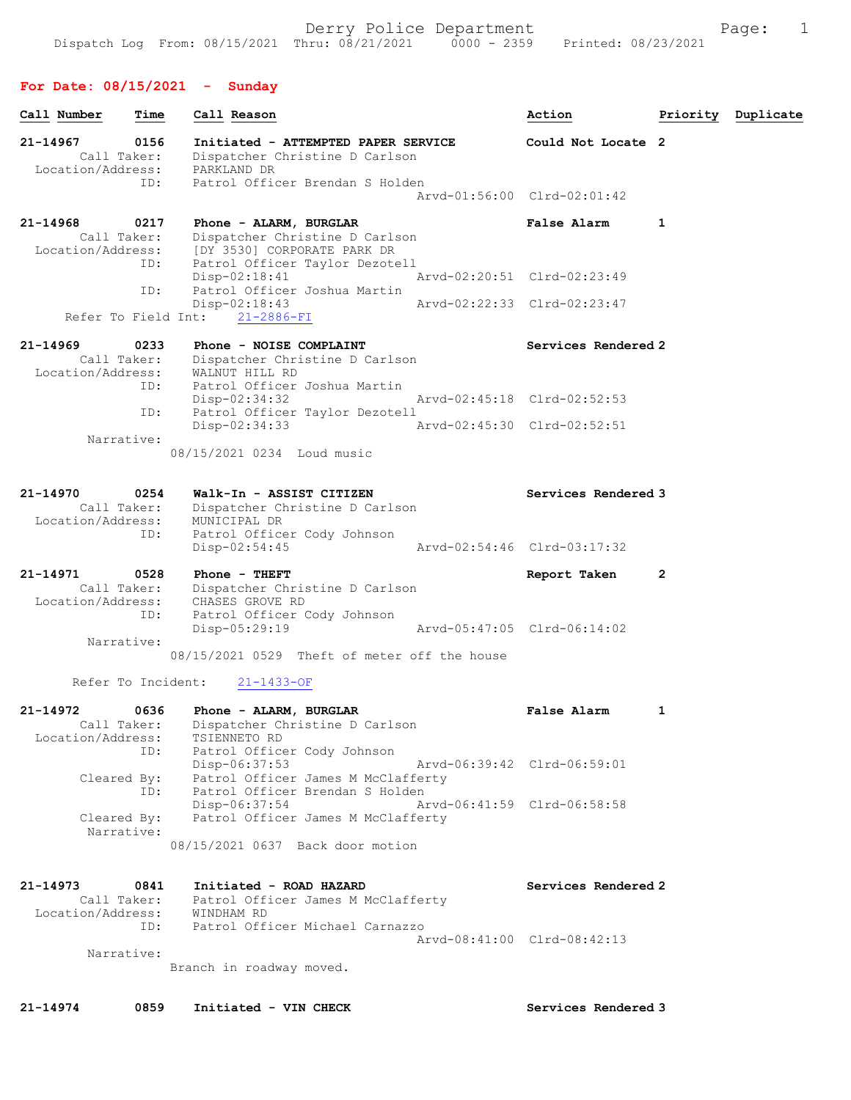#### For Date: 08/15/2021 - Sunday

| Call Number                       | Time                | Call Reason                                                                                               |                             | Action                      |   | Priority Duplicate |
|-----------------------------------|---------------------|-----------------------------------------------------------------------------------------------------------|-----------------------------|-----------------------------|---|--------------------|
| $21 - 14967$<br>Location/Address: | 0156<br>Call Taker: | Initiated - ATTEMPTED PAPER SERVICE<br>Dispatcher Christine D Carlson<br>PARKLAND DR                      |                             | Could Not Locate 2          |   |                    |
|                                   | ID:                 | Patrol Officer Brendan S Holden                                                                           |                             | Arvd-01:56:00 Clrd-02:01:42 |   |                    |
| 21-14968<br>Call Taker:           | 0217<br>ID:         | Phone - ALARM, BURGLAR<br>Dispatcher Christine D Carlson<br>Location/Address: [DY 3530] CORPORATE PARK DR |                             | <b>False Alarm</b>          | 1 |                    |
|                                   | ID:                 | Patrol Officer Taylor Dezotell<br>$Disp-02:18:41$<br>Patrol Officer Joshua Martin                         |                             | Arvd-02:20:51 Clrd-02:23:49 |   |                    |
| Refer To Field Int:               |                     | $Disp-02:18:43$<br>$21 - 2886 - FI$                                                                       |                             | Arvd-02:22:33 Clrd-02:23:47 |   |                    |
| 21-14969<br>Location/Address:     | 0233<br>Call Taker: | Phone - NOISE COMPLAINT<br>Dispatcher Christine D Carlson<br>WALNUT HILL RD                               |                             | Services Rendered 2         |   |                    |
|                                   | ID:<br>ID:          | Patrol Officer Joshua Martin<br>$Disp-02:34:32$<br>Patrol Officer Taylor Dezotell                         |                             | Arvd-02:45:18 Clrd-02:52:53 |   |                    |
| Narrative:                        |                     | $Disp-02:34:33$                                                                                           | Arvd-02:45:30 Clrd-02:52:51 |                             |   |                    |
|                                   |                     | 08/15/2021 0234 Loud music                                                                                |                             |                             |   |                    |
| 21-14970<br>Location/Address:     | 0254<br>Call Taker: | Walk-In - ASSIST CITIZEN<br>Dispatcher Christine D Carlson<br>MUNICIPAL DR                                |                             | Services Rendered 3         |   |                    |
|                                   | ID:                 | Patrol Officer Cody Johnson<br>$Disp-02:54:45$                                                            |                             | Arvd-02:54:46 Clrd-03:17:32 |   |                    |
| 21-14971<br>Location/Address:     | 0528                | Phone - THEFT<br>Call Taker: Dispatcher Christine D Carlson<br>CHASES GROVE RD                            |                             | Report Taken                | 2 |                    |
| Narrative:                        | ID:                 | Patrol Officer Cody Johnson<br>Disp-05:29:19                                                              | Arvd-05:47:05 Clrd-06:14:02 |                             |   |                    |
| Refer To Incident:                |                     | 08/15/2021 0529 Theft of meter off the house                                                              |                             |                             |   |                    |
| 21-14972                          | 0636                | $21 - 1433 - OF$<br>Phone - ALARM, BURGLAR                                                                |                             | <b>False Alarm</b>          | 1 |                    |
| Location/Address:                 | ID:                 | Call Taker: Dispatcher Christine D Carlson<br>TSIENNETO RD<br>Patrol Officer Cody Johnson                 |                             |                             |   |                    |
| Cleared By:                       | ID:                 | Disp-06:37:53<br>Patrol Officer James M McClafferty<br>Patrol Officer Brendan S Holden                    |                             | Arvd-06:39:42 Clrd-06:59:01 |   |                    |
| Cleared By:<br>Narrative:         |                     | Disp-06:37:54<br>Patrol Officer James M McClafferty<br>08/15/2021 0637 Back door motion                   | Arvd-06:41:59 Clrd-06:58:58 |                             |   |                    |
| 21-14973                          | 0841<br>Call Taker: | Initiated - ROAD HAZARD<br>Patrol Officer James M McClafferty                                             |                             | Services Rendered 2         |   |                    |
| Location/Address:                 | ID:                 | WINDHAM RD<br>Patrol Officer Michael Carnazzo                                                             |                             | Arvd-08:41:00 Clrd-08:42:13 |   |                    |
| Narrative:                        |                     | Branch in roadway moved.                                                                                  |                             |                             |   |                    |

21-14974 0859 Initiated - VIN CHECK Services Rendered 3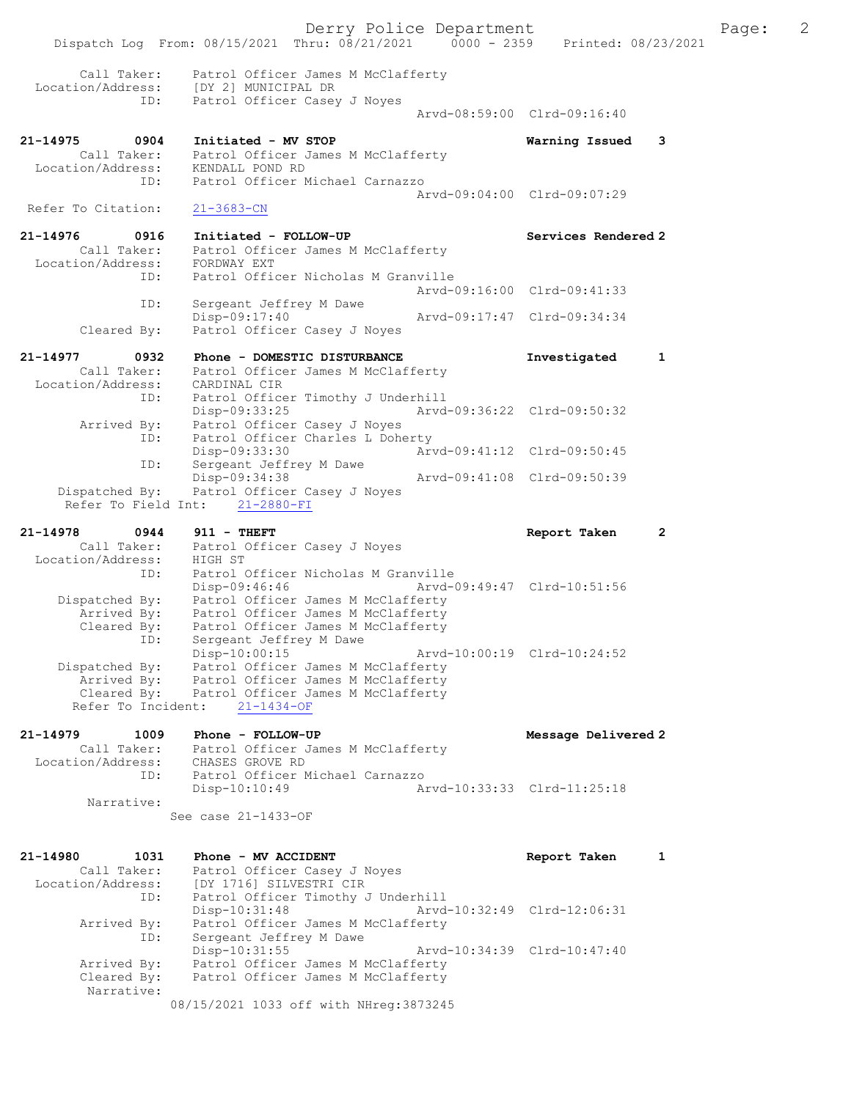Derry Police Department Fage: 2 Dispatch Log From: 08/15/2021 Thru: 08/21/2021 0000 - 2359 Printed: 08/23/2021 Call Taker: Patrol Officer James M McClafferty Location/Address: [DY 2] MUNICIPAL DR ID: Patrol Officer Casey J Noyes Arvd-08:59:00 Clrd-09:16:40 21-14975 0904 Initiated - MV STOP Warning Issued 3 Call Taker: Patrol Officer James M McClafferty Location/Address: KENDALL POND RD ID: Patrol Officer Michael Carnazzo Arvd-09:04:00 Clrd-09:07:29 Refer To Citation: 21-3683-CN 21-14976 0916 Initiated - FOLLOW-UP Services Rendered 2 Call Taker: Patrol Officer James M McClafferty Location/Address: FORDWAY EXT ID: Patrol Officer Nicholas M Granville Arvd-09:16:00 Clrd-09:41:33 ID: Sergeant Jeffrey M Dawe<br>Disp-09:17:40 Disp-09:17:40 Arvd-09:17:47 Clrd-09:34:34 Cleared By: Patrol Officer Casey J Noyes 21-14977 0932 Phone - DOMESTIC DISTURBANCE 1 Investigated 1 Call Taker: Patrol Officer James M McClafferty Location/Address: CARDINAL CIR ID: Patrol Officer Timothy J Underhill Disp-09:33:25 Arvd-09:36:22 Clrd-09:50:32 Arrived By: Patrol Officer Casey J Noyes ID: Patrol Officer Charles L Doherty Disp-09:33:30 Arvd-09:41:12 Clrd-09:50:45 ID: Sergeant Jeffrey M Dawe Disp-09:34:38 Arvd-09:41:08 Clrd-09:50:39 Dispatched By: Patrol Officer Casey J Noyes Refer To Field Int: 21-2880-FI 21-14978 0944 911 - THEFT Report Taken 2 Call Taker: Patrol Officer Casey J Noyes Location/Address: HIGH ST ID: Patrol Officer Nicholas M Granville Disp-09:46:46 Arvd-09:49:47 Clrd-10:51:56 Dispatched By: Patrol Officer James M McClafferty Arrived By: Patrol Officer James M McClafferty Cleared By: Patrol Officer James M McClafferty ID: Sergeant Jeffrey M Dawe Disp-10:00:15 Arvd-10:00:19 Clrd-10:24:52 Dispatched By: Patrol Officer James M McClafferty Arrived By: Patrol Officer James M McClafferty Cleared By: Patrol Officer James M McClafferty Refer To Incident: 21-1434-OF 21-14979 1009 Phone - FOLLOW-UP Message Delivered 2 Call Taker: Patrol Officer James M McClafferty Location/Address: CHASES GROVE RD ID: Patrol Officer Michael Carnazzo Disp-10:10:49 Arvd-10:33:33 Clrd-11:25:18 Narrative: See case 21-1433-OF 21-14980 1031 Phone - MV ACCIDENT Report Taken 1 Call Taker: Patrol Officer Casey J Noyes Location/Address: [DY 1716] SILVESTRI CIR ID: Patrol Officer Timothy J Underhill Disp-10:31:48 Arvd-10:32:49 Clrd-12:06:31 Arrived By: Patrol Officer James M McClafferty ID: Sergeant Jeffrey M Dawe Disp-10:31:55 Arvd-10:34:39 Clrd-10:47:40 Arrived By: Patrol Officer James M McClafferty Cleared By: Patrol Officer James M McClafferty Narrative: 08/15/2021 1033 off with NHreg:3873245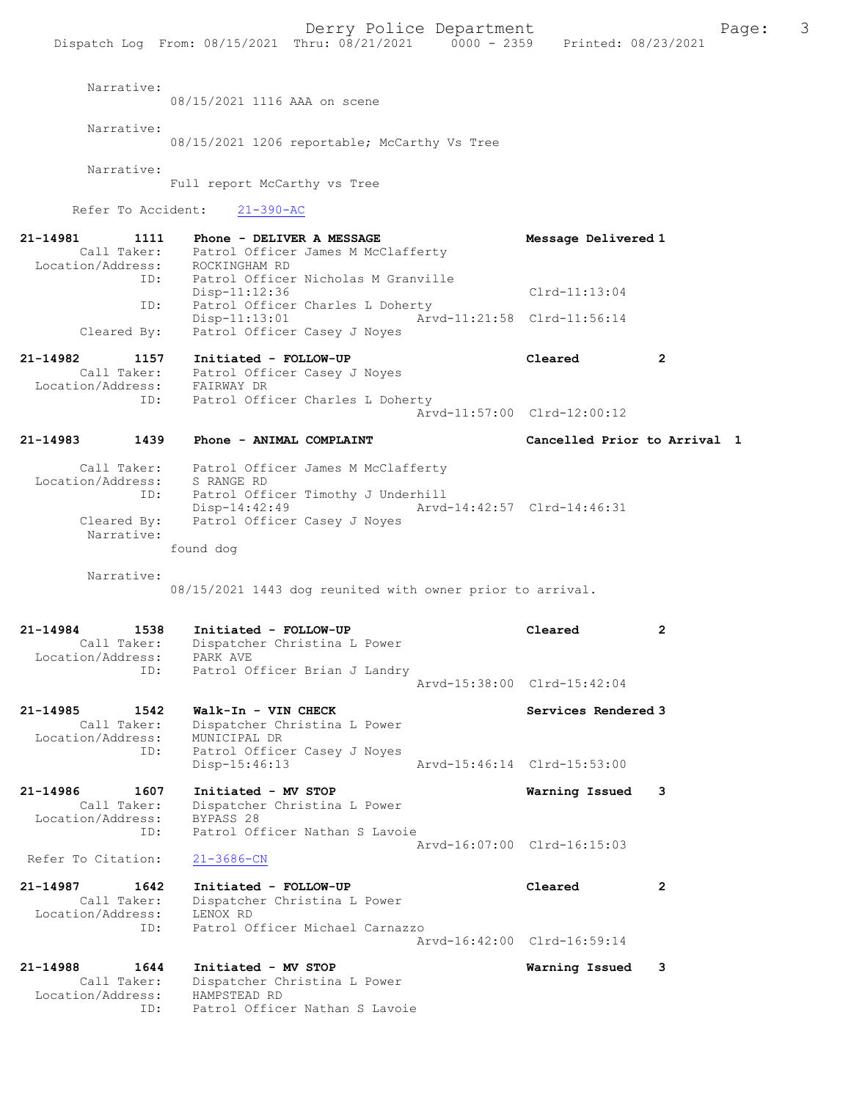Narrative: 08/15/2021 1116 AAA on scene Narrative: 08/15/2021 1206 reportable; McCarthy Vs Tree Narrative: Full report McCarthy vs Tree Refer To Accident: 21-390-AC 21-14981 1111 Phone - DELIVER A MESSAGE Message Delivered 1 Call Taker: Patrol Officer James M McClafferty Location/Address: ROCKINGHAM RD ID: Patrol Officer Nicholas M Granville Disp-11:12:36 Clrd-11:13:04 ID: Patrol Officer Charles L Doherty<br>Disp-11:13:01 Arv Arvd-11:21:58 Clrd-11:56:14 Cleared By: Patrol Officer Casey J Noyes 21-14982 1157 Initiated - FOLLOW-UP Cleared 2 Call Taker: Patrol Officer Casey J Noyes Location/Address: FAIRWAY DR ID: Patrol Officer Charles L Doherty Arvd-11:57:00 Clrd-12:00:12 21-14983 1439 Phone - ANIMAL COMPLAINT Cancelled Prior to Arrival 1 Call Taker: Patrol Officer James M McClafferty Location/Address: S RANGE RD ID: Patrol Officer Timothy J Underhill Disp-14:42:49 Arvd-14:42:57 Clrd-14:46:31<br>Cleared By: Patrol Officer Casey J Noyes Patrol Officer Casey J Noyes Narrative: found dog Narrative: 08/15/2021 1443 dog reunited with owner prior to arrival. 21-14984 1538 Initiated - FOLLOW-UP Cleared 2 Call Taker: Dispatcher Christina L Power Location/Address: PARK AVE ID: Patrol Officer Brian J Landry Arvd-15:38:00 Clrd-15:42:04 21-14985 1542 Walk-In - VIN CHECK Newslett Services Rendered 3 Call Taker: Dispatcher Christina L Power Location/Address: MUNICIPAL DR ID: Patrol Officer Casey J Noyes Disp-15:46:13 Arvd-15:46:14 Clrd-15:53:00 21-14986 1607 Initiated - MV STOP Warning Issued 3 Call Taker: Dispatcher Christina L Power Location/Address: BYPASS 28 ID: Patrol Officer Nathan S Lavoie Arvd-16:07:00 Clrd-16:15:03 Refer To Citation: 21-3686-CN 21-14987 1642 Initiated - FOLLOW-UP Cleared 2 Call Taker: Dispatcher Christina L Power Location/Address: LENOX RD ID: Patrol Officer Michael Carnazzo Arvd-16:42:00 Clrd-16:59:14 21-14988 1644 Initiated - MV STOP Warning Issued 3 Call Taker: Dispatcher Christina L Power Location/Address: HAMPSTEAD RD ID: Patrol Officer Nathan S Lavoie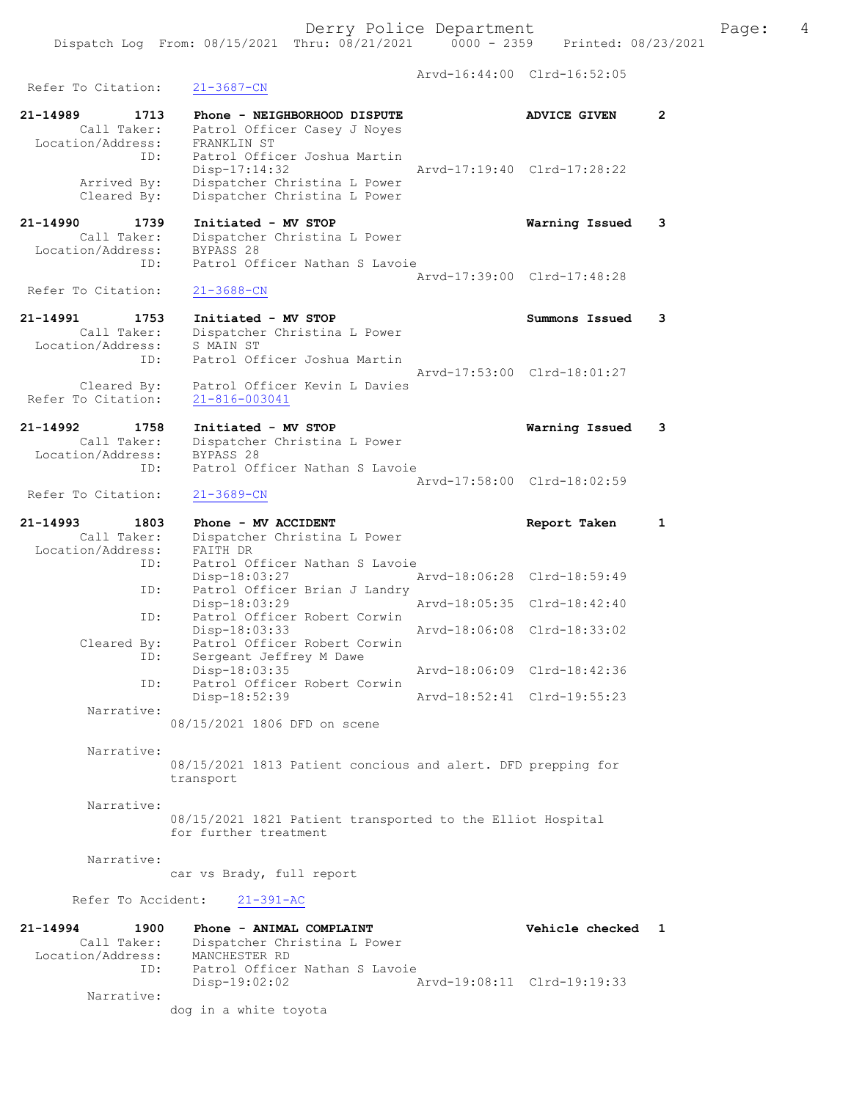Arvd-16:44:00 Clrd-16:52:05 Refer To Citation: 21-3687-CN 21-14989 1713 Phone - NEIGHBORHOOD DISPUTE ADVICE GIVEN 2 Call Taker: Patrol Officer Casey J Noyes Location/Address: FRANKLIN ST ID: Patrol Officer Joshua Martin Disp-17:14:32 Arvd-17:19:40 Clrd-17:28:22 Arrived By: Dispatcher Christina L Power Cleared By: Dispatcher Christina L Power 21-14990 1739 Initiated - MV STOP Warning Issued 3 Call Taker: Dispatcher Christina L Power Location/Address: BYPASS 28 ID: Patrol Officer Nathan S Lavoie Arvd-17:39:00 Clrd-17:48:28<br>21-3688-CN Refer To Citation: 21-14991 1753 Initiated - MV STOP Summons Issued 3 Arvd-17:53:00 Clrd-18:01:27 Cleared By: Patrol Officer Kevin L Davies Refer To Citation: 21-816-003041 21-14992 1758 Initiated - MV STOP Warning Issued 3 Call Taker: Dispatcher Christina L Power Location/Address: BYPASS 28 ID: Patrol Officer Nathan S Lavoie Arvd-17:58:00 Clrd-18:02:59<br>21-3689-CN Refer To Citation: 21-14993 1803 Phone - MV ACCIDENT Report Taken 1 Call Taker: Dispatcher Christina L Power Location/Address: FAITH DR ID: Patrol Officer Nathan S Lavoie Disp-18:03:27 Arvd-18:06:28 Clrd-18:59:49 ID: Patrol Officer Brian J Landry<br>Disp-18:03:29 Mrvd-18:05:35 Clrd-18:42:40 Disp-18:03:29 ID: Patrol Officer Robert Corwin Disp-18:03:33 Arvd-18:06:08 Clrd-18:33:02 Cleared By: Patrol Officer Robert Corwin ID: Sergeant Jeffrey M Dawe Disp-18:03:35 Arvd-18:06:09 Clrd-18:42:36 ID: Patrol Officer Robert Corwin Disp-18:52:39 Arvd-18:52:41 Clrd-19:55:23 Narrative: 08/15/2021 1806 DFD on scene Narrative: 08/15/2021 1813 Patient concious and alert. DFD prepping for transport Narrative: 08/15/2021 1821 Patient transported to the Elliot Hospital for further treatment Narrative: car vs Brady, full report Refer To Accident: 21-391-AC 21-14994 1900 Phone - ANIMAL COMPLAINT Vehicle checked 1 Call Taker: Dispatcher Christina L Power Location/Address: MANCHESTER RD

dog in a white toyota

Disp-19:02:02 Arvd-19:08:11 Clrd-19:19:33

ID: Patrol Officer Nathan S Lavoie

Narrative:

 Call Taker: Dispatcher Christina L Power Location/Address: S MAIN ST ID: Patrol Officer Joshua Martin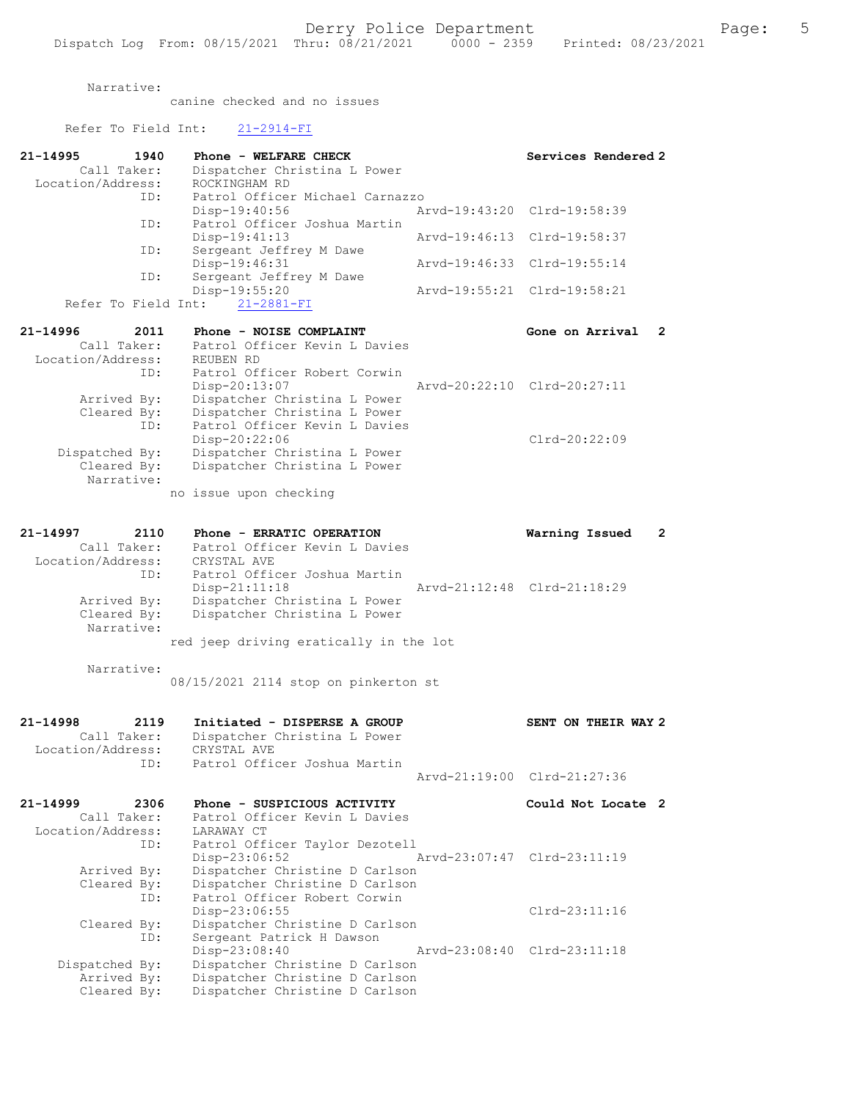canine checked and no issues

Refer To Field Int: 21-2914-FI

| 21-14995<br>1940<br>Call Taker:                          | Phone - WELFARE CHECK<br>Dispatcher Christina L Power                                         | Services Rendered 2            |
|----------------------------------------------------------|-----------------------------------------------------------------------------------------------|--------------------------------|
| Location/Address:                                        | ROCKINGHAM RD                                                                                 |                                |
| ID:<br>ID:                                               | Patrol Officer Michael Carnazzo<br>Disp-19:40:56<br>Patrol Officer Joshua Martin              | Arvd-19:43:20 Clrd-19:58:39    |
| ID:                                                      | $Disp-19:41:13$<br>Sergeant Jeffrey M Dawe                                                    | Arvd-19:46:13 Clrd-19:58:37    |
| ID:                                                      | Disp-19:46:31<br>Sergeant Jeffrey M Dawe                                                      | Arvd-19:46:33 Clrd-19:55:14    |
|                                                          | Disp-19:55:20<br>Refer To Field Int: 21-2881-FI                                               | Arvd-19:55:21 Clrd-19:58:21    |
|                                                          |                                                                                               |                                |
| $21 - 14996$<br>2011<br>Call Taker:<br>Location/Address: | Phone - NOISE COMPLAINT<br>Patrol Officer Kevin L Davies<br>REUBEN RD                         | Gone on Arrival<br>2           |
| ID:                                                      | Patrol Officer Robert Corwin<br>$Disp-20:13:07$                                               | Arvd-20:22:10 Clrd-20:27:11    |
| Arrived By:<br>Cleared By:<br>ID:                        | Dispatcher Christina L Power<br>Dispatcher Christina L Power<br>Patrol Officer Kevin L Davies |                                |
| Dispatched By:<br>Cleared By:                            | $Disp-20:22:06$<br>Dispatcher Christina L Power<br>Dispatcher Christina L Power               | $Clrd-20:22:09$                |
| Narrative:                                               | no issue upon checking                                                                        |                                |
|                                                          |                                                                                               |                                |
| 21-14997<br>2110                                         | Phone - ERRATIC OPERATION                                                                     | $\mathbf{2}$<br>Warning Issued |
| Call Taker:                                              | Patrol Officer Kevin L Davies                                                                 |                                |
| Location/Address:<br>ID:                                 | CRYSTAL AVE<br>Patrol Officer Joshua Martin                                                   |                                |
|                                                          | $Disp-21:11:18$                                                                               | Arvd-21:12:48 Clrd-21:18:29    |
| Arrived By:                                              | Dispatcher Christina L Power                                                                  |                                |
| Cleared By:                                              | Dispatcher Christina L Power                                                                  |                                |
| Narrative:                                               | red jeep driving eratically in the lot                                                        |                                |
|                                                          |                                                                                               |                                |
| Narrative:                                               | 08/15/2021 2114 stop on pinkerton st                                                          |                                |
|                                                          |                                                                                               |                                |
| 21-14998<br>2119<br>Call Taker:                          | Initiated - DISPERSE A GROUP                                                                  | SENT ON THEIR WAY 2            |
| Location/Address:                                        | Dispatcher Christina L Power<br>CRYSTAL AVE                                                   |                                |
| ID:                                                      | Patrol Officer Joshua Martin                                                                  |                                |
|                                                          |                                                                                               | Arvd-21:19:00 Clrd-21:27:36    |
| $21 - 14999$<br>2306                                     | Phone - SUSPICIOUS ACTIVITY                                                                   | Could Not Locate 2             |
| Call Taker:                                              | Patrol Officer Kevin L Davies                                                                 |                                |
| Location/Address:                                        | LARAWAY CT                                                                                    |                                |
| ID:                                                      | Patrol Officer Taylor Dezotell<br>Disp-23:06:52                                               | Arvd-23:07:47 Clrd-23:11:19    |
| Arrived By:                                              | Dispatcher Christine D Carlson                                                                |                                |
| Cleared By:                                              | Dispatcher Christine D Carlson                                                                |                                |
| ID:                                                      | Patrol Officer Robert Corwin                                                                  |                                |
| Cleared By:                                              | Disp-23:06:55<br>Dispatcher Christine D Carlson                                               | $Clrd-23:11:16$                |
| ID:                                                      | Sergeant Patrick H Dawson                                                                     |                                |
|                                                          | Disp-23:08:40                                                                                 | Arvd-23:08:40 Clrd-23:11:18    |
| Dispatched By:                                           | Dispatcher Christine D Carlson                                                                |                                |
| Arrived By:<br>Cleared By:                               | Dispatcher Christine D Carlson<br>Dispatcher Christine D Carlson                              |                                |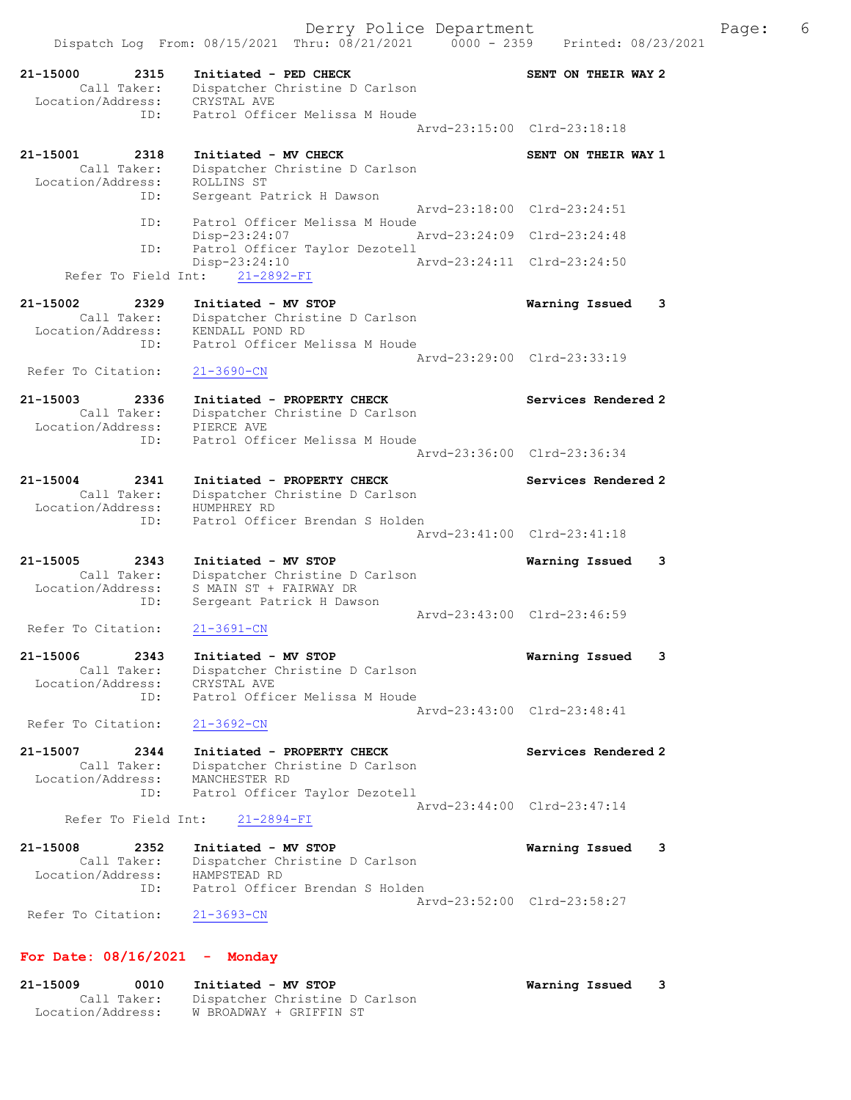Dispatch Log From: 08/15/2021 Thru: 08/21/2021 0000 - 2359 Printed: 08/23/2021 21-15000 2315 Initiated - PED CHECK SENT ON THEIR WAY 2 Call Taker: Dispatcher Christine D Carlson Location/Address: CRYSTAL AVE ID: Patrol Officer Melissa M Houde Arvd-23:15:00 Clrd-23:18:18 21-15001 2318 Initiated - MV CHECK SENT ON THEIR WAY 1 Call Taker: Dispatcher Christine D Carlson Location/Address: ROLLINS ST ID: Sergeant Patrick H Dawson Arvd-23:18:00 Clrd-23:24:51 ID: Patrol Officer Melissa M Houde<br>Disp-23:24:07 Mrvd-23:24:09 Clrd-23:24:48 Disp-23:24:07<br>ID: Patrol Officer Taylor Dezote Patrol Officer Taylor Dezotell Disp-23:24:10 Arvd-23:24:11 Clrd-23:24:50 Refer To Field Int: 21-2892-FI 21-15002 2329 Initiated - MV STOP Warning Issued 3 Call Taker: Dispatcher Christine D Carlson Location/Address: KENDALL POND RD ID: Patrol Officer Melissa M Houde Arvd-23:29:00 Clrd-23:33:19 Refer To Citation: 21-3690-CN 21-15003 2336 Initiated - PROPERTY CHECK Services Rendered 2 Call Taker: Dispatcher Christine D Carlson Location/Address: PIERCE AVE ID: Patrol Officer Melissa M Houde Arvd-23:36:00 Clrd-23:36:34 21-15004 2341 Initiated - PROPERTY CHECK Services Rendered 2 Call Taker: Dispatcher Christine D Carlson Location/Address: HUMPHREY RD ID: Patrol Officer Brendan S Holden Arvd-23:41:00 Clrd-23:41:18 21-15005 2343 Initiated - MV STOP Warning Issued 3 Call Taker: Dispatcher Christine D Carlson Location/Address: S MAIN ST + FAIRWAY DR ID: Sergeant Patrick H Dawson Arvd-23:43:00 Clrd-23:46:59<br>21-3691-CN Refer To Citation: 21-15006 2343 Initiated - MV STOP Warning Issued 3 Call Taker: Dispatcher Christine D Carlson Location/Address: CRYSTAL AVE ID: Patrol Officer Melissa M Houde Arvd-23:43:00 Clrd-23:48:41 Refer To Citation: 21-3692-CN 21-15007 2344 Initiated - PROPERTY CHECK Services Rendered 2 Call Taker: Dispatcher Christine D Carlson Location/Address: MANCHESTER RD ID: Patrol Officer Taylor Dezotell Arvd-23:44:00 Clrd-23:47:14 Refer To Field Int: 21-2894-FI 21-15008 2352 Initiated - MV STOP Warning Issued 3 Call Taker: Dispatcher Christine D Carlson Location/Address: HAMPSTEAD RD ID: Patrol Officer Brendan S Holden Arvd-23:52:00 Clrd-23:58:27 Refer To Citation: 21-3693-CN For Date: 08/16/2021 - Monday

21-15009 0010 Initiated - MV STOP Warning Issued 3 Call Taker: Dispatcher Christine D Carlson Location/Address: W BROADWAY + GRIFFIN ST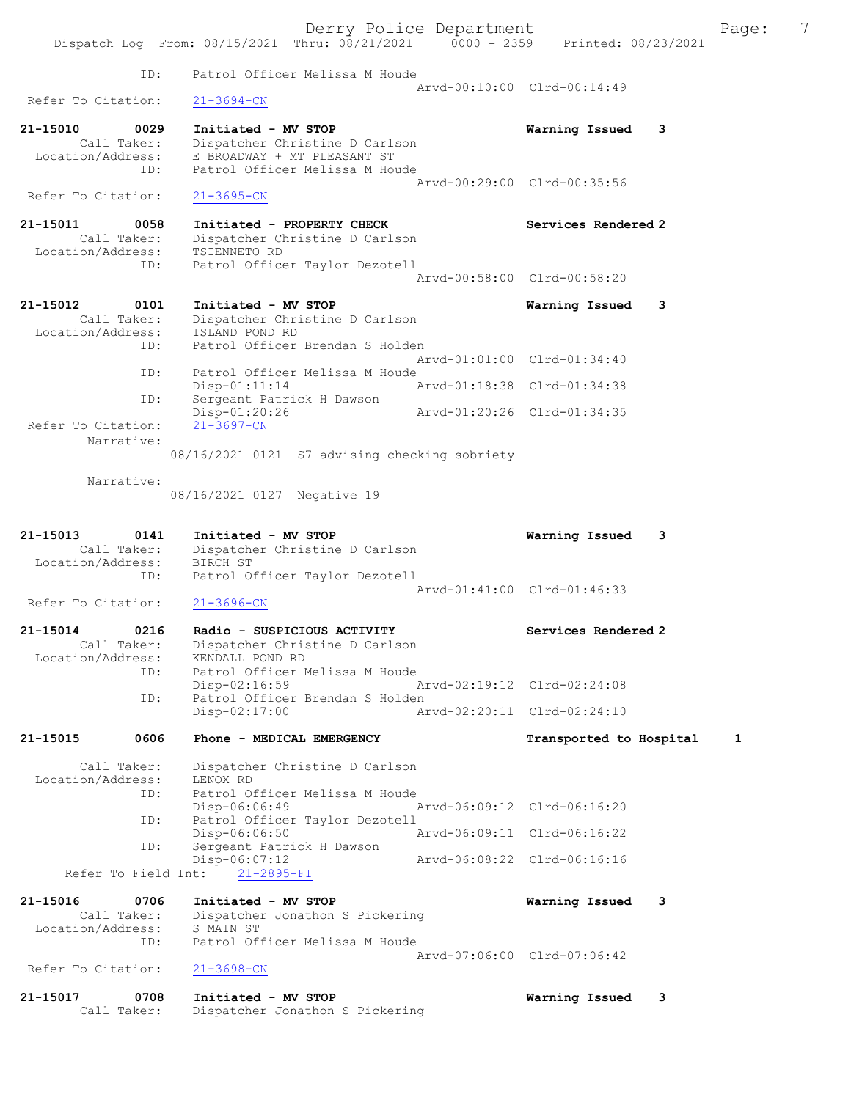|                                                      | Derry Police Department<br>Dispatch Log From: 08/15/2021 Thru: 08/21/2021 0000 - 2359           | Printed: 08/23/2021         | 7<br>Page: |
|------------------------------------------------------|-------------------------------------------------------------------------------------------------|-----------------------------|------------|
| ID:                                                  | Patrol Officer Melissa M Houde                                                                  |                             |            |
|                                                      |                                                                                                 | Arvd-00:10:00 Clrd-00:14:49 |            |
| Refer To Citation:                                   | $21 - 3694 - CN$                                                                                |                             |            |
| 21-15010<br>0029                                     | Initiated - MV STOP                                                                             | 3<br>Warning Issued         |            |
| Call Taker:<br>Location/Address:<br>ID:              | Dispatcher Christine D Carlson<br>E BROADWAY + MT PLEASANT ST<br>Patrol Officer Melissa M Houde | Aryd-00:29:00 Clrd-00:35:56 |            |
| Refer To Citation:                                   | $21 - 3695 - CN$                                                                                |                             |            |
| 21-15011<br>0058<br>Call Taker:<br>Location/Address: | Initiated - PROPERTY CHECK<br>Dispatcher Christine D Carlson<br>TSIENNETO RD                    | Services Rendered 2         |            |
| ID:                                                  | Patrol Officer Taylor Dezotell                                                                  | Arvd-00:58:00 Clrd-00:58:20 |            |
|                                                      |                                                                                                 |                             |            |
| 21-15012<br>0101<br>Call Taker:                      | Initiated - MV STOP<br>Dispatcher Christine D Carlson                                           | 3<br>Warning Issued         |            |
| Location/Address:                                    | ISLAND POND RD                                                                                  |                             |            |
| ID:                                                  | Patrol Officer Brendan S Holden                                                                 | Arvd-01:01:00 Clrd-01:34:40 |            |
| ID:                                                  | Patrol Officer Melissa M Houde<br>$Disp-01:11:14$                                               | Arvd-01:18:38 Clrd-01:34:38 |            |
| ID:                                                  | Sergeant Patrick H Dawson                                                                       |                             |            |
| Refer To Citation:                                   | $Disp-01:20:26$<br>$21 - 3697 - CN$                                                             | Arvd-01:20:26 Clrd-01:34:35 |            |
| Narrative:                                           | 08/16/2021 0121 S7 advising checking sobriety                                                   |                             |            |
| Narrative:                                           | 08/16/2021 0127 Negative 19                                                                     |                             |            |
|                                                      |                                                                                                 |                             |            |
| 21-15013<br>0141<br>Call Taker:<br>Location/Address: | Initiated - MV STOP<br>Dispatcher Christine D Carlson<br>BIRCH ST                               | Warning Issued<br>3         |            |
| ID:                                                  | Patrol Officer Taylor Dezotell                                                                  | Arvd-01:41:00 Clrd-01:46:33 |            |
| Refer To Citation:                                   | $21 - 3696 - CN$                                                                                |                             |            |
| 0216<br>21-15014<br>Call Taker:<br>Location/Address: | Radio - SUSPICIOUS ACTIVITY<br>Dispatcher Christine D Carlson<br>KENDALL POND RD                | Services Rendered 2         |            |
| ID:                                                  | Patrol Officer Melissa M Houde<br>$Disp-02:16:59$                                               | Arvd-02:19:12 Clrd-02:24:08 |            |
| ID:                                                  | Patrol Officer Brendan S Holden<br>$Disp-02:17:00$                                              | Arvd-02:20:11 Clrd-02:24:10 |            |
| 21-15015<br>0606                                     | Phone - MEDICAL EMERGENCY                                                                       | Transported to Hospital     | 1          |
| Call Taker:<br>Location/Address:<br>ID:              | Dispatcher Christine D Carlson<br>LENOX RD<br>Patrol Officer Melissa M Houde                    |                             |            |
|                                                      | Disp-06:06:49                                                                                   | Arvd-06:09:12 Clrd-06:16:20 |            |
| ID:                                                  | Patrol Officer Taylor Dezotell<br>Disp-06:06:50                                                 | Arvd-06:09:11 Clrd-06:16:22 |            |
| ID:                                                  | Sergeant Patrick H Dawson<br>$Disp-06:07:12$                                                    | Arvd-06:08:22 Clrd-06:16:16 |            |
| Refer To Field Int:                                  | $21 - 2895 - FI$                                                                                |                             |            |
| 21-15016<br>0706                                     | Initiated - MV STOP                                                                             | Warning Issued<br>3         |            |
| Call Taker:<br>Location/Address:                     | Dispatcher Jonathon S Pickering<br>S MAIN ST                                                    |                             |            |
| ID:                                                  | Patrol Officer Melissa M Houde                                                                  |                             |            |
| Refer To Citation:                                   | $21 - 3698 - CN$                                                                                | Arvd-07:06:00 Clrd-07:06:42 |            |

Call Taker: Dispatcher Jonathon S Pickering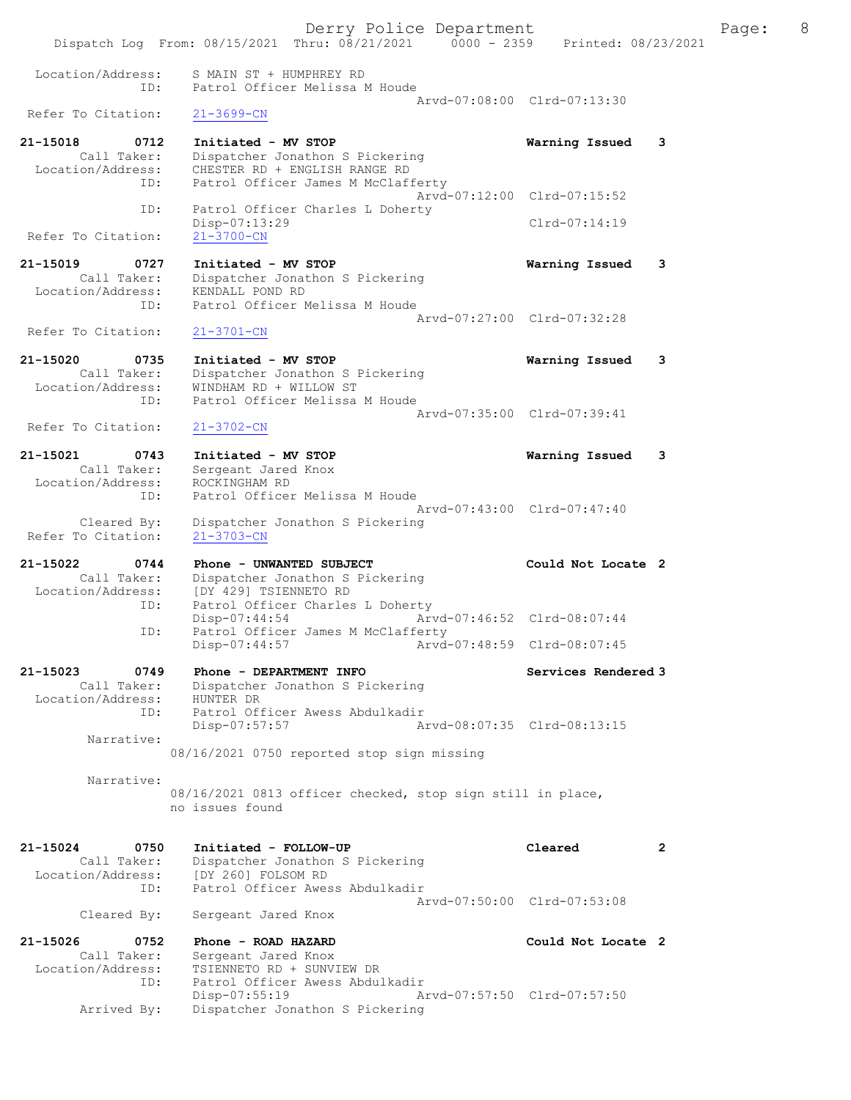Derry Police Department The Rage: 8 Dispatch Log From: 08/15/2021 Thru: 08/21/2021 0000 - 2359 Printed: 08/23/2021 Location/Address: S MAIN ST + HUMPHREY RD ID: Patrol Officer Melissa M Houde Arvd-07:08:00 Clrd-07:13:30<br>21-3699-CN Refer To Citation: 21-15018 0712 Initiated - MV STOP Warning Issued 3 Call Taker: Dispatcher Jonathon S Pickering Location/Address: CHESTER RD + ENGLISH RANGE RD ID: Patrol Officer James M McClafferty Arvd-07:12:00 Clrd-07:15:52 ID: Patrol Officer Charles L Doherty Disp-07:13:29 Clrd-07:14:19<br>21-3700-CN Refer To Citation: 21-15019 0727 Initiated - MV STOP Warning Issued 3 Call Taker: Dispatcher Jonathon S Pickering Location/Address: KENDALL POND RD ID: Patrol Officer Melissa M Houde Arvd-07:27:00 Clrd-07:32:28 Refer To Citation: 21-3701-CN 21-15020 0735 Initiated - MV STOP Warning Issued 3 Call Taker: Dispatcher Jonathon S Pickering Location/Address: WINDHAM RD + WILLOW ST ID: Patrol Officer Melissa M Houde Arvd-07:35:00 Clrd-07:39:41<br>21-3702-CN Refer To Citation: 21-15021 0743 Initiated - MV STOP Warning Issued 3 Call Taker: Sergeant Jared Knox Location/Address: ROCKINGHAM RD ID: Patrol Officer Melissa M Houde Arvd-07:43:00 Clrd-07:47:40 Cleared By: Dispatcher Jonathon S Pickering Refer To Citation: 21-3703-CN 21-15022 0744 Phone - UNWANTED SUBJECT Could Not Locate 2 Call Taker: Dispatcher Jonathon S Pickering Location/Address: [DY 429] TSIENNETO RD ID: Patrol Officer Charles L Doherty Disp-07:44:54 Arvd-07:46:52 Clrd-08:07:44<br>ID: Patrol Officer James M McClafferty Patrol Officer James M McClafferty Disp-07:44:57 Arvd-07:48:59 Clrd-08:07:45 21-15023 0749 Phone - DEPARTMENT INFO Services Rendered 3 Call Taker: Dispatcher Jonathon S Pickering Location/Address: HUNTER DR ID: Patrol Officer Awess Abdulkadir<br>Disp-07:57:57 Disp-07:57:57 Arvd-08:07:35 Clrd-08:13:15 Narrative: 08/16/2021 0750 reported stop sign missing Narrative: 08/16/2021 0813 officer checked, stop sign still in place, no issues found 21-15024 0750 Initiated - FOLLOW-UP Cleared 2 Call Taker: Dispatcher Jonathon S Pickering Location/Address: [DY 260] FOLSOM RD ID: Patrol Officer Awess Abdulkadir Arvd-07:50:00 Clrd-07:53:08 Cleared By: Sergeant Jared Knox 21-15026 0752 Phone - ROAD HAZARD Could Not Locate 2 Call Taker: Sergeant Jared Knox<br>Location/Address: TSIENNETO RD + SUNVI ess: TSIENNETO RD + SUNVIEW DR<br>ID: Patrol Officer Awess Abdul Patrol Officer Awess Abdulkadir Disp-07:55:19 Arvd-07:57:50 Clrd-07:57:50<br>Arrived By: Dispatcher Jonathon S Pickering Dispatcher Jonathon S Pickering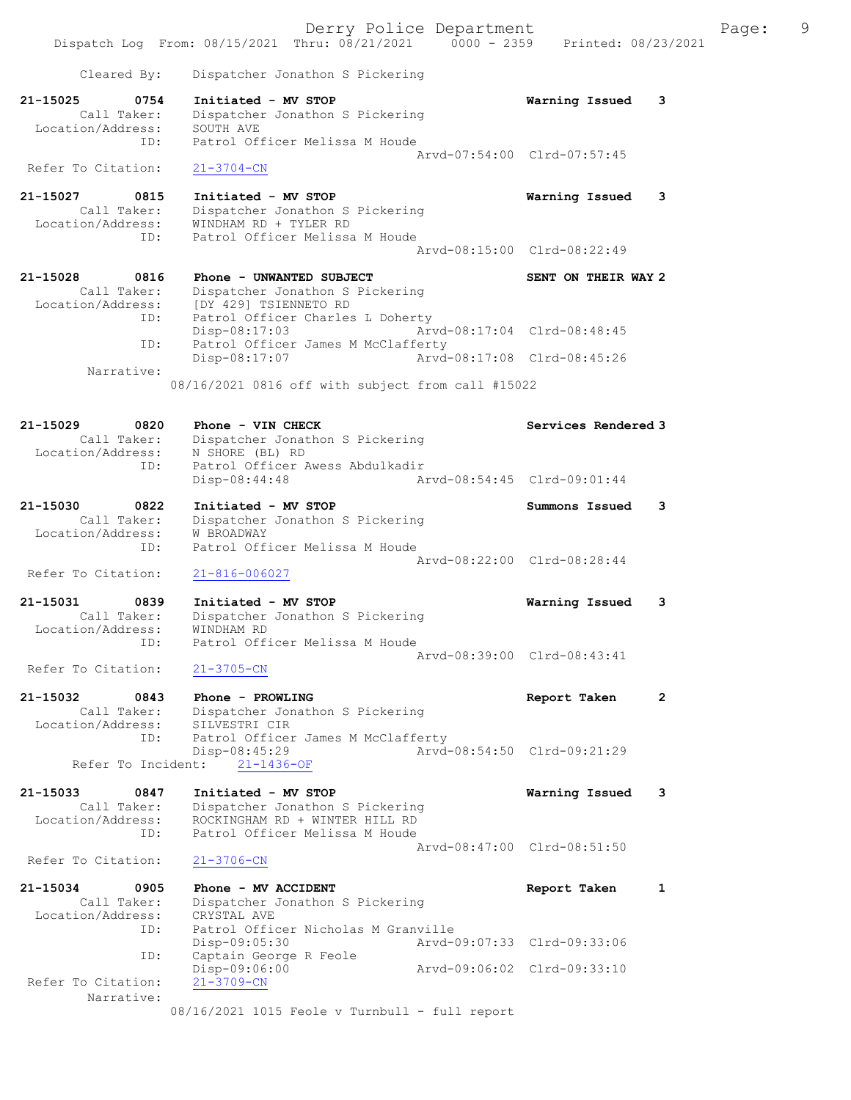Derry Police Department Fage: 9 Dispatch Log From: 08/15/2021 Thru: 08/21/2021 0000 - 2359 Printed: 08/23/2021 Cleared By: Dispatcher Jonathon S Pickering 21-15025 0754 Initiated - MV STOP Warning Issued 3 Call Taker: Dispatcher Jonathon S Pickering Location/Address: SOUTH AVE ID: Patrol Officer Melissa M Houde Arvd-07:54:00 Clrd-07:57:45 Refer To Citation: 21-3704-CN 21-15027 0815 Initiated - MV STOP Warning Issued 3 Call Taker: Dispatcher Jonathon S Pickering Location/Address: WINDHAM RD + TYLER RD ID: Patrol Officer Melissa M Houde Arvd-08:15:00 Clrd-08:22:49 21-15028 0816 Phone - UNWANTED SUBJECT SENT ON THEIR WAY 2 Call Taker: Dispatcher Jonathon S Pickering Location/Address: [DY 429] TSIENNETO RD ID: Patrol Officer Charles L Doherty Disp-08:17:03 Arvd-08:17:04 Clrd-08:48:45 ID: Patrol Officer James M McClafferty Disp-08:17:07 Arvd-08:17:08 Clrd-08:45:26 Narrative: 08/16/2021 0816 off with subject from call #15022 21-15029 0820 Phone - VIN CHECK Services Rendered 3 Call Taker: Dispatcher Jonathon S Pickering Location/Address: N SHORE (BL) RD ID: Patrol Officer Awess Abdulkadir<br>Disp-08:44:48 Ar Disp-08:44:48 Arvd-08:54:45 Clrd-09:01:44 21-15030 0822 Initiated - MV STOP Summons Issued 3 Call Taker: Dispatcher Jonathon S Pickering Location/Address: W BROADWAY ID: Patrol Officer Melissa M Houde Arvd-08:22:00 Clrd-08:28:44<br>21-816-006027 Refer To Citation: 21-15031 0839 Initiated - MV STOP Warning Issued 3 Call Taker: Dispatcher Jonathon S Pickering Location/Address: WINDHAM RD ID: Patrol Officer Melissa M Houde Arvd-08:39:00 Clrd-08:43:41 Refer To Citation: 21-3705-CN 21-15032 0843 Phone - PROWLING Report Taken 2 Call Taker: Dispatcher Jonathon S Pickering Location/Address: SILVESTRI CIR ID: Patrol Officer James M McClafferty<br>Disp-08:45:29 Arvd- Disp-08:45:29 Arvd-08:54:50 Clrd-09:21:29 Refer To Incident: 21-1436-OF 21-15033 0847 Initiated - MV STOP Warning Issued 3 Call Taker: Dispatcher Jonathon S Pickering Location/Address: ROCKINGHAM RD + WINTER HILL RD ID: Patrol Officer Melissa M Houde Arvd-08:47:00 Clrd-08:51:50<br>
21-3706-CN Refer To Citation: 21-15034 0905 Phone - MV ACCIDENT Report Taken 1 Call Taker: Dispatcher Jonathon S Pickering Location/Address: CRYSTAL AVE ID: Patrol Officer Nicholas M Granville Disp-09:05:30 Arvd-09:07:33 Clrd-09:33:06 ID: Captain George R Feole Disp-09:06:00 Arvd-09:06:02 Clrd-09:33:10 Refer To Citation: 21-3709-CN Narrative: 08/16/2021 1015 Feole v Turnbull - full report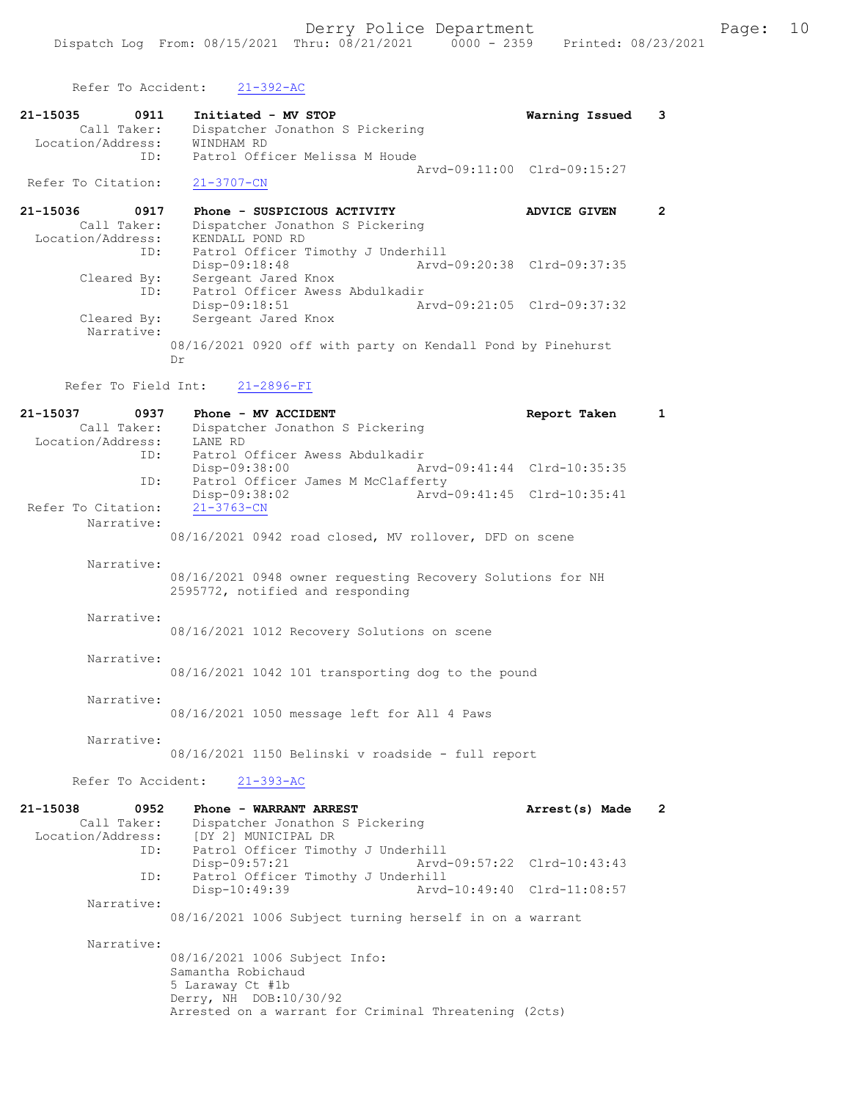Refer To Accident: 21-392-AC

- 21-15035 0911 Initiated MV STOP Warning Issued 3 Call Taker: Dispatcher Jonathon S Pickering Location/Address: WINDHAM RD ID: Patrol Officer Melissa M Houde Arvd-09:11:00 Clrd-09:15:27 Refer To Citation: 21-3707-CN
- 21-15036 0917 Phone SUSPICIOUS ACTIVITY ADVICE GIVEN 2 Call Taker: Dispatcher Jonathon S Pickering Location/Address: KENDALL POND RD ID: Patrol Officer Timothy J Underhill<br>Disp-09:18:48 Arvd Disp-09:18:48 Arvd-09:20:38 Clrd-09:37:35 Cleared By: Sergeant Jared Knox ID: Patrol Officer Awess Abdulkadir Disp-09:18:51 Arvd-09:21:05 Cleared By: Sergeant Jared Knox Arvd-09:21:05 Clrd-09:37:32 Sergeant Jared Knox Narrative: 08/16/2021 0920 off with party on Kendall Pond by Pinehurst Dr

Refer To Field Int: 21-2896-FI

| 21-15037<br>0937<br>Call Taker:<br>Location/Address: | Phone - MV ACCIDENT<br>Dispatcher Jonathon S Pickering<br>LANE RD                                                                                          | Report Taken   | $\mathbf{1}$         |
|------------------------------------------------------|------------------------------------------------------------------------------------------------------------------------------------------------------------|----------------|----------------------|
| ID:                                                  | Patrol Officer Awess Abdulkadir<br>Disp-09:38:00<br>Arvd-09:41:44 Clrd-10:35:35                                                                            |                |                      |
| ID:<br>Refer To Citation:                            | Patrol Officer James M McClafferty<br>Arvd-09:41:45 Clrd-10:35:41<br>Disp-09:38:02<br>$21 - 3763 - CN$                                                     |                |                      |
| Narrative:                                           | 08/16/2021 0942 road closed, MV rollover, DFD on scene                                                                                                     |                |                      |
| Narrative:                                           | 08/16/2021 0948 owner requesting Recovery Solutions for NH<br>2595772, notified and responding                                                             |                |                      |
| Narrative:                                           | 08/16/2021 1012 Recovery Solutions on scene                                                                                                                |                |                      |
| Narrative:                                           | 08/16/2021 1042 101 transporting dog to the pound                                                                                                          |                |                      |
| Narrative:                                           | 08/16/2021 1050 message left for All 4 Paws                                                                                                                |                |                      |
| Narrative:                                           | 08/16/2021 1150 Belinski v roadside - full report                                                                                                          |                |                      |
| Refer To Accident:                                   | $21 - 393 - AC$                                                                                                                                            |                |                      |
| 21-15038<br>0952<br>Call Taker:<br>Location/Address: | Phone - WARRANT ARREST<br>Dispatcher Jonathon S Pickering<br>[DY 2] MUNICIPAL DR                                                                           | Arrest(s) Made | $\mathbf{2}^{\circ}$ |
| ID:                                                  | Patrol Officer Timothy J Underhill<br>Disp-09:57:21<br>Arvd-09:57:22 Clrd-10:43:43                                                                         |                |                      |
| ID:<br>Narrative:                                    | Patrol Officer Timothy J Underhill<br>Disp-10:49:39<br>Arvd-10:49:40 Clrd-11:08:57                                                                         |                |                      |
|                                                      | 08/16/2021 1006 Subject turning herself in on a warrant                                                                                                    |                |                      |
| Narrative:                                           | 08/16/2021 1006 Subject Info:<br>Samantha Robichaud<br>5 Laraway Ct #1b<br>Derry, NH DOB:10/30/92<br>Arrested on a warrant for Criminal Threatening (2cts) |                |                      |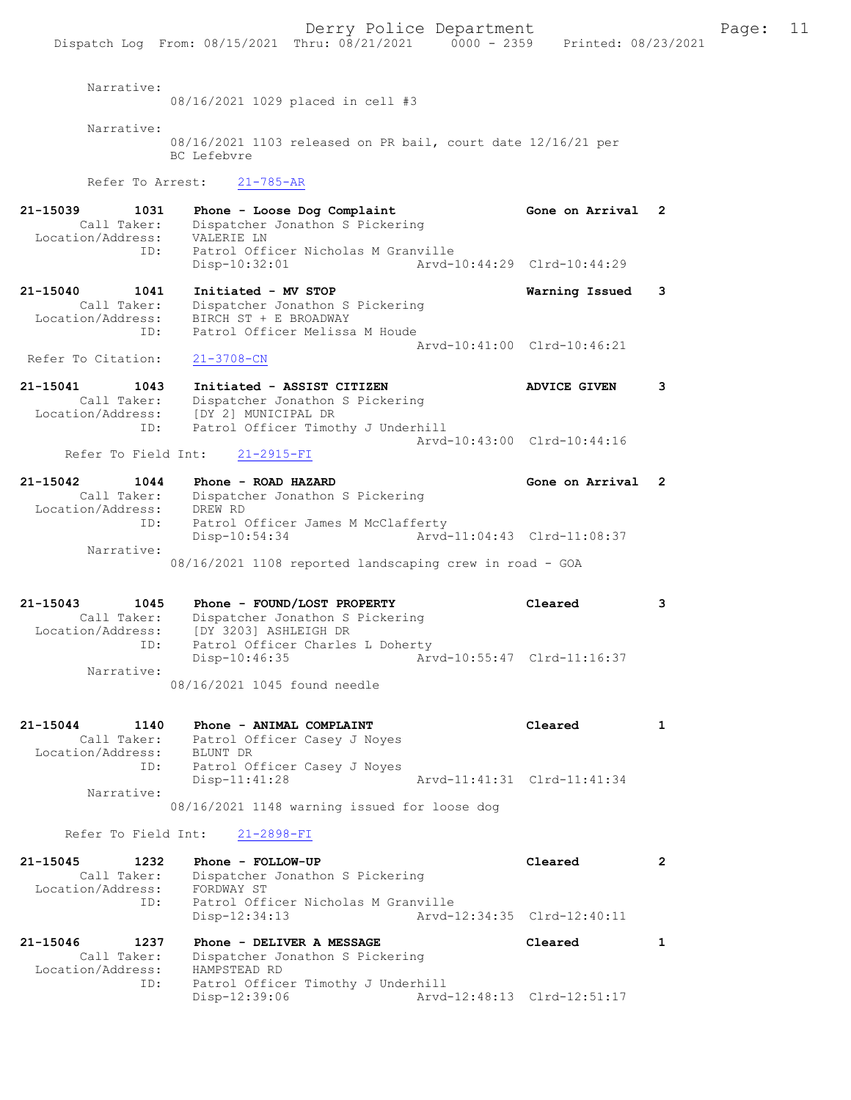|                                                                            | $50 + 1$ , $10 + 100$ $100 + 101$<br>Dispatch Log From: 08/15/2021 Thru: 08/21/2021   0000 - 2359   Printed: 08/23/2021                   |                             | - - -          |
|----------------------------------------------------------------------------|-------------------------------------------------------------------------------------------------------------------------------------------|-----------------------------|----------------|
| Narrative:                                                                 | 08/16/2021 1029 placed in cell #3                                                                                                         |                             |                |
|                                                                            |                                                                                                                                           |                             |                |
| Narrative:                                                                 | 08/16/2021 1103 released on PR bail, court date 12/16/21 per<br>BC Lefebvre                                                               |                             |                |
| Refer To Arrest:                                                           | $21 - 785 - AR$                                                                                                                           |                             |                |
| 21-15039<br>1031<br>Call Taker: Dispatcher<br>Location/Address: VALERIE LN | Phone - Loose Dog Complaint<br>Dispatcher Jonathon S Pickering                                                                            | Gone on Arrival 2           |                |
| ID:                                                                        | Patrol Officer Nicholas M Granville<br>Disp-10:32:01                                                                                      | Arvd-10:44:29 Clrd-10:44:29 |                |
| 21-15040<br>1041<br>.<br>Call Taker:                                       | Initiated - MV STOP<br>Dispatcher Jonathon S Pickering                                                                                    | Warning Issued              | 3              |
|                                                                            | Location/Address: BIRCH ST + E BROADWAY<br>Patrol Officer Melissa M Houde<br>ID:                                                          |                             |                |
|                                                                            |                                                                                                                                           | Arvd-10:41:00 Clrd-10:46:21 |                |
| Refer To Citation:                                                         | $21 - 3708 - CN$                                                                                                                          |                             |                |
| 21-15041<br>1043                                                           | Initiated - ASSIST CITIZEN<br>Dispatcher Jonathon S Pickering<br>Call Taker: Dispatcher Jonathon<br>Location/Address: [DY 2] MUNICIPAL DR | ADVICE GIVEN                | 3              |
| ID:                                                                        | Patrol Officer Timothy J Underhill                                                                                                        |                             |                |
| Refer To Field Int:                                                        | $21 - 2915 - FI$                                                                                                                          | Arvd-10:43:00 Clrd-10:44:16 |                |
| 21-15042                                                                   | 1044<br>Phone - ROAD HAZARD                                                                                                               | Gone on Arrival 2           |                |
| Call Taker:<br>Location/Address:                                           | Dispatcher Jonathon S Pickering<br>DREW RD                                                                                                |                             |                |
| ID:                                                                        | Patrol Officer James M McClafferty<br>Arvd-11:04:43 Clrd-11:08:37<br>Disp-10:54:34                                                        |                             |                |
| Narrative:                                                                 | 08/16/2021 1108 reported landscaping crew in road - GOA                                                                                   |                             |                |
| 21-15043                                                                   | Phone - FOUND/LOST PROPERTY<br>1045                                                                                                       | Cleared                     | 3              |
| Call Taker:                                                                | Dispatcher Jonathon S Pickering                                                                                                           |                             |                |
| ID:                                                                        | Location/Address: [DY 3203] ASHLEIGH DR<br>Patrol Officer Charles L Doherty                                                               |                             |                |
|                                                                            | Disp-10:46:35                                                                                                                             | Arvd-10:55:47 Clrd-11:16:37 |                |
| Narrative:                                                                 | 08/16/2021 1045 found needle                                                                                                              |                             |                |
| 21-15044<br>1140                                                           | Phone - ANIMAL COMPLAINT                                                                                                                  | Cleared                     | 1              |
| Call Taker:<br>Location/Address:                                           | Patrol Officer Casey J Noyes<br>BLUNT DR                                                                                                  |                             |                |
| ID:                                                                        | Patrol Officer Casey J Noyes<br>Disp-11:41:28                                                                                             | Arvd-11:41:31 Clrd-11:41:34 |                |
| Narrative:                                                                 | 08/16/2021 1148 warning issued for loose dog                                                                                              |                             |                |
| Refer To Field Int:                                                        | $21 - 2898 - FI$                                                                                                                          |                             |                |
| 21-15045<br>1232                                                           | Phone - FOLLOW-UP                                                                                                                         | Cleared                     | $\overline{2}$ |
| Call Taker:                                                                | Dispatcher Jonathon S Pickering                                                                                                           |                             |                |
| Location/Address:<br>ID:                                                   | FORDWAY ST<br>Patrol Officer Nicholas M Granville                                                                                         |                             |                |

21-15046 1237 Phone - DELIVER A MESSAGE Cleared 1 Call Taker: Dispatcher Jonathon S Pickering Location/Address: HAMPSTEAD RD ID: Patrol Officer Timothy J Underhill Disp-12:39:06 Arvd-12:48:13 Clrd-12:51:17

Disp-12:34:13 Arvd-12:34:35 Clrd-12:40:11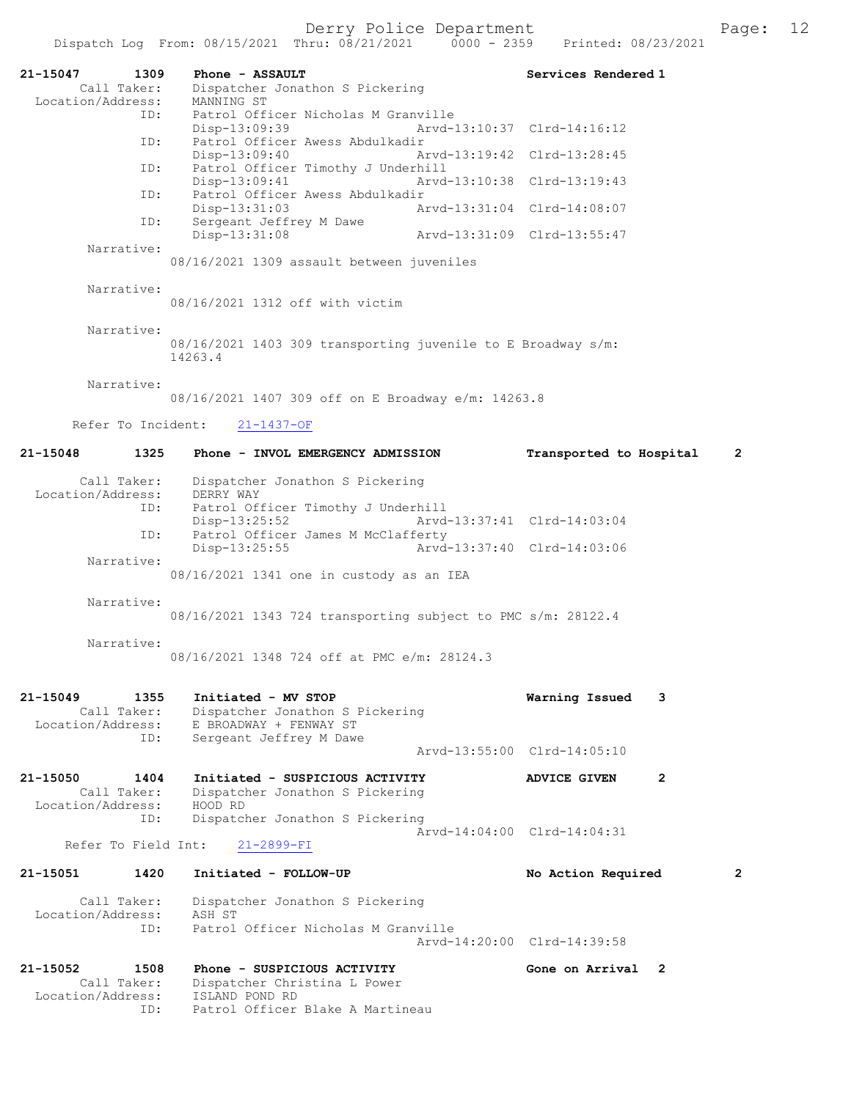| 21-15047<br>1309<br>Call Taker:  | Phone - ASSAULT                                              | Services Rendered 1                     |
|----------------------------------|--------------------------------------------------------------|-----------------------------------------|
| Location/Address:                | Dispatcher Jonathon S Pickering<br>MANNING ST                |                                         |
| ID:                              | Patrol Officer Nicholas M Granville<br>Disp-13:09:39         | Arvd-13:10:37 Clrd-14:16:12             |
| ID:                              | Patrol Officer Awess Abdulkadir<br>Disp-13:09:40             | Arvd-13:19:42 Clrd-13:28:45             |
| ID:                              | Patrol Officer Timothy J Underhill<br>Disp-13:09:41          | Arvd-13:10:38 Clrd-13:19:43             |
| ID:                              | Patrol Officer Awess Abdulkadir<br>Disp-13:31:03             | Arvd-13:31:04 Clrd-14:08:07             |
| ID:                              | Sergeant Jeffrey M Dawe<br>$Disp-13:31:08$                   | Arvd-13:31:09 Clrd-13:55:47             |
| Narrative:                       | 08/16/2021 1309 assault between juveniles                    |                                         |
| Narrative:                       | 08/16/2021 1312 off with victim                              |                                         |
| Narrative:                       | 08/16/2021 1403 309 transporting juvenile to E Broadway s/m: |                                         |
|                                  | 14263.4                                                      |                                         |
| Narrative:                       | 08/16/2021 1407 309 off on E Broadway e/m: 14263.8           |                                         |
|                                  | Refer To Incident: 21-1437-OF                                |                                         |
| 21-15048<br>1325                 | Phone - INVOL EMERGENCY ADMISSION                            | Transported to Hospital<br>$\mathbf{2}$ |
| Call Taker:                      | Dispatcher Jonathon S Pickering                              |                                         |
| Location/Address:                | DERRY WAY                                                    |                                         |
| ID:                              | Patrol Officer Timothy J Underhill<br>Disp-13:25:52          | Arvd-13:37:41 Clrd-14:03:04             |
| ID:                              | Patrol Officer James M McClafferty                           |                                         |
| Narrative:                       | Arvd-13:37:40 Clrd-14:03:06<br>Disp-13:25:55                 |                                         |
|                                  | 08/16/2021 1341 one in custody as an IEA                     |                                         |
| Narrative:                       | 08/16/2021 1343 724 transporting subject to PMC s/m: 28122.4 |                                         |
| Narrative:                       | 08/16/2021 1348 724 off at PMC e/m: 28124.3                  |                                         |
| $21 - 15049$<br>1355             | Initiated - MV STOP                                          | Warning Issued<br>3                     |
| Call Taker:<br>Location/Address: | Dispatcher Jonathon S Pickering<br>E BROADWAY + FENWAY ST    |                                         |
| ID:                              | Sergeant Jeffrey M Dawe                                      | Aryd-13:55:00 Clrd-14:05:10             |
| 21-15050<br>1404                 | Initiated - SUSPICIOUS ACTIVITY                              | <b>ADVICE GIVEN</b><br>2                |
| Call Taker:<br>Location/Address: | Dispatcher Jonathon S Pickering<br>HOOD RD                   |                                         |
| ID:<br>Refer To Field Int:       | Dispatcher Jonathon S Pickering                              | Arvd-14:04:00 Clrd-14:04:31             |
|                                  | $21 - 2899 - FI$                                             |                                         |
| 21-15051<br>1420                 | Initiated - FOLLOW-UP                                        | $\mathbf{2}$<br>No Action Required      |
| Call Taker:<br>Location/Address: | Dispatcher Jonathon S Pickering<br>ASH ST                    |                                         |
| ID:                              | Patrol Officer Nicholas M Granville                          | Arvd-14:20:00 Clrd-14:39:58             |
| 21-15052<br>1508                 | Phone - SUSPICIOUS ACTIVITY                                  | Gone on Arrival 2                       |
| Call Taker:<br>Location/Address: | Dispatcher Christina L Power<br>ISLAND POND RD               |                                         |
| ID:                              | Patrol Officer Blake A Martineau                             |                                         |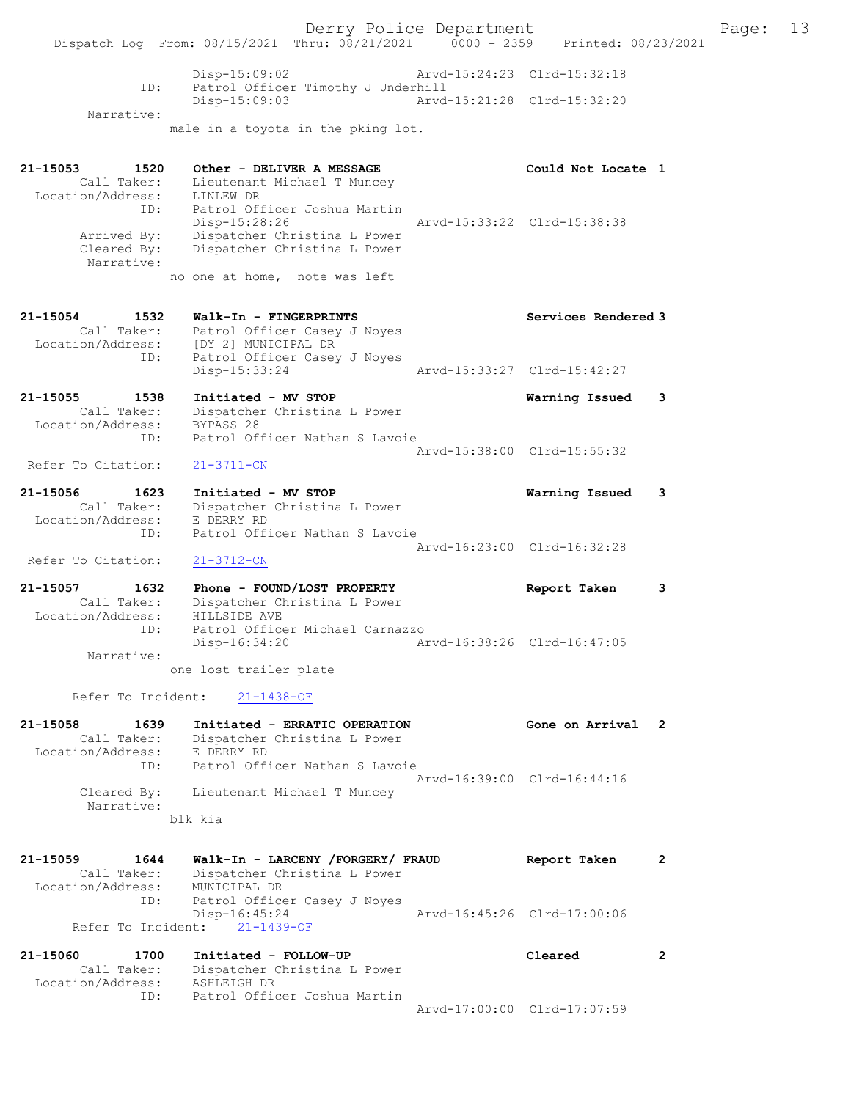Narrative:

male in a toyota in the pking lot.

| 21-15053 1520<br>Call Taker:<br>Location/Address: | Other - DELIVER A MESSAGE<br>Lieutenant Michael T Muncey<br>LINLEW DR             | Could Not Locate 1          |
|---------------------------------------------------|-----------------------------------------------------------------------------------|-----------------------------|
| Arrived By:                                       | ID: Patrol Officer Joshua Martin<br>Disp-15:28:26<br>Dispatcher Christina L Power | Arvd-15:33:22 Clrd-15:38:38 |
| Narrative:                                        | Cleared By: Dispatcher Christina L Power                                          |                             |
|                                                   | no one at home, note was left                                                     |                             |
|                                                   | 21-15054 1532 Walk-In - FINGERPRINTS                                              | Services Rendered 3         |
|                                                   | Call Taker: Patrol Officer Casey J Noyes                                          |                             |
|                                                   | Location/Address: [DY 2] MUNICIPAL DR<br>ID:<br>Patrol Officer Casey J Noyes      |                             |
|                                                   | Disp-15:33:24                                                                     | Arvd-15:33:27 Clrd-15:42:27 |
| 21-15055 1538                                     | Initiated - MV STOP                                                               | Warning Issued<br>-3        |
| Call Taker:                                       | Dispatcher Christina L Power                                                      |                             |
| Location/Address:                                 | BYPASS 28<br>ID: Patrol Officer Nathan S Lavoie                                   |                             |
|                                                   |                                                                                   | Arvd-15:38:00 Clrd-15:55:32 |
| Refer To Citation:                                | $21 - 3711 - CN$                                                                  |                             |
| 21-15056 1623                                     | Initiated - MV STOP                                                               | Warning Issued 3            |
| Call Taker:                                       | Dispatcher Christina L Power                                                      |                             |
| Location/Address: E DERRY RD                      | Patrol Officer Nathan S Lavoie<br>ID:                                             |                             |
|                                                   |                                                                                   | Arvd-16:23:00 Clrd-16:32:28 |
|                                                   |                                                                                   |                             |

Refer To Citation: 21-3712-CN

21-15057 1632 Phone - FOUND/LOST PROPERTY Report Taken 3 Call Taker: Dispatcher Christina L Power Location/Address: HILLSIDE AVE ID: Patrol Officer Michael Carnazzo Disp-16:34:20 Arvd-16:38:26 Clrd-16:47:05 Narrative:

one lost trailer plate

Refer To Incident: 21-1438-OF

| 21-15058          | 1639        | Initiated - ERRATIC OPERATION           | Gone on Arrival 2           |  |
|-------------------|-------------|-----------------------------------------|-----------------------------|--|
|                   | Call Taker: | Dispatcher Christina L Power            |                             |  |
| Location/Address: |             | E DERRY RD                              |                             |  |
|                   | ID:         | Patrol Officer Nathan S Lavoie          |                             |  |
|                   |             |                                         | Aryd-16:39:00 Clrd-16:44:16 |  |
|                   |             | Cleared By: Lieutenant Michael T Muncey |                             |  |
|                   | Narrative:  |                                         |                             |  |
|                   |             | blk kia                                 |                             |  |
|                   |             |                                         |                             |  |

| 21-15059          | 1644        | Walk-In - LARCENY /FORGERY/ FRAUD | Report Taken                |  |
|-------------------|-------------|-----------------------------------|-----------------------------|--|
|                   | Call Taker: | Dispatcher Christina L Power      |                             |  |
| Location/Address: |             | MUNICIPAL DR                      |                             |  |
|                   | ID:         | Patrol Officer Casey J Noyes      |                             |  |
|                   |             | Disp-16:45:24                     | Arvd-16:45:26 Clrd-17:00:06 |  |
|                   |             | Refer To Incident: 21-1439-OF     |                             |  |

| 21-15060          | 1700        | Initiated - FOLLOW-UP        | Cleared                     |  |
|-------------------|-------------|------------------------------|-----------------------------|--|
|                   | Call Taker: | Dispatcher Christina L Power |                             |  |
| Location/Address: |             | ASHLEIGH DR                  |                             |  |
|                   | TD:         | Patrol Officer Joshua Martin |                             |  |
|                   |             |                              | Arvd-17:00:00 Clrd-17:07:59 |  |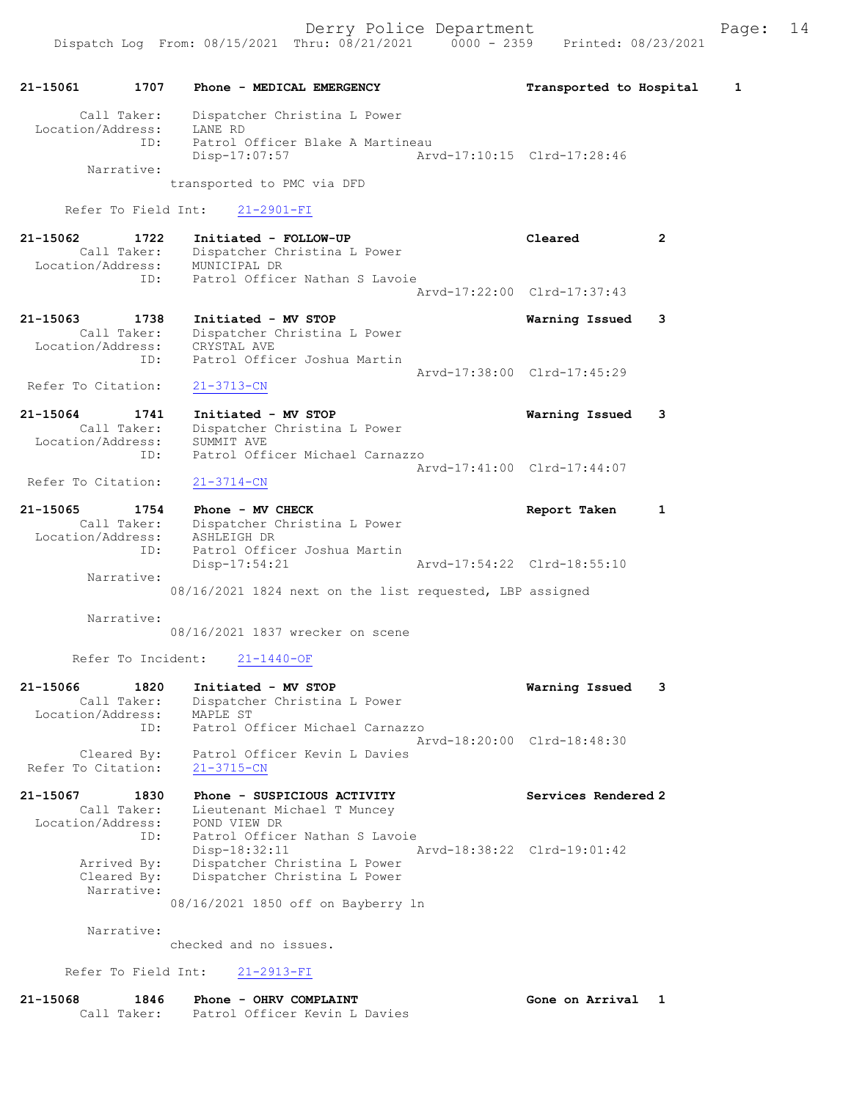## 21-15061 1707 Phone - MEDICAL EMERGENCY Transported to Hospital 1 Call Taker: Dispatcher Christina L Power Location/Address: LANE RD ID: Patrol Officer Blake A Martineau Disp-17:07:57 Arvd-17:10:15 Clrd-17:28:46 Narrative: transported to PMC via DFD Refer To Field Int: 21-2901-FI 21-15062 1722 Initiated - FOLLOW-UP Cleared 2 Call Taker: Dispatcher Christina L Power Location/Address: MUNICIPAL DR ID: Patrol Officer Nathan S Lavoie Arvd-17:22:00 Clrd-17:37:43 21-15063 1738 Initiated - MV STOP Warning Issued 3 Call Taker: Dispatcher Christina L Power Location/Address: CRYSTAL AVE ID: Patrol Officer Joshua Martin Arvd-17:38:00 Clrd-17:45:29 Refer To Citation: 21-3713-CN 21-15064 1741 Initiated - MV STOP Warning Issued 3 Call Taker: Dispatcher Christina L Power Location/Address: SUMMIT AVE ID: Patrol Officer Michael Carnazzo Arvd-17:41:00 Clrd-17:44:07<br>21-3714-CN Refer To Citation: 21-15065 1754 Phone - MV CHECK Report Taken 1 Call Taker: Dispatcher Christina L Power Location/Address: ASHLEIGH DR ID: Patrol Officer Joshua Martin Disp-17:54:21 Arvd-17:54:22 Clrd-18:55:10 Narrative: 08/16/2021 1824 next on the list requested, LBP assigned Narrative: 08/16/2021 1837 wrecker on scene Refer To Incident: 21-1440-OF 21-15066 1820 Initiated - MV STOP Warning Issued 3 Call Taker: Dispatcher Christina L Power Location/Address: MAPLE ST ID: Patrol Officer Michael Carnazzo Arvd-18:20:00 Clrd-18:48:30 Cleared By: Patrol Officer Kevin L Davies Refer To Citation: 21-3715-CN 21-15067 1830 Phone - SUSPICIOUS ACTIVITY Services Rendered 2 Call Taker: Lieutenant Michael T Muncey Location/Address: POND VIEW DR

 ID: Patrol Officer Nathan S Lavoie Disp-18:32:11 Arvd-18:38:22 Clrd-19:01:42 Arrived By: Dispatcher Christina L Power Cleared By: Dispatcher Christina L Power Narrative:

08/16/2021 1850 off on Bayberry ln

Narrative:

checked and no issues.

Refer To Field Int: 21-2913-FI

| 21-15068 | 1846        | Phone - OHRV COMPLAINT        | Gone on Arrival |  |
|----------|-------------|-------------------------------|-----------------|--|
|          | Call Taker: | Patrol Officer Kevin L Davies |                 |  |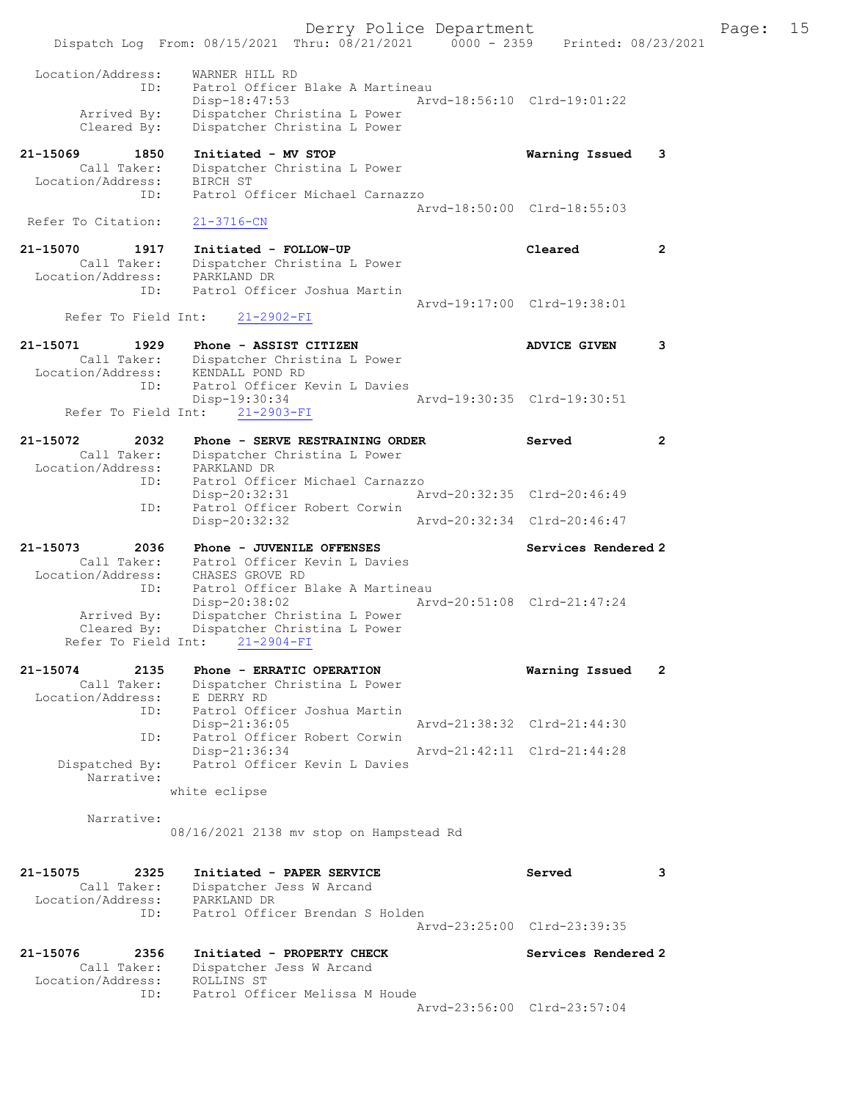Derry Police Department Fage: 15 Dispatch Log From: 08/15/2021 Thru: 08/21/2021 0000 - 2359 Printed: 08/23/2021 Location/Address: WARNER HILL RD ID: Patrol Officer Blake A Martineau Disp-18:47:53 Arvd-18:56:10 Clrd-19:01:22 Arrived By: Dispatcher Christina L Power Cleared By: Dispatcher Christina L Power 21-15069 1850 Initiated - MV STOP Warning Issued 3 Call Taker: Dispatcher Christina L Power Location/Address: BIRCH ST ID: Patrol Officer Michael Carnazzo Arvd-18:50:00 Clrd-18:55:03<br>21-3716-CN Refer To Citation: 21-15070 1917 Initiated - FOLLOW-UP Cleared 2 Call Taker: Dispatcher Christina L Power Location/Address: PARKLAND DR ID: Patrol Officer Joshua Martin Arvd-19:17:00 Clrd-19:38:01 Refer To Field Int: 21-2902-FI 21-15071 1929 Phone - ASSIST CITIZEN ANVICE GIVEN 3 Call Taker: Dispatcher Christina L Power Location/Address: KENDALL POND RD ID: Patrol Officer Kevin L Davies<br>Disp-19:30:34 Disp-19:30:34 Arvd-19:30:35 Clrd-19:30:51 Refer To Field Int: 21-2903-FI 21-15072 2032 Phone - SERVE RESTRAINING ORDER Served 2 Call Taker: Dispatcher Christina L Power Location/Address: PARKLAND DR ID: Patrol Officer Michael Carnazzo Disp-20:32:31 Arvd-20:32:35 Clrd-20:46:49 ID: Patrol Officer Robert Corwin<br>Disp-20:32:32 Disp-20:32:32 Arvd-20:32:34 Clrd-20:46:47 21-15073 2036 Phone - JUVENILE OFFENSES Services Rendered 2 Call Taker: Patrol Officer Kevin L Davies Location/Address: CHASES GROVE RD ID: Patrol Officer Blake A Martineau Disp-20:38:02 Arvd-20:51:08 Clrd-21:47:24 Arrived By: Dispatcher Christina L Power Cleared By: Dispatcher Christina L Power Refer To Field Int: 21-2904-FI 21-15074 2135 Phone - ERRATIC OPERATION Warning Issued 2 Call Taker: Dispatcher Christina L Power Location/Address: E DERRY RD ID: Patrol Officer Joshua Martin Disp-21:36:05 Arvd-21:38:32 Clrd-21:44:30 ID: Patrol Officer Robert Corwin Disp-21:36:34 Arvd-21:42:11 Clrd-21:44:28 Dispatched By: Patrol Officer Kevin L Davies Narrative: white eclipse Narrative: 08/16/2021 2138 mv stop on Hampstead Rd 21-15075 2325 Initiated - PAPER SERVICE Served 3 Call Taker: Dispatcher Jess W Arcand Location/Address: PARKLAND DR ID: Patrol Officer Brendan S Holden Arvd-23:25:00 Clrd-23:39:35 21-15076 2356 Initiated - PROPERTY CHECK Services Rendered 2 Call Taker: Dispatcher Jess W Arcand Location/Address: ROLLINS ST ID: Patrol Officer Melissa M Houde Arvd-23:56:00 Clrd-23:57:04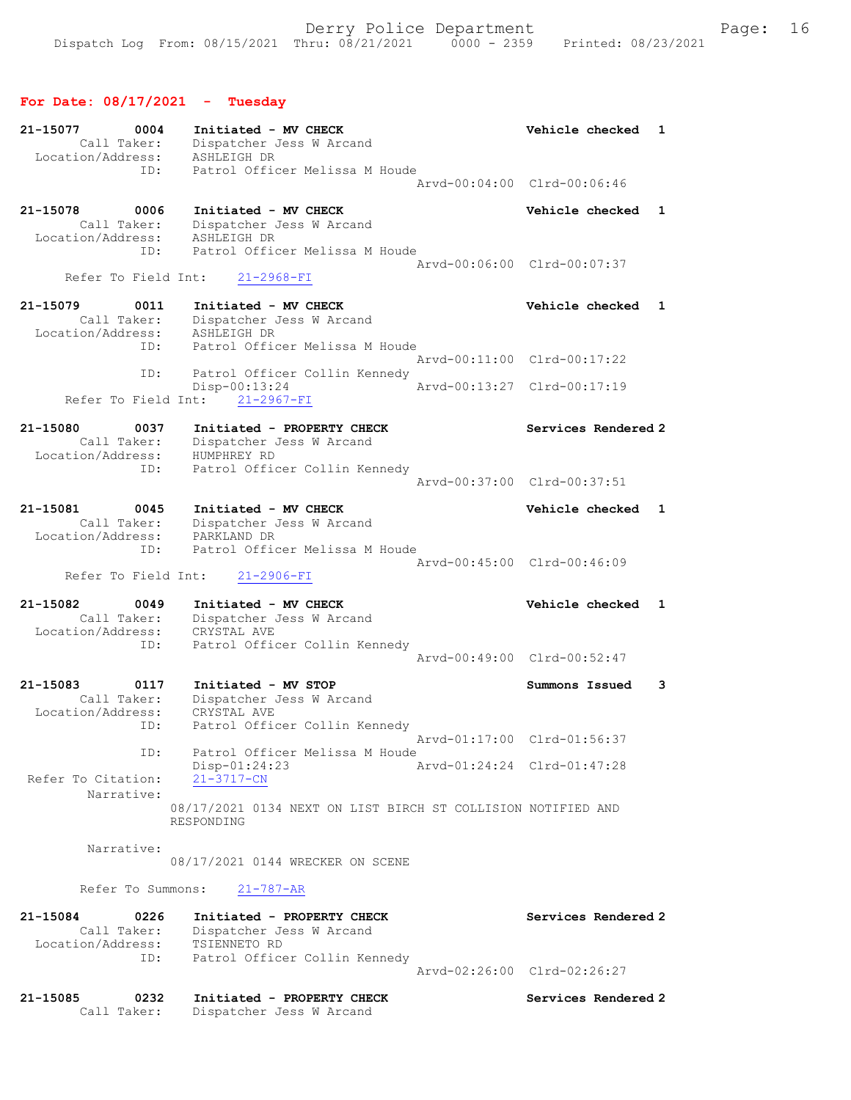## For Date: 08/17/2021 - Tuesday

| 21-15077<br>0004<br>Call Taker:<br>Location/Address:        | Initiated - MV CHECK<br>Dispatcher Jess W Arcand<br>ASHLEIGH DR                                   | Vehicle checked<br>1            |
|-------------------------------------------------------------|---------------------------------------------------------------------------------------------------|---------------------------------|
| ID:                                                         | Patrol Officer Melissa M Houde<br>Arvd-00:04:00 Clrd-00:06:46                                     |                                 |
| 21-15078<br>0006<br>Call Taker:<br>Location/Address:<br>ID: | Initiated - MV CHECK<br>Dispatcher Jess W Arcand<br>ASHLEIGH DR<br>Patrol Officer Melissa M Houde | Vehicle checked<br>1            |
| Refer To Field Int:                                         | Arvd-00:06:00 Clrd-00:07:37<br>$21 - 2968 - FI$                                                   |                                 |
| 21-15079<br>0011                                            | Initiated - MV CHECK                                                                              | Vehicle checked<br>$\mathbf{1}$ |
| Call Taker:<br>Location/Address:<br>ID:                     | Dispatcher Jess W Arcand<br>ASHLEIGH DR<br>Patrol Officer Melissa M Houde                         |                                 |
| ID:                                                         | Arvd-00:11:00 Clrd-00:17:22<br>Patrol Officer Collin Kennedy                                      |                                 |
| Refer To Field Int:                                         | Disp-00:13:24<br>Arvd-00:13:27 Clrd-00:17:19<br>$21 - 2967 - FI$                                  |                                 |
| 21-15080<br>0037<br>Call Taker:<br>Location/Address:        | Initiated - PROPERTY CHECK<br>Dispatcher Jess W Arcand<br>HUMPHREY RD                             | Services Rendered 2             |
| ID:                                                         | Patrol Officer Collin Kennedy<br>Arvd-00:37:00 Clrd-00:37:51                                      |                                 |
| 21-15081<br>0045<br>Call Taker:<br>Location/Address:        | Initiated - MV CHECK<br>Dispatcher Jess W Arcand<br>PARKLAND DR                                   | Vehicle checked<br>1            |
| ID:<br>Refer To Field Int:                                  | Patrol Officer Melissa M Houde<br>Arvd-00:45:00 Clrd-00:46:09<br>$21 - 2906 - FI$                 |                                 |
| 21-15082<br>0049<br>Call Taker:<br>Location/Address:<br>ID: | Initiated - MV CHECK<br>Dispatcher Jess W Arcand<br>CRYSTAL AVE<br>Patrol Officer Collin Kennedy  | Vehicle checked<br>1            |
|                                                             |                                                                                                   | Arvd-00:49:00 Clrd-00:52:47     |
| 21-15083<br>0117<br>Call Taker:<br>Location/Address:<br>ID: | Initiated - MV STOP<br>Dispatcher Jess W Arcand<br>CRYSTAL AVE<br>Patrol Officer Collin Kennedy   | Summons Issued<br>3             |
| ID:                                                         | Patrol Officer Melissa M Houde                                                                    | Arvd-01:17:00 Clrd-01:56:37     |
| Refer To Citation:<br>Narrative:                            | Disp-01:24:23<br>Aryd-01:24:24 Clrd-01:47:28<br>$21 - 3717 - CN$                                  |                                 |
|                                                             | 08/17/2021 0134 NEXT ON LIST BIRCH ST COLLISION NOTIFIED AND<br>RESPONDING                        |                                 |
| Narrative:                                                  | 08/17/2021 0144 WRECKER ON SCENE                                                                  |                                 |
| Refer To Summons:                                           | $21 - 787 - AR$                                                                                   |                                 |
| 21-15084<br>0226<br>Call Taker:<br>Location/Address:        | Initiated - PROPERTY CHECK<br>Dispatcher Jess W Arcand<br>TSIENNETO RD                            | Services Rendered 2             |
| ID:                                                         | Patrol Officer Collin Kennedy<br>Arvd-02:26:00 Clrd-02:26:27                                      |                                 |
| 21-15085<br>0232<br>Call Taker:                             | Initiated - PROPERTY CHECK<br>Dispatcher Jess W Arcand                                            | Services Rendered 2             |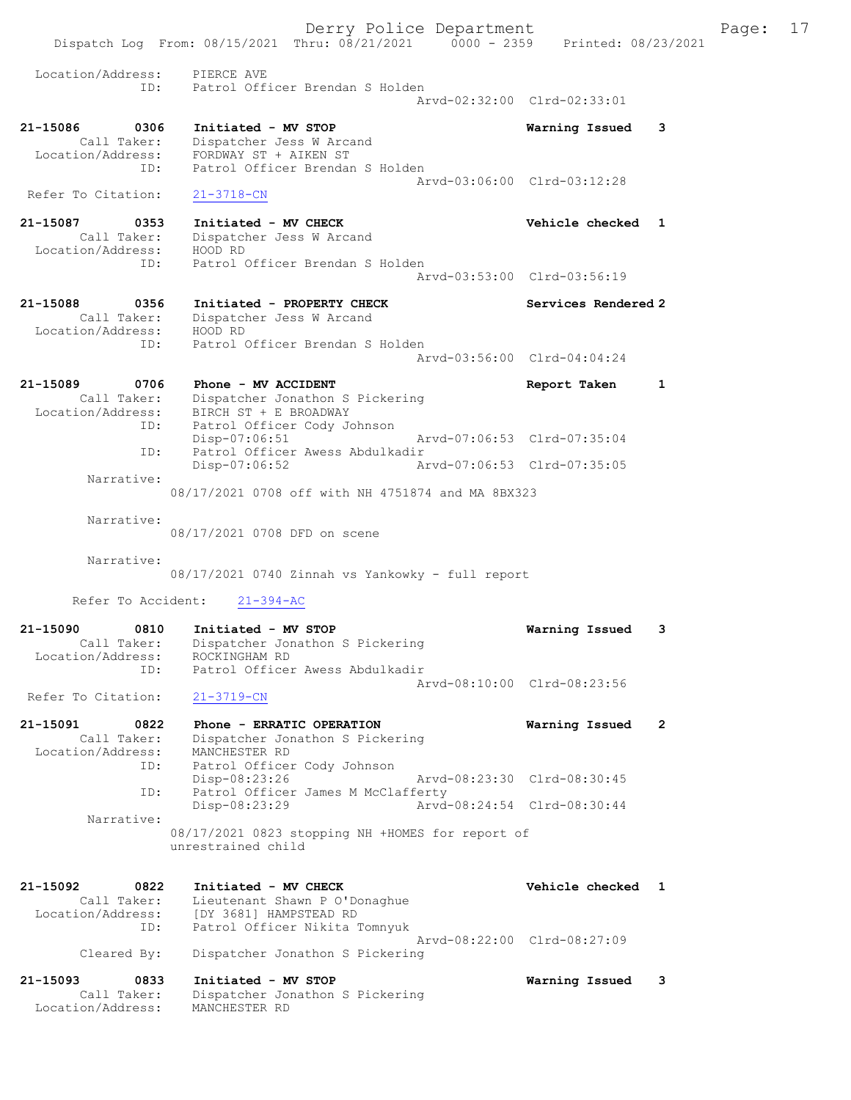Derry Police Department Fage: 17 Dispatch Log From: 08/15/2021 Thru: 08/21/2021 0000 - 2359 Printed: 08/23/2021 Location/Address: PIERCE AVE ID: Patrol Officer Brendan S Holden Arvd-02:32:00 Clrd-02:33:01 21-15086 0306 Initiated - MV STOP Warning Issued 3 Call Taker: Dispatcher Jess W Arcand Location/Address: FORDWAY ST + AIKEN ST ID: Patrol Officer Brendan S Holden Arvd-03:06:00 Clrd-03:12:28 Refer To Citation: 21-3718-CN 21-15087 0353 Initiated - MV CHECK Vehicle checked 1 Call Taker: Dispatcher Jess W Arcand Location/Address: HOOD RD ID: Patrol Officer Brendan S Holden Arvd-03:53:00 Clrd-03:56:19 21-15088 0356 Initiated - PROPERTY CHECK Services Rendered 2 Call Taker: Dispatcher Jess W Arcand Location/Address: HOOD RD ID: Patrol Officer Brendan S Holden Arvd-03:56:00 Clrd-04:04:24 21-15089 0706 Phone - MV ACCIDENT Report Taken 1 Call Taker: Dispatcher Jonathon S Pickering Location/Address: BIRCH ST + E BROADWAY ID: Patrol Officer Cody Johnson Disp-07:06:51 Arvd-07:06:53 Clrd-07:35:04 ID: Patrol Officer Awess Abdulkadir<br>Disp-07:06:52 Ar Disp-07:06:52 Arvd-07:06:53 Clrd-07:35:05 Narrative: 08/17/2021 0708 off with NH 4751874 and MA 8BX323 Narrative: 08/17/2021 0708 DFD on scene Narrative: 08/17/2021 0740 Zinnah vs Yankowky - full report Refer To Accident: 21-394-AC 21-15090 0810 Initiated - MV STOP Warning Issued 3 Call Taker: Dispatcher Jonathon S Pickering Location/Address: ROCKINGHAM RD ID: Patrol Officer Awess Abdulkadir Arvd-08:10:00 Clrd-08:23:56 Refer To Citation: 21-3719-CN 21-15091 0822 Phone - ERRATIC OPERATION Warning Issued 2 Call Taker: Dispatcher Jonathon S Pickering Location/Address: MANCHESTER RD ID: Patrol Officer Cody Johnson Disp-08:23:26 Arvd-08:23:30 Clrd-08:30:45<br>
Disp-08:23:29 Arvd-08:24:54 Clrd-08:30:44<br>
Disp-08:23:29 Arvd-08:24:54 Clrd-08:30:44 Patrol Officer James M McClafferty Disp-08:23:29 Arvd-08:24:54 Clrd-08:30:44 Narrative: 08/17/2021 0823 stopping NH +HOMES for report of unrestrained child 21-15092 0822 Initiated - MV CHECK Vehicle checked 1 Call Taker: Lieutenant Shawn P O'Donaghue Location/Address: [DY 3681] HAMPSTEAD RD ID: Patrol Officer Nikita Tomnyuk Arvd-08:22:00 Clrd-08:27:09<br>Cleared By: Dispatcher Jonathon S Pickering Dispatcher Jonathon S Pickering 21-15093 0833 Initiated - MV STOP Warning Issued 3 Call Taker: Dispatcher Jonathon S Pickering Location/Address: MANCHESTER RD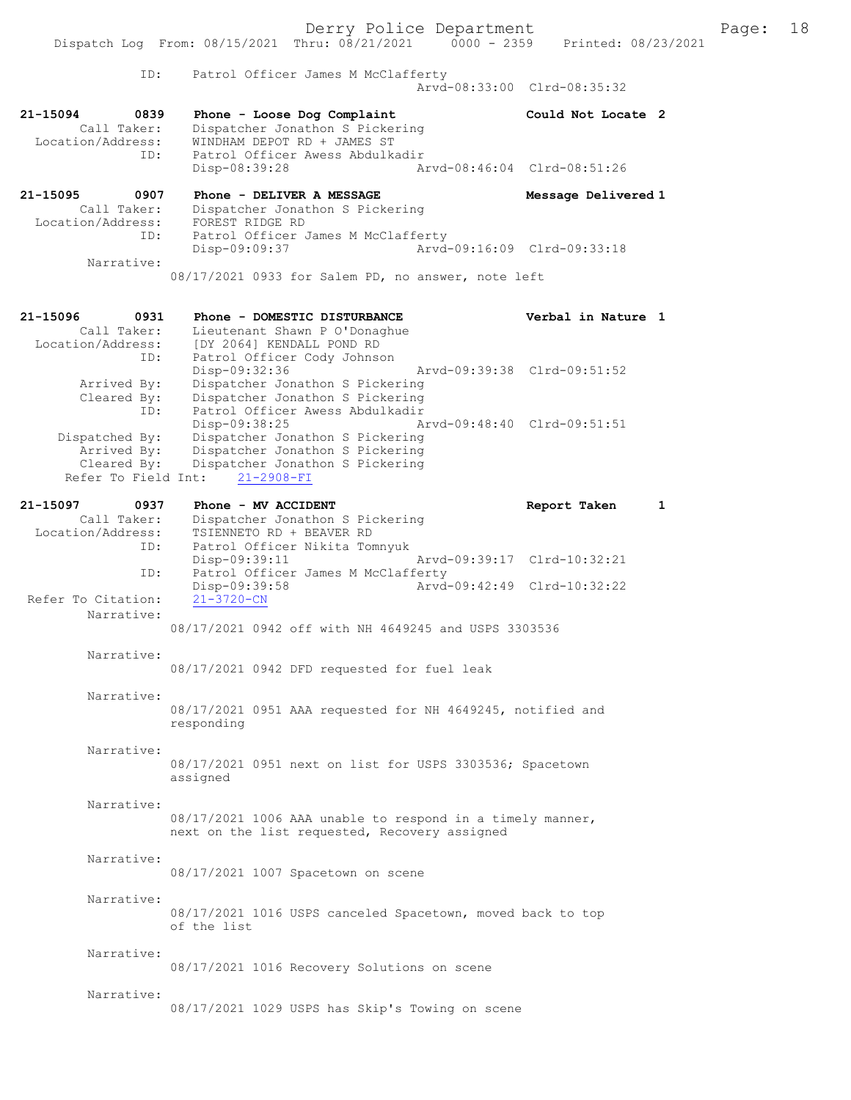|                                                                     | Derry Police Department<br>Dispatch Log From: 08/15/2021 Thru: 08/21/2021   0000 - 2359   Printed: 08/23/2021                                         |                             | Page: 18 |
|---------------------------------------------------------------------|-------------------------------------------------------------------------------------------------------------------------------------------------------|-----------------------------|----------|
| ID:                                                                 | Patrol Officer James M McClafferty                                                                                                                    | Arvd-08:33:00 Clrd-08:35:32 |          |
| 21-15094<br>0839<br>Call Taker:<br>Location/Address:                | Phone - Loose Dog Complaint<br>Dispatcher Jonathon S Pickering<br>WINDHAM DEPOT RD + JAMES ST                                                         | Could Not Locate 2          |          |
| ID:                                                                 | Patrol Officer Awess Abdulkadir<br>Disp-08:39:28                                                                                                      | Arvd-08:46:04 Clrd-08:51:26 |          |
| 21-15095<br>0907<br>Call Taker:                                     | Phone - DELIVER A MESSAGE<br>Dispatcher Jonathon S Pickering                                                                                          | Message Delivered 1         |          |
| ID:                                                                 | Location/Address: FOREST RIDGE RD<br>Patrol Officer James M McClafferty<br>Disp-09:09:37                                                              | Arvd-09:16:09 Clrd-09:33:18 |          |
| Narrative:                                                          | 08/17/2021 0933 for Salem PD, no answer, note left                                                                                                    |                             |          |
| 21-15096<br>0931<br>Call Taker:                                     | Phone - DOMESTIC DISTURBANCE<br>Lieutenant Shawn P O'Donaghue<br>Location/Address: [DY 2064] KENDALL POND RD                                          | Verbal in Nature 1          |          |
| ID:<br>Arrived By:<br>Cleared By:<br>ID:                            | Patrol Officer Cody Johnson<br>Disp-09:32:36<br>Dispatcher Jonathon S Pickering<br>Dispatcher Jonathon S Pickering<br>Patrol Officer Awess Abdulkadir | Arvd-09:39:38 Clrd-09:51:52 |          |
| Dispatched By:<br>Arrived By:<br>Cleared By:<br>Refer To Field Int: | Disp-09:38:25<br>Dispatcher Jonathon S Pickering<br>Dispatcher Jonathon S Pickering<br>Dispatcher Jonathon S Pickering<br>$21 - 2908 - FI$            | Arvd-09:48:40 Clrd-09:51:51 |          |
| 21-15097<br>0937<br>Call Taker:                                     | Phone - MV ACCIDENT<br>Dispatcher Jonathon S Pickering                                                                                                | Report Taken<br>1           |          |
| Location/Address:<br>ID:                                            | TSIENNETO RD + BEAVER RD<br>Patrol Officer Nikita Tomnyuk<br>Disp-09:39:11                                                                            | Arvd-09:39:17 Clrd-10:32:21 |          |
| ID:                                                                 | Patrol Officer James M McClafferty<br>Disp-09:39:58                                                                                                   | Arvd-09:42:49 Clrd-10:32:22 |          |
| Refer To Citation:<br>Narrative:                                    | $21 - 3720 - CN$<br>08/17/2021 0942 off with NH 4649245 and USPS 3303536                                                                              |                             |          |
| Narrative:                                                          |                                                                                                                                                       |                             |          |
| Narrative:                                                          | 08/17/2021 0942 DFD requested for fuel leak                                                                                                           |                             |          |
|                                                                     | 08/17/2021 0951 AAA requested for NH 4649245, notified and<br>responding                                                                              |                             |          |
| Narrative:                                                          | 08/17/2021 0951 next on list for USPS 3303536; Spacetown<br>assigned                                                                                  |                             |          |
| Narrative:                                                          | 08/17/2021 1006 AAA unable to respond in a timely manner,<br>next on the list requested, Recovery assigned                                            |                             |          |
| Narrative:                                                          | 08/17/2021 1007 Spacetown on scene                                                                                                                    |                             |          |
| Narrative:                                                          | 08/17/2021 1016 USPS canceled Spacetown, moved back to top<br>of the list                                                                             |                             |          |
| Narrative:                                                          | 08/17/2021 1016 Recovery Solutions on scene                                                                                                           |                             |          |
| Narrative:                                                          | 08/17/2021 1029 USPS has Skip's Towing on scene                                                                                                       |                             |          |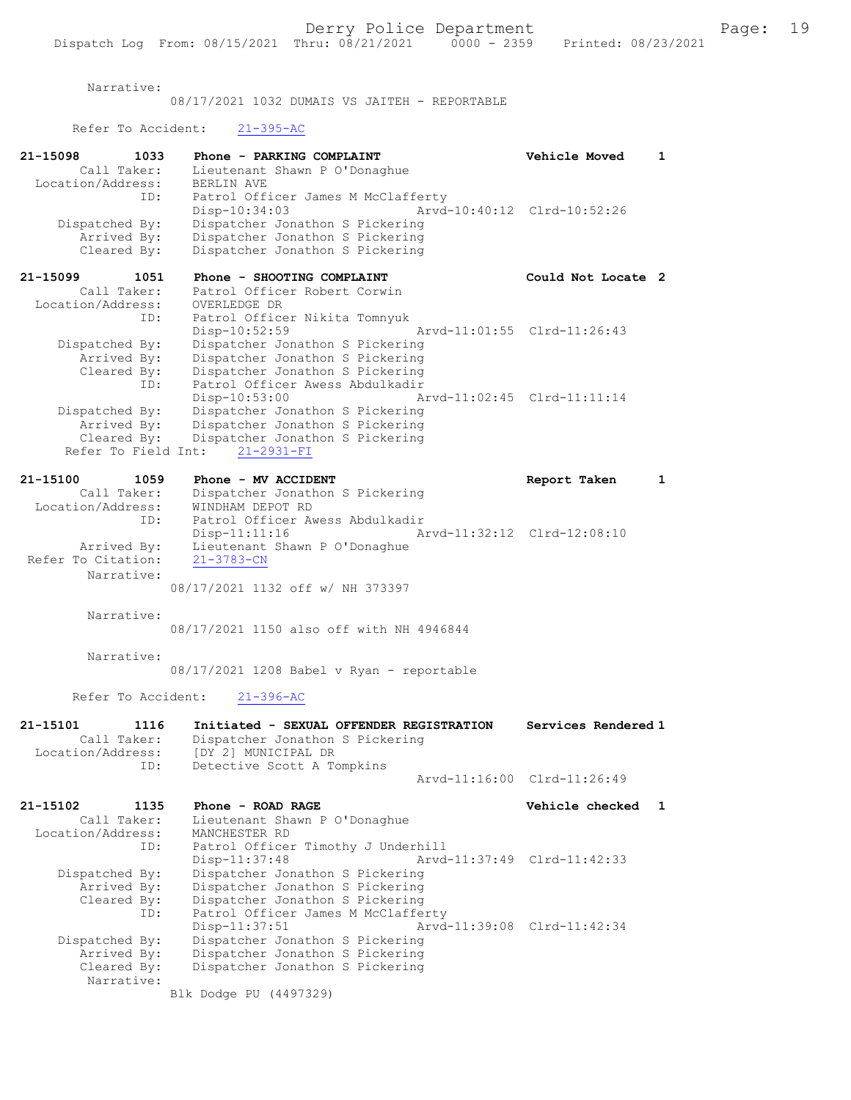Narrative:

08/17/2021 1032 DUMAIS VS JAITEH - REPORTABLE

Refer To Accident: 21-395-AC

| 21-15098<br>1033              | Phone - PARKING COMPLAINT                                          | Vehicle Moved               | 1 |
|-------------------------------|--------------------------------------------------------------------|-----------------------------|---|
| Call Taker:                   | Lieutenant Shawn P O'Donaghue<br><b>BERLIN AVE</b>                 |                             |   |
| Location/Address:<br>ID:      | Patrol Officer James M McClafferty                                 |                             |   |
|                               | $Disp-10:34:03$                                                    | Arvd-10:40:12 Clrd-10:52:26 |   |
| Dispatched By:                | Dispatcher Jonathon S Pickering                                    |                             |   |
| Arrived By:                   | Dispatcher Jonathon S Pickering                                    |                             |   |
| Cleared By:                   | Dispatcher Jonathon S Pickering                                    |                             |   |
|                               |                                                                    |                             |   |
| 21-15099<br>1051              | Phone - SHOOTING COMPLAINT                                         | Could Not Locate 2          |   |
| Call Taker:                   | Patrol Officer Robert Corwin                                       |                             |   |
| Location/Address:             | OVERLEDGE DR                                                       |                             |   |
| ID:                           | Patrol Officer Nikita Tomnyuk                                      |                             |   |
|                               | Disp-10:52:59                                                      | Arvd-11:01:55 Clrd-11:26:43 |   |
| Dispatched By:                | Dispatcher Jonathon S Pickering                                    |                             |   |
| Arrived By:                   | Dispatcher Jonathon S Pickering                                    |                             |   |
| Cleared By:                   | Dispatcher Jonathon S Pickering                                    |                             |   |
| ID:                           | Patrol Officer Awess Abdulkadir                                    |                             |   |
|                               | $Disp-10:53:00$                                                    | Arvd-11:02:45 Clrd-11:11:14 |   |
| Dispatched By:<br>Arrived By: | Dispatcher Jonathon S Pickering<br>Dispatcher Jonathon S Pickering |                             |   |
| Cleared By:                   | Dispatcher Jonathon S Pickering                                    |                             |   |
| Refer To Field Int:           | 21-2931-FI                                                         |                             |   |
|                               |                                                                    |                             |   |
| 21-15100<br>1059              | Phone - MV ACCIDENT                                                | Report Taken                | 1 |
| Call Taker:                   | Dispatcher Jonathon S Pickering                                    |                             |   |
| Location/Address:             | WINDHAM DEPOT RD                                                   |                             |   |
| ID:                           | Patrol Officer Awess Abdulkadir                                    |                             |   |
|                               | Disp-11:11:16                                                      | Arvd-11:32:12 Clrd-12:08:10 |   |
| Arrived By:                   | Lieutenant Shawn P O'Donaghue                                      |                             |   |
| Refer To Citation:            | $21 - 3783 - CN$                                                   |                             |   |
| Narrative:                    |                                                                    |                             |   |
|                               | 08/17/2021 1132 off w/ NH 373397                                   |                             |   |
|                               |                                                                    |                             |   |
| Narrative:                    |                                                                    |                             |   |
|                               | 08/17/2021 1150 also off with NH 4946844                           |                             |   |
| Narrative:                    |                                                                    |                             |   |
|                               | 08/17/2021 1208 Babel v Ryan - reportable                          |                             |   |
|                               |                                                                    |                             |   |
| Refer To Accident:            | $21 - 396 - AC$                                                    |                             |   |
|                               |                                                                    |                             |   |
| 21-15101<br>1116              | Initiated - SEXUAL OFFENDER REGISTRATION                           | Services Rendered 1         |   |
| Call Taker:                   | Dispatcher Jonathon S Pickering                                    |                             |   |
| Location/Address:             | [DY 2] MUNICIPAL DR                                                |                             |   |
| ID:                           | Detective Scott A Tompkins                                         | Arvd-11:16:00 Clrd-11:26:49 |   |
|                               |                                                                    |                             |   |
| 21-15102<br>1135              | Phone - ROAD RAGE                                                  | Vehicle checked             | 1 |
| Call Taker:                   | Lieutenant Shawn P O'Donaghue                                      |                             |   |
| Location/Address:             | MANCHESTER RD                                                      |                             |   |
| ID:                           | Patrol Officer Timothy J Underhill                                 |                             |   |
|                               | Disp-11:37:48                                                      | Arvd-11:37:49 Clrd-11:42:33 |   |
| Dispatched By:                | Dispatcher Jonathon S Pickering                                    |                             |   |
| Arrived By:                   | Dispatcher Jonathon S Pickering                                    |                             |   |
| Cleared By:                   | Dispatcher Jonathon S Pickering                                    |                             |   |
| ID:                           | Patrol Officer James M McClafferty                                 |                             |   |
|                               | Disp-11:37:51<br>Arvd-11:39:08                                     | Clrd-11:42:34               |   |
| Dispatched By:                | Dispatcher Jonathon S Pickering                                    |                             |   |
| Arrived By:                   | Dispatcher Jonathon S Pickering                                    |                             |   |
| Cleared By:                   | Dispatcher Jonathon S Pickering                                    |                             |   |
| Narrative:                    |                                                                    |                             |   |
|                               | Blk Dodge PU (4497329)                                             |                             |   |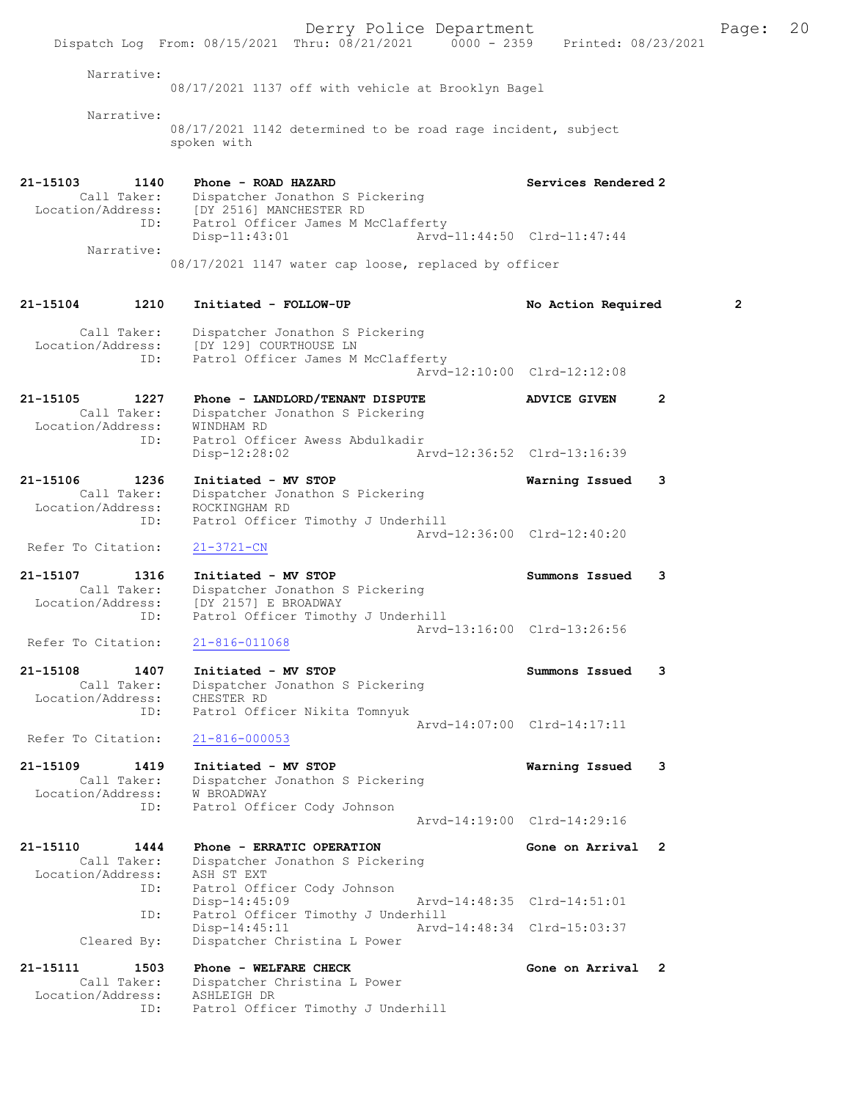Derry Police Department Fage: 20 Dispatch Log From: 08/15/2021 Thru: 08/21/2021 0000 - 2359 Printed: 08/23/2021 Narrative: 08/17/2021 1137 off with vehicle at Brooklyn Bagel Narrative: 08/17/2021 1142 determined to be road rage incident, subject spoken with 21-15103 1140 Phone - ROAD HAZARD 21-15103 Services Rendered 2 Call Taker: Dispatcher Jonathon S Pickering Location/Address: [DY 2516] MANCHESTER RD ID: Patrol Officer James M McClafferty Disp-11:43:01 Arvd-11:44:50 Clrd-11:47:44 Narrative: 08/17/2021 1147 water cap loose, replaced by officer 21-15104 1210 Initiated - FOLLOW-UP No Action Required 2 Call Taker: Dispatcher Jonathon S Pickering Location/Address: [DY 129] COURTHOUSE LN ID: Patrol Officer James M McClafferty Arvd-12:10:00 Clrd-12:12:08 21-15105 1227 Phone - LANDLORD/TENANT DISPUTE ADVICE GIVEN 2 Call Taker: Dispatcher Jonathon S Pickering Location/Address: WINDHAM RD ID: Patrol Officer Awess Abdulkadir Disp-12:28:02 Arvd-12:36:52 Clrd-13:16:39 21-15106 1236 Initiated - MV STOP Warning Issued 3 Call Taker: Dispatcher Jonathon S Pickering Location/Address: ROCKINGHAM RD ID: Patrol Officer Timothy J Underhill Arvd-12:36:00 Clrd-12:40:20 Refer To Citation: 21-3721-CN 21-15107 1316 Initiated - MV STOP Summons Issued 3 Call Taker: Dispatcher Jonathon S Pickering Location/Address: [DY 2157] E BROADWAY ID: Patrol Officer Timothy J Underhill Arvd-13:16:00 Clrd-13:26:56<br>21-816-011068 Refer To Citation: 21-15108 1407 Initiated - MV STOP Summons Issued 3 Call Taker: Dispatcher Jonathon S Pickering Location/Address: CHESTER RD ID: Patrol Officer Nikita Tomnyuk Arvd-14:07:00 Clrd-14:17:11 Refer To Citation: 21-816-000053 21-15109 1419 Initiated - MV STOP Warning Issued 3 Call Taker: Dispatcher Jonathon S Pickering Location/Address: W BROADWAY ID: Patrol Officer Cody Johnson Arvd-14:19:00 Clrd-14:29:16 21-15110 1444 Phone - ERRATIC OPERATION Gone on Arrival 2 Call Taker: Dispatcher Jonathon S Pickering Location/Address: ASH ST EXT ID: Patrol Officer Cody Johnson Disp-14:45:09 Arvd-14:48:35 Clrd-14:51:01 ID: Patrol Officer Timothy J Underhill Disp-14:45:11 Arvd-14:48:34 Clrd-15:03:37 Cleared By: Dispatcher Christina L Power 21-15111 1503 Phone - WELFARE CHECK 1988 Cone on Arrival 2 Call Taker: Dispatcher Christina L Power

 Location/Address: ASHLEIGH DR ID: Patrol Officer Timothy J Underhill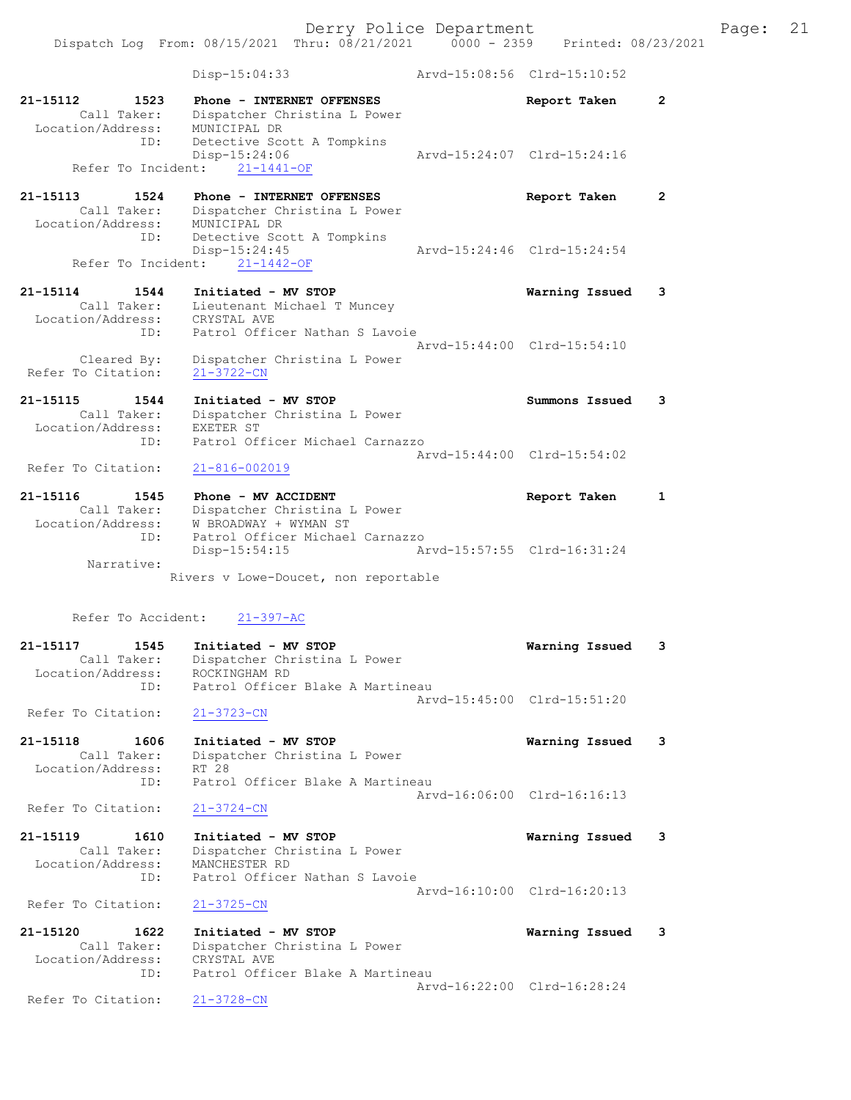Dispatch Log From: 08/15/2021 Thru: 08/21/2021 0000 - 2359 Printed: 08/23/2021

|                                         | Disp-15:04:33                                                                                | Arvd-15:08:56 Clrd-15:10:52 |              |
|-----------------------------------------|----------------------------------------------------------------------------------------------|-----------------------------|--------------|
| 21-15112<br>1523<br>Call Taker:         | Phone - INTERNET OFFENSES<br>Dispatcher Christina L Power                                    | Report Taken                | $\mathbf{2}$ |
| Location/Address:<br>ID:                | MUNICIPAL DR<br>Detective Scott A Tompkins<br>Disp-15:24:06                                  | Arvd-15:24:07 Clrd-15:24:16 |              |
|                                         | Refer To Incident: 21-1441-OF                                                                |                             |              |
| 21-15113<br>1524<br>Call Taker:         | Phone - INTERNET OFFENSES<br>Dispatcher Christina L Power                                    | Report Taken                | $\mathbf{2}$ |
| Location/Address:<br>ID:                | MUNICIPAL DR<br>Detective Scott A Tompkins<br>Disp-15:24:45<br>Refer To Incident: 21-1442-OF | Arvd-15:24:46 Clrd-15:24:54 |              |
|                                         |                                                                                              |                             |              |
| 21-15114<br>1544<br>Call Taker:         | Initiated - MV STOP<br>Lieutenant Michael T Muncey                                           | Warning Issued              | 3            |
| Location/Address:                       | CRYSTAL AVE                                                                                  |                             |              |
| ID:                                     | Patrol Officer Nathan S Lavoie                                                               | Arvd-15:44:00 Clrd-15:54:10 |              |
| Cleared By:<br>Refer To Citation:       | Dispatcher Christina L Power<br>$21 - 3722 - CN$                                             |                             |              |
| 21-15115<br>1544                        | Initiated - MV STOP                                                                          | Summons Issued              | 3            |
| Call Taker:                             | Dispatcher Christina L Power                                                                 |                             |              |
| Location/Address:<br>ID:                | EXETER ST<br>Patrol Officer Michael Carnazzo                                                 |                             |              |
|                                         |                                                                                              | Arvd-15:44:00 Clrd-15:54:02 |              |
| Refer To Citation:                      | $21 - 816 - 002019$                                                                          |                             |              |
| 21-15116<br>1545                        | Phone - MV ACCIDENT                                                                          | Report Taken                | $\mathbf{1}$ |
| Call Taker:                             | Dispatcher Christina L Power                                                                 |                             |              |
| Location/Address:<br>ID:                | W BROADWAY + WYMAN ST<br>Patrol Officer Michael Carnazzo                                     |                             |              |
|                                         | Disp-15:54:15                                                                                | Arvd-15:57:55 Clrd-16:31:24 |              |
| Narrative:                              |                                                                                              |                             |              |
|                                         | Rivers v Lowe-Doucet, non reportable                                                         |                             |              |
| Refer To Accident:                      | $21 - 397 - AC$                                                                              |                             |              |
| 21-15117<br>1545                        | Initiated - MV STOP                                                                          | Warning Issued              | 3            |
| Call Taker:<br>Location/Address:<br>ID: | Dispatcher Christina L Power<br>ROCKINGHAM RD<br>Patrol Officer Blake A Martineau            |                             |              |
|                                         |                                                                                              | Arvd-15:45:00 Clrd-15:51:20 |              |
| Refer To Citation:                      | $21 - 3723 - CN$                                                                             |                             |              |
| 21-15118<br>1606                        | Initiated - MV STOP                                                                          | Warning Issued              | 3            |
| Call Taker:                             | Dispatcher Christina L Power                                                                 |                             |              |
| Location/Address:<br>ID:                | RT 28<br>Patrol Officer Blake A Martineau                                                    |                             |              |
|                                         |                                                                                              | Arvd-16:06:00 Clrd-16:16:13 |              |
| Refer To Citation:                      | $21 - 3724 - CN$                                                                             |                             |              |
| 21-15119<br>1610                        | Initiated - MV STOP                                                                          | Warning Issued              | 3            |
| Call Taker:                             | Dispatcher Christina L Power                                                                 |                             |              |
| Location/Address:<br>ID:                | MANCHESTER RD<br>Patrol Officer Nathan S Lavoie                                              |                             |              |
| Refer To Citation:                      | $21 - 3725 - CN$                                                                             | Arvd-16:10:00 Clrd-16:20:13 |              |
| 21-15120<br>1622                        | Initiated - MV STOP                                                                          | Warning Issued              | 3            |
| Call Taker:                             | Dispatcher Christina L Power                                                                 |                             |              |
| Location/Address:                       | CRYSTAL AVE                                                                                  |                             |              |
| ID:                                     | Patrol Officer Blake A Martineau                                                             | Arvd-16:22:00 Clrd-16:28:24 |              |
| Refer To Citation:                      | $21 - 3728 - CN$                                                                             |                             |              |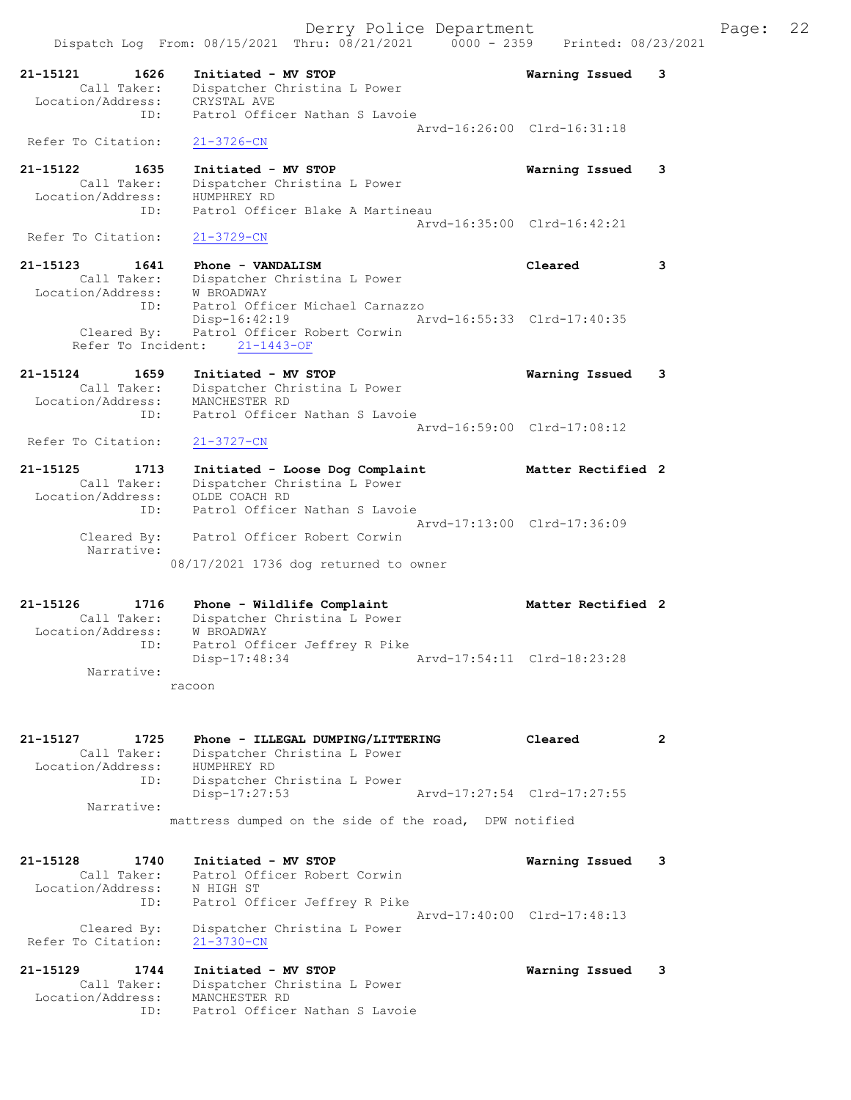|                                                      | Dispatch Log From: 08/15/2021 Thru: 08/21/2021<br>$0000 - 2359$    | Printed: 08/23/2021         |   |
|------------------------------------------------------|--------------------------------------------------------------------|-----------------------------|---|
| 21-15121<br>1626<br>Call Taker:                      | Initiated - MV STOP<br>Dispatcher Christina L Power                | Warning Issued              | 3 |
| Location/Address:<br>ID:                             | CRYSTAL AVE<br>Patrol Officer Nathan S Lavoie                      |                             |   |
|                                                      |                                                                    | Arvd-16:26:00 Clrd-16:31:18 |   |
| Refer To Citation:                                   | 21-3726-CN                                                         |                             |   |
| 21-15122<br>1635<br>Call Taker:<br>Location/Address: | Initiated - MV STOP<br>Dispatcher Christina L Power<br>HUMPHREY RD | Warning Issued              | 3 |
| ID:                                                  | Patrol Officer Blake A Martineau                                   |                             |   |
| Refer To Citation:                                   | $21 - 3729 - CN$                                                   | Aryd-16:35:00 Clrd-16:42:21 |   |
| 21-15123<br>1641                                     | Phone - VANDALISM                                                  | Cleared                     | 3 |
| Call Taker:                                          | Dispatcher Christina L Power                                       |                             |   |
| Location/Address:<br>ID:                             | <b>W BROADWAY</b><br>Patrol Officer Michael Carnazzo               |                             |   |
| Cleared By:                                          | $Disp-16:42:19$<br>Patrol Officer Robert Corwin                    | Arvd-16:55:33 Clrd-17:40:35 |   |
| Refer To Incident:                                   | $21 - 1443 - OF$                                                   |                             |   |
| 21-15124<br>1659                                     | Initiated - MV STOP                                                | Warning Issued              | 3 |
| Call Taker:                                          | Dispatcher Christina L Power                                       |                             |   |
| Location/Address:<br>ID:                             | MANCHESTER RD<br>Patrol Officer Nathan S Lavoie                    |                             |   |
|                                                      |                                                                    | Arvd-16:59:00 Clrd-17:08:12 |   |
| Refer To Citation:                                   | $21 - 3727 - CN$                                                   |                             |   |
| 21-15125<br>1713                                     | Initiated - Loose Dog Complaint                                    | Matter Rectified 2          |   |
| Call Taker:<br>Location/Address:                     | Dispatcher Christina L Power<br>OLDE COACH RD                      |                             |   |
| ID:                                                  | Patrol Officer Nathan S Lavoie                                     |                             |   |
| Cleared By:                                          | Patrol Officer Robert Corwin                                       | Arvd-17:13:00 Clrd-17:36:09 |   |
| Narrative:                                           | 08/17/2021 1736 dog returned to owner                              |                             |   |
|                                                      |                                                                    |                             |   |
| 21-15126<br>1716<br>Call Taker:                      | Phone - Wildlife Complaint<br>Dispatcher Christina L Power         | Matter Rectified 2          |   |
| Location/Address:                                    | W BROADWAY                                                         |                             |   |
| ID:                                                  | Patrol Officer Jeffrey R Pike                                      |                             |   |
| Narrative:                                           | Disp-17:48:34                                                      | Arvd-17:54:11 Clrd-18:23:28 |   |
|                                                      | racoon                                                             |                             |   |
| 21-15127                                             |                                                                    |                             |   |
| 1725<br>Call Taker:                                  | Phone - ILLEGAL DUMPING/LITTERING<br>Dispatcher Christina L Power  | Cleared                     | 2 |
| Location/Address:                                    | HUMPHREY RD                                                        |                             |   |
| ID:                                                  | Dispatcher Christina L Power<br>Disp-17:27:53                      | Arvd-17:27:54 Clrd-17:27:55 |   |
| Narrative:                                           |                                                                    |                             |   |
|                                                      | mattress dumped on the side of the road, DPW notified              |                             |   |
| 21-15128<br>1740                                     | Initiated - MV STOP                                                | Warning Issued              | 3 |
| Call Taker:<br>Location/Address:                     | Patrol Officer Robert Corwin<br>N HIGH ST                          |                             |   |
| ID:                                                  | Patrol Officer Jeffrey R Pike                                      | Arvd-17:40:00 Clrd-17:48:13 |   |
| Cleared By:<br>Refer To Citation:                    | Dispatcher Christina L Power<br>$21 - 3730 - CN$                   |                             |   |
| 21-15129<br>1744                                     | Initiated - MV STOP                                                | Warning Issued              | 3 |
| Call Taker:                                          | Dispatcher Christina L Power                                       |                             |   |

Location/Address: MANCHESTER RD

ID: Patrol Officer Nathan S Lavoie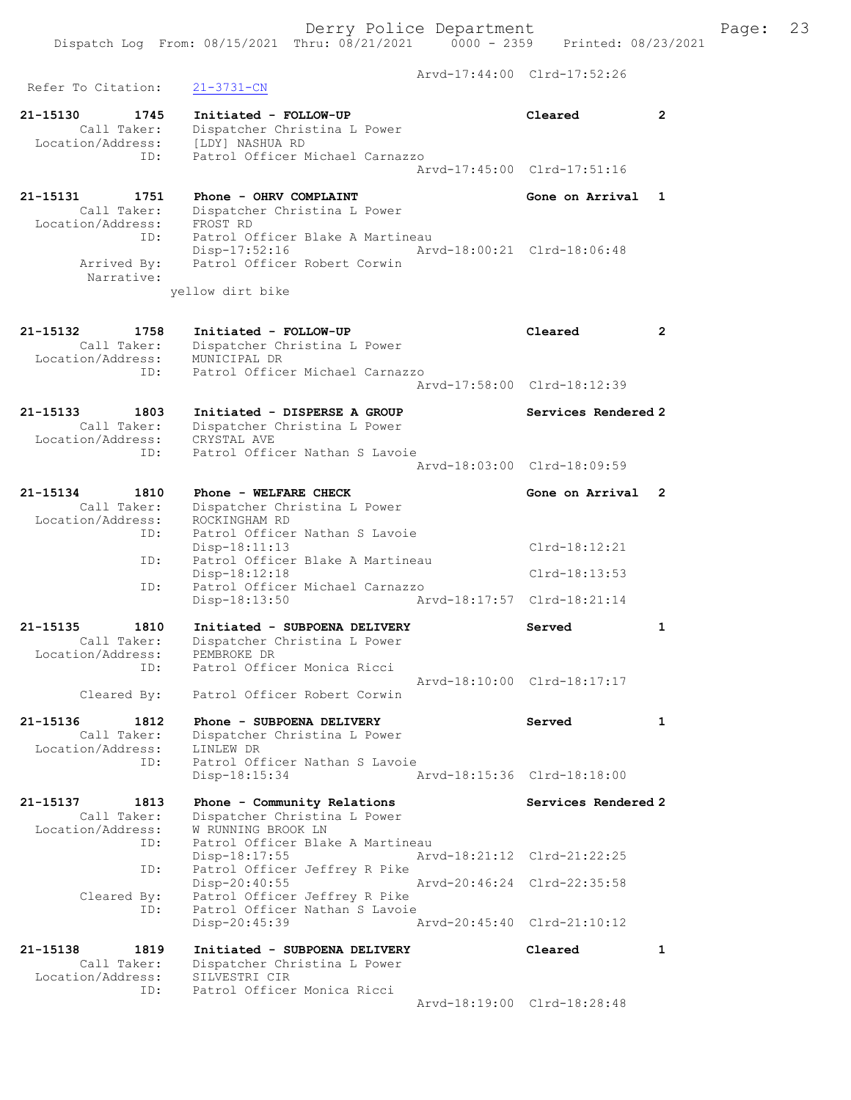Arvd-17:44:00 Clrd-17:52:26 Refer To Citation: 21-3731-CN 21-15130 1745 Initiated - FOLLOW-UP Cleared 2 Call Taker: Dispatcher Christina L Power Location/Address: [LDY] NASHUA RD ID: Patrol Officer Michael Carnazzo Arvd-17:45:00 Clrd-17:51:16 21-15131 1751 Phone - OHRV COMPLAINT Gone on Arrival 1 Call Taker: Dispatcher Christina L Power Location/Address: FROST RD ID: Patrol Officer Blake A Martineau Disp-17:52:16 Arvd-18:00:21 Clrd-18:06:48 Arrived By: Patrol Officer Robert Corwin Narrative: yellow dirt bike 21-15132 1758 Initiated - FOLLOW-UP Cleared 2 Call Taker: Dispatcher Christina L Power Location/Address: MUNICIPAL DR ID: Patrol Officer Michael Carnazzo Arvd-17:58:00 Clrd-18:12:39 21-15133 1803 Initiated - DISPERSE A GROUP Services Rendered 2 Call Taker: Dispatcher Christina L Power Location/Address: CRYSTAL AVE ID: Patrol Officer Nathan S Lavoie Arvd-18:03:00 Clrd-18:09:59 21-15134 1810 Phone - WELFARE CHECK CHECK Gone on Arrival 2 Call Taker: Dispatcher Christina L Power Location/Address: ROCKINGHAM RD ID: Patrol Officer Nathan S Lavoie Disp-18:11:13 Clrd-18:12:21 ID: Patrol Officer Blake A Martineau Disp-18:12:18 Clrd-18:13:53<br>ID: Patrol Officer Michael Carnazzo Patrol Officer Michael Carnazzo Disp-18:13:50 Arvd-18:17:57 Clrd-18:21:14 21-15135 1810 Initiated - SUBPOENA DELIVERY Served 1 Call Taker: Dispatcher Christina L Power Location/Address: PEMBROKE DR ID: Patrol Officer Monica Ricci Arvd-18:10:00 Clrd-18:17:17 Cleared By: Patrol Officer Robert Corwin 21-15136 1812 Phone - SUBPOENA DELIVERY Served 1 Call Taker: Dispatcher Christina L Power Location/Address:<br>TD: ID: Patrol Officer Nathan S Lavoie<br>IINLEW DR<br>Patrol Officer Nathan S Lavoie Disp-18:15:34 Arvd-18:15:36 Clrd-18:18:00 21-15137 1813 Phone - Community Relations Services Rendered 2 Call Taker: Dispatcher Christina L Power Location/Address: W RUNNING BROOK LN ID: Patrol Officer Blake A Martineau Disp-18:17:55 Arvd-18:21:12 Clrd-21:22:25 ID: Patrol Officer Jeffrey R Pike Disp-20:40:55 Arvd-20:46:24 Clrd-22:35:58 Cleared By: Patrol Officer Jeffrey R Pike<br>ID: Patrol Officer Nathan S Lavoie Patrol Officer Nathan S Lavoie Disp-20:45:39 Arvd-20:45:40 Clrd-21:10:12 21-15138 1819 Initiated - SUBPOENA DELIVERY Cleared 1 Call Taker: Dispatcher Christina L Power Location/Address: SILVESTRI CIR ID: Patrol Officer Monica Ricci Arvd-18:19:00 Clrd-18:28:48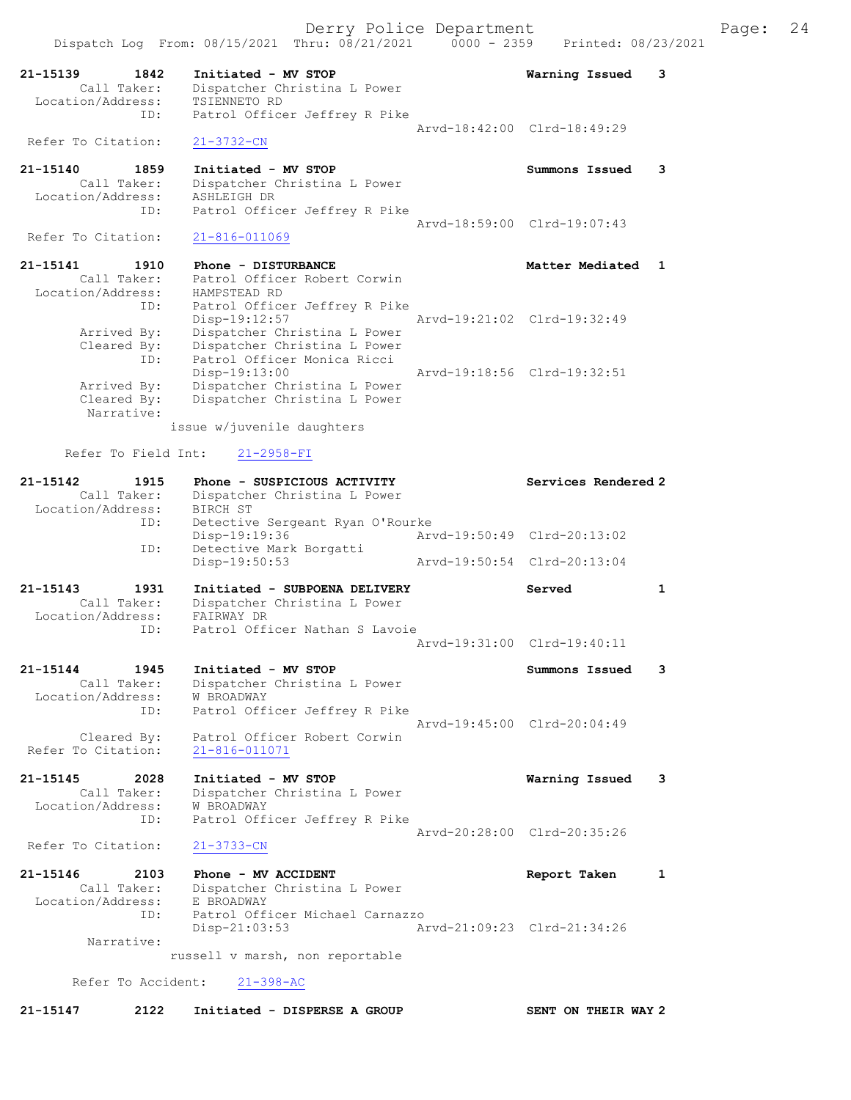| $21 - 15139$<br>Location/Address: | 1842<br>Call Taker:        | Initiated - MV STOP<br>Dispatcher Christina L Power<br>TSIENNETO RD                                          |                             | Warning Issued              | з            |
|-----------------------------------|----------------------------|--------------------------------------------------------------------------------------------------------------|-----------------------------|-----------------------------|--------------|
|                                   | ID:                        | Patrol Officer Jeffrey R Pike                                                                                |                             | Arvd-18:42:00 Clrd-18:49:29 |              |
| Refer To Citation:                |                            | $21 - 3732 - CN$                                                                                             |                             |                             |              |
| 21-15140<br>Location/Address:     | 1859<br>Call Taker:<br>ID: | Initiated - MV STOP<br>Dispatcher Christina L Power<br>ASHLEIGH DR<br>Patrol Officer Jeffrey R Pike          |                             | Summons Issued              | 3            |
| Refer To Citation:                |                            | $21 - 816 - 011069$                                                                                          |                             | Arvd-18:59:00 Clrd-19:07:43 |              |
| 21-15141<br>Location/Address:     | 1910<br>Call Taker:        | Phone - DISTURBANCE<br>Patrol Officer Robert Corwin<br>HAMPSTEAD RD                                          |                             | Matter Mediated             | $\mathbf{1}$ |
| Arrived By:                       | ID:                        | Patrol Officer Jeffrey R Pike<br>Disp-19:12:57<br>Dispatcher Christina L Power                               |                             | Arvd-19:21:02 Clrd-19:32:49 |              |
| Cleared By:<br>Arrived By:        | ID:                        | Dispatcher Christina L Power<br>Patrol Officer Monica Ricci<br>Disp-19:13:00<br>Dispatcher Christina L Power |                             | Arvd-19:18:56 Clrd-19:32:51 |              |
| Cleared By:                       | Narrative:                 | Dispatcher Christina L Power<br>issue w/juvenile daughters                                                   |                             |                             |              |
|                                   | Refer To Field Int:        | $21 - 2958 - FI$                                                                                             |                             |                             |              |
| 21-15142<br>Location/Address:     | 1915<br>Call Taker:        | Phone - SUSPICIOUS ACTIVITY<br>Dispatcher Christina L Power<br>BIRCH ST                                      |                             | Services Rendered 2         |              |
|                                   | ID:<br>ID:                 | Detective Sergeant Ryan O'Rourke<br>Disp-19:19:36<br>Detective Mark Borgatti                                 |                             | Arvd-19:50:49 Clrd-20:13:02 |              |
|                                   |                            | Disp-19:50:53                                                                                                |                             | Arvd-19:50:54 Clrd-20:13:04 |              |
| 21-15143                          | 1931                       | Initiated - SUBPOENA DELIVERY                                                                                |                             | Served                      | 1            |
| Location/Address:                 | Call Taker:<br>ID:         | Dispatcher Christina L Power<br>FAIRWAY DR<br>Patrol Officer Nathan S Lavoie                                 |                             |                             |              |
|                                   |                            |                                                                                                              |                             | Arvd-19:31:00 Clrd-19:40:11 |              |
| 21-15144<br>Location/Address:     | 1945<br>Call Taker:        | Initiated - MV STOP<br>Dispatcher Christina L Power<br>W BROADWAY                                            |                             | Summons Issued              | з            |
| Refer To Citation:                | ID:<br>Cleared By:         | Patrol Officer Jeffrey R Pike<br>Patrol Officer Robert Corwin<br>21-816-011071                               |                             | Arvd-19:45:00 Clrd-20:04:49 |              |
| 21-15145<br>Location/Address:     | 2028<br>Call Taker:        | Initiated - MV STOP<br>Dispatcher Christina L Power<br>W BROADWAY                                            |                             | Warning Issued              | 3            |
|                                   | ID:                        | Patrol Officer Jeffrey R Pike                                                                                |                             | Arvd-20:28:00 Clrd-20:35:26 |              |
| Refer To Citation:                |                            | $21 - 3733 - CN$                                                                                             |                             |                             |              |
| 21-15146<br>Location/Address:     | 2103<br>Call Taker:<br>ID: | Phone - MV ACCIDENT<br>Dispatcher Christina L Power<br>E BROADWAY                                            |                             | Report Taken                | 1            |
|                                   | Narrative:                 | Patrol Officer Michael Carnazzo<br>$Disp-21:03:53$                                                           | Arvd-21:09:23 Clrd-21:34:26 |                             |              |
|                                   |                            | russell v marsh, non reportable                                                                              |                             |                             |              |
|                                   | Refer To Accident:         | $21 - 398 - AC$                                                                                              |                             |                             |              |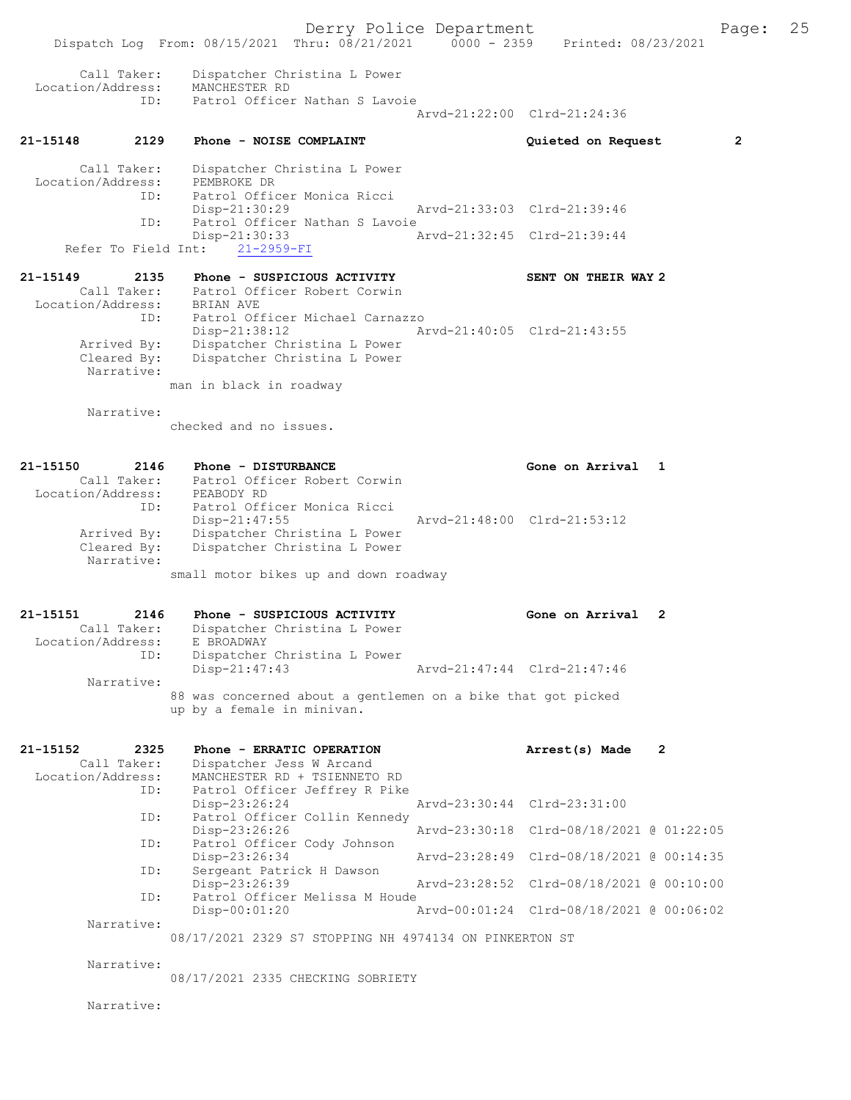Derry Police Department The Page: 25 Dispatch Log From: 08/15/2021 Thru: 08/21/2021 0000 - 2359 Printed: 08/23/2021 Call Taker: Dispatcher Christina L Power Location/Address: MANCHESTER RD ID: Patrol Officer Nathan S Lavoie Arvd-21:22:00 Clrd-21:24:36 21-15148 2129 Phone - NOISE COMPLAINT Quieted on Request 2 Call Taker: Dispatcher Christina L Power Location/Address: PEMBROKE DR ID: Patrol Officer Monica Ricci Disp-21:30:29 Arvd-21:33:03 Clrd-21:39:46<br>TD: Patrol Officer Nathan S Lavoie Patrol Officer Nathan S Lavoie<br>Disp-21:30:33 A Disp-21:30:33 Arvd-21:32:45 Clrd-21:39:44 Refer To Field Int: 21-2959-FI 21-15149 2135 Phone - SUSPICIOUS ACTIVITY SENT ON THEIR WAY 2 Call Taker: Patrol Officer Robert Corwin Location/Address: BRIAN AVE ID: Patrol Officer Michael Carnazzo Disp-21:38:12 Arvd-21:40:05 Clrd-21:43:55 Arrived By: Dispatcher Christina L Power Cleared By: Dispatcher Christina L Power Narrative: man in black in roadway Narrative: checked and no issues. 21-15150 2146 Phone - DISTURBANCE Gone on Arrival 1 Call Taker: Patrol Officer Robert Corwin Location/Address: PEABODY RD ID: Patrol Officer Monica Ricci Disp-21:47:55 Arvd-21:48:00 Clrd-21:53:12 Arrived By: Dispatcher Christina L Power Cleared By: Dispatcher Christina L Power Narrative: small motor bikes up and down roadway 21-15151 2146 Phone - SUSPICIOUS ACTIVITY Gone on Arrival 2 Call Taker: Dispatcher Christina L Power Location/Address: E BROADWAY ID: Dispatcher Christina L Power Disp-21:47:43 Arvd-21:47:44 Clrd-21:47:46 Narrative: 88 was concerned about a gentlemen on a bike that got picked up by a female in minivan. 21-15152 2325 Phone - ERRATIC OPERATION Arrest(s) Made 2 Call Taker: Dispatcher Jess W Arcand Location/Address: MANCHESTER RD + TSIENNETO RD ID: Patrol Officer Jeffrey R Pike Disp-23:26:24 Arvd-23:30:44 Clrd-23:31:00 ID: Patrol Officer Collin Kennedy<br>Disp-23:26:26 Disp-23:26:26 Arvd-23:30:18 Clrd-08/18/2021 @ 01:22:05 ID: Patrol Officer Cody Johnson Disp-23:26:34 Arvd-23:28:49 Clrd-08/18/2021 @ 00:14:35 ID: Sergeant Patrick H Dawson<br>Disp-23:26:39 Disp-23:26:39 Arvd-23:28:52 Clrd-08/18/2021 @ 00:10:00 ID: Patrol Officer Melissa M Houde<br>Disp-00:01:20 Disp-00:01:20 Arvd-00:01:24 Clrd-08/18/2021 @ 00:06:02 Narrative: 08/17/2021 2329 S7 STOPPING NH 4974134 ON PINKERTON ST Narrative: 08/17/2021 2335 CHECKING SOBRIETY

Narrative: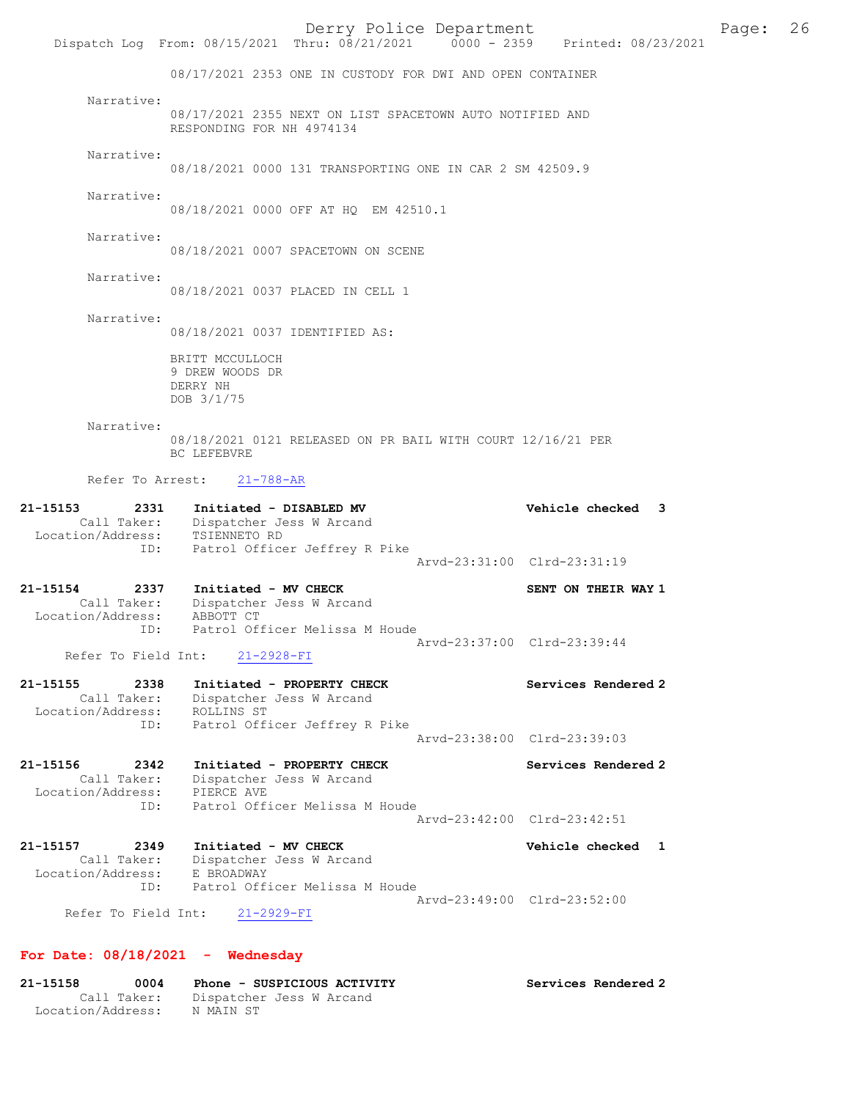08/17/2021 2353 ONE IN CUSTODY FOR DWI AND OPEN CONTAINER

 Narrative: 08/17/2021 2355 NEXT ON LIST SPACETOWN AUTO NOTIFIED AND RESPONDING FOR NH 4974134

Narrative:

08/18/2021 0000 131 TRANSPORTING ONE IN CAR 2 SM 42509.9

Narrative:

08/18/2021 0000 OFF AT HQ EM 42510.1

Narrative:

08/18/2021 0007 SPACETOWN ON SCENE

Narrative:

08/18/2021 0037 PLACED IN CELL 1

Narrative:

08/18/2021 0037 IDENTIFIED AS:

BRITT MCCULLOCH 9 DREW WOODS DR DERRY NH DOB 3/1/75

 Narrative: 08/18/2021 0121 RELEASED ON PR BAIL WITH COURT 12/16/21 PER BC LEFEBVRE

Refer To Arrest: 21-788-AR

| 21-15154          | 2337               | Initiated - MV CHECK                                                      | Aryd-23:31:00 Clrd-23:31:19<br>SENT ON THEIR WAY 1 |  |
|-------------------|--------------------|---------------------------------------------------------------------------|----------------------------------------------------|--|
| Location/Address: | Call Taker:<br>ID: | Dispatcher Jess W Arcand<br>TSIENNETO RD<br>Patrol Officer Jeffrey R Pike |                                                    |  |
| 21-15153          | 2331               | Initiated - DISABLED MV                                                   | Vehicle checked 3                                  |  |

 Call Taker: Dispatcher Jess W Arcand Location/Address: ABBOTT CT ID: Patrol Officer Melissa M Houde Arvd-23:37:00 Clrd-23:39:44<br>21-2928-FI

Refer To Field Int:

| 21-15155          | 2338        | Initiated - PROPERTY CHECK    | Services Rendered 2         |
|-------------------|-------------|-------------------------------|-----------------------------|
|                   | Call Taker: | Dispatcher Jess W Arcand      |                             |
| Location/Address: |             | ROLLINS ST                    |                             |
|                   | ID:         | Patrol Officer Jeffrey R Pike |                             |
|                   |             |                               | Arvd-23:38:00 Clrd-23:39:03 |

| 21-15156          | 2342        | Initiated - PROPERTY CHECK     | Services Rendered 2 |
|-------------------|-------------|--------------------------------|---------------------|
|                   | Call Taker: | Dispatcher Jess W Arcand       |                     |
| Location/Address: |             | PIERCE AVE                     |                     |
|                   | TD:         | Patrol Officer Melissa M Houde |                     |
|                   |             | Arvd-23:42:00 Clrd-23:42:51    |                     |

| 21-15157          | 2349                |            | Initiated - MV CHECK           | Vehicle checked 1           |  |
|-------------------|---------------------|------------|--------------------------------|-----------------------------|--|
|                   | Call Taker:         |            | Dispatcher Jess W Arcand       |                             |  |
| Location/Address: |                     | E BROADWAY |                                |                             |  |
|                   | TD:                 |            | Patrol Officer Melissa M Houde |                             |  |
|                   |                     |            |                                | Aryd-23:49:00 Clrd-23:52:00 |  |
|                   | Refer To Field Int: |            | 21-2929-FI                     |                             |  |

#### For Date: 08/18/2021 - Wednesday

| 21-15158<br>0004  |           | Phone - SUSPICIOUS ACTIVITY | Services Rendered 2 |  |
|-------------------|-----------|-----------------------------|---------------------|--|
| Call Taker:       |           | Dispatcher Jess W Arcand    |                     |  |
| Location/Address: | N MAIN ST |                             |                     |  |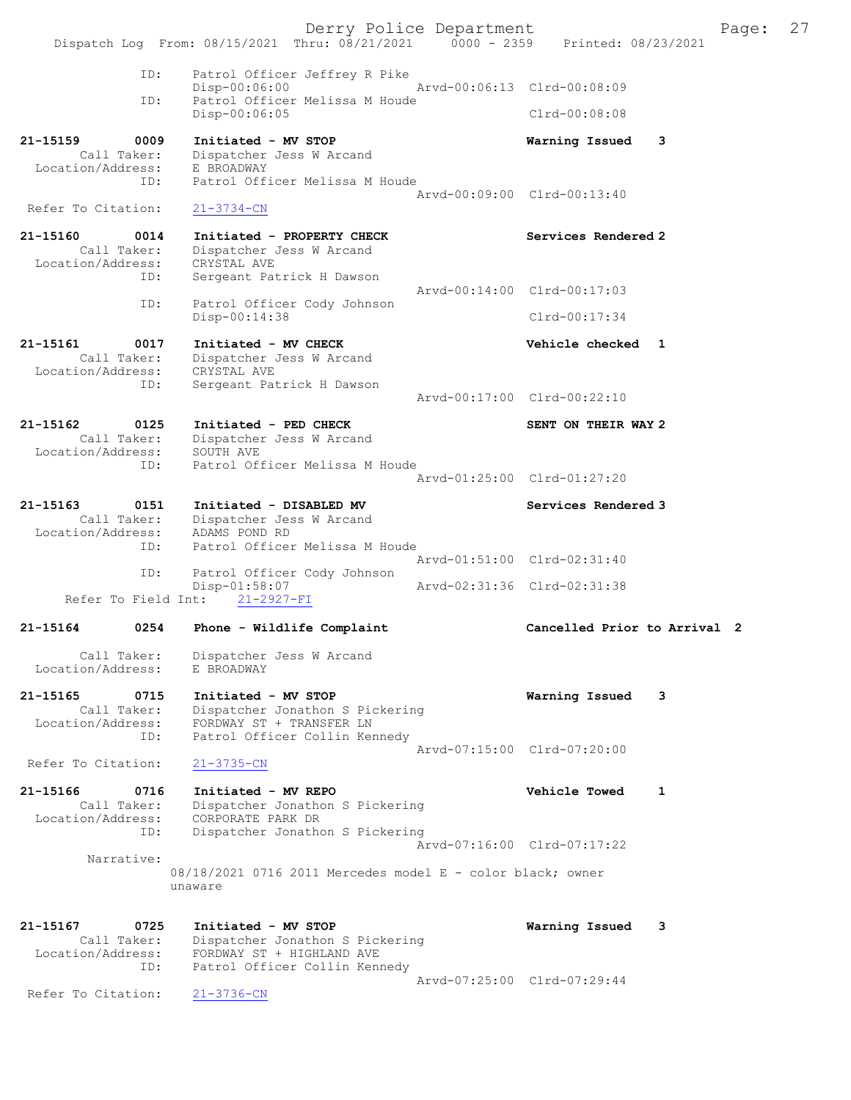Derry Police Department The Page: 27 Dispatch Log From: 08/15/2021 Thru: 08/21/2021 0000 - 2359 Printed: 08/23/2021 ID: Patrol Officer Jeffrey R Pike Disp-00:06:00 Arvd-00:06:13 Clrd-00:08:09<br>TD: Patrol Officer Melissa M Houde Patrol Officer Melissa M Houde<br>Disp-00:06:05 Disp-00:06:05 Clrd-00:08:08 21-15159 0009 Initiated - MV STOP Warning Issued 3 Call Taker: Dispatcher Jess W Arcand Location/Address: E BROADWAY ID: Patrol Officer Melissa M Houde Arvd-00:09:00 Clrd-00:13:40 Refer To Citation: 21-3734-CN 21-15160 0014 Initiated - PROPERTY CHECK Services Rendered 2 Call Taker: Dispatcher Jess W Arcand Location/Address: CRYSTAL AVE ID: Sergeant Patrick H Dawson Arvd-00:14:00 Clrd-00:17:03 ID: Patrol Officer Cody Johnson Disp-00:14:38 Clrd-00:17:34 21-15161 0017 Initiated - MV CHECK Vehicle checked 1 Call Taker: Dispatcher Jess W Arcand Location/Address: CRYSTAL AVE ID: Sergeant Patrick H Dawson Arvd-00:17:00 Clrd-00:22:10 21-15162 0125 Initiated - PED CHECK SENT ON THEIR WAY 2 Call Taker: Dispatcher Jess W Arcand Location/Address: SOUTH AVE ID: Patrol Officer Melissa M Houde Arvd-01:25:00 Clrd-01:27:20 21-15163 0151 Initiated - DISABLED MV Services Rendered 3 Call Taker: Dispatcher Jess W Arcand Location/Address: ADAMS POND RD ID: Patrol Officer Melissa M Houde Arvd-01:51:00 Clrd-02:31:40 ID: Patrol Officer Cody Johnson Disp-01:58:07 Arvd-02:31:36 Clrd-02:31:38 Refer To Field Int: 21-2927-FI 21-15164 0254 Phone - Wildlife Complaint Cancelled Prior to Arrival 2 Call Taker: Dispatcher Jess W Arcand Location/Address: E BROADWAY 21-15165 0715 Initiated - MV STOP Warning Issued 3 Call Taker: Dispatcher Jonathon S Pickering Location/Address: FORDWAY ST + TRANSFER LN ID: Patrol Officer Collin Kennedy Arvd-07:15:00 Clrd-07:20:00<br>21-3735-CN Refer To Citation: 21-15166 0716 Initiated - MV REPO Vehicle Towed 1<br>Call Taker: Dispatcher Jonathon S Pickering Call Taker: Dispatcher Jonathon S Pickering Location/Address: CORPORATE PARK DR ID: Dispatcher Jonathon S Pickering Arvd-07:16:00 Clrd-07:17:22 Narrative: 08/18/2021 0716 2011 Mercedes model E - color black; owner unaware 21-15167 0725 Initiated - MV STOP Warning Issued 3 Call Taker: Dispatcher Jonathon S Pickering Location/Address: FORDWAY ST + HIGHLAND AVE ID: Patrol Officer Collin Kennedy Arvd-07:25:00 Clrd-07:29:44<br>21-3736-CN Refer To Citation: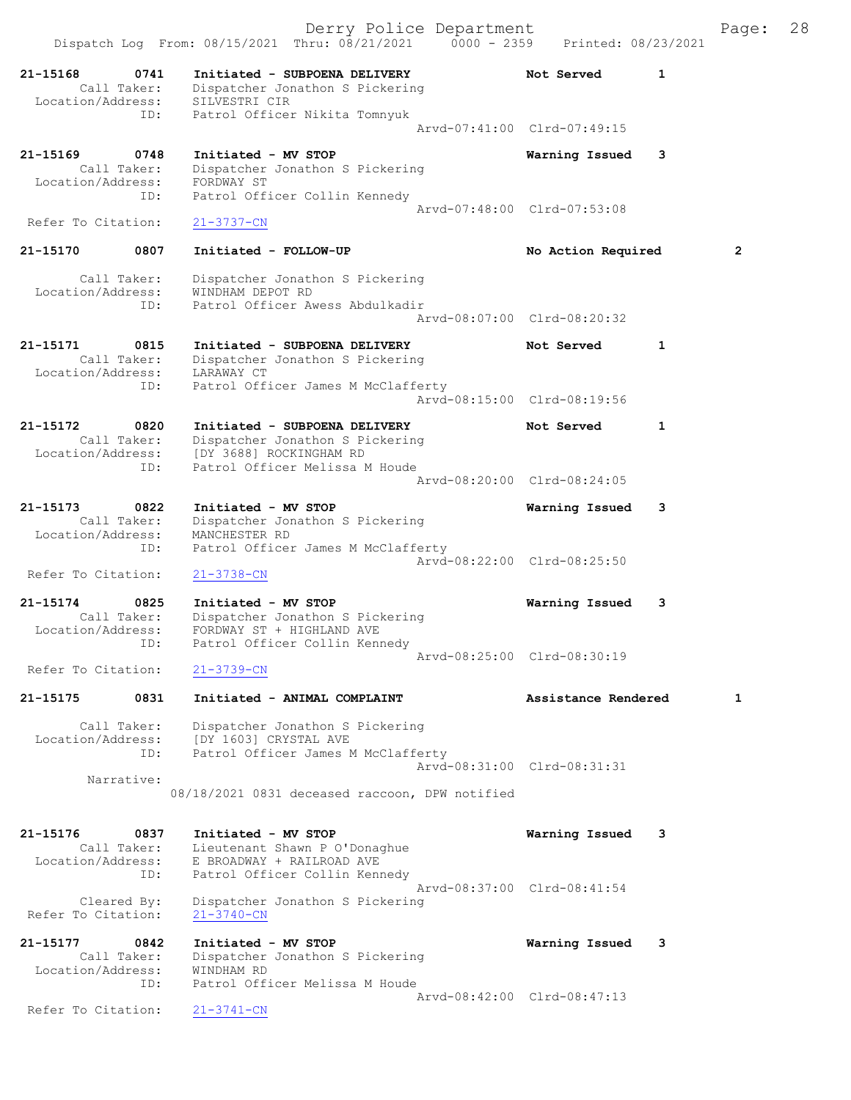|                                                |             | Derry Police Department<br>Dispatch Log From: 08/15/2021 Thru: 08/21/2021 0000 - 2359                                                            | Printed: 08/23/2021         |   | Page:          | 28 |
|------------------------------------------------|-------------|--------------------------------------------------------------------------------------------------------------------------------------------------|-----------------------------|---|----------------|----|
| 21-15168<br>Call Taker:                        | 0741        | Initiated - SUBPOENA DELIVERY<br>Dispatcher Jonathon S Pickering                                                                                 | Not Served                  | 1 |                |    |
| Location/Address:                              | ID:         | SILVESTRI CIR<br>Patrol Officer Nikita Tomnyuk                                                                                                   | Arvd-07:41:00 Clrd-07:49:15 |   |                |    |
| 21-15169<br>Call Taker:<br>Location/Address:   | 0748        | Initiated - MV STOP<br>Dispatcher Jonathon S Pickering<br>FORDWAY ST                                                                             | Warning Issued              | 3 |                |    |
| Refer To Citation:                             | ID:         | Patrol Officer Collin Kennedy<br>$21 - 3737 - CN$                                                                                                | Arvd-07:48:00 Clrd-07:53:08 |   |                |    |
| 21-15170                                       | 0807        | Initiated - FOLLOW-UP                                                                                                                            | No Action Required          |   | $\overline{2}$ |    |
| Call Taker:<br>Location/Address:               | ID:         | Dispatcher Jonathon S Pickering<br>WINDHAM DEPOT RD<br>Patrol Officer Awess Abdulkadir                                                           | Arvd-08:07:00 Clrd-08:20:32 |   |                |    |
| 21-15171<br>Call Taker:<br>Location/Address:   | 0815        | Initiated - SUBPOENA DELIVERY<br>Dispatcher Jonathon S Pickering<br>LARAWAY CT                                                                   | Not Served                  | 1 |                |    |
|                                                | ID:         | Patrol Officer James M McClafferty                                                                                                               | Arvd-08:15:00 Clrd-08:19:56 |   |                |    |
| 21-15172<br>Call Taker:<br>Location/Address:   | 0820<br>ID: | Initiated - SUBPOENA DELIVERY<br>Dispatcher Jonathon S Pickering<br>[DY 3688] ROCKINGHAM RD<br>Patrol Officer Melissa M Houde                    | Not Served                  | 1 |                |    |
|                                                |             |                                                                                                                                                  | Arvd-08:20:00 Clrd-08:24:05 |   |                |    |
| 21-15173<br>Call Taker:<br>Location/Address:   | 0822<br>ID: | Initiated - MV STOP<br>Dispatcher Jonathon S Pickering<br>MANCHESTER RD<br>Patrol Officer James M McClafferty                                    | Warning Issued              | 3 |                |    |
| Refer To Citation:                             |             | $21 - 3738 - CN$                                                                                                                                 | Arvd-08:22:00 Clrd-08:25:50 |   |                |    |
| 21-15174<br>Call Taker:<br>Location/Address:   | 0825<br>ID: | Initiated - MV STOP<br>Dispatcher Jonathon S Pickering<br>FORDWAY ST + HIGHLAND AVE<br>Patrol Officer Collin Kennedy                             | Warning Issued              | 3 |                |    |
| Refer To Citation:                             |             | $21 - 3739 - CN$                                                                                                                                 | Arvd-08:25:00 Clrd-08:30:19 |   |                |    |
| 21-15175                                       | 0831        | Initiated - ANIMAL COMPLAINT                                                                                                                     | Assistance Rendered         |   | 1              |    |
| Call Taker:<br>Location/Address:<br>Narrative: | ID:         | Dispatcher Jonathon S Pickering<br>[DY 1603] CRYSTAL AVE<br>Patrol Officer James M McClafferty<br>08/18/2021 0831 deceased raccoon, DPW notified | Arvd-08:31:00 Clrd-08:31:31 |   |                |    |
|                                                |             |                                                                                                                                                  |                             |   |                |    |
| 21-15176<br>Call Taker:<br>Location/Address:   | 0837<br>ID: | Initiated - MV STOP<br>Lieutenant Shawn P O'Donaghue<br>E BROADWAY + RAILROAD AVE<br>Patrol Officer Collin Kennedy                               | Warning Issued              | 3 |                |    |
| Cleared By:<br>Refer To Citation:              |             | Dispatcher Jonathon S Pickering<br>$21 - 3740 - CN$                                                                                              | Arvd-08:37:00 Clrd-08:41:54 |   |                |    |
| 21-15177<br>Call Taker:<br>Location/Address:   | 0842<br>ID: | Initiated - MV STOP<br>Dispatcher Jonathon S Pickering<br>WINDHAM RD<br>Patrol Officer Melissa M Houde                                           | Warning Issued              | 3 |                |    |
| Refer To Citation:                             |             | $21 - 3741 - CN$                                                                                                                                 | Arvd-08:42:00 Clrd-08:47:13 |   |                |    |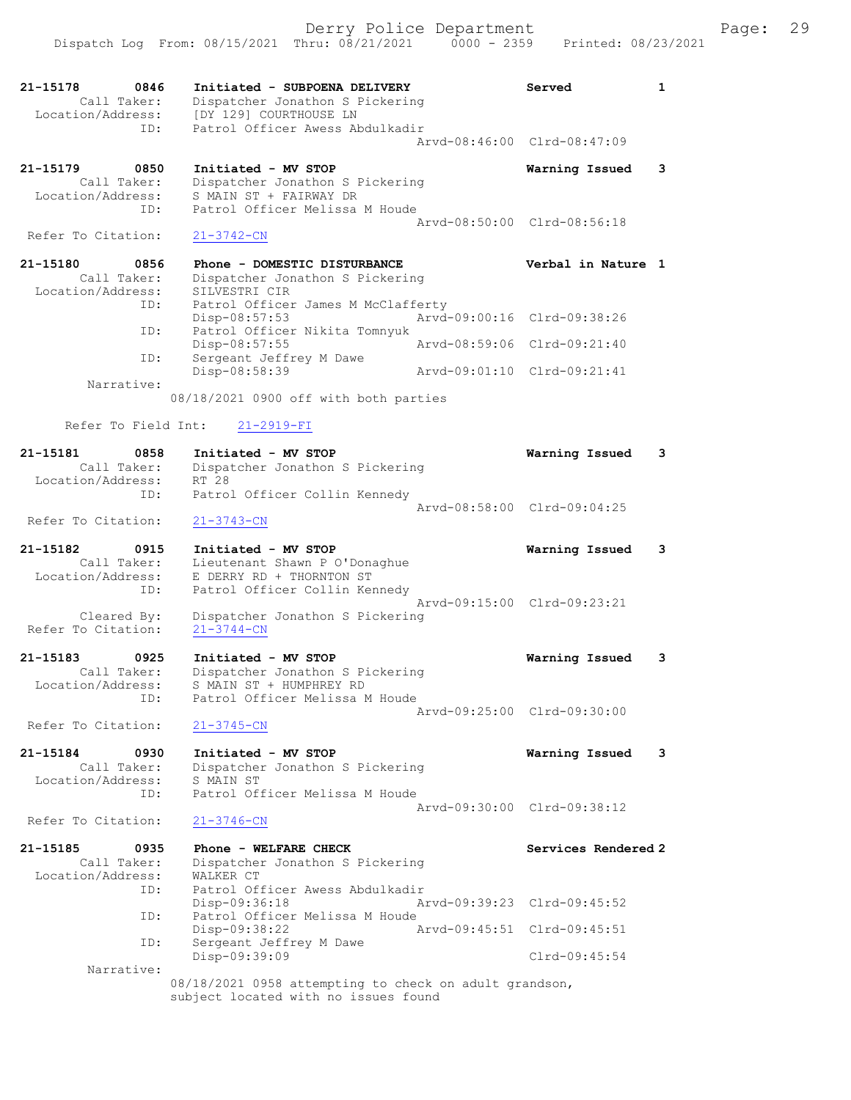Derry Police Department Fage: 29 Dispatch Log From: 08/15/2021 Thru: 08/21/2021 0000 - 2359 Printed: 08/23/2021 21-15178 0846 Initiated - SUBPOENA DELIVERY Served 1 Call Taker: Dispatcher Jonathon S Pickering Location/Address: [DY 129] COURTHOUSE LN ID: Patrol Officer Awess Abdulkadir Arvd-08:46:00 Clrd-08:47:09 21-15179 0850 Initiated - MV STOP Warning Issued 3 Call Taker: Dispatcher Jonathon S Pickering Location/Address: S MAIN ST + FAIRWAY DR ID: Patrol Officer Melissa M Houde Arvd-08:50:00 Clrd-08:56:18<br>21-3742-CN Refer To Citation: 21-15180 0856 Phone - DOMESTIC DISTURBANCE Verbal in Nature 1 Call Taker: Dispatcher Jonathon S Pickering Location/Address: SILVESTRI CIR ID: Patrol Officer James M McClafferty<br>Disp-08:57:53 Arvd- Disp-08:57:53 Arvd-09:00:16 Clrd-09:38:26 ID: Patrol Officer Nikita Tomnyuk Disp-08:57:55 Arvd-08:59:06 Clrd-09:21:40 ID: Sergeant Jeffrey M Dawe Disp-08:58:39 Arvd-09:01:10 Clrd-09:21:41 Narrative: 08/18/2021 0900 off with both parties Refer To Field Int: 21-2919-FI 21-15181 0858 Initiated - MV STOP Warning Issued 3 Call Taker: Dispatcher Jonathon S Pickering Location/Address: RT 28 ID: Patrol Officer Collin Kennedy Arvd-08:58:00 Clrd-09:04:25 Refer To Citation: 21-3743-CN 21-15182 0915 Initiated - MV STOP Warning Issued 3 Call Taker: Lieutenant Shawn P O'Donaghue Location/Address: E DERRY RD + THORNTON ST ID: Patrol Officer Collin Kennedy Arvd-09:15:00 Clrd-09:23:21 Cleared By: Dispatcher Jonathon S Pickering Refer To Citation: 21-3744-CN 21-15183 0925 Initiated - MV STOP Warning Issued 3 Call Taker: Dispatcher Jonathon S Pickering Location/Address: S MAIN ST + HUMPHREY RD ID: Patrol Officer Melissa M Houde Arvd-09:25:00 Clrd-09:30:00 Refer To Citation: 21-3745-CN 21-15184 0930 Initiated - MV STOP Warning Issued 3 Call Taker: Dispatcher Jonathon S Pickering Location/Address: S MAIN ST ID: Patrol Officer Melissa M Houde Arvd-09:30:00 Clrd-09:38:12 Refer To Citation: 21-3746-CN 21-15185 0935 Phone - WELFARE CHECK Services Rendered 2 Call Taker: Dispatcher Jonathon S Pickering Location/Address: WALKER CT ID: Patrol Officer Awess Abdulkadir Disp-09:36:18 Arvd-09:39:23 Clrd-09:45:52 ID: Patrol Officer Melissa M Houde Disp-09:38:22 Arvd-09:45:51 Clrd-09:45:51 ID: Sergeant Jeffrey M Dawe Disp-09:39:09 Clrd-09:45:54 Narrative: 08/18/2021 0958 attempting to check on adult grandson,

subject located with no issues found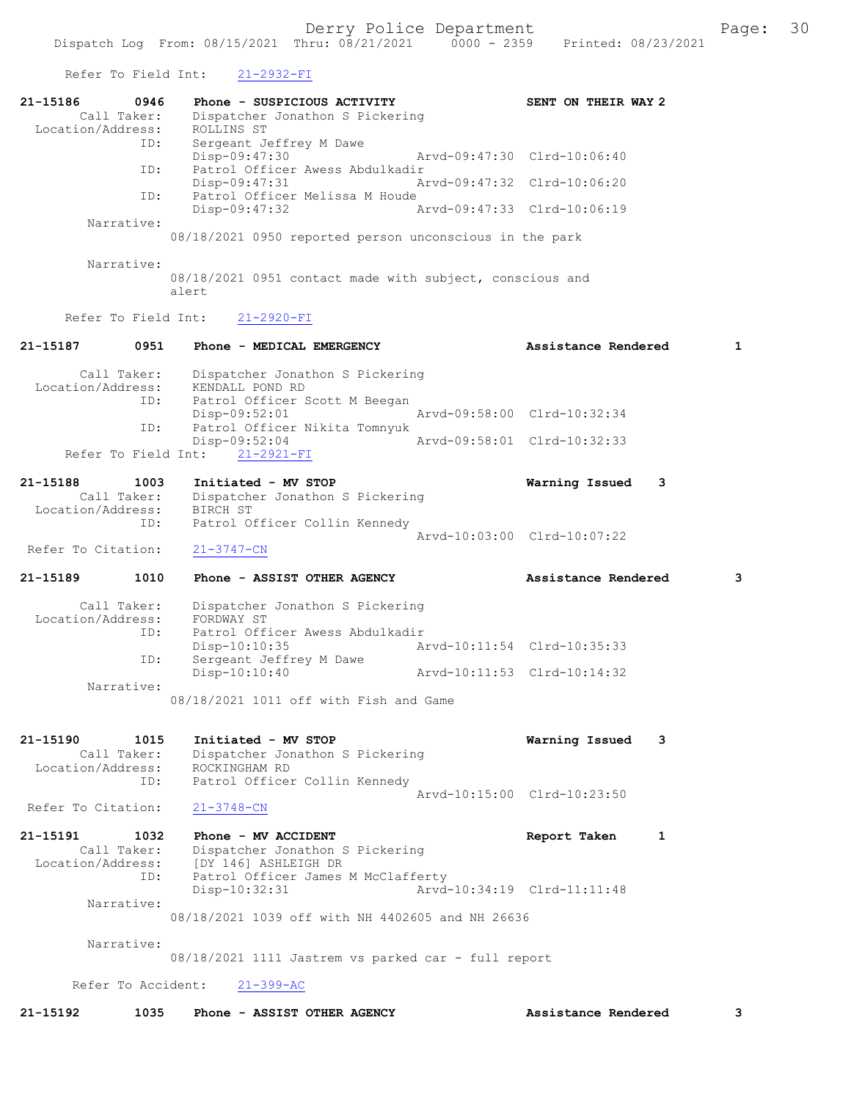Refer To Field Int: 21-2932-FI

| 0946<br>21-15186<br>Call Taker:<br>Location/Address: | Phone - SUSPICIOUS ACTIVITY<br>Dispatcher Jonathon S Pickering<br>ROLLINS ST    |                             | SENT ON THEIR WAY 2                 |
|------------------------------------------------------|---------------------------------------------------------------------------------|-----------------------------|-------------------------------------|
| ID:<br>ID:                                           | Sergeant Jeffrey M Dawe<br>Disp-09:47:30<br>Patrol Officer Awess Abdulkadir     | Arvd-09:47:30 Clrd-10:06:40 |                                     |
| ID:                                                  | Disp-09:47:31<br>Patrol Officer Melissa M Houde                                 | Arvd-09:47:32 Clrd-10:06:20 |                                     |
|                                                      | $Disp-09:47:32$                                                                 | Arvd-09:47:33 Clrd-10:06:19 |                                     |
| Narrative:                                           | 08/18/2021 0950 reported person unconscious in the park                         |                             |                                     |
| Narrative:                                           |                                                                                 |                             |                                     |
|                                                      | 08/18/2021 0951 contact made with subject, conscious and<br>alert               |                             |                                     |
| Refer To Field Int:                                  | $21 - 2920 - FI$                                                                |                             |                                     |
| 21-15187<br>0951                                     | Phone - MEDICAL EMERGENCY                                                       |                             | $\mathbf{1}$<br>Assistance Rendered |
| Call Taker:<br>Location/Address:                     | Dispatcher Jonathon S Pickering<br>KENDALL POND RD                              |                             |                                     |
| ID:<br>ID:                                           | Patrol Officer Scott M Beegan<br>Disp-09:52:01<br>Patrol Officer Nikita Tomnyuk | Arvd-09:58:00 Clrd-10:32:34 |                                     |
| Refer To Field Int:                                  | $Disp-09:52:04$<br>$21 - 2921 - FI$                                             | Arvd-09:58:01 Clrd-10:32:33 |                                     |
| 21-15188<br>1003<br>Call Taker:<br>Location/Address: | Initiated - MV STOP<br>Dispatcher Jonathon S Pickering<br>BIRCH ST              |                             | Warning Issued<br>3                 |
| ID:                                                  | Patrol Officer Collin Kennedy                                                   | Arvd-10:03:00 Clrd-10:07:22 |                                     |
| Refer To Citation:                                   | $21 - 3747 - CN$                                                                |                             |                                     |
| 21-15189<br>1010                                     | Phone - ASSIST OTHER AGENCY                                                     |                             | Assistance Rendered<br>3            |
| Call Taker:<br>Location/Address:                     | Dispatcher Jonathon S Pickering<br>FORDWAY ST                                   |                             |                                     |
| ID:                                                  | Patrol Officer Awess Abdulkadir<br>$Disp-10:10:35$                              | Arvd-10:11:54 Clrd-10:35:33 |                                     |
| ID:<br>Narrative:                                    | Sergeant Jeffrey M Dawe<br>$Disp-10:10:40$                                      | Arvd-10:11:53 Clrd-10:14:32 |                                     |
|                                                      | 08/18/2021 1011 off with Fish and Game                                          |                             |                                     |
| 21-15190<br>1015<br>Call Taker:<br>Location/Address: | Initiated - MV STOP<br>Dispatcher Jonathon S Pickering<br>ROCKINGHAM RD         |                             | Warning Issued<br>3                 |
| ID:                                                  | Patrol Officer Collin Kennedy                                                   | Arvd-10:15:00 Clrd-10:23:50 |                                     |
| Refer To Citation:                                   | $21 - 3748 - CN$                                                                |                             |                                     |
| 21-15191<br>1032<br>Call Taker:<br>Location/Address: | Phone - MV ACCIDENT<br>Dispatcher Jonathon S Pickering<br>[DY 146] ASHLEIGH DR  |                             | Report Taken<br>1                   |
| ID:                                                  | Patrol Officer James M McClafferty<br>$Disp-10:32:31$                           | Arvd-10:34:19 Clrd-11:11:48 |                                     |
| Narrative:                                           | 08/18/2021 1039 off with NH 4402605 and NH 26636                                |                             |                                     |
| Narrative:                                           | 08/18/2021 1111 Jastrem vs parked car - full report                             |                             |                                     |
| Refer To Accident:                                   | $21 - 399 - AC$                                                                 |                             |                                     |
| 21-15192<br>1035                                     | Phone - ASSIST OTHER AGENCY                                                     |                             | Assistance Rendered<br>3            |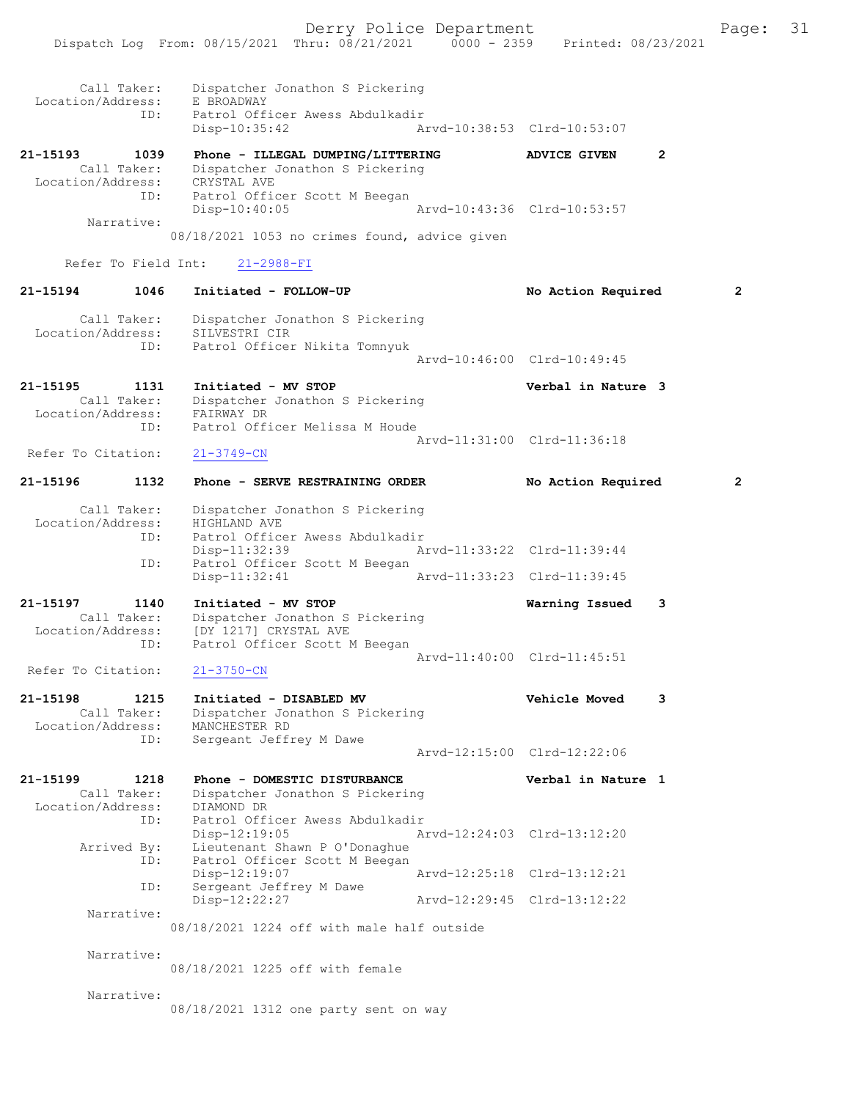Dispatch Log From: 08/15/2021 Thru: 08/21/2021 0000 - 2359 Printed: 08/23/2021

| Call Taker:<br>Location/Address:<br>ID:                     | Dispatcher Jonathon S Pickering<br>E BROADWAY<br>Patrol Officer Awess Abdulkadir                                 |                             |                |
|-------------------------------------------------------------|------------------------------------------------------------------------------------------------------------------|-----------------------------|----------------|
|                                                             | Disp-10:35:42                                                                                                    | Aryd-10:38:53 Clrd-10:53:07 |                |
| 21-15193<br>1039<br>Call Taker:                             | Phone - ILLEGAL DUMPING/LITTERING<br>Dispatcher Jonathon S Pickering<br>CRYSTAL AVE                              | ADVICE GIVEN                | $\mathbf{2}$   |
| Location/Address:<br>ID:                                    | Patrol Officer Scott M Beegan<br>$Disp-10:40:05$                                                                 | Arvd-10:43:36 Clrd-10:53:57 |                |
| Narrative:                                                  | 08/18/2021 1053 no crimes found, advice given                                                                    |                             |                |
| Refer To Field Int:                                         | $21 - 2988 - FI$                                                                                                 |                             |                |
| 21-15194<br>1046                                            | Initiated - FOLLOW-UP                                                                                            | No Action Required          | 2              |
| Call Taker:<br>Location/Address:<br>ID:                     | Dispatcher Jonathon S Pickering<br>SILVESTRI CIR<br>Patrol Officer Nikita Tomnyuk                                |                             |                |
|                                                             |                                                                                                                  | Arvd-10:46:00 Clrd-10:49:45 |                |
| 21-15195<br>1131<br>Call Taker:<br>Location/Address:        | Initiated - MV STOP<br>Dispatcher Jonathon S Pickering<br>FAIRWAY DR                                             | Verbal in Nature 3          |                |
| ID:                                                         | Patrol Officer Melissa M Houde                                                                                   | Arvd-11:31:00 Clrd-11:36:18 |                |
| Refer To Citation:                                          | $21 - 3749 - CN$                                                                                                 |                             |                |
| 21-15196<br>1132                                            | Phone - SERVE RESTRAINING ORDER                                                                                  | No Action Required          | $\overline{2}$ |
| Call Taker:<br>Location/Address:<br>ID:                     | Dispatcher Jonathon S Pickering<br>HIGHLAND AVE<br>Patrol Officer Awess Abdulkadir                               |                             |                |
| ID:                                                         | Disp-11:32:39<br>Patrol Officer Scott M Beegan                                                                   | Arvd-11:33:22 Clrd-11:39:44 |                |
|                                                             | Disp-11:32:41                                                                                                    | Arvd-11:33:23 Clrd-11:39:45 |                |
| 21-15197<br>1140<br>Call Taker:<br>Location/Address:<br>ID: | Initiated - MV STOP<br>Dispatcher Jonathon S Pickering<br>[DY 1217] CRYSTAL AVE<br>Patrol Officer Scott M Beegan | Warning Issued              | 3              |
| Refer To Citation:                                          | $21 - 3750 - CN$                                                                                                 | Arvd-11:40:00 Clrd-11:45:51 |                |
| 21-15198<br>1215<br>Call Taker:<br>Location/Address:        | Initiated - DISABLED MV<br>Dispatcher Jonathon S Pickering<br>MANCHESTER RD                                      | <b>Vehicle Moved</b>        | 3              |
| ID:                                                         | Sergeant Jeffrey M Dawe                                                                                          | Arvd-12:15:00 Clrd-12:22:06 |                |
| 21-15199<br>1218<br>Call Taker:<br>Location/Address:        | Phone - DOMESTIC DISTURBANCE<br>Dispatcher Jonathon S Pickering<br>DIAMOND DR                                    | Verbal in Nature 1          |                |
| ID:<br>Arrived By:                                          | Patrol Officer Awess Abdulkadir<br>$Disp-12:19:05$<br>Lieutenant Shawn P O'Donaghue                              | Arvd-12:24:03 Clrd-13:12:20 |                |
| ID:<br>ID:                                                  | Patrol Officer Scott M Beegan<br>$Disp-12:19:07$<br>Sergeant Jeffrey M Dawe                                      | Arvd-12:25:18 Clrd-13:12:21 |                |
| Narrative:                                                  | $Disp-12:22:27$                                                                                                  | Arvd-12:29:45 Clrd-13:12:22 |                |
|                                                             | 08/18/2021 1224 off with male half outside                                                                       |                             |                |
| Narrative:                                                  | 08/18/2021 1225 off with female                                                                                  |                             |                |
| Narrative:                                                  | 08/18/2021 1312 one party sent on way                                                                            |                             |                |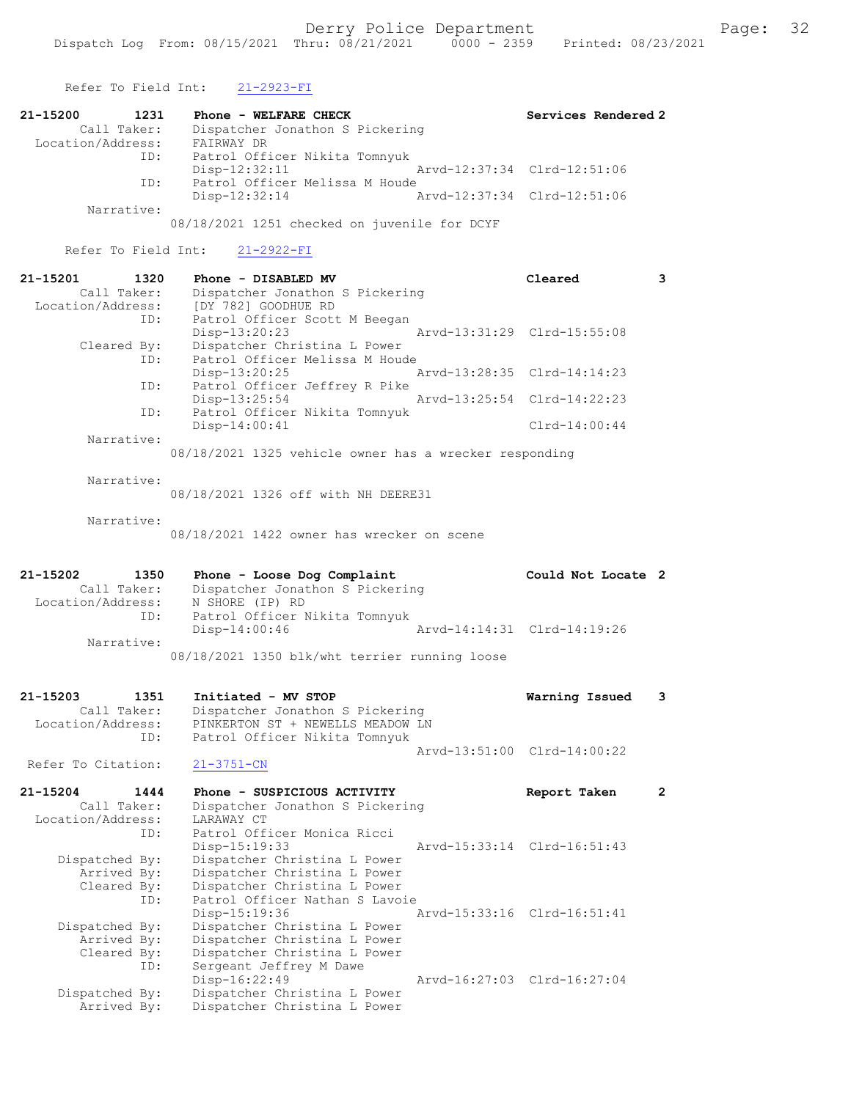Refer To Field Int: 21-2923-FI 21-15200 1231 Phone - WELFARE CHECK Services Rendered 2 Call Taker: Dispatcher Jonathon S Pickering Location/Address: FAIRWAY DR ID: Patrol Officer Nikita Tomnyuk<br>Disp-12:32:11 Mrvd-12:37:34 Clrd-12:51:06 Disp-12:32:11 Arvd-12:37:34 Clrd-12:51:06 ID: Patrol Officer Melissa M Houde Disp-12:32:14 Arvd-12:37:34 Clrd-12:51:06 Narrative: 08/18/2021 1251 checked on juvenile for DCYF Refer To Field Int: 21-2922-FI 21-15201 1320 Phone - DISABLED MV Cleared 3 Call Taker: Dispatcher Jonathon S Pickering Location/Address: [DY 782] GOODHUE RD ID: Patrol Officer Scott M Beegan<br>Disp-13:20:23 Disp-13:20:23 Arvd-13:31:29 Clrd-15:55:08 Cleared By: Dispatcher Christina L Power ID: Patrol Officer Melissa M Houde Disp-13:20:25 Arvd-13:28:35 Clrd-14:14:23 ID: Patrol Officer Jeffrey R Pike<br>Disp-13:25:54 Disp-13:25:54 Arvd-13:25:54 Clrd-14:22:23 ID: Patrol Officer Nikita Tomnyuk Disp-14:00:41 Clrd-14:00:44 Narrative: 08/18/2021 1325 vehicle owner has a wrecker responding Narrative: 08/18/2021 1326 off with NH DEERE31 Narrative: 08/18/2021 1422 owner has wrecker on scene 21-15202 1350 Phone - Loose Dog Complaint Could Not Locate 2 Call Taker: Dispatcher Jonathon S Pickering Location/Address: N SHORE (IP) RD ID: Patrol Officer Nikita Tomnyuk ID: Patrol Officer Nikita Tomnyuk<br>Disp-14:00:46 Arvd-14:14:31 Clrd-14:19:26 Narrative: 08/18/2021 1350 blk/wht terrier running loose 21-15203 1351 Initiated - MV STOP Warning Issued 3<br>Call Taker: Dispatcher Jonathon S Pickering Call Taker: Dispatcher Jonathon S Pickering Location/Address: PINKERTON ST + NEWELLS MEADOW LN ID: Patrol Officer Nikita Tomnyuk Arvd-13:51:00 Clrd-14:00:22<br>21-3751-CN Refer To Citation: 21-15204 1444 Phone - SUSPICIOUS ACTIVITY Report Taken 2 Call Taker: Dispatcher Jonathon S Pickering Location/Address: LARAWAY CT ID: Patrol Officer Monica Ricci Disp-15:19:33 Arvd-15:33:14 Clrd-16:51:43 Dispatched By: Dispatcher Christina L Power Arrived By: Dispatcher Christina L Power Cleared By: Dispatcher Christina L Power ID: Patrol Officer Nathan S Lavoie Disp-15:19:36 Arvd-15:33:16 Clrd-16:51:41 Dispatched By: Dispatcher Christina L Power Arrived By: Dispatcher Christina L Power Cleared By: Dispatcher Christina L Power ID: Sergeant Jeffrey M Dawe Disp-16:22:49 Arvd-16:27:03 Clrd-16:27:04

Dispatched By: Dispatcher Christina L Power

Dispatcher Christina L Power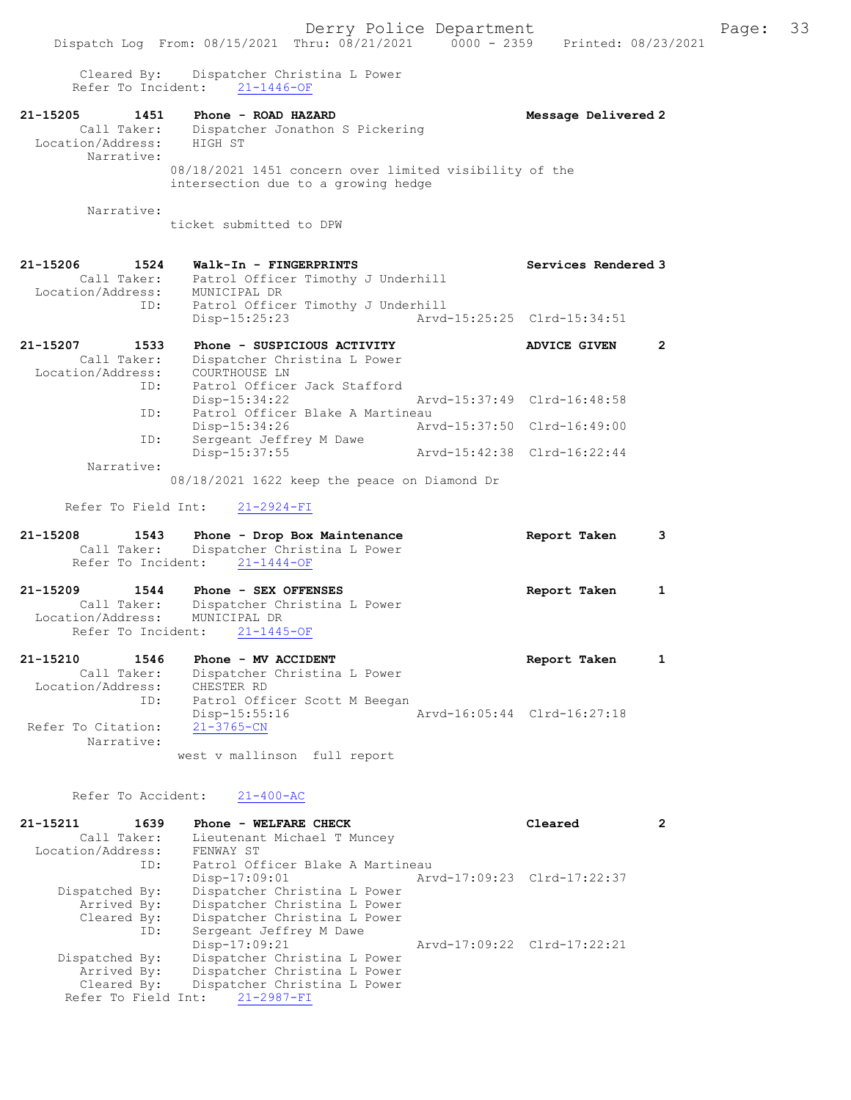Cleared By: Dispatcher Christina L Power Refer To Incident: 21-1446-OF

21-15205 1451 Phone - ROAD HAZARD Message Delivered 2 Call Taker: Dispatcher Jonathon S Pickering Location/Address: HIGH ST Narrative:

08/18/2021 1451 concern over limited visibility of the intersection due to a growing hedge

Narrative:

ticket submitted to DPW

### 21-15206 1524 Walk-In - FINGERPRINTS Services Rendered 3 Call Taker: Patrol Officer Timothy J Underhill Location/Address: MUNICIPAL DR ID: Patrol Officer Timothy J Underhill<br>Disp-15:25:23 Arvd-

|                   | $Disp-15:25:23$                  | Arvd-15:25:25 Clrd-15:34:51 |  |
|-------------------|----------------------------------|-----------------------------|--|
| 21-15207<br>1533  | Phone - SUSPICIOUS ACTIVITY      | <b>ADVICE GIVEN</b>         |  |
| Call Taker:       | Dispatcher Christina L Power     |                             |  |
| Location/Address: | COURTHOUSE LN                    |                             |  |
| ID:               | Patrol Officer Jack Stafford     |                             |  |
|                   | $Disp-15:34:22$                  | Arvd-15:37:49 Clrd-16:48:58 |  |
| ID:               | Patrol Officer Blake A Martineau |                             |  |
|                   | $Disp-15:34:26$                  | Arvd-15:37:50 Clrd-16:49:00 |  |
| ID:               | Sergeant Jeffrey M Dawe          |                             |  |
|                   | Disp-15:37:55                    | Arvd-15:42:38 Clrd-16:22:44 |  |
| Narrative:        |                                  |                             |  |
|                   |                                  |                             |  |

08/18/2021 1622 keep the peace on Diamond Dr

Refer To Field Int: 21-2924-FI

| 21-15208 | 1543 | Phone - Drop Box Maintenance             | Report Taken |  |
|----------|------|------------------------------------------|--------------|--|
|          |      | Call Taker: Dispatcher Christina L Power |              |  |
|          |      | Refer To Incident: 21-1444-OF            |              |  |
|          |      |                                          |              |  |

21-15209 1544 Phone - SEX OFFENSES Report Taken 1 Call Taker: Dispatcher Christina L Power Location/Address: MUNICIPAL DR Refer To Incident: 21-1445-OF

| 21-15210           | 1546        | Phone - MV ACCIDENT           |  |                             | Report Taken |  |
|--------------------|-------------|-------------------------------|--|-----------------------------|--------------|--|
|                    | Call Taker: | Dispatcher Christina L Power  |  |                             |              |  |
| Location/Address:  |             | CHESTER RD                    |  |                             |              |  |
|                    | ID:         | Patrol Officer Scott M Beegan |  |                             |              |  |
|                    |             | Disp-15:55:16                 |  | Arvd-16:05:44 Clrd-16:27:18 |              |  |
| Refer To Citation: |             | 21-3765-CN                    |  |                             |              |  |
|                    | Narrative:  |                               |  |                             |              |  |
|                    |             | west v mallinson full report  |  |                             |              |  |

Refer To Accident: 21-400-AC

| 21-15211          | 1639        | Phone - WELFARE CHECK            | Cleared                     | 2 |
|-------------------|-------------|----------------------------------|-----------------------------|---|
|                   | Call Taker: | Lieutenant Michael T Muncey      |                             |   |
| Location/Address: |             | FENWAY ST                        |                             |   |
|                   | ID:         | Patrol Officer Blake A Martineau |                             |   |
|                   |             | $Disp-17:09:01$                  | Arvd-17:09:23 Clrd-17:22:37 |   |
| Dispatched By:    |             | Dispatcher Christina L Power     |                             |   |
|                   | Arrived By: | Dispatcher Christina L Power     |                             |   |
|                   | Cleared By: | Dispatcher Christina L Power     |                             |   |
|                   | ID:         | Sergeant Jeffrey M Dawe          |                             |   |
|                   |             | Disp-17:09:21                    | Arvd-17:09:22 Clrd-17:22:21 |   |
| Dispatched By:    |             | Dispatcher Christina L Power     |                             |   |
|                   | Arrived By: | Dispatcher Christina L Power     |                             |   |
|                   | Cleared By: | Dispatcher Christina L Power     |                             |   |
|                   |             | Refer To Field Int: 21-2987-FI   |                             |   |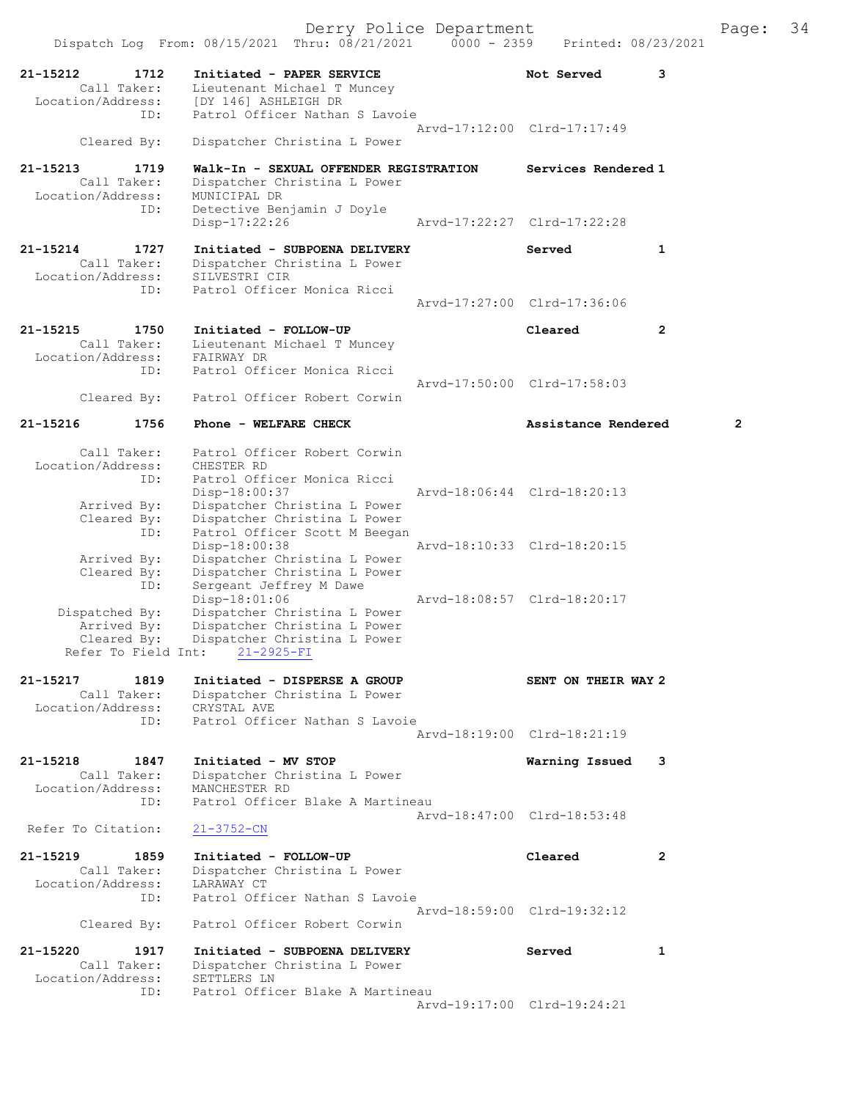Dispatch Log From: 08/15/2021 Thru: 08/21/2021 0000 - 2359 Printed: 08/23/2021 21-15212 1712 Initiated - PAPER SERVICE 1997 Not Served 3 Call Taker: Lieutenant Michael T Muncey Location/Address: [DY 146] ASHLEIGH DR ID: Patrol Officer Nathan S Lavoie Arvd-17:12:00 Clrd-17:17:49 Cleared By: Dispatcher Christina L Power 21-15213 1719 Walk-In - SEXUAL OFFENDER REGISTRATION Services Rendered 1 Call Taker: Dispatcher Christina L Power Location/Address: MUNICIPAL DR ID: Detective Benjamin J Doyle<br>Disp-17:22:26 Disp-17:22:26 Arvd-17:22:27 Clrd-17:22:28 21-15214 1727 Initiated - SUBPOENA DELIVERY Served 1 Call Taker: Dispatcher Christina L Power Location/Address: SILVESTRI CIR ID: Patrol Officer Monica Ricci Arvd-17:27:00 Clrd-17:36:06 21-15215 1750 Initiated - FOLLOW-UP Cleared 2 Call Taker: Lieutenant Michael T Muncey Location/Address: FAIRWAY DR ID: Patrol Officer Monica Ricci Arvd-17:50:00 Clrd-17:58:03 Cleared By: Patrol Officer Robert Corwin 21-15216 1756 Phone - WELFARE CHECK 2 Assistance Rendered 2 Call Taker: Patrol Officer Robert Corwin Location/Address: CHESTER RD ID: Patrol Officer Monica Ricci Disp-18:00:37 Arvd-18:06:44 Clrd-18:20:13 Arrived By: Dispatcher Christina L Power Cleared By: Dispatcher Christina L Power ID: Patrol Officer Scott M Beegan Disp-18:00:38 Arvd-18:10:33 Clrd-18:20:15 Arrived By: Dispatcher Christina L Power Cleared By: Dispatcher Christina L Power ID: Sergeant Jeffrey M Dawe Disp-18:01:06 Arvd-18:08:57 Clrd-18:20:17 Dispatched By: Dispatcher Christina L Power Arrived By: Dispatcher Christina L Power Cleared By: Dispatcher Christina L Power Refer To Field Int: 21-2925-FI 21-15217 1819 Initiated - DISPERSE A GROUP SENT ON THEIR WAY 2 Call Taker: Dispatcher Christina L Power Location/Address: CRYSTAL AVE ID: Patrol Officer Nathan S Lavoie Arvd-18:19:00 Clrd-18:21:19 21-15218 1847 Initiated - MV STOP Warning Issued 3 Call Taker: Dispatcher Christina L Power Location/Address: MANCHESTER RD ID: Patrol Officer Blake A Martineau Arvd-18:47:00 Clrd-18:53:48 Refer To Citation: 21-3752-CN 21-15219 1859 Initiated - FOLLOW-UP Cleared 2 Call Taker: Dispatcher Christina L Power Location/Address: LARAWAY CT ID: Patrol Officer Nathan S Lavoie Arvd-18:59:00 Clrd-19:32:12<br>Cleared By: Patrol Officer Robert Corwin Patrol Officer Robert Corwin 21-15220 1917 Initiated - SUBPOENA DELIVERY Served 1 Call Taker: Dispatcher Christina L Power Location/Address: SETTLERS LN ID: Patrol Officer Blake A Martineau Arvd-19:17:00 Clrd-19:24:21

Derry Police Department Fage: 34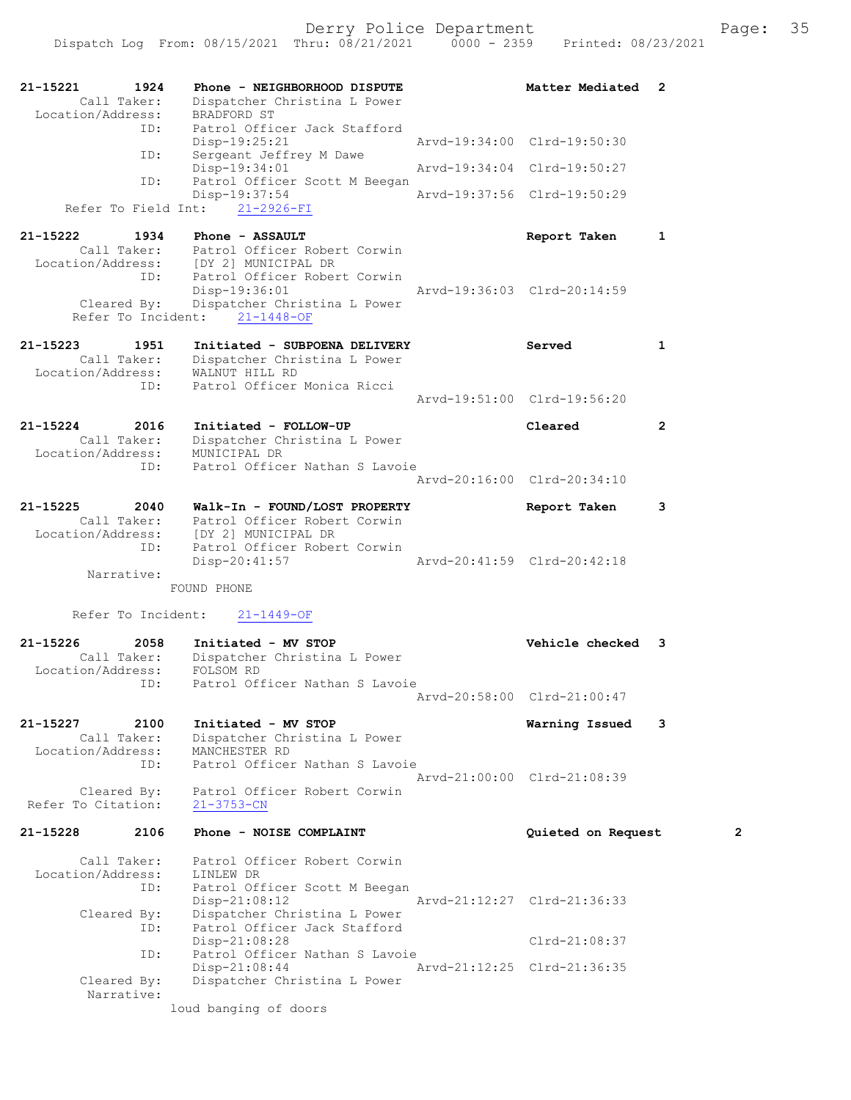| 21-15221<br>1924<br>Call Taker:<br>Location/Address:     | Phone - NEIGHBORHOOD DISPUTE<br>Dispatcher Christina L Power<br>BRADFORD ST     | Matter Mediated 2           |                |
|----------------------------------------------------------|---------------------------------------------------------------------------------|-----------------------------|----------------|
| ID:                                                      | Patrol Officer Jack Stafford<br>$Disp-19:25:21$                                 | Arvd-19:34:00 Clrd-19:50:30 |                |
| ID:                                                      | Sergeant Jeffrey M Dawe<br>Disp-19:34:01                                        | Arvd-19:34:04 Clrd-19:50:27 |                |
| ID:                                                      | Patrol Officer Scott M Beegan<br>Disp-19:37:54                                  | Arvd-19:37:56 Clrd-19:50:29 |                |
| Refer To Field Int:                                      | $21 - 2926 - FI$                                                                |                             |                |
| 21-15222<br>1934                                         | Phone - ASSAULT                                                                 | Report Taken                | 1              |
| Call Taker:<br>Location/Address:                         | Patrol Officer Robert Corwin<br>[DY 2] MUNICIPAL DR                             |                             |                |
| ID:                                                      | Patrol Officer Robert Corwin<br>Disp-19:36:01                                   | Arvd-19:36:03 Clrd-20:14:59 |                |
| Cleared By:<br>Refer To Incident:                        | Dispatcher Christina L Power<br>$21 - 1448 - OF$                                |                             |                |
|                                                          |                                                                                 |                             |                |
| $21 - 15223$<br>1951<br>Call Taker:<br>Location/Address: | Initiated - SUBPOENA DELIVERY<br>Dispatcher Christina L Power<br>WALNUT HILL RD | Served                      | $\mathbf{1}$   |
| ID:                                                      | Patrol Officer Monica Ricci                                                     | Arvd-19:51:00 Clrd-19:56:20 |                |
| 21-15224<br>2016                                         | Initiated - FOLLOW-UP                                                           | Cleared                     | 2              |
| Call Taker:                                              | Dispatcher Christina L Power                                                    |                             |                |
| Location/Address:<br>ID:                                 | MUNICIPAL DR<br>Patrol Officer Nathan S Lavoie                                  |                             |                |
|                                                          |                                                                                 | Arvd-20:16:00 Clrd-20:34:10 |                |
| $21 - 15225$<br>2040<br>Call Taker:                      | Walk-In - FOUND/LOST PROPERTY<br>Patrol Officer Robert Corwin                   | Report Taken                | 3              |
| Location/Address:<br>ID:                                 | [DY 2] MUNICIPAL DR<br>Patrol Officer Robert Corwin                             |                             |                |
|                                                          | $Disp-20:41:57$                                                                 | Arvd-20:41:59 Clrd-20:42:18 |                |
| Narrative:                                               | FOUND PHONE                                                                     |                             |                |
| Refer To Incident:                                       | $21 - 1449 - OF$                                                                |                             |                |
| $21 - 15226$<br>2058                                     | Initiated - MV STOP                                                             | Vehicle checked 3           |                |
| Call Taker:<br>Location/Address:                         | Dispatcher Christina L Power<br>FOLSOM RD                                       |                             |                |
| ID:                                                      | Patrol Officer Nathan S Lavoie                                                  | Arvd-20:58:00 Clrd-21:00:47 |                |
| 21-15227<br>2100                                         | Initiated - MV STOP                                                             | Warning Issued              | 3              |
| Call Taker:<br>Location/Address:                         | Dispatcher Christina L Power<br>MANCHESTER RD                                   |                             |                |
| ID:                                                      | Patrol Officer Nathan S Lavoie                                                  |                             |                |
| Cleared By:                                              | Patrol Officer Robert Corwin                                                    | Arvd-21:00:00 Clrd-21:08:39 |                |
| Refer To Citation:                                       | $21 - 3753 - CN$                                                                |                             |                |
| 21-15228<br>2106                                         | Phone - NOISE COMPLAINT                                                         | Quieted on Request          | $\overline{2}$ |
| Call Taker:<br>Location/Address:                         | Patrol Officer Robert Corwin<br>LINLEW DR                                       |                             |                |
| ID:                                                      | Patrol Officer Scott M Beegan<br>Disp-21:08:12                                  | Arvd-21:12:27 Clrd-21:36:33 |                |
| Cleared By:                                              | Dispatcher Christina L Power                                                    |                             |                |
| ID:                                                      | Patrol Officer Jack Stafford<br>Disp-21:08:28                                   | $Clrd-21:08:37$             |                |
| ID:                                                      | Patrol Officer Nathan S Lavoie<br>$Disp-21:08:44$                               | Arvd-21:12:25 Clrd-21:36:35 |                |
| Cleared By:<br>Narrative:                                | Dispatcher Christina L Power                                                    |                             |                |
|                                                          | loud banging of doors                                                           |                             |                |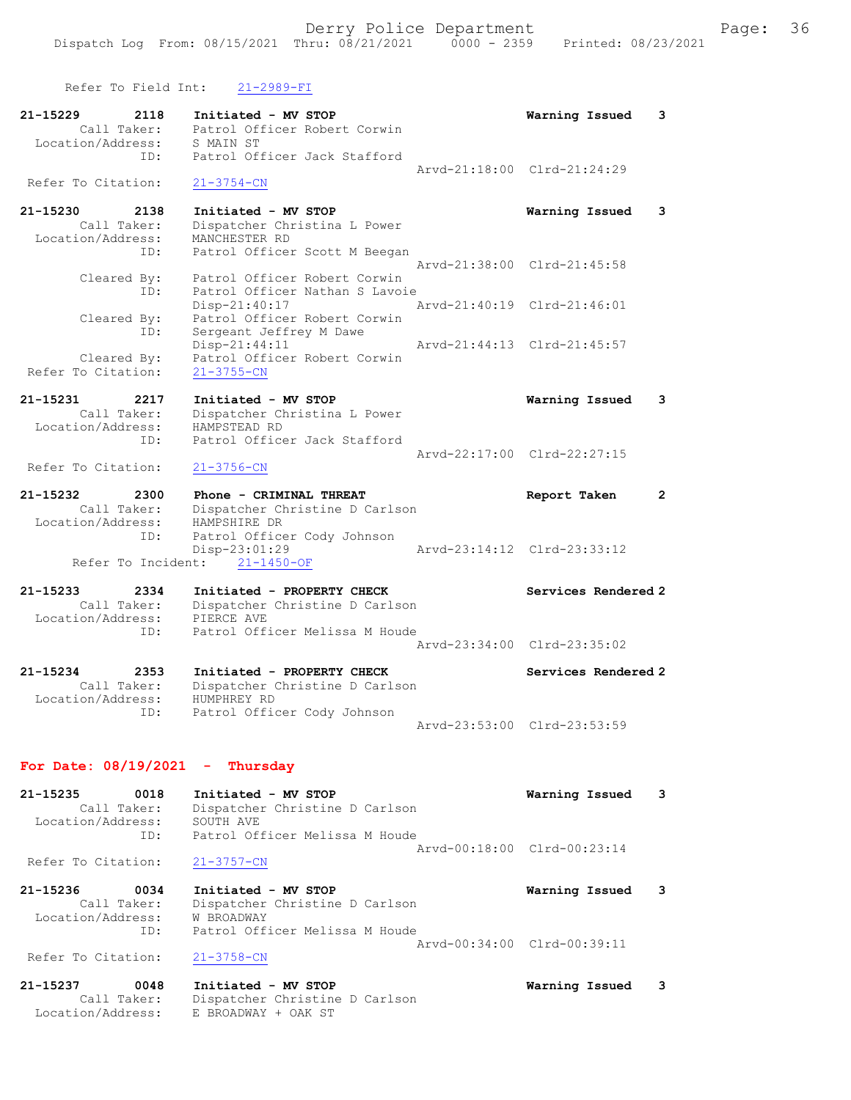Refer To Field Int: 21-2989-FI

| 21-15229<br>2118                  | Initiated - MV STOP            | 3<br>Warning Issued          |
|-----------------------------------|--------------------------------|------------------------------|
| .<br>Call Taker:                  | Patrol Officer Robert Corwin   |                              |
| Location/Address:                 | S MAIN ST                      |                              |
| ID:                               | Patrol Officer Jack Stafford   |                              |
| Refer To Citation:                | $21 - 3754 - CN$               | Arvd-21:18:00 Clrd-21:24:29  |
|                                   |                                |                              |
| 21-15230<br>2138                  | Initiated - MV STOP            | Warning Issued<br>3          |
| Call Taker:                       | Dispatcher Christina L Power   |                              |
| Location/Address:                 | MANCHESTER RD                  |                              |
| ID:                               | Patrol Officer Scott M Beegan  |                              |
|                                   |                                | Arvd-21:38:00 Clrd-21:45:58  |
| Cleared By:                       | Patrol Officer Robert Corwin   |                              |
| ID:                               | Patrol Officer Nathan S Lavoie |                              |
|                                   | Disp-21:40:17                  | Arvd-21:40:19 Clrd-21:46:01  |
| Cleared By:                       | Patrol Officer Robert Corwin   |                              |
| ID:                               | Sergeant Jeffrey M Dawe        |                              |
|                                   | Disp-21:44:11                  | Arvd-21:44:13 Clrd-21:45:57  |
| Cleared By:                       | Patrol Officer Robert Corwin   |                              |
| Refer To Citation:                | $21 - 3755 - CN$               |                              |
| 21-15231<br>2217                  | Initiated - MV STOP            | Warning Issued<br>3          |
| Call Taker:                       | Dispatcher Christina L Power   |                              |
| Location/Address:                 | HAMPSTEAD RD                   |                              |
| ID:                               | Patrol Officer Jack Stafford   |                              |
|                                   |                                | Arvd-22:17:00 Clrd-22:27:15  |
| Refer To Citation:                | $21 - 3756 - CN$               |                              |
|                                   |                                |                              |
| 21-15232<br>2300                  | Phone - CRIMINAL THREAT        | Report Taken<br>$\mathbf{2}$ |
| Call Taker:                       | Dispatcher Christine D Carlson |                              |
| Location/Address:                 | HAMPSHIRE DR                   |                              |
| ID:                               | Patrol Officer Cody Johnson    |                              |
|                                   | $Disp-23:01:29$                | Arvd-23:14:12 Clrd-23:33:12  |
|                                   | Refer To Incident: 21-1450-OF  |                              |
| 21-15233<br>2334                  | Initiated - PROPERTY CHECK     | Services Rendered 2          |
| Call Taker:                       | Dispatcher Christine D Carlson |                              |
| Location/Address:                 | PIERCE AVE                     |                              |
| ID:                               | Patrol Officer Melissa M Houde |                              |
|                                   |                                | Arvd-23:34:00 Clrd-23:35:02  |
|                                   |                                |                              |
| 21-15234<br>2353                  | Initiated - PROPERTY CHECK     | Services Rendered 2          |
| Call Taker:                       | Dispatcher Christine D Carlson |                              |
| Location/Address:                 | HUMPHREY RD                    |                              |
| ID:                               | Patrol Officer Cody Johnson    |                              |
|                                   |                                | Arvd-23:53:00 Clrd-23:53:59  |
|                                   |                                |                              |
| For Date: $08/19/2021$ - Thursday |                                |                              |

21-15235 0018 Initiated - MV STOP Warning Issued 3 Call Taker: Dispatcher Christine D Carlson Location/Address: SOUTH AVE ID: Patrol Officer Melissa M Houde Arvd-00:18:00 Clrd-00:23:14

Refer To Citation: 21-3757-CN

| 21-15236           | 0034        | Initiated - MV STOP            | Warning Issued 3            |  |
|--------------------|-------------|--------------------------------|-----------------------------|--|
|                    | Call Taker: | Dispatcher Christine D Carlson |                             |  |
| Location/Address:  |             | W BROADWAY                     |                             |  |
|                    | TD:         | Patrol Officer Melissa M Houde |                             |  |
|                    |             |                                | Aryd-00:34:00 Clrd-00:39:11 |  |
| Refer To Citation: |             | 21-3758-CN                     |                             |  |

21-15237 0048 Initiated - MV STOP Warning Issued 3 Call Taker: Dispatcher Christine D Carlson Location/Address: E BROADWAY + OAK ST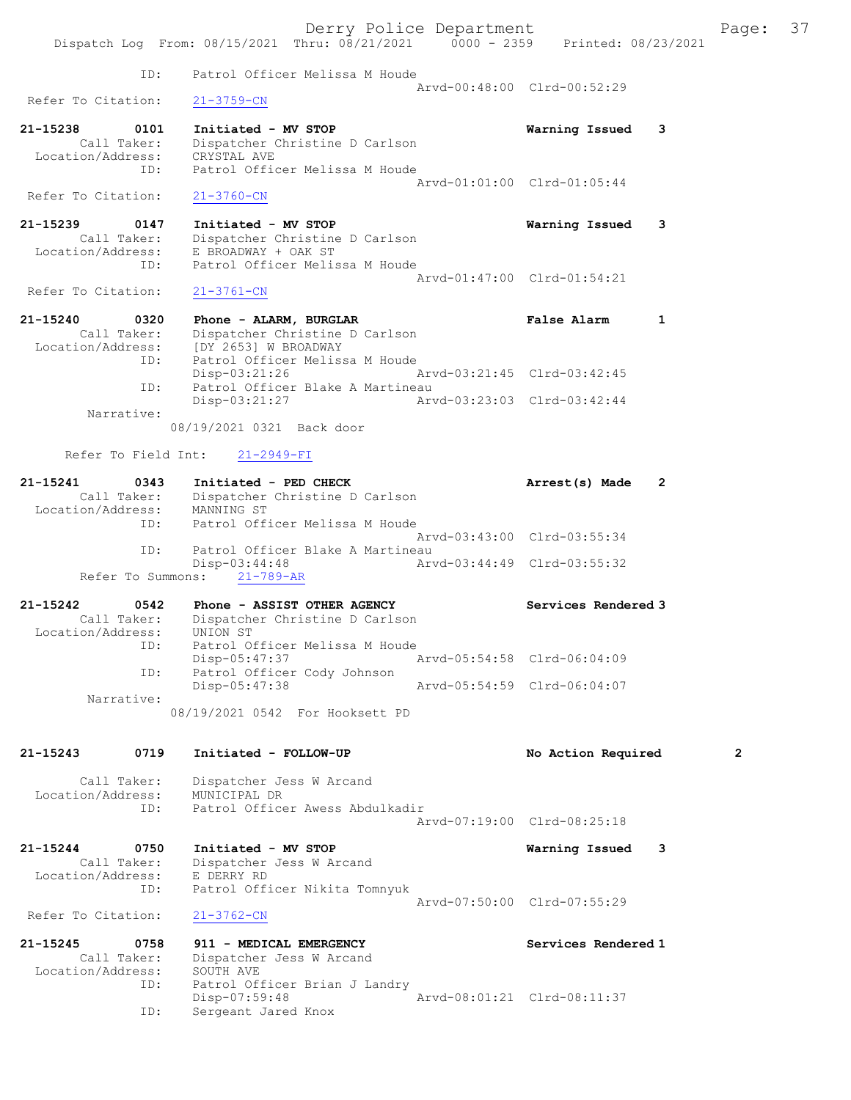Derry Police Department Fage: 37 Dispatch Log From: 08/15/2021 Thru: 08/21/2021 0000 - 2359 Printed: 08/23/2021 ID: Patrol Officer Melissa M Houde Arvd-00:48:00 Clrd-00:52:29<br>21-3759-CN Refer To Citation: 21-15238 0101 Initiated - MV STOP Warning Issued 3 Call Taker: Dispatcher Christine D Carlson Location/Address: CRYSTAL AVE ID: Patrol Officer Melissa M Houde Arvd-01:01:00 Clrd-01:05:44 Refer To Citation: 21-3760-CN 21-15239 0147 Initiated - MV STOP Warning Issued 3 Call Taker: Dispatcher Christine D Carlson Location/Address: E BROADWAY + OAK ST Patrol Officer Melissa M Houde Arvd-01:47:00 Clrd-01:54:21<br>21-3761-CN Refer To Citation: 21-15240 0320 Phone - ALARM, BURGLAR False Alarm 1 Call Taker: Dispatcher Christine D Carlson Location/Address: [DY 2653] W BROADWAY ID: Patrol Officer Melissa M Houde Disp-03:21:26 Arvd-03:21:45 Clrd-03:42:45 ID: Patrol Officer Blake A Martineau Disp-03:21:27 Arvd-03:23:03 Clrd-03:42:44 Narrative: 08/19/2021 0321 Back door Refer To Field Int: 21-2949-FI 21-15241 0343 Initiated - PED CHECK Arrest(s) Made 2 Call Taker: Dispatcher Christine D Carlson Location/Address: MANNING ST ID: Patrol Officer Melissa M Houde Arvd-03:43:00 Clrd-03:55:34 ID: Patrol Officer Blake A Martineau<br>Disp-03:44:48 Arv Disp-03:44:48 Arvd-03:44:49 Clrd-03:55:32 Refer To Summons: 21-789-AR 21-15242 0542 Phone - ASSIST OTHER AGENCY Services Rendered 3 Call Taker: Dispatcher Christine D Carlson Location/Address: UNION ST ID: Patrol Officer Melissa M Houde Disp-05:47:37 Arvd-05:54:58 Clrd-06:04:09 ID: Patrol Officer Cody Johnson Disp-05:47:38 Arvd-05:54:59 Clrd-06:04:07 Narrative: 08/19/2021 0542 For Hooksett PD 21-15243 0719 Initiated - FOLLOW-UP No Action Required 2 Call Taker: Dispatcher Jess W Arcand Location/Address: MUNICIPAL DR ID: Patrol Officer Awess Abdulkadir Arvd-07:19:00 Clrd-08:25:18 21-15244 0750 Initiated - MV STOP Warning Issued 3 Call Taker: Dispatcher Jess W Arcand Location/Address: E DERRY RD ID: Patrol Officer Nikita Tomnyuk Arvd-07:50:00 Clrd-07:55:29 Refer To Citation: 21-3762-CN 21-15245 0758 911 - MEDICAL EMERGENCY Services Rendered 1 Call Taker: Dispatcher Jess W Arcand Location/Address: SOUTH AVE ID: Patrol Officer Brian J Landry Disp-07:59:48 <br>ID: Sergeant Jared Knox <br>D: Sergeant Jared Knox Sergeant Jared Knox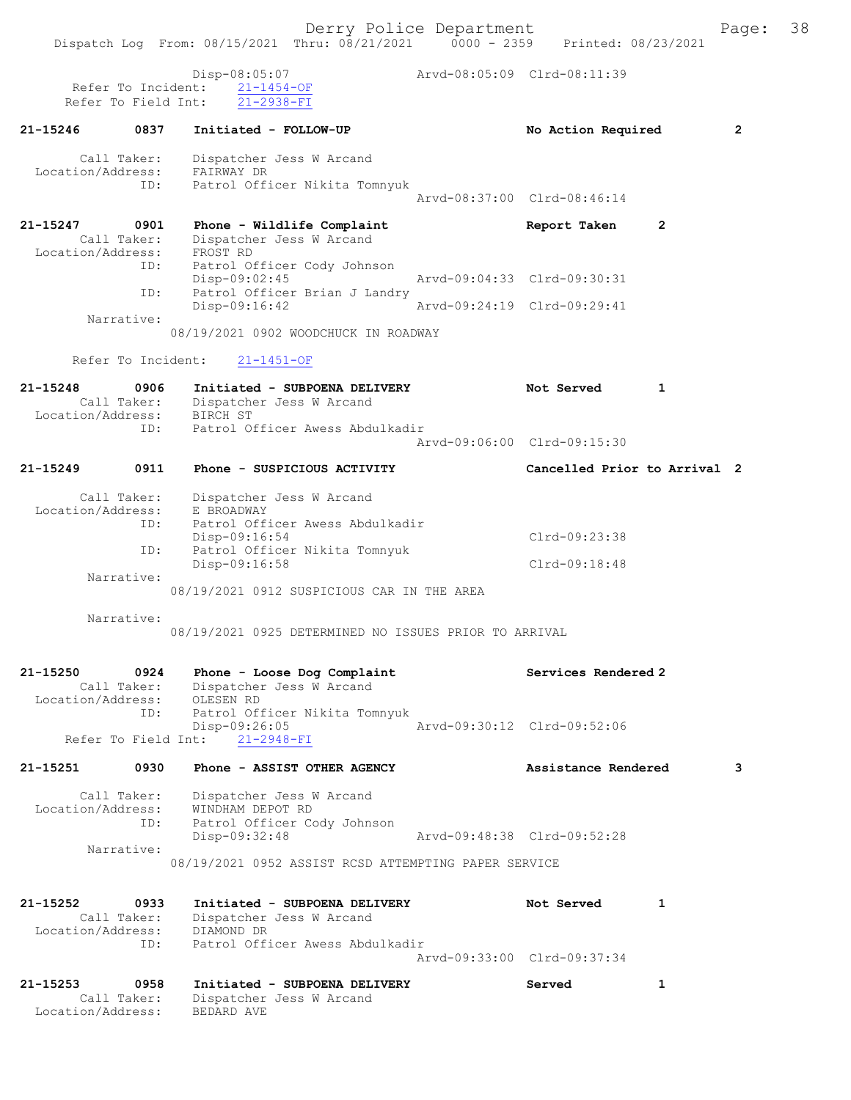Derry Police Department Fage: 38 Dispatch Log From: 08/15/2021 Thru: 08/21/2021 0000 - 2359 Printed: 08/23/2021 Disp-08:05:07<br>
arvd-08:05:09 Clrd-08:11:39 Refer To Incident:  $\frac{21-1454-OF}{21-2938-FI}$ Refer To Field Int: 21-15246 0837 Initiated - FOLLOW-UP No Action Required 2 Call Taker: Dispatcher Jess W Arcand Location/Address: FAIRWAY DR ID: Patrol Officer Nikita Tomnyuk Arvd-08:37:00 Clrd-08:46:14 21-15247 0901 Phone - Wildlife Complaint Report Taken 2 Call Taker: Dispatcher Jess W Arcand Location/Address: FROST RD ID: Patrol Officer Cody Johnson Disp-09:02:45 Arvd-09:04:33 Clrd-09:30:31 ID: Patrol Officer Brian J Landry Disp-09:16:42 Arvd-09:24:19 Clrd-09:29:41 Narrative: 08/19/2021 0902 WOODCHUCK IN ROADWAY Refer To Incident: 21-1451-OF 21-15248 0906 Initiated - SUBPOENA DELIVERY Not Served 1 Call Taker: Dispatcher Jess W Arcand Location/Address: BIRCH ST ID: Patrol Officer Awess Abdulkadir Arvd-09:06:00 Clrd-09:15:30 21-15249 0911 Phone - SUSPICIOUS ACTIVITY Cancelled Prior to Arrival 2 Call Taker: Dispatcher Jess W Arcand Location/Address: E BROADWAY ID: Patrol Officer Awess Abdulkadir Disp-09:16:54 Clrd-09:23:38 ID: Patrol Officer Nikita Tomnyuk Disp-09:16:58 Clrd-09:18:48 Narrative: 08/19/2021 0912 SUSPICIOUS CAR IN THE AREA Narrative: 08/19/2021 0925 DETERMINED NO ISSUES PRIOR TO ARRIVAL 21-15250 0924 Phone - Loose Dog Complaint Services Rendered 2 Call Taker: Dispatcher Jess W Arcand Location/Address: OLESEN RD ID: Patrol Officer Nikita Tomnyuk Disp-09:26:05 Arvd-09:30:12 Clrd-09:52:06 Refer To Field Int: 21-2948-FI 21-15251 0930 Phone - ASSIST OTHER AGENCY Assistance Rendered 3 Call Taker: Dispatcher Jess W Arcand Location/Address: WINDHAM DEPOT RD ID: Patrol Officer Cody Johnson Disp-09:32:48 Arvd-09:48:38 Clrd-09:52:28 Narrative: 08/19/2021 0952 ASSIST RCSD ATTEMPTING PAPER SERVICE 21-15252 0933 Initiated - SUBPOENA DELIVERY Not Served 1 Call Taker: Dispatcher Jess W Arcand Location/Address: DIAMOND DR ID: Patrol Officer Awess Abdulkadir Arvd-09:33:00 Clrd-09:37:34 21-15253 0958 Initiated - SUBPOENA DELIVERY Served 1 Call Taker: Dispatcher Jess W Arcand Location/Address: BEDARD AVE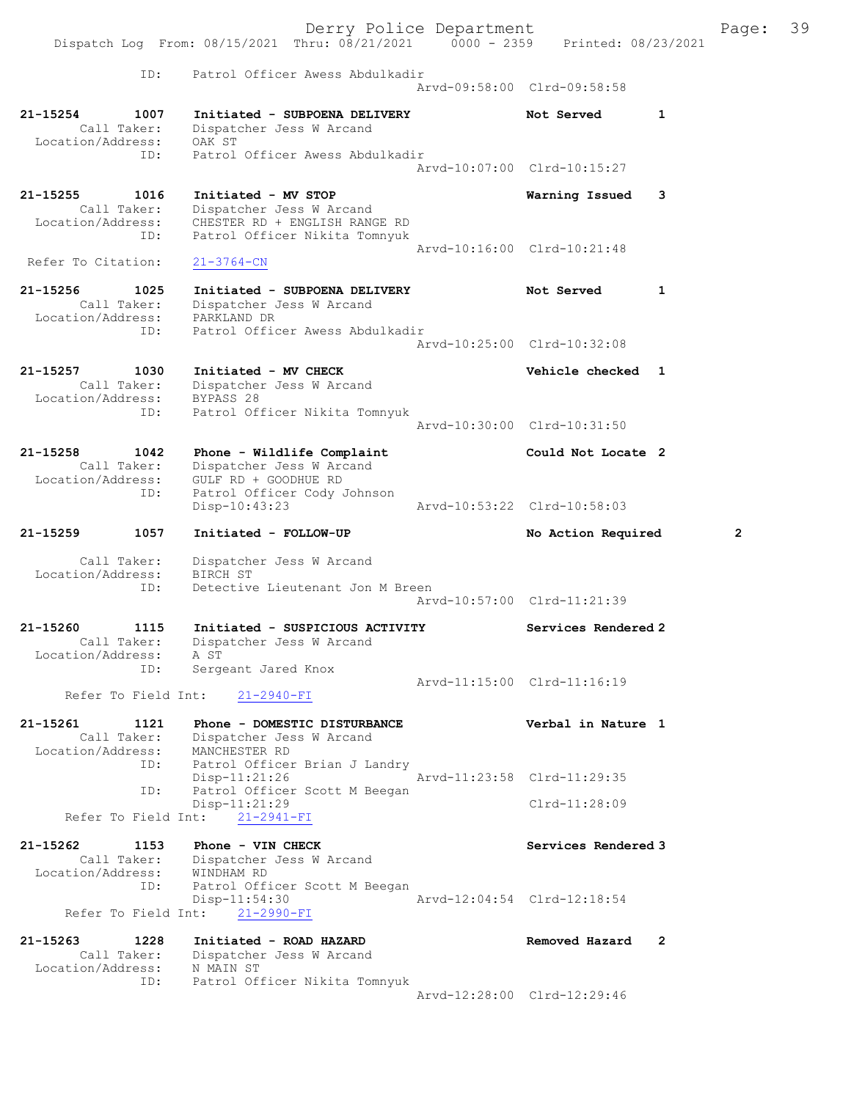Derry Police Department Fage: 39 Dispatch Log From: 08/15/2021 Thru: 08/21/2021 0000 - 2359 Printed: 08/23/2021 ID: Patrol Officer Awess Abdulkadir Arvd-09:58:00 Clrd-09:58:58 21-15254 1007 Initiated - SUBPOENA DELIVERY Not Served 1 Call Taker: Dispatcher Jess W Arcand Location/Address: OAK ST ID: Patrol Officer Awess Abdulkadir Arvd-10:07:00 Clrd-10:15:27 21-15255 1016 Initiated - MV STOP Warning Issued 3 Call Taker: Dispatcher Jess W Arcand Location/Address: CHESTER RD + ENGLISH RANGE RD ID: Patrol Officer Nikita Tomnyuk Arvd-10:16:00 Clrd-10:21:48 Refer To Citation: 21-3764-CN 21-15256 1025 Initiated - SUBPOENA DELIVERY Not Served 1 Call Taker: Dispatcher Jess W Arcand Location/Address: PARKLAND DR ID: Patrol Officer Awess Abdulkadir Arvd-10:25:00 Clrd-10:32:08 21-15257 1030 Initiated - MV CHECK Vehicle checked 1 Call Taker: Dispatcher Jess W Arcand Location/Address: BYPASS 28 ID: Patrol Officer Nikita Tomnyuk Arvd-10:30:00 Clrd-10:31:50 21-15258 1042 Phone - Wildlife Complaint Could Not Locate 2 Call Taker: Dispatcher Jess W Arcand Location/Address: GULF RD + GOODHUE RD ID: Patrol Officer Cody Johnson Disp-10:43:23 Arvd-10:53:22 Clrd-10:58:03 21-15259 1057 Initiated - FOLLOW-UP No Action Required 2 Call Taker: Dispatcher Jess W Arcand Location/Address: BIRCH ST ID: Detective Lieutenant Jon M Breen Arvd-10:57:00 Clrd-11:21:39 21-15260 1115 Initiated - SUSPICIOUS ACTIVITY Services Rendered 2 Call Taker: Dispatcher Jess W Arcand Location/Address: A ST ID: Sergeant Jared Knox Arvd-11:15:00 Clrd-11:16:19 Refer To Field Int: 21-2940-FI 21-15261 1121 Phone - DOMESTIC DISTURBANCE Verbal in Nature 1 Call Taker: Dispatcher Jess W Arcand Location/Address: MANCHESTER RD ID: Patrol Officer Brian J Landry Disp-11:21:26 Arvd-11:23:58 Clrd-11:29:35 ID: Patrol Officer Scott M Beegan Disp-11:21:29 Clrd-11:28:09 Refer To Field Int: 21-2941-FI 21-15262 1153 Phone - VIN CHECK Services Rendered 3<br>Call Taker: Dispatcher Jess W Arcand<br>Location/Address: WINDHAM RD Call Taker: Dispatcher Jess W Arcand Location/Address: WINDHAM RD ID: Patrol Officer Scott M Beegan Disp-11:54:30 Arvd-12:04:54 Clrd-12:18:54 Refer To Field Int: 21-2990-FI 21-15263 1228 Initiated - ROAD HAZARD Removed Hazard 2 Call Taker: Dispatcher Jess W Arcand Location/Address: N MAIN ST ID: Patrol Officer Nikita Tomnyuk Arvd-12:28:00 Clrd-12:29:46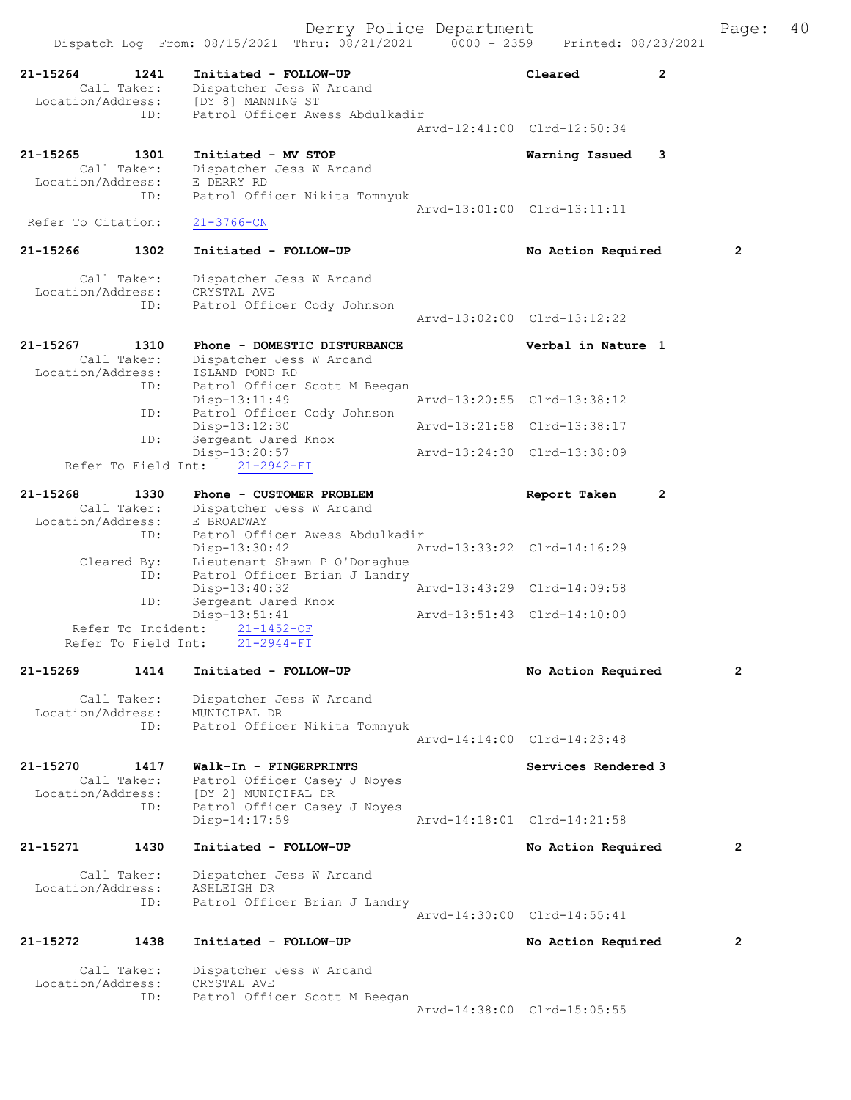Dispatch Log From: 08/15/2021 Thru: 08/21/2021 0000 - 2359 Printed: 08/23/2021 21-15264 1241 Initiated - FOLLOW-UP Cleared 2 Call Taker: Dispatcher Jess W Arcand Location/Address: [DY 8] MANNING ST ID: Patrol Officer Awess Abdulkadir Arvd-12:41:00 Clrd-12:50:34 21-15265 1301 Initiated - MV STOP Warning Issued 3 Call Taker: Dispatcher Jess W Arcand Location/Address: E DERRY RD ID: Patrol Officer Nikita Tomnyuk Arvd-13:01:00 Clrd-13:11:11 Refer To Citation: 21-3766-CN 21-15266 1302 Initiated - FOLLOW-UP No Action Required 2 Call Taker: Dispatcher Jess W Arcand Location/Address: CRYSTAL AVE ID: Patrol Officer Cody Johnson Arvd-13:02:00 Clrd-13:12:22 21-15267 1310 Phone - DOMESTIC DISTURBANCE Verbal in Nature 1 Call Taker: Dispatcher Jess W Arcand Location/Address: ISLAND POND RD ID: Patrol Officer Scott M Beegan Disp-13:11:49 Arvd-13:20:55 Clrd-13:38:12 ID: Patrol Officer Cody Johnson Disp-13:12:30 Arvd-13:21:58 Clrd-13:38:17 ID: Sergeant Jared Knox Disp-13:20:57 Arvd-13:24:30 Clrd-13:38:09 Refer To Field Int: 21-2942-FI 21-15268 1330 Phone - CUSTOMER PROBLEM Report Taken 2 Call Taker: Dispatcher Jess W Arcand Location/Address: E BROADWAY ID: Patrol Officer Awess Abdulkadir Disp-13:30:42 Arvd-13:33:22 Clrd-14:16:29 Cleared By: Lieutenant Shawn P O'Donaghue ID: Patrol Officer Brian J Landry Disp-13:40:32 Arvd-13:43:29 Clrd-14:09:58 ID: Sergeant Jared Knox Disp-13:51:41 Arvd-13:51:43 Clrd-14:10:00 Refer To Incident: 21-1452-OF Refer To Field Int: 21-2944-FI 21-15269 1414 Initiated - FOLLOW-UP No Action Required 2 Call Taker: Dispatcher Jess W Arcand Location/Address: MUNICIPAL DR ID: Patrol Officer Nikita Tomnyuk Arvd-14:14:00 Clrd-14:23:48 21-15270 1417 Walk-In - FINGERPRINTS Services Rendered 3 Call Taker: Patrol Officer Casey J Noyes Location/Address: [DY 2] MUNICIPAL DR ID: Patrol Officer Casey J Noyes<br>Disp-14:17:59 Arvd-14:18:01 Clrd-14:21:58 21-15271 1430 Initiated - FOLLOW-UP No Action Required 2 Call Taker: Dispatcher Jess W Arcand Location/Address: ASHLEIGH DR ID: Patrol Officer Brian J Landry Arvd-14:30:00 Clrd-14:55:41 21-15272 1438 Initiated - FOLLOW-UP No Action Required 2 Call Taker: Dispatcher Jess W Arcand Location/Address:<br>ID: CRYSTAL AVE<br>Patrol Officer Scott M Beegan

Arvd-14:38:00 Clrd-15:05:55

Derry Police Department The Page: 40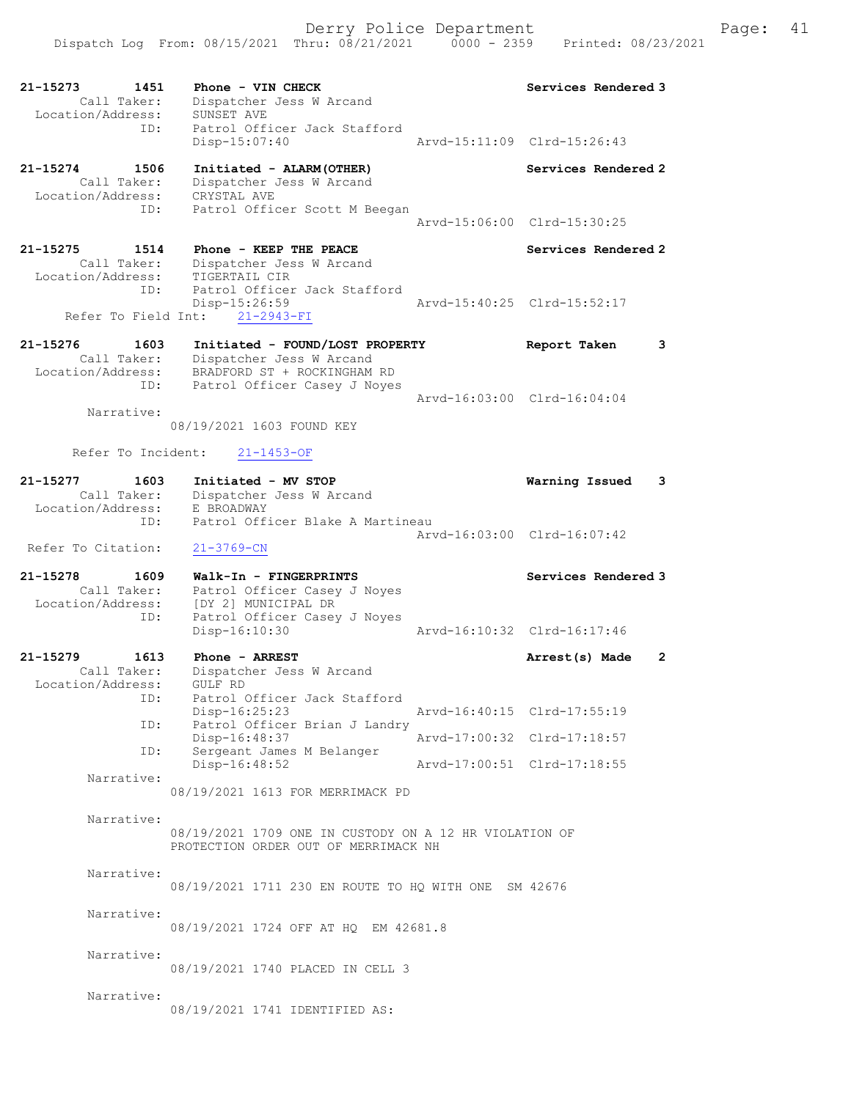| 21-15273                         | 1451 | Phone - VIN CHECK                                       | Services Rendered 3            |
|----------------------------------|------|---------------------------------------------------------|--------------------------------|
| Call Taker:<br>Location/Address: |      | Dispatcher Jess W Arcand<br>SUNSET AVE                  |                                |
|                                  | ID:  | Patrol Officer Jack Stafford                            |                                |
|                                  |      | Disp-15:07:40                                           | Arvd-15:11:09 Clrd-15:26:43    |
| 21-15274                         | 1506 | Initiated - ALARM (OTHER)                               | Services Rendered 2            |
| Call Taker:                      |      | Dispatcher Jess W Arcand                                |                                |
| Location/Address:                | ID:  | CRYSTAL AVE                                             |                                |
|                                  |      | Patrol Officer Scott M Beegan                           | Arvd-15:06:00 Clrd-15:30:25    |
|                                  |      |                                                         |                                |
| 21-15275<br>Call Taker:          | 1514 | Phone - KEEP THE PEACE<br>Dispatcher Jess W Arcand      | Services Rendered 2            |
| Location/Address:                |      | TIGERTAIL CIR                                           |                                |
|                                  | ID:  | Patrol Officer Jack Stafford                            |                                |
|                                  |      | Disp-15:26:59<br>Refer To Field Int: 21-2943-FI         | Arvd-15:40:25 Clrd-15:52:17    |
|                                  |      |                                                         |                                |
| $21 - 15276$                     | 1603 | Initiated - FOUND/LOST PROPERTY                         | 3<br>Report Taken              |
| Call Taker:<br>Location/Address: |      | Dispatcher Jess W Arcand<br>BRADFORD ST + ROCKINGHAM RD |                                |
|                                  | ID:  | Patrol Officer Casey J Noyes                            |                                |
| Narrative:                       |      |                                                         | Arvd-16:03:00 Clrd-16:04:04    |
|                                  |      | 08/19/2021 1603 FOUND KEY                               |                                |
|                                  |      |                                                         |                                |
| Refer To Incident:               |      | $21 - 1453 - OF$                                        |                                |
| 21-15277                         | 1603 | Initiated - MV STOP                                     | Warning Issued<br>3            |
| Call Taker:                      |      | Dispatcher Jess W Arcand                                |                                |
| Location/Address:                | ID:  | E BROADWAY<br>Patrol Officer Blake A Martineau          |                                |
|                                  |      |                                                         | Arvd-16:03:00 Clrd-16:07:42    |
| Refer To Citation:               |      | $21 - 3769 - CN$                                        |                                |
| 21-15278                         | 1609 | Walk-In - FINGERPRINTS                                  | Services Rendered 3            |
| Call Taker:                      |      | Patrol Officer Casey J Noyes                            |                                |
| Location/Address:                | ID:  | [DY 2] MUNICIPAL DR<br>Patrol Officer Casey J Noyes     |                                |
|                                  |      | Disp-16:10:30                                           | Arvd-16:10:32 Clrd-16:17:46    |
|                                  |      |                                                         |                                |
| 21-15279<br>Call Taker:          | 1613 | Phone - ARREST<br>Dispatcher Jess W Arcand              | Arrest(s) Made<br>$\mathbf{2}$ |
| Location/Address:                |      | GULF RD                                                 |                                |
|                                  | ID:  | Patrol Officer Jack Stafford<br>Disp-16:25:23           |                                |
|                                  | ID:  | Patrol Officer Brian J Landry                           | Arvd-16:40:15 Clrd-17:55:19    |
|                                  |      | Disp-16:48:37                                           | Arvd-17:00:32 Clrd-17:18:57    |
|                                  | ID:  | Sergeant James M Belanger<br>Disp-16:48:52              | Arvd-17:00:51 Clrd-17:18:55    |
| Narrative:                       |      |                                                         |                                |
|                                  |      | 08/19/2021 1613 FOR MERRIMACK PD                        |                                |
| Narrative:                       |      |                                                         |                                |
|                                  |      | 08/19/2021 1709 ONE IN CUSTODY ON A 12 HR VIOLATION OF  |                                |
|                                  |      | PROTECTION ORDER OUT OF MERRIMACK NH                    |                                |
| Narrative:                       |      |                                                         |                                |
|                                  |      | 08/19/2021 1711 230 EN ROUTE TO HQ WITH ONE SM 42676    |                                |
| Narrative:                       |      |                                                         |                                |
|                                  |      | 08/19/2021 1724 OFF AT HQ EM 42681.8                    |                                |
|                                  |      |                                                         |                                |
| Narrative:                       |      | 08/19/2021 1740 PLACED IN CELL 3                        |                                |
|                                  |      |                                                         |                                |
| Narrative:                       |      |                                                         |                                |
|                                  |      | 08/19/2021 1741 IDENTIFIED AS:                          |                                |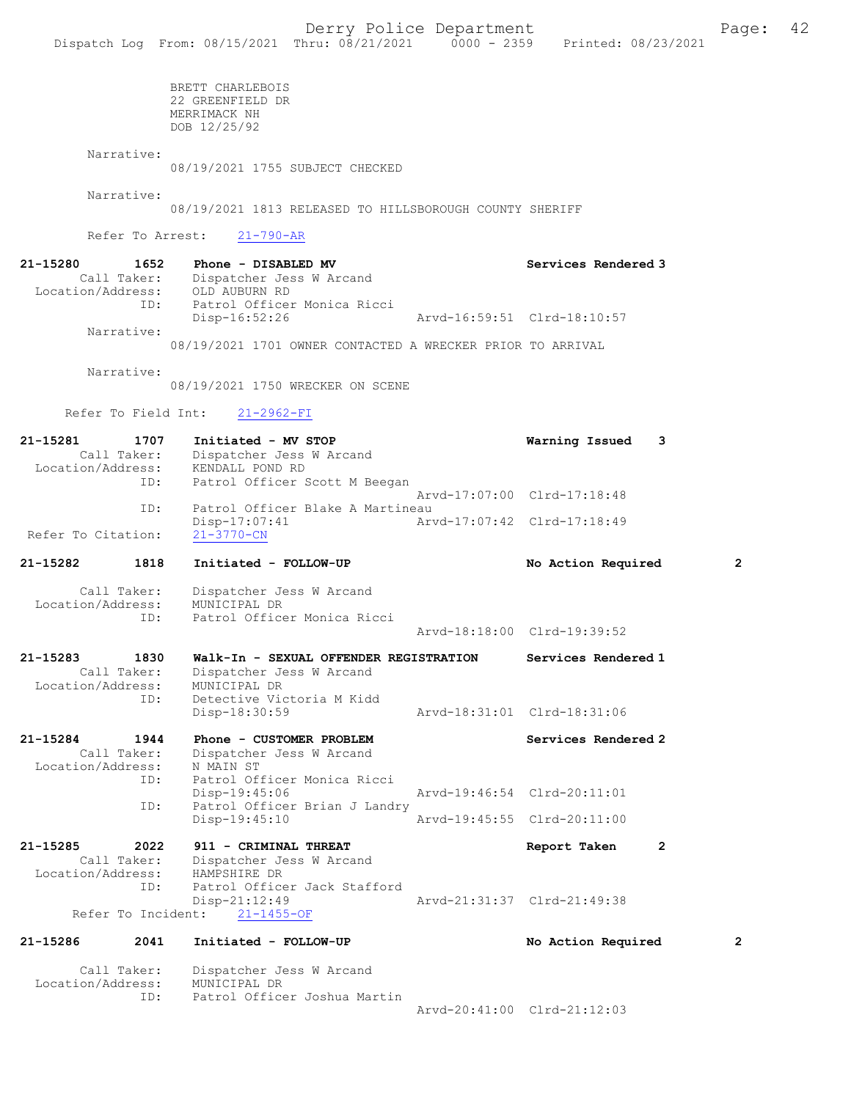BRETT CHARLEBOIS 22 GREENFIELD DR MERRIMACK NH DOB 12/25/92

Narrative:

08/19/2021 1755 SUBJECT CHECKED

Narrative:

08/19/2021 1813 RELEASED TO HILLSBOROUGH COUNTY SHERIFF

Refer To Arrest: 21-790-AR

| 21-15280          | 1652        | Phone - DISABLED MV                                        |  |                             |  |                             | Services Rendered 3 |
|-------------------|-------------|------------------------------------------------------------|--|-----------------------------|--|-----------------------------|---------------------|
|                   | Call Taker: | Dispatcher Jess W Arcand                                   |  |                             |  |                             |                     |
| Location/Address: |             | OLD AUBURN RD                                              |  |                             |  |                             |                     |
|                   | TD:         |                                                            |  | Patrol Officer Monica Ricci |  |                             |                     |
|                   |             | Disp-16:52:26                                              |  |                             |  | Arvd-16:59:51 Clrd-18:10:57 |                     |
|                   | Narrative:  |                                                            |  |                             |  |                             |                     |
|                   |             | 08/19/2021 1701 OWNER CONTACTED A WRECKER PRIOR TO ARRIVAL |  |                             |  |                             |                     |

Narrative:

08/19/2021 1750 WRECKER ON SCENE

ID: Patrol Officer Joshua Martin

Refer To Field Int: 21-2962-FI

| 1707<br>21-15281<br>Call Taker:<br>Location/Address:<br>ID: | Initiated - MV STOP<br>Dispatcher Jess W Arcand<br>KENDALL POND RD                               | Warning Issued              | 3            |
|-------------------------------------------------------------|--------------------------------------------------------------------------------------------------|-----------------------------|--------------|
|                                                             | Patrol Officer Scott M Beegan                                                                    | Arvd-17:07:00 Clrd-17:18:48 |              |
| ID:<br>Refer To Citation:                                   | Patrol Officer Blake A Martineau<br>Disp-17:07:41<br>$21 - 3770 - CN$                            | Arvd-17:07:42 Clrd-17:18:49 |              |
| 1818<br>21-15282                                            | Initiated - FOLLOW-UP                                                                            | No Action Required          | 2            |
| Call Taker:<br>Location/Address:<br>ID:                     | Dispatcher Jess W Arcand<br>MUNICIPAL DR<br>Patrol Officer Monica Ricci                          |                             |              |
|                                                             |                                                                                                  | Arvd-18:18:00 Clrd-19:39:52 |              |
| 21-15283<br>1830<br>Call Taker:<br>Location/Address:        | Walk-In - SEXUAL OFFENDER REGISTRATION<br>Dispatcher Jess W Arcand<br>MUNICIPAL DR               | Services Rendered 1         |              |
| ID:                                                         | Detective Victoria M Kidd<br>Disp-18:30:59                                                       | Arvd-18:31:01 Clrd-18:31:06 |              |
| 21-15284<br>1944<br>Call Taker:<br>Location/Address:<br>ID: | Phone - CUSTOMER PROBLEM<br>Dispatcher Jess W Arcand<br>N MAIN ST<br>Patrol Officer Monica Ricci | Services Rendered 2         |              |
| ID:                                                         | $Disp-19:45:06$<br>Patrol Officer Brian J Landry                                                 | Arvd-19:46:54 Clrd-20:11:01 |              |
|                                                             | $Disp-19:45:10$                                                                                  | Arvd-19:45:55 Clrd-20:11:00 |              |
| 21-15285<br>2022<br>Call Taker:<br>Location/Address:        | 911 - CRIMINAL THREAT<br>Dispatcher Jess W Arcand<br>HAMPSHIRE DR                                | Report Taken                | $\mathbf{2}$ |
| ID:                                                         | Patrol Officer Jack Stafford<br>Disp-21:12:49                                                    | Arvd-21:31:37 Clrd-21:49:38 |              |
| Refer To Incident:                                          | $21 - 1455 - OF$                                                                                 |                             |              |
| 21-15286<br>2041                                            | Initiated - FOLLOW-UP                                                                            | No Action Required          | 2            |
| Call Taker:<br>Location/Address:                            | Dispatcher Jess W Arcand<br>MUNICIPAL DR                                                         |                             |              |

Arvd-20:41:00 Clrd-21:12:03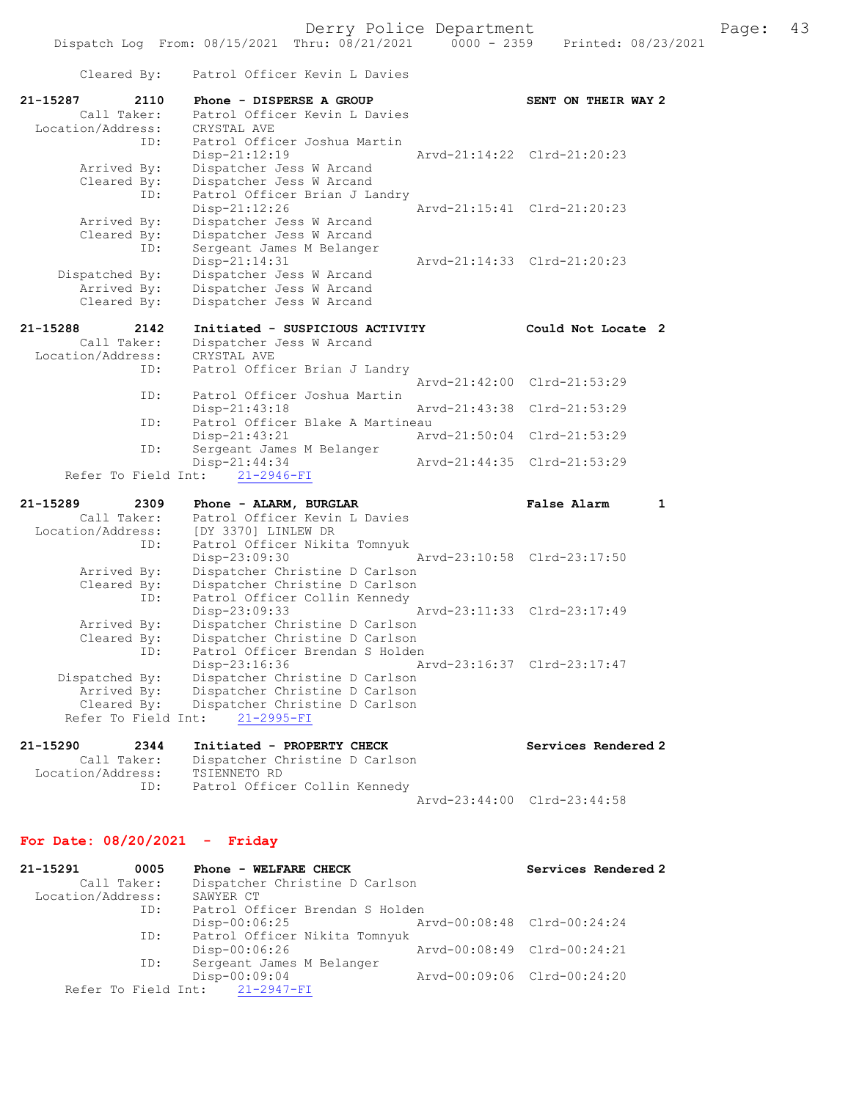| Cleared By:                                                         | Patrol Officer Kevin L Davies                                                                                                           |                             |
|---------------------------------------------------------------------|-----------------------------------------------------------------------------------------------------------------------------------------|-----------------------------|
| $21 - 15287$<br>2110<br>Call Taker:<br>Location/Address:            | Phone - DISPERSE A GROUP<br>Patrol Officer Kevin L Davies<br>CRYSTAL AVE                                                                | SENT ON THEIR WAY 2         |
| ID:<br>Arrived By:<br>Cleared By:<br>ID:                            | Patrol Officer Joshua Martin<br>Disp-21:12:19<br>Dispatcher Jess W Arcand<br>Dispatcher Jess W Arcand<br>Patrol Officer Brian J Landry  | Arvd-21:14:22 Clrd-21:20:23 |
| Arrived By:<br>Cleared By:                                          | $Disp-21:12:26$<br>Dispatcher Jess W Arcand<br>Dispatcher Jess W Arcand                                                                 | Arvd-21:15:41 Clrd-21:20:23 |
| ID:<br>Dispatched By:                                               | Sergeant James M Belanger<br>Disp-21:14:31<br>Dispatcher Jess W Arcand                                                                  | Arvd-21:14:33 Clrd-21:20:23 |
| Arrived By:<br>Cleared By:                                          | Dispatcher Jess W Arcand<br>Dispatcher Jess W Arcand                                                                                    |                             |
| 21-15288<br>2142<br>Call Taker:<br>Location/Address:<br>ID:         | Initiated - SUSPICIOUS ACTIVITY<br>Dispatcher Jess W Arcand<br>CRYSTAL AVE<br>Patrol Officer Brian J Landry                             | Could Not Locate 2          |
| ID:                                                                 | Arvd-21:42:00<br>Patrol Officer Joshua Martin                                                                                           | $Clrd-21:53:29$             |
| ID:                                                                 | Disp-21:43:18<br>Arvd-21:43:38<br>Patrol Officer Blake A Martineau                                                                      | Clrd-21:53:29               |
| ID:                                                                 | Disp-21:43:21<br>Arvd-21:50:04<br>Sergeant James M Belanger                                                                             | $Clrd-21:53:29$             |
| Refer To Field Int:                                                 | Disp-21:44:34<br>Arvd-21:44:35<br>$21 - 2946 - FI$                                                                                      | Clrd-21:53:29               |
| 21-15289<br>2309                                                    | Phone - ALARM, BURGLAR                                                                                                                  | False Alarm<br>1            |
| Call Taker:<br>Location/Address:<br>ID:                             | Patrol Officer Kevin L Davies<br>[DY 3370] LINLEW DR<br>Patrol Officer Nikita Tomnyuk                                                   |                             |
| Arrived By:<br>Cleared By:<br>ID:                                   | Disp-23:09:30<br>Dispatcher Christine D Carlson<br>Dispatcher Christine D Carlson<br>Patrol Officer Collin Kennedy                      | Arvd-23:10:58 Clrd-23:17:50 |
| Arrived By:<br>Cleared By:<br>ID:                                   | Disp-23:09:33<br>Dispatcher Christine D Carlson<br>Dispatcher Christine D Carlson<br>Patrol Officer Brendan S Holden                    | Arvd-23:11:33 Clrd-23:17:49 |
| Dispatched By:<br>Arrived By:<br>Cleared By:<br>Refer To Field Int: | Disp-23:16:36<br>Dispatcher Christine D Carlson<br>Dispatcher Christine D Carlson<br>Dispatcher Christine D Carlson<br>$21 - 2995 - FI$ | Arvd-23:16:37 Clrd-23:17:47 |
| 21-15290<br>2344                                                    | Initiated - PROPERTY CHECK                                                                                                              | Services Rendered 2         |
| Call Taker:<br>Location/Address:<br>ID:                             | Dispatcher Christine D Carlson<br>TSIENNETO RD<br>Patrol Officer Collin Kennedy                                                         |                             |
|                                                                     |                                                                                                                                         | Arvd-23:44:00 Clrd-23:44:58 |

# For Date: 08/20/2021 - Friday

| 21-15291          | 0005        | Phone - WELFARE CHECK           |                             | Services Rendered 2         |
|-------------------|-------------|---------------------------------|-----------------------------|-----------------------------|
|                   | Call Taker: | Dispatcher Christine D Carlson  |                             |                             |
| Location/Address: |             | SAWYER CT                       |                             |                             |
|                   | ID:         | Patrol Officer Brendan S Holden |                             |                             |
|                   |             | Disp-00:06:25                   | Arvd-00:08:48 Clrd-00:24:24 |                             |
|                   | ID:         | Patrol Officer Nikita Tomnyuk   |                             |                             |
|                   |             | Disp-00:06:26                   |                             | Arvd-00:08:49 Clrd-00:24:21 |
|                   | ID:         | Sergeant James M Belanger       |                             |                             |
|                   |             | $Disp-00:09:04$                 |                             | Arvd-00:09:06 Clrd-00:24:20 |
|                   |             | Refer To Field Int: 21-2947-FI  |                             |                             |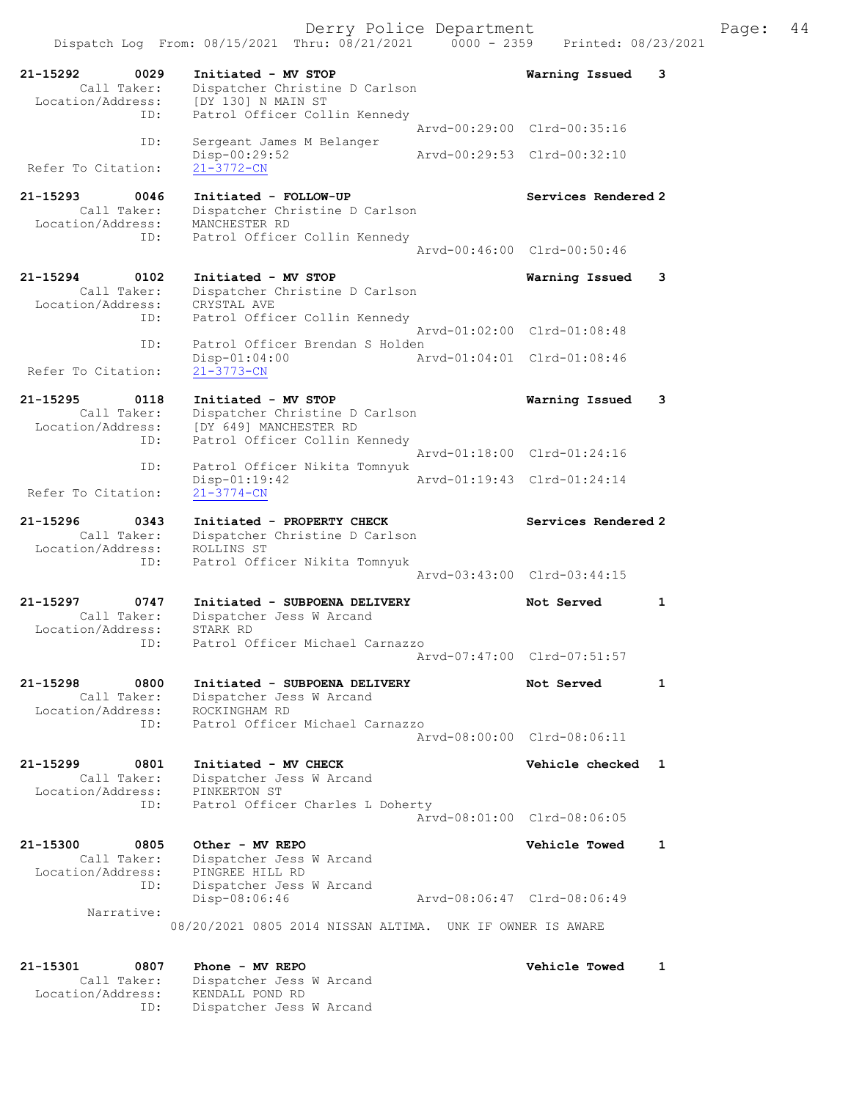Dispatch Log From:  $08/15/2021$  Thru:  $08/21/2021$  0000 - 2359 Printed: 08/23/2021 21-15292 0029 Initiated - MV STOP Warning Issued 3 Call Taker: Dispatcher Christine D Carlson Location/Address: [DY 130] N MAIN ST ID: Patrol Officer Collin Kennedy Arvd-00:29:00 Clrd-00:35:16 ID: Sergeant James M Belanger Disp-00:29:52 <br>
21-3772-CN<br>
21-3772-CN Refer To Citation: 21-15293 0046 Initiated - FOLLOW-UP Services Rendered 2 Call Taker: Dispatcher Christine D Carlson Location/Address: MANCHESTER RD ID: Patrol Officer Collin Kennedy Arvd-00:46:00 Clrd-00:50:46 21-15294 0102 Initiated - MV STOP Warning Issued 3 Call Taker: Dispatcher Christine D Carlson Location/Address: CRYSTAL AVE ID: Patrol Officer Collin Kennedy Arvd-01:02:00 Clrd-01:08:48 ID: Patrol Officer Brendan S Holden<br>Disp-01:04:00 <br>Arvd-01:04:01 Clrd-01:08:46 Disp-01:04:00 Refer To Citation: 21-3773-CN 21-15295 0118 Initiated - MV STOP Warning Issued 3 Call Taker: Dispatcher Christine D Carlson Location/Address: [DY 649] MANCHESTER RD ID: Patrol Officer Collin Kennedy Arvd-01:18:00 Clrd-01:24:16 ID: Patrol Officer Nikita Tomnyuk Arvd-01:19:43 Clrd-01:24:14 Refer To Citation: 21-3774-CN 21-15296 0343 Initiated - PROPERTY CHECK Services Rendered 2 Call Taker: Dispatcher Christine D Carlson Location/Address: ROLLINS ST ID: Patrol Officer Nikita Tomnyuk Arvd-03:43:00 Clrd-03:44:15 21-15297 0747 Initiated - SUBPOENA DELIVERY Not Served 1 Call Taker: Dispatcher Jess W Arcand Location/Address: STARK RD ID: Patrol Officer Michael Carnazzo Arvd-07:47:00 Clrd-07:51:57 21-15298 0800 Initiated - SUBPOENA DELIVERY Not Served 1 Call Taker: Dispatcher Jess W Arcand Location/Address: ROCKINGHAM RD ID: Patrol Officer Michael Carnazzo Arvd-08:00:00 Clrd-08:06:11 21-15299 0801 Initiated - MV CHECK Vehicle checked 1 Call Taker: Dispatcher Jess W Arcand Location/Address: PINKERTON ST ID: Patrol Officer Charles L Doherty Arvd-08:01:00 Clrd-08:06:05 21-15300 0805 Other - MV REPO Vehicle Towed 1 Call Taker: Dispatcher Jess W Arcand Location/Address: PINGREE HILL RD ID: Dispatcher Jess W Arcand Disp-08:06:46 Arvd-08:06:47 Clrd-08:06:49 Narrative: 08/20/2021 0805 2014 NISSAN ALTIMA. UNK IF OWNER IS AWARE 21-15301 0807 Phone - MV REPO Vehicle Towed 1

 Call Taker: Dispatcher Jess W Arcand Location/Address: KENDALL POND RD ID: Dispatcher Jess W Arcand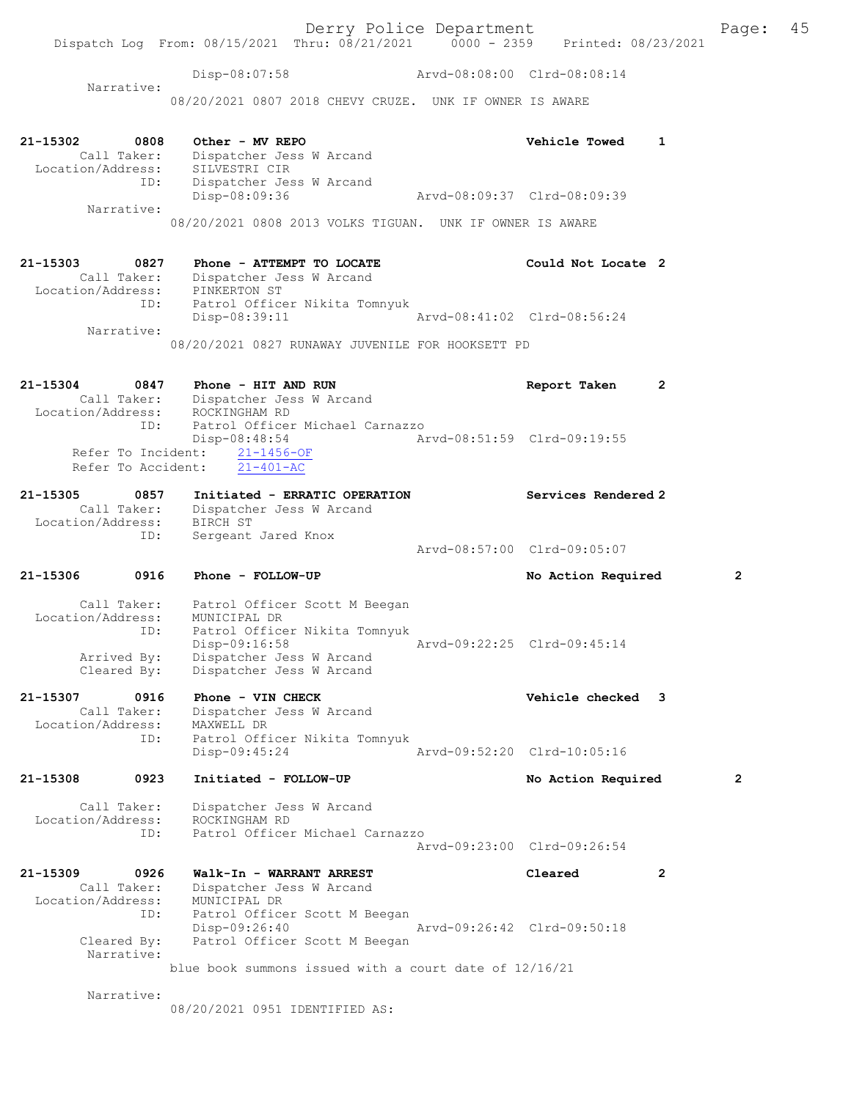Disp-08:07:58 Arvd-08:08:00 Clrd-08:08:14

 Narrative: 08/20/2021 0807 2018 CHEVY CRUZE. UNK IF OWNER IS AWARE

| 21-15302 0808<br>Call Taker:<br>Location/Address: SILVESTRI CIR | Other - MV REPO<br>Dispatcher Jess W Arcand                           | <b>Vehicle Towed</b>        | 1 |
|-----------------------------------------------------------------|-----------------------------------------------------------------------|-----------------------------|---|
| ID:                                                             | Dispatcher Jess W Arcand<br>Disp-08:09:36                             | Arvd-08:09:37 Clrd-08:09:39 |   |
| Narrative:                                                      | 08/20/2021 0808 2013 VOLKS TIGUAN. UNK IF OWNER IS AWARE              |                             |   |
| 21-15303<br>0827                                                | Phone - ATTEMPT TO LOCATE                                             | Could Not Locate 2          |   |
| Location/Address: PINKERTON ST<br>ID:                           | Call Taker: Dispatcher Jess W Arcand<br>Patrol Officer Nikita Tomnyuk |                             |   |
| Narrative:                                                      | Disp-08:39:11                                                         |                             |   |
|                                                                 | 08/20/2021 0827 RUNAWAY JUVENILE FOR HOOKSETT PD                      |                             |   |
| 21-15304                                                        | 0847 Phone - HIT AND RUN<br>$C211$ Takes Dispotabox Iose W Argand     | Report Taken                | 2 |

| Call Taker:        | Dispatcher Jess W Arcand        |                             |  |
|--------------------|---------------------------------|-----------------------------|--|
| Location/Address:  | ROCKINGHAM RD                   |                             |  |
| ID:                | Patrol Officer Michael Carnazzo |                             |  |
|                    | Disp-08:48:54                   | Arvd-08:51:59 Clrd-09:19:55 |  |
|                    | Refer To Incident: 21-1456-OF   |                             |  |
| Refer To Accident: | $21 - 401 - AC$                 |                             |  |

| 21-15305          | 0857        | Initiated - ERRATIC OPERATION |                             | Services Rendered 2 |
|-------------------|-------------|-------------------------------|-----------------------------|---------------------|
|                   | Call Taker: | Dispatcher Jess W Arcand      |                             |                     |
| Location/Address: |             | BIRCH ST                      |                             |                     |
|                   | ID:         | Sergeant Jared Knox           |                             |                     |
|                   |             |                               | Arvd-08:57:00 Clrd-09:05:07 |                     |

21-15306 0916 Phone - FOLLOW-UP No Action Required 2

 Call Taker: Patrol Officer Scott M Beegan Location/Address: MUNICIPAL DR ID: Patrol Officer Nikita Tomnyuk ID: Patrol Officer Nikita Tomnyuk<br>Disp-09:16:58 Arvd-09:22:25 Clrd-09:45:14 Arrived By: Dispatcher Jess W Arcand Cleared By: Dispatcher Jess W Arcand

#### 21-15307 0916 Phone - VIN CHECK Vehicle checked 3 Call Taker: Dispatcher Jess W Arcand Location/Address: MAXWELL DR ID: Patrol Officer Nikita Tomnyuk Disp-09:45:24 Arvd-09:52:20 Clrd-10:05:16

21-15308 0923 Initiated - FOLLOW-UP No Action Required 2 Call Taker: Dispatcher Jess W Arcand Location/Address: ROCKINGHAM RD ID: Patrol Officer Michael Carnazzo Arvd-09:23:00 Clrd-09:26:54

#### 21-15309 0926 Walk-In - WARRANT ARREST Cleared 2 Call Taker: Dispatcher Jess W Arcand Location/Address: MUNICIPAL DR ID: Patrol Officer Scott M Beegan Disp-09:26:40 Arvd-09:26:42 Clrd-09:50:18<br>Cleared By: Patrol Officer Scott M Beegan Patrol Officer Scott M Beegan Narrative: blue book summons issued with a court date of 12/16/21

Narrative:

08/20/2021 0951 IDENTIFIED AS: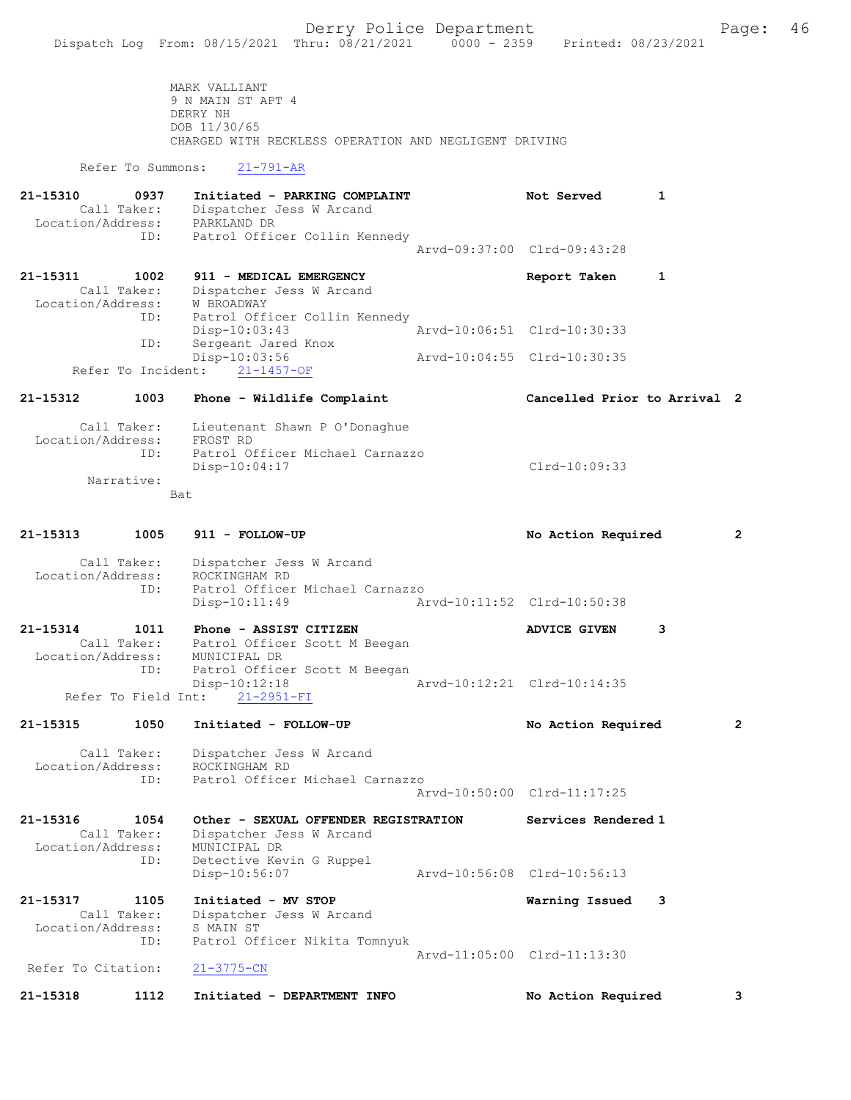MARK VALLIANT 9 N MAIN ST APT 4 DERRY NH DOB 11/30/65 CHARGED WITH RECKLESS OPERATION AND NEGLIGENT DRIVING

Refer To Summons: 21-791-AR

| 21-15310<br>0937<br>Call Taker:<br>Location/Address:<br>ID: | Initiated - PARKING COMPLAINT<br>Dispatcher Jess W Arcand<br>PARKLAND DR<br>Patrol Officer Collin Kennedy | Not Served                  |  |
|-------------------------------------------------------------|-----------------------------------------------------------------------------------------------------------|-----------------------------|--|
|                                                             |                                                                                                           | Aryd-09:37:00 Clrd-09:43:28 |  |
| 21-15311<br>1002                                            | 911 - MEDICAL EMERGENCY                                                                                   | Report Taken                |  |
| Call Taker:                                                 | Dispatcher Jess W Arcand                                                                                  |                             |  |
| Location/Address:                                           | W BROADWAY                                                                                                |                             |  |
| ID:                                                         | Patrol Officer Collin Kennedy                                                                             |                             |  |
|                                                             | $Disp-10:03:43$                                                                                           | Arvd-10:06:51 Clrd-10:30:33 |  |
| ID:                                                         | Sergeant Jared Knox                                                                                       |                             |  |
|                                                             | Disp-10:03:56                                                                                             | Arvd-10:04:55 Clrd-10:30:35 |  |
| Refer To Incident:                                          | $21 - 1457 - OF$                                                                                          |                             |  |

#### 21-15312 1003 Phone - Wildlife Complaint Cancelled Prior to Arrival 2

 Call Taker: Lieutenant Shawn P O'Donaghue Location/Address: FROST RD ID: Patrol Officer Michael Carnazzo Disp-10:04:17 Clrd-10:09:33 Narrative: Bat

21-15313 1005 911 - FOLLOW-UP No Action Required 2 Call Taker: Dispatcher Jess W Arcand Location/Address: ROCKINGHAM RD ID: Patrol Officer Michael Carnazzo Disp-10:11:49 Arvd-10:11:52 Clrd-10:50:38

21-15314 1011 Phone - ASSIST CITIZEN ADVICE GIVEN 3 Call Taker: Patrol Officer Scott M Beegan Location/Address: MUNICIPAL DR ID: Patrol Officer Scott M Beegan Disp-10:12:18 Arvd-10:12:21 Clrd-10:14:35 Refer To Field Int: 21-2951-FI

21-15315 1050 Initiated - FOLLOW-UP No Action Required 2

 Call Taker: Dispatcher Jess W Arcand Location/Address: ROCKINGHAM RD ID: Patrol Officer Michael Carnazzo Arvd-10:50:00 Clrd-11:17:25

21-15316 1054 Other - SEXUAL OFFENDER REGISTRATION Services Rendered 1 Call Taker: Dispatcher Jess W Arcand Location/Address: MUNICIPAL DR ID: Detective Kevin G Ruppel Disp-10:56:07 Arvd-10:56:08 Clrd-10:56:13

21-15317 1105 Initiated - MV STOP Warning Issued 3 Call Taker: Dispatcher Jess W Arcand Location/Address: S MAIN ST ID: Patrol Officer Nikita Tomnyuk Arvd-11:05:00 Clrd-11:13:30<br>21-3775-CN

Refer To Citation:

21-15318 1112 Initiated - DEPARTMENT INFO No Action Required 3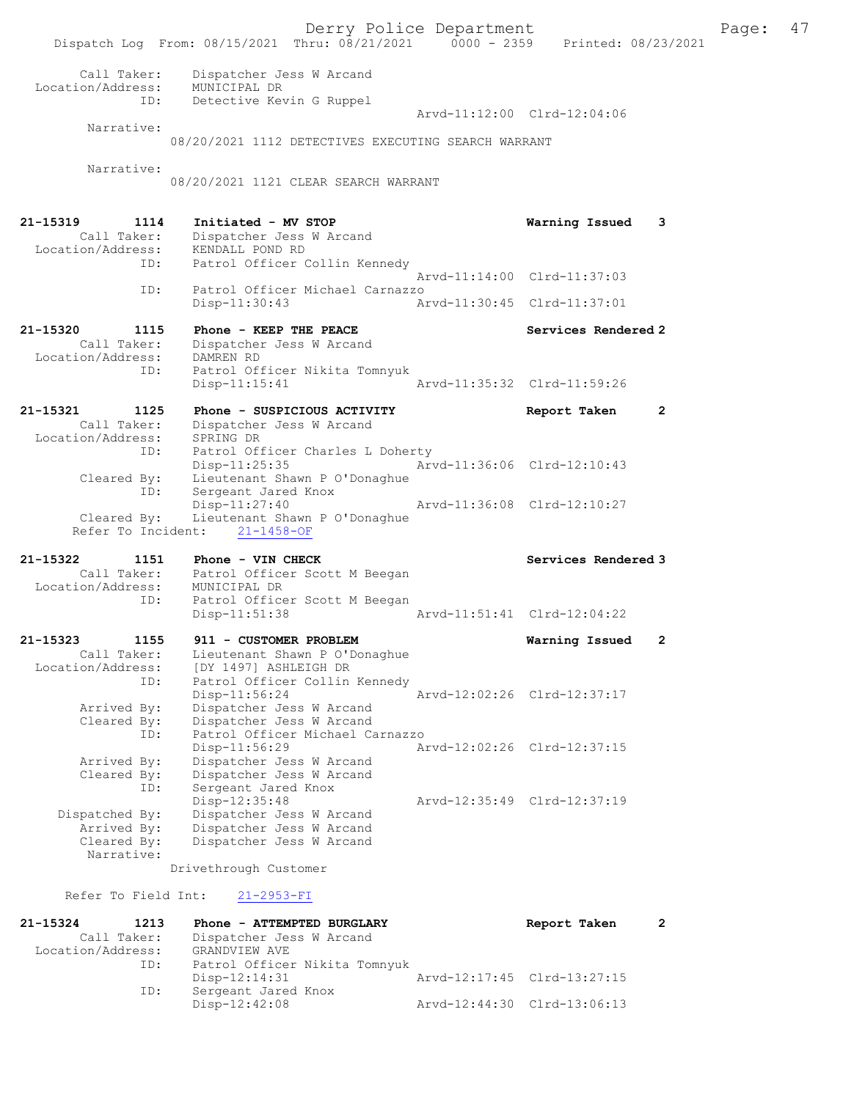Derry Police Department The Page: 47 Dispatch Log From: 08/15/2021 Thru: 08/21/2021 0000 - 2359 Printed: 08/23/2021 Call Taker: Dispatcher Jess W Arcand Location/Address: MUNICIPAL DR ID: Detective Kevin G Ruppel Arvd-11:12:00 Clrd-12:04:06 Narrative: 08/20/2021 1112 DETECTIVES EXECUTING SEARCH WARRANT Narrative: 08/20/2021 1121 CLEAR SEARCH WARRANT 21-15319 1114 Initiated - MV STOP Warning Issued 3 Call Taker: Dispatcher Jess W Arcand Location/Address: KENDALL POND RD ID: Patrol Officer Collin Kennedy Arvd-11:14:00 Clrd-11:37:03 ID: Patrol Officer Michael Carnazzo Disp-11:30:43 Arvd-11:30:45 Clrd-11:37:01 21-15320 1115 Phone - KEEP THE PEACE No. 21-15320 Services Rendered 2 Call Taker: Dispatcher Jess W Arcand Location/Address: DAMREN RD ID: Patrol Officer Nikita Tomnyuk Disp-11:15:41 Arvd-11:35:32 Clrd-11:59:26 21-15321 1125 Phone - SUSPICIOUS ACTIVITY Report Taken 2 Call Taker: Dispatcher Jess W Arcand Location/Address: SPRING DR ID: Patrol Officer Charles L Doherty<br>Disp-11:25:35 Arv Arvd-11:36:06 Clrd-12:10:43 Cleared By: Lieutenant Shawn P O'Donaghue By: Exercision of the Boy:<br>ID: Sergeant Jared Knox<br>Disp-11:27:40 Disp-11:27:40 Arvd-11:36:08 Clrd-12:10:27 Cleared By: Lieutenant Shawn P O'Donaghue Refer To Incident: 21-1458-OF 21-15322 1151 Phone - VIN CHECK North Services Rendered 3 Call Taker: Patrol Officer Scott M Beegan Location/Address: MUNICIPAL DR ID: Patrol Officer Scott M Beegan Disp-11:51:38 Arvd-11:51:41 Clrd-12:04:22 21-15323 1155 911 - CUSTOMER PROBLEM Warning Issued 2 Call Taker: Lieutenant Shawn P O'Donaghue Location/Address: [DY 1497] ASHLEIGH DR ID: Patrol Officer Collin Kennedy Disp-11:56:24 Arvd-12:02:26 Clrd-12:37:17 Arrived By: Dispatcher Jess W Arcand Cleared By: Dispatcher Jess W Arcand ID: Patrol Officer Michael Carnazzo<br>Disp-11:56:29 Mrvd-12:02:26 Clrd-12:37:15 Disp-11:56:29 Arvd-12:02:26 Clrd-12:37:15 Arrived By: Dispatcher Jess W Arcand Cleared By: Dispatcher Jess W Arcand ID: Sergeant Jared Knox Disp-12:35:48 Arvd-12:35:49 Clrd-12:37:19 Dispatched By: Dispatcher Jess W Arcand<br>Arrived By: Dispatcher Jess W Arcand Arrived By: Dispatcher Jess W Arcand<br>Cleared By: Dispatcher Jess W Arcand Dispatcher Jess W Arcand Narrative: Drivethrough Customer Refer To Field Int: 21-2953-FI

21-15324 1213 Phone - ATTEMPTED BURGLARY Report Taken 2 Call Taker: Dispatcher Jess W Arcand Location/Address: GRANDVIEW AVE ID: Patrol Officer Nikita Tomnyuk<br>Disp-12:14:31 Mrvd-12:17:45 Clrd-13:27:15 Disp-12:14:31 Arvd-12:17:45 Clrd-13:27:15 ID: Sergeant Jared Knox Disp-12:42:08 Arvd-12:44:30 Clrd-13:06:13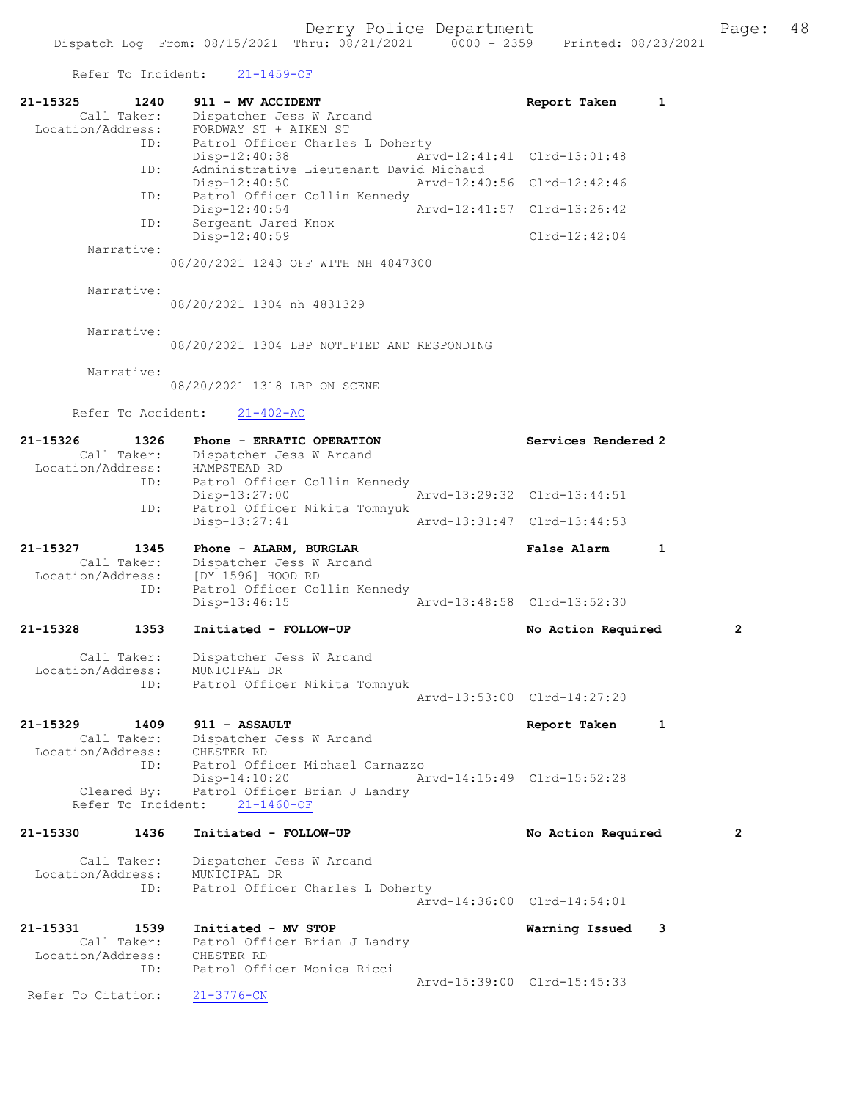Refer To Incident: 21-1459-OF

| 21-15325                      | 1240<br>Call Taker:       | 911 - MV ACCIDENT<br>Dispatcher Jess W Arcand                                                                     |                             | Report Taken                | 1 |
|-------------------------------|---------------------------|-------------------------------------------------------------------------------------------------------------------|-----------------------------|-----------------------------|---|
| Location/Address:             | ID:                       | FORDWAY ST + AIKEN ST<br>Patrol Officer Charles L Doherty                                                         |                             |                             |   |
|                               | ID:                       | $Disp-12:40:38$<br>Administrative Lieutenant David Michaud                                                        |                             | Arvd-12:41:41 Clrd-13:01:48 |   |
|                               | ID:                       | $Disp-12:40:50$<br>Patrol Officer Collin Kennedy                                                                  | Arvd-12:40:56 Clrd-12:42:46 |                             |   |
|                               | ID:                       | $Disp-12:40:54$<br>Sergeant Jared Knox                                                                            |                             | Arvd-12:41:57 Clrd-13:26:42 |   |
|                               | Narrative:                | Disp-12:40:59                                                                                                     |                             | $Clrd-12:42:04$             |   |
|                               |                           | 08/20/2021 1243 OFF WITH NH 4847300                                                                               |                             |                             |   |
|                               | Narrative:                | 08/20/2021 1304 nh 4831329                                                                                        |                             |                             |   |
|                               | Narrative:                | 08/20/2021 1304 LBP NOTIFIED AND RESPONDING                                                                       |                             |                             |   |
|                               | Narrative:                | 08/20/2021 1318 LBP ON SCENE                                                                                      |                             |                             |   |
|                               | Refer To Accident:        | $21 - 402 - AC$                                                                                                   |                             |                             |   |
| 21-15326<br>Location/Address: | 1326<br>Call Taker:       | Phone - ERRATIC OPERATION<br>Dispatcher Jess W Arcand<br>HAMPSTEAD RD                                             |                             | Services Rendered 2         |   |
|                               | ID:                       | Patrol Officer Collin Kennedy<br>$Disp-13:27:00$                                                                  |                             | Arvd-13:29:32 Clrd-13:44:51 |   |
|                               | ID:                       | Patrol Officer Nikita Tomnyuk<br>$Disp-13:27:41$                                                                  |                             | Arvd-13:31:47 Clrd-13:44:53 |   |
| 21-15327<br>Location/Address: | 1345<br>Call Taker:       | Phone - ALARM, BURGLAR<br>Dispatcher Jess W Arcand<br>[DY 1596] HOOD RD                                           |                             | <b>False Alarm</b>          | 1 |
|                               | ID:                       | Patrol Officer Collin Kennedy<br>$Disp-13:46:15$                                                                  |                             | Arvd-13:48:58 Clrd-13:52:30 |   |
| 21-15328                      | 1353                      | Initiated - FOLLOW-UP                                                                                             |                             | No Action Required          | 2 |
| Location/Address:             | Call Taker:<br>ID:        | Dispatcher Jess W Arcand<br>MUNICIPAL DR<br>Patrol Officer Nikita Tomnyuk                                         |                             |                             |   |
|                               |                           |                                                                                                                   |                             | Arvd-13:53:00 Clrd-14:27:20 |   |
| 21-15329                      |                           | 1409 911 - ASSAULT<br>Call Taker: Dispatcher Jess W Arcand<br>Location/Address: CHESTER RD                        |                             | Report Taken                | 1 |
|                               | ID:<br>Refer To Incident: | Patrol Officer Michael Carnazzo<br>Disp-14:10:20<br>Cleared By: Patrol Officer Brian J Landry<br>$21 - 1460 - OF$ | Arvd-14:15:49 Clrd-15:52:28 |                             |   |
| 21-15330                      | 1436                      | Initiated - FOLLOW-UP                                                                                             |                             | No Action Required          | 2 |
| Location/Address:             | Call Taker:<br>ID:        | Dispatcher Jess W Arcand<br>MUNICIPAL DR<br>Patrol Officer Charles L Doherty                                      |                             |                             |   |
|                               |                           |                                                                                                                   |                             | Arvd-14:36:00 Clrd-14:54:01 |   |
| 21-15331                      | 1539<br>Call Taker:       | Initiated - MV STOP<br>Patrol Officer Brian J Landry                                                              |                             | Warning Issued              | 3 |
|                               | ID:                       | Location/Address: CHESTER RD<br>Patrol Officer Monica Ricci                                                       |                             | Arvd-15:39:00 Clrd-15:45:33 |   |
| Refer To Citation:            |                           | $21 - 3776 - CN$                                                                                                  |                             |                             |   |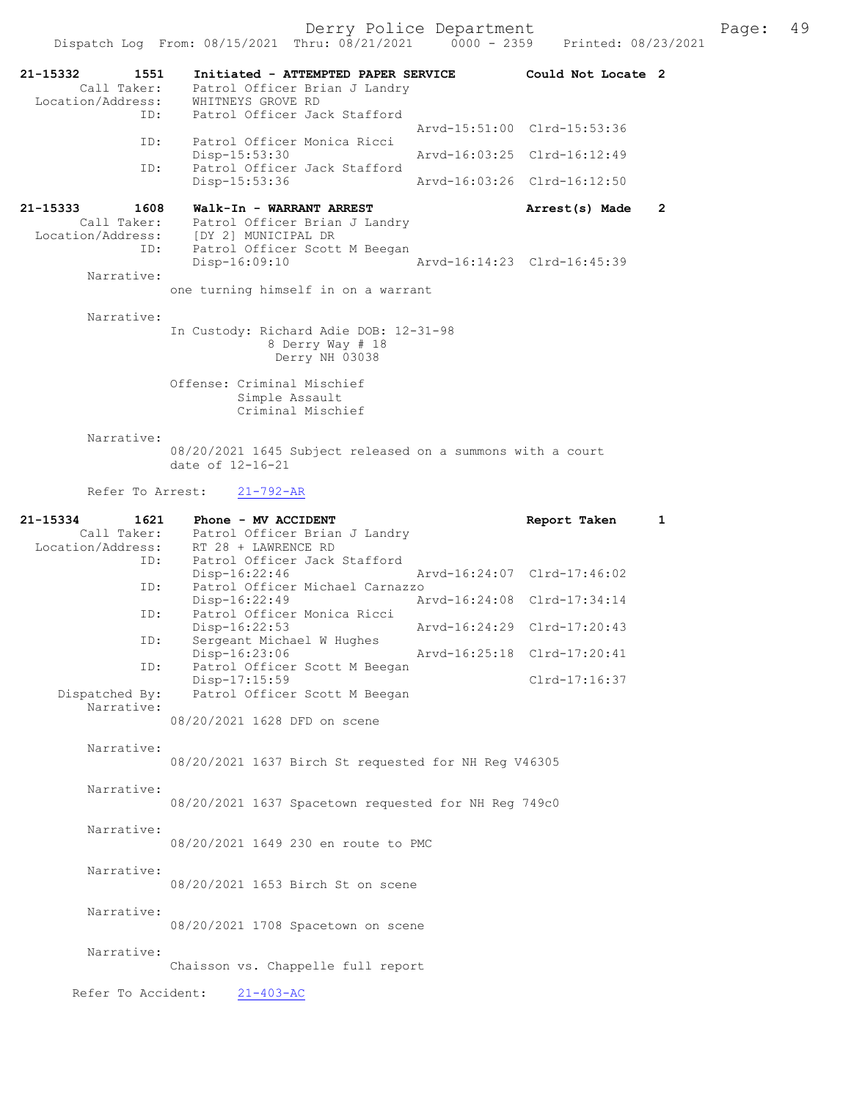Dispatch Log From: 08/15/2021 Thru: 08/21/2021 0000 - 2359 21-15332 1551 Initiated - ATTEMPTED PAPER SERVICE Could Not Locate 2 Call Taker: Patrol Officer Brian J Landry -15352<br>Call Taker: Patrol Ullice.<br>Location/Address: WHITNEYS GROVE RD ID: Patrol Officer Jack Stafford Arvd-15:51:00 Clrd-15:53:36 ID: Patrol Officer Monica Ricci Disp-15:53:30 Arvd-16:03:25 Clrd-16:12:49<br>ID: Patrol Officer Jack Stafford Patrol Officer Jack Stafford<br>Disp-15:53:36 Disp-15:53:36 Arvd-16:03:26 Clrd-16:12:50 21-15333 1608 Walk-In - WARRANT ARREST Arrest(s) Made 2 Call Taker: Patrol Officer Brian J Landry Location/Address: [DY 2] MUNICIPAL DR<br>ID: Patrol Officer Scott Patrol Officer Scott M Beegan Disp-16:09:10 Arvd-16:14:23 Clrd-16:45:39 Narrative: one turning himself in on a warrant Narrative: In Custody: Richard Adie DOB: 12-31-98 8 Derry Way # 18 Derry NH 03038 Offense: Criminal Mischief Simple Assault Criminal Mischief Narrative: 08/20/2021 1645 Subject released on a summons with a court date of 12-16-21 Refer To Arrest: 21-792-AR 21-15334 1621 Phone - MV ACCIDENT 1621 Phone - MV ACCIDENT Report Taken 1<br>Call Taker: Patrol Officer Brian J Landry

Patrol Officer Brian J Landry Location/Address: RT 28 + LAWRENCE RD ID: Patrol Officer Jack Stafford<br>Disp-16:22:46 Disp-16:22:46 Arvd-16:24:07 Clrd-17:46:02<br>ID: Patrol Officer Michael Carnazzo Patrol Officer Michael Carnazzo<br>Disp-16:22:49 A Disp-16:22:49 Arvd-16:24:08 Clrd-17:34:14<br>ID: Patrol Officer Monica Ricci Patrol Officer Monica Ricci<br>Disp-16:22:53 Disp-16:22:53 Arvd-16:24:29 Clrd-17:20:43<br>ID: Sergeant Michael W Hughes Sergeant Michael W Hughes<br>Disp-16:23:06 Disp-16:23:06 Arvd-16:25:18 Clrd-17:20:41<br>ID: Patrol Officer Scott M Beegan Patrol Officer Scott M Beegan Disp-17:15:59 Clrd-17:16:37 Dispatched By: Patrol Officer Scott M Beegan Narrative: 08/20/2021 1628 DFD on scene Narrative: 08/20/2021 1637 Birch St requested for NH Reg V46305 Narrative: 08/20/2021 1637 Spacetown requested for NH Reg 749c0 Narrative: 08/20/2021 1649 230 en route to PMC Narrative: 08/20/2021 1653 Birch St on scene Narrative: 08/20/2021 1708 Spacetown on scene Narrative: Chaisson vs. Chappelle full report Refer To Accident: 21-403-AC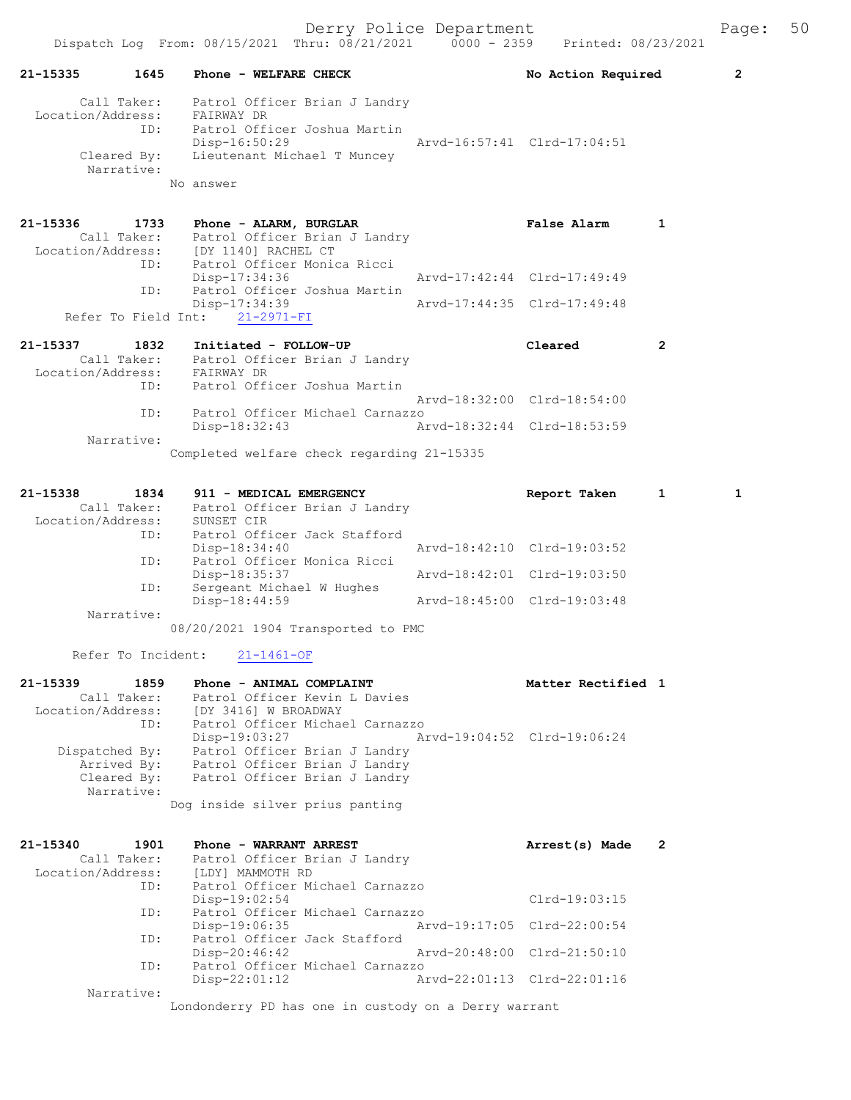|                                                                          |      | DISPACCH LOG FIOM: 00/10/2021 INIU: 00/21/2021                                                                               | UUUU = 2339                 | FIINLEU, VO/ZJ/ZUZI         |              |                |
|--------------------------------------------------------------------------|------|------------------------------------------------------------------------------------------------------------------------------|-----------------------------|-----------------------------|--------------|----------------|
| 21-15335                                                                 | 1645 | Phone - WELFARE CHECK                                                                                                        |                             | No Action Required          |              | $\overline{2}$ |
| Call Taker:<br>Location/Address: FAIRWAY DR<br>Cleared By:<br>Narrative: | ID:  | Patrol Officer Brian J Landry<br>Patrol Officer Joshua Martin<br>$Disp-16:50:29$<br>Lieutenant Michael T Muncey<br>No answer |                             | Arvd-16:57:41 Clrd-17:04:51 |              |                |
| 21-15336                                                                 | 1733 | Phone - ALARM, BURGLAR                                                                                                       |                             | False Alarm                 | $\mathbf{1}$ |                |
|                                                                          |      | Call Taker: Patrol Officer Brian J Landry<br>Location/Address: [DY 1140] RACHEL CT                                           |                             |                             |              |                |
|                                                                          |      | ID: Patrol Officer Monica Ricci                                                                                              |                             |                             |              |                |
|                                                                          |      | Disp-17:34:36                                                                                                                |                             | Arvd-17:42:44 Clrd-17:49:49 |              |                |
|                                                                          | ID:  | Patrol Officer Joshua Martin                                                                                                 |                             |                             |              |                |
|                                                                          |      | Disp-17:34:39                                                                                                                | Arvd-17:44:35 Clrd-17:49:48 |                             |              |                |
|                                                                          |      | Refer To Field Int: 21-2971-FI                                                                                               |                             |                             |              |                |
| 21-15337                                                                 | 1832 | Initiated - FOLLOW-UP                                                                                                        |                             | Cleared                     | 2            |                |
|                                                                          |      | Call Taker: Patrol Officer Brian J Landry                                                                                    |                             |                             |              |                |
| Location/Address: FAIRWAY DR                                             |      |                                                                                                                              |                             |                             |              |                |
|                                                                          | ID:  | Patrol Officer Joshua Martin                                                                                                 |                             |                             |              |                |
|                                                                          | ID:  | Patrol Officer Michael Carnazzo                                                                                              |                             | Arvd-18:32:00 Clrd-18:54:00 |              |                |
|                                                                          |      | Disp-18:32:43                                                                                                                | Arvd-18:32:44 Clrd-18:53:59 |                             |              |                |
| Narrative:                                                               |      |                                                                                                                              |                             |                             |              |                |
|                                                                          |      | Completed welfare check regarding 21-15335                                                                                   |                             |                             |              |                |
|                                                                          |      |                                                                                                                              |                             |                             |              |                |
| 21-15338                                                                 | 1834 | 911 - MEDICAL EMERGENCY                                                                                                      |                             | Report Taken 1              |              | $\mathbf{1}$   |
| Call Taker:                                                              |      | Patrol Officer Brian J Landry                                                                                                |                             |                             |              |                |
| Location/Address:                                                        |      | SUNSET CIR                                                                                                                   |                             |                             |              |                |
|                                                                          | ID:  | Patrol Officer Jack Stafford                                                                                                 |                             | Arvd-18:42:10 Clrd-19:03:52 |              |                |
|                                                                          | ID:  | $Disp-18:34:40$<br>Patrol Officer Monica Ricci                                                                               |                             |                             |              |                |
|                                                                          |      | Disp-18:35:37                                                                                                                |                             | Arvd-18:42:01 Clrd-19:03:50 |              |                |
|                                                                          | ID:  | Sergeant Michael W Hughes                                                                                                    |                             |                             |              |                |
|                                                                          |      | Disp-18:44:59                                                                                                                |                             | Arvd-18:45:00 Clrd-19:03:48 |              |                |
| Narrative:                                                               |      | 08/20/2021 1904 Transported to PMC                                                                                           |                             |                             |              |                |
|                                                                          |      |                                                                                                                              |                             |                             |              |                |
| Refer To Incident:                                                       |      | $21 - 1461 - OF$                                                                                                             |                             |                             |              |                |
|                                                                          |      | Phone - ANIMAL COMPLAINT                                                                                                     |                             |                             |              |                |
| 21-15339<br>Call Taker:                                                  | 1859 | Patrol Officer Kevin L Davies                                                                                                |                             | Matter Rectified 1          |              |                |
| Location/Address:                                                        |      | [DY 3416] W BROADWAY                                                                                                         |                             |                             |              |                |
|                                                                          | ID:  | Patrol Officer Michael Carnazzo                                                                                              |                             |                             |              |                |
|                                                                          |      | Disp-19:03:27                                                                                                                |                             | Arvd-19:04:52 Clrd-19:06:24 |              |                |
| Dispatched By:<br>Arrived By:                                            |      | Patrol Officer Brian J Landry<br>Patrol Officer Brian J Landry                                                               |                             |                             |              |                |
| Cleared By:                                                              |      | Patrol Officer Brian J Landry                                                                                                |                             |                             |              |                |
| Narrative:                                                               |      |                                                                                                                              |                             |                             |              |                |
|                                                                          |      | Dog inside silver prius panting                                                                                              |                             |                             |              |                |
|                                                                          |      |                                                                                                                              |                             |                             |              |                |
| 21-15340                                                                 | 1901 | Phone - WARRANT ARREST                                                                                                       |                             | Arrest(s) Made              | 2            |                |
| Call Taker:                                                              |      | Patrol Officer Brian J Landry                                                                                                |                             |                             |              |                |
| Location/Address:                                                        |      | [LDY] MAMMOTH RD                                                                                                             |                             |                             |              |                |

| Patrol Officer Michael Carnazzo              |                             |
|----------------------------------------------|-----------------------------|
| $Disp-19:02:54$                              | Clrd-19:03:15               |
| Patrol Officer Michael Carnazzo              |                             |
| Arvd-19:17:05 Clrd-22:00:54<br>Disp-19:06:35 |                             |
| Patrol Officer Jack Stafford                 |                             |
| $Disp-20:46:42$                              | Arvd-20:48:00 Clrd-21:50:10 |
| Patrol Officer Michael Carnazzo              |                             |
| $Disp-22:01:12$                              | Arvd-22:01:13 Clrd-22:01:16 |
|                                              |                             |
|                                              |                             |

Londonderry PD has one in custody on a Derry warrant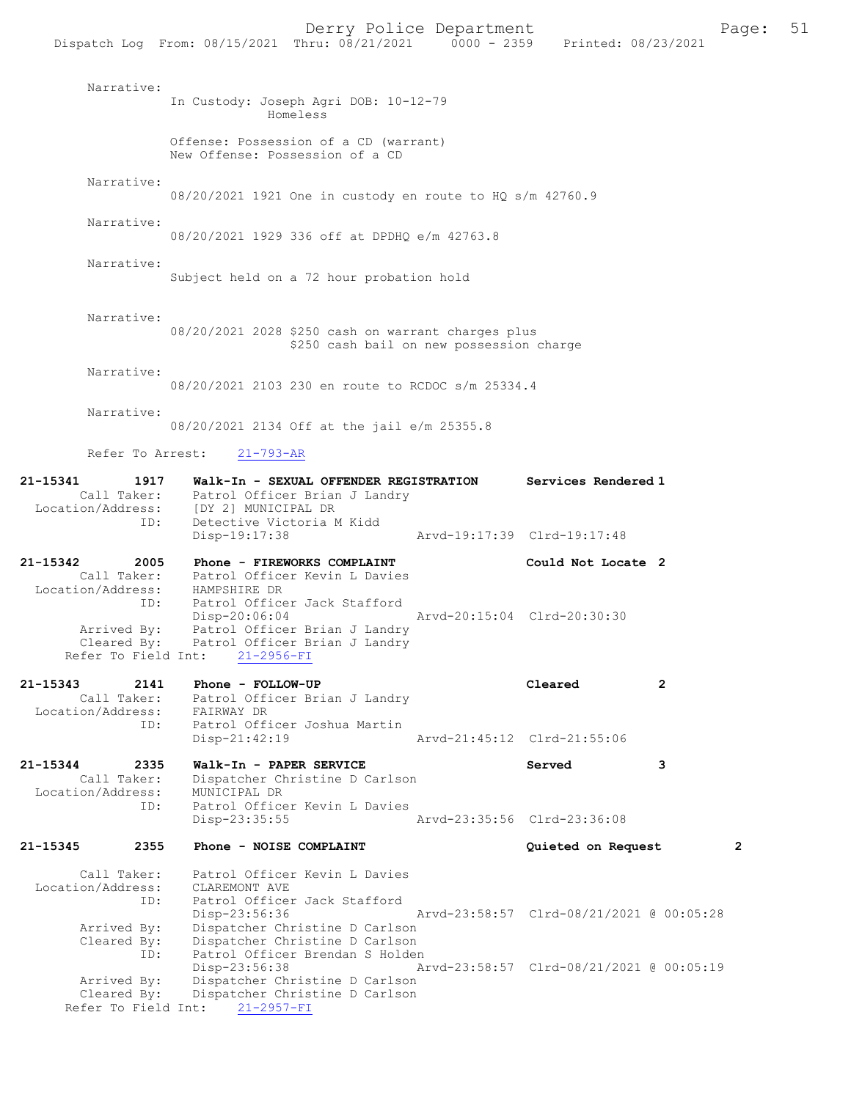| Narrative:                                                              | In Custody: Joseph Agri DOB: 10-12-79<br>Homeless                                                                                                                                              |                                          |              |
|-------------------------------------------------------------------------|------------------------------------------------------------------------------------------------------------------------------------------------------------------------------------------------|------------------------------------------|--------------|
|                                                                         | Offense: Possession of a CD (warrant)<br>New Offense: Possession of a CD                                                                                                                       |                                          |              |
| Narrative:                                                              | 08/20/2021 1921 One in custody en route to HQ s/m 42760.9                                                                                                                                      |                                          |              |
| Narrative:                                                              | 08/20/2021 1929 336 off at DPDHO e/m 42763.8                                                                                                                                                   |                                          |              |
| Narrative:                                                              | Subject held on a 72 hour probation hold                                                                                                                                                       |                                          |              |
| Narrative:                                                              | 08/20/2021 2028 \$250 cash on warrant charges plus<br>\$250 cash bail on new possession charge                                                                                                 |                                          |              |
| Narrative:                                                              | 08/20/2021 2103 230 en route to RCDOC s/m 25334.4                                                                                                                                              |                                          |              |
| Narrative:                                                              | 08/20/2021 2134 Off at the jail e/m 25355.8                                                                                                                                                    |                                          |              |
|                                                                         | Refer To Arrest: 21-793-AR                                                                                                                                                                     |                                          |              |
| 21-15341<br>1917                                                        | Walk-In - SEXUAL OFFENDER REGISTRATION<br>Call Taker: Patrol Officer Brian J Landry<br>Location/Address: [DY 2] MUNICIPAL DR                                                                   | Services Rendered 1                      |              |
| ID:                                                                     | Detective Victoria M Kidd<br>Disp-19:17:38                                                                                                                                                     | Arvd-19:17:39 Clrd-19:17:48              |              |
| 21-15342<br>2005                                                        | Phone - FIREWORKS COMPLAINT<br>Call Taker: Patrol Officer Kevin L Davies                                                                                                                       | Could Not Locate 2                       |              |
| Location/Address: HAMPSHIRE DR<br>Refer To Field Int:                   | ID: Patrol Officer Jack Stafford<br>Arvd-20:15:04 Clrd-20:30:30<br>Disp-20:06:04<br>Arrived By: Patrol Officer Brian J Landry<br>Cleared By: Patrol Officer Brian J Landry<br>$21 - 2956 - FI$ |                                          |              |
| 21-15343<br>2141                                                        | Phone - FOLLOW-UP                                                                                                                                                                              | 2<br>Cleared                             |              |
| Call Taker:<br>Location/Address:                                        | Patrol Officer Brian J Landry<br>FAIRWAY DR                                                                                                                                                    |                                          |              |
| ID:                                                                     | Patrol Officer Joshua Martin<br>$Disp-21:42:19$                                                                                                                                                | Arvd-21:45:12 Clrd-21:55:06              |              |
| 21-15344<br>2335<br>Call Taker:<br>Location/Address:                    | Walk-In - PAPER SERVICE<br>Dispatcher Christine D Carlson<br>MUNICIPAL DR                                                                                                                      | Served<br>3                              |              |
| ID:                                                                     | Patrol Officer Kevin L Davies<br>Disp-23:35:55                                                                                                                                                 | Arvd-23:35:56 Clrd-23:36:08              |              |
| $21 - 15345$<br>2355                                                    | Phone - NOISE COMPLAINT                                                                                                                                                                        | Quieted on Request                       | $\mathbf{2}$ |
| Call Taker:<br>Location/Address:<br>ID:<br>Arrived By:                  | Patrol Officer Kevin L Davies<br>CLAREMONT AVE<br>Patrol Officer Jack Stafford<br>Disp-23:56:36<br>Dispatcher Christine D Carlson                                                              | Arvd-23:58:57 Clrd-08/21/2021 @ 00:05:28 |              |
| Cleared By:<br>ID:<br>Arrived By:<br>Cleared By:<br>Refer To Field Int: | Dispatcher Christine D Carlson<br>Patrol Officer Brendan S Holden<br>Disp-23:56:38<br>Dispatcher Christine D Carlson<br>Dispatcher Christine D Carlson<br>$21 - 2957 - FI$                     | Arvd-23:58:57 Clrd-08/21/2021 @ 00:05:19 |              |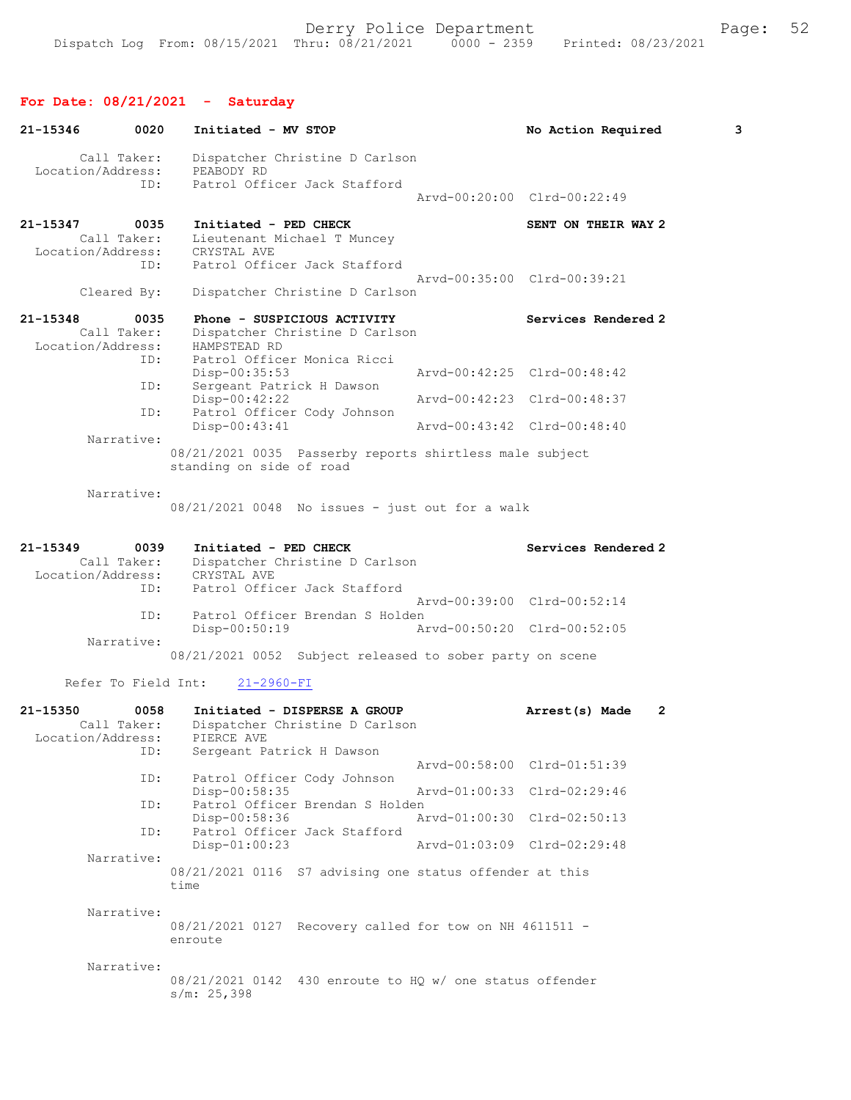| 21-15346                      | 0020                | Initiated - MV STOP                                                                 | No Action Required          | 3 |
|-------------------------------|---------------------|-------------------------------------------------------------------------------------|-----------------------------|---|
| Location/Address:             | Call Taker:<br>ID:  | Dispatcher Christine D Carlson<br>PEABODY RD<br>Patrol Officer Jack Stafford        |                             |   |
|                               |                     |                                                                                     | Arvd-00:20:00 Clrd-00:22:49 |   |
| 21-15347<br>Location/Address: | 0035<br>Call Taker: | Initiated - PED CHECK<br>Lieutenant Michael T Muncey<br>CRYSTAL AVE                 | SENT ON THEIR WAY 2         |   |
|                               | ID:<br>Cleared By:  | Patrol Officer Jack Stafford<br>Dispatcher Christine D Carlson                      | Arvd-00:35:00 Clrd-00:39:21 |   |
| 21-15348                      | 0035<br>Call Taker: | Phone - SUSPICIOUS ACTIVITY<br>Dispatcher Christine D Carlson                       | Services Rendered 2         |   |
| Location/Address:             | ID:                 | HAMPSTEAD RD<br>Patrol Officer Monica Ricci<br>Disp-00:35:53                        | Arvd-00:42:25 Clrd-00:48:42 |   |
|                               | ID:                 | Sergeant Patrick H Dawson<br>$Disp-00:42:22$                                        | Arvd-00:42:23 Clrd-00:48:37 |   |
|                               | ID:<br>Narrative:   | Patrol Officer Cody Johnson<br>$Disp-00:43:41$                                      | Arvd-00:43:42 Clrd-00:48:40 |   |
|                               |                     | 08/21/2021 0035 Passerby reports shirtless male subject<br>standing on side of road |                             |   |
|                               | Narrative:          | $08/21/2021$ 0048 No issues - just out for a walk                                   |                             |   |
| 21-15349<br>Location/Address: | 0039<br>Call Taker: | Initiated - PED CHECK<br>Dispatcher Christine D Carlson<br>CRYSTAL AVE              | Services Rendered 2         |   |
|                               | ID:<br>ID:          | Patrol Officer Jack Stafford<br>Patrol Officer Brendan S Holden                     | Arvd-00:39:00 Clrd-00:52:14 |   |
|                               | Narrative:          | $Disp-00:50:19$                                                                     | Arvd-00:50:20 Clrd-00:52:05 |   |
|                               |                     | 08/21/2021 0052 Subject released to sober party on scene                            |                             |   |
|                               |                     | Refer To Field Int:<br>$21 - 2960 - FI$                                             |                             |   |
| 21-15350<br>Location/Address: | 0058<br>Call Taker: | Initiated - DISPERSE A GROUP<br>Dispatcher Christine D Carlson<br>PIERCE AVE        | 2<br>Arrest(s) Made         |   |
|                               | ID:<br>ID:          | Sergeant Patrick H Dawson<br>Patrol Officer Cody Johnson                            | Arvd-00:58:00 Clrd-01:51:39 |   |
|                               | ID:                 | Disp-00:58:35<br>Patrol Officer Brendan S Holden                                    | Arvd-01:00:33 Clrd-02:29:46 |   |
|                               | ID:                 | Disp-00:58:36<br>Patrol Officer Jack Stafford                                       | Arvd-01:00:30 Clrd-02:50:13 |   |
|                               | Narrative:          | $Disp-01:00:23$                                                                     | Arvd-01:03:09 Clrd-02:29:48 |   |
|                               |                     | 08/21/2021 0116 S7 advising one status offender at this<br>time                     |                             |   |
|                               | Narrative:          | 08/21/2021 0127 Recovery called for tow on NH 4611511 -<br>enroute                  |                             |   |
|                               | Narrative:          | 08/21/2021 0142 430 enroute to HQ w/ one status offender<br>s/m: 25,398             |                             |   |
|                               |                     |                                                                                     |                             |   |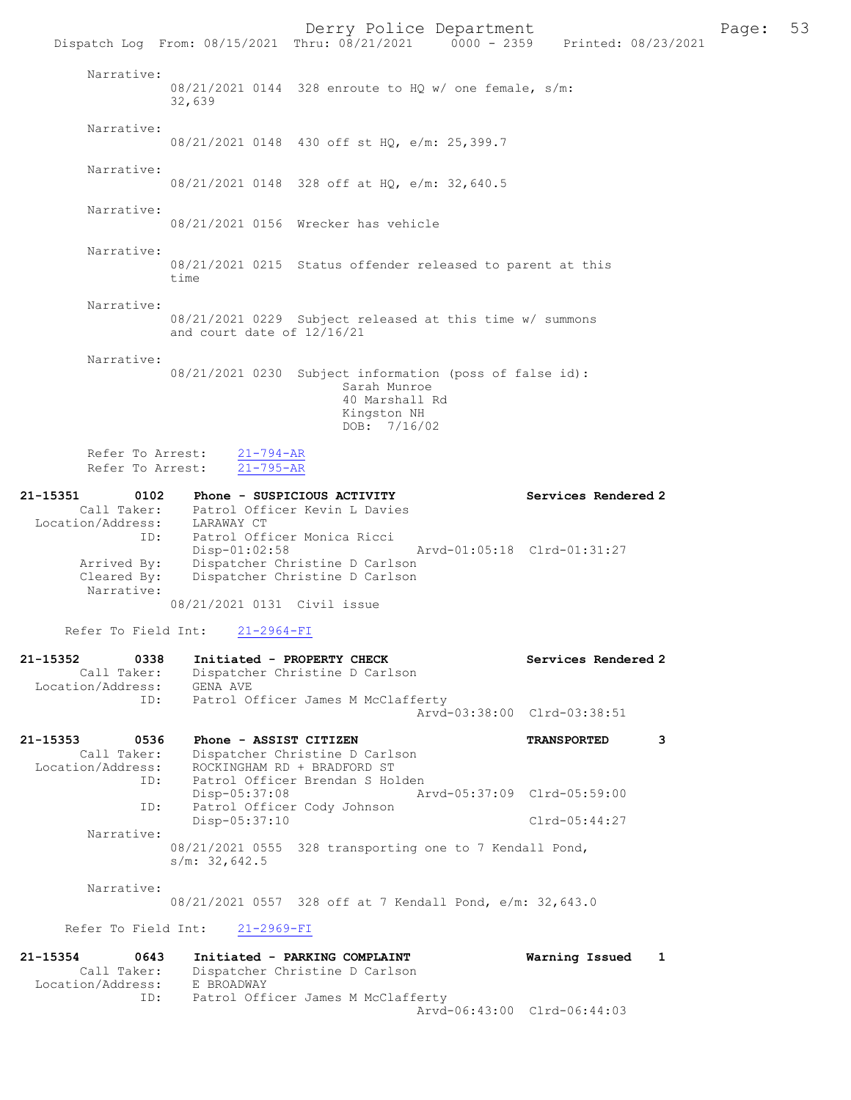Derry Police Department The Page: 53 Dispatch Log From: 08/15/2021 Thru: 08/21/2021 0000 - 2359 Printed: 08/23/2021 Narrative: 08/21/2021 0144 328 enroute to HQ w/ one female, s/m: 32,639 Narrative: 08/21/2021 0148 430 off st HQ, e/m: 25,399.7 Narrative: 08/21/2021 0148 328 off at HQ, e/m: 32,640.5 Narrative: 08/21/2021 0156 Wrecker has vehicle Narrative: 08/21/2021 0215 Status offender released to parent at this time Narrative: 08/21/2021 0229 Subject released at this time w/ summons and court date of 12/16/21 Narrative: 08/21/2021 0230 Subject information (poss of false id): Sarah Munroe 40 Marshall Rd Kingston NH DOB: 7/16/02 Refer To Arrest:  $\frac{21-794-AR}{21-795-AR}$ Refer To Arrest: 21-15351 0102 Phone - SUSPICIOUS ACTIVITY Services Rendered 2 Call Taker: Patrol Officer Kevin L Davies Location/Address: LARAWAY CT ID: Patrol Officer Monica Ricci Disp-01:02:58 Arvd-01:05:18 Clrd-01:31:27 Arrived By: Dispatcher Christine D Carlson Cleared By: Dispatcher Christine D Carlson Narrative: 08/21/2021 0131 Civil issue Refer To Field Int: 21-2964-FI 21-15352 0338 Initiated - PROPERTY CHECK Services Rendered 2 Call Taker: Dispatcher Christine D Carlson Location/Address: GENA AVE ID: Patrol Officer James M McClafferty Arvd-03:38:00 Clrd-03:38:51 21-15353 0536 Phone - ASSIST CITIZEN TRANSPORTED 3 Call Taker: Dispatcher Christine D Carlson Location/Address: ROCKINGHAM RD + BRADFORD ST ID: Patrol Officer Brendan S Holden<br>Disp-05:37:08 Ar Disp-05:37:08 Arvd-05:37:09 Clrd-05:59:00<br>ID: Patrol Officer Cody Johnson Patrol Officer Cody Johnson Disp-05:37:10 Clrd-05:44:27 Narrative: 08/21/2021 0555 328 transporting one to 7 Kendall Pond, s/m: 32,642.5 Narrative: 08/21/2021 0557 328 off at 7 Kendall Pond, e/m: 32,643.0 Refer To Field Int: 21-2969-FI

21-15354 0643 Initiated - PARKING COMPLAINT Warning Issued 1 Call Taker: Dispatcher Christine D Carlson<br>ion/Address: E BROADWAY Location/Address: ID: Patrol Officer James M McClafferty Arvd-06:43:00 Clrd-06:44:03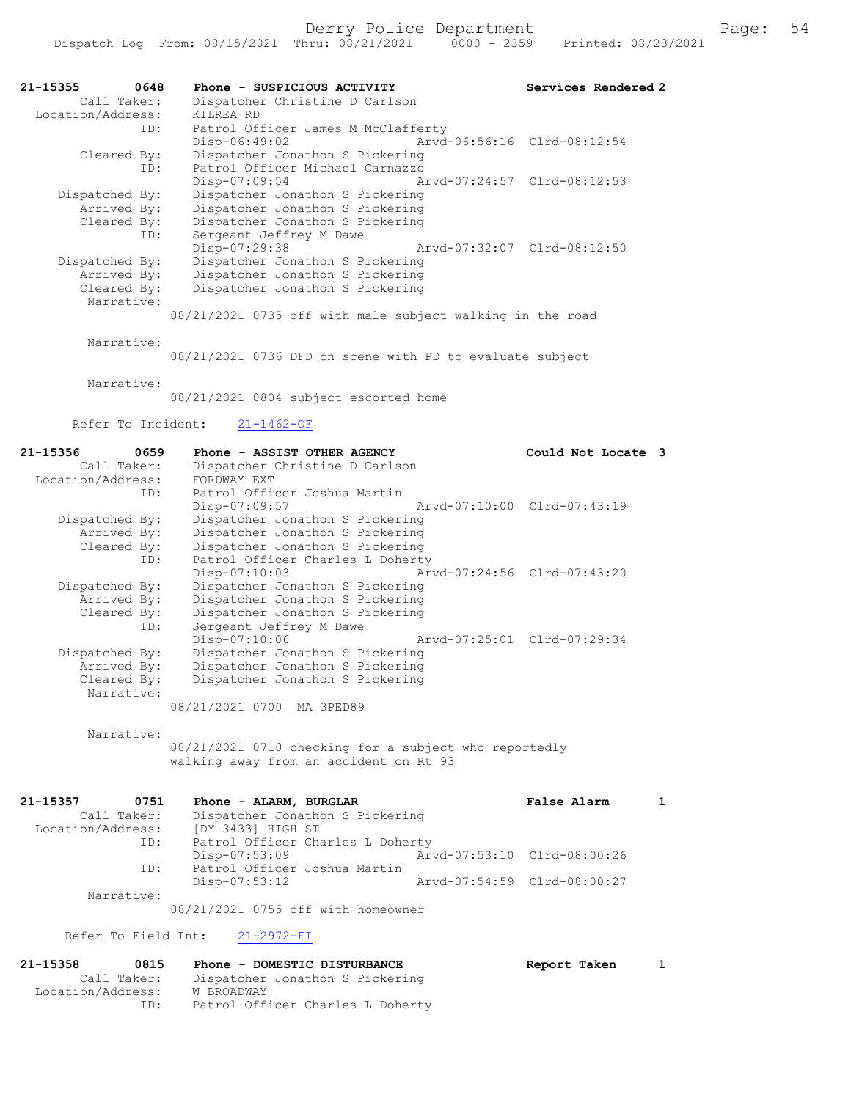| 21-15355       | 0648        | Phone - SUSPICIOUS ACTIVITY                               |                             | Services Rendered 2 |
|----------------|-------------|-----------------------------------------------------------|-----------------------------|---------------------|
|                | Call Taker: | Dispatcher Christine D Carlson                            |                             |                     |
|                |             | Location/Address: KILREA RD                               |                             |                     |
|                | ID:         | Patrol Officer James M McClafferty                        |                             |                     |
|                |             | Disp-06:49:02                                             | Arvd-06:56:16 Clrd-08:12:54 |                     |
|                | Cleared By: | Dispatcher Jonathon S Pickering                           |                             |                     |
|                | ID:         | Patrol Officer Michael Carnazzo                           |                             |                     |
|                |             | Disp-07:09:54                                             | Arvd-07:24:57 Clrd-08:12:53 |                     |
| Dispatched By: |             | Dispatcher Jonathon S Pickering                           |                             |                     |
|                | Arrived By: | Dispatcher Jonathon S Pickering                           |                             |                     |
|                | Cleared By: | Dispatcher Jonathon S Pickering                           |                             |                     |
|                | ID:         | Sergeant Jeffrey M Dawe                                   |                             |                     |
|                |             | Disp-07:29:38                                             | Arvd-07:32:07 Clrd-08:12:50 |                     |
| Dispatched By: |             | Dispatcher Jonathon S Pickering                           |                             |                     |
|                | Arrived By: | Dispatcher Jonathon S Pickering                           |                             |                     |
|                | Cleared By: | Dispatcher Jonathon S Pickering                           |                             |                     |
|                | Narrative:  |                                                           |                             |                     |
|                |             | 08/21/2021 0735 off with male subject walking in the road |                             |                     |
|                | Narrative:  |                                                           |                             |                     |

08/21/2021 0736 DFD on scene with PD to evaluate subject

Narrative:

08/21/2021 0804 subject escorted home

Refer To Incident: 21-1462-OF

| 21-15356<br>0659  | Phone - ASSIST OTHER AGENCY                    | Could Not Locate 3          |  |
|-------------------|------------------------------------------------|-----------------------------|--|
| Call Taker:       | Dispatcher Christine D Carlson                 |                             |  |
|                   |                                                |                             |  |
| Location/Address: | FORDWAY EXT                                    |                             |  |
| ID:               | Patrol Officer Joshua Martin                   |                             |  |
|                   | Arvd-07:10:00 Clrd-07:43:19<br>Disp-07:09:57   |                             |  |
| Dispatched By:    | Dispatcher Jonathon S Pickering                |                             |  |
| Arrived By:       | Dispatcher Jonathon S Pickering                |                             |  |
| Cleared By:       | Dispatcher Jonathon S Pickering                |                             |  |
|                   | Patrol Officer Charles L Doherty<br>ID:        |                             |  |
|                   | Arvd-07:24:56 Clrd-07:43:20<br>$Disp-07:10:03$ |                             |  |
| Dispatched By:    | Dispatcher Jonathon S Pickering                |                             |  |
| Arrived By:       | Dispatcher Jonathon S Pickering                |                             |  |
| Cleared By:       | Dispatcher Jonathon S Pickering                |                             |  |
| ID:               | Sergeant Jeffrey M Dawe                        |                             |  |
|                   | $Disp-07:10:06$                                | Arvd-07:25:01 Clrd-07:29:34 |  |
| Dispatched By:    | Dispatcher Jonathon S Pickering                |                             |  |
| Arrived By:       | Dispatcher Jonathon S Pickering                |                             |  |
| Cleared By:       | Dispatcher Jonathon S Pickering                |                             |  |
| Narrative:        |                                                |                             |  |
|                   | 08/21/2021 0700 MA 3PED89                      |                             |  |
|                   |                                                |                             |  |

Narrative:

08/21/2021 0710 checking for a subject who reportedly walking away from an accident on Rt 93

| 21-15357<br>0751  | Phone - ALARM, BURGLAR             |                             | False Alarm                 |  |
|-------------------|------------------------------------|-----------------------------|-----------------------------|--|
| Call Taker:       | Dispatcher Jonathon S Pickering    |                             |                             |  |
| Location/Address: | [DY 3433] HIGH ST                  |                             |                             |  |
| ID:               | Patrol Officer Charles L Doherty   |                             |                             |  |
|                   | Disp-07:53:09                      |                             | Arvd-07:53:10 Clrd-08:00:26 |  |
| ID:               | Patrol Officer Joshua Martin       |                             |                             |  |
|                   | Disp-07:53:12                      | Arvd-07:54:59 Clrd-08:00:27 |                             |  |
| Narrative:        |                                    |                             |                             |  |
|                   | 08/21/2021 0755 off with homeowner |                             |                             |  |

Refer To Field Int: 21-2972-FI

| 21-15358          | 0815 | Phone - DOMESTIC DISTURBANCE     | Report Taken | $\mathbf{1}$ |
|-------------------|------|----------------------------------|--------------|--------------|
| Call Taker:       |      | Dispatcher Jonathon S Pickering  |              |              |
| Location/Address: |      | W BROADWAY                       |              |              |
|                   | ID:  | Patrol Officer Charles L Doherty |              |              |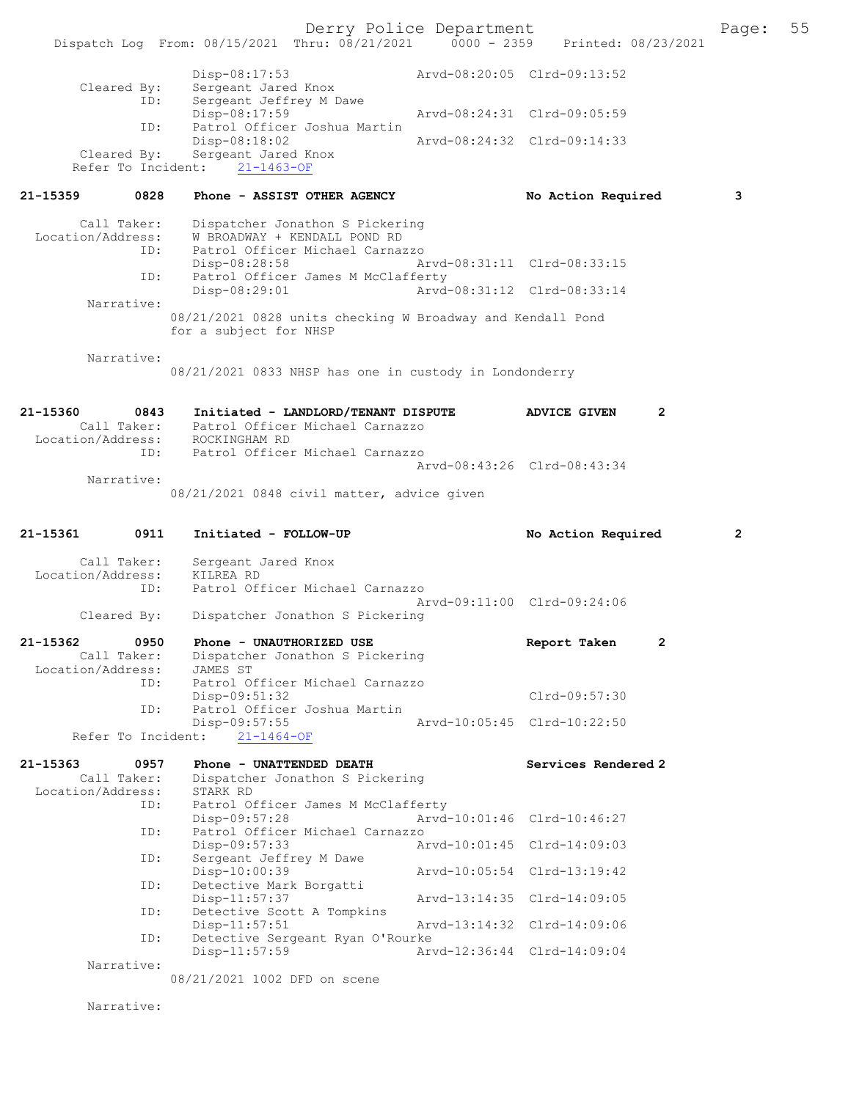Derry Police Department Form Page: 55 Dispatch Log From:  $08/15/2021$  Thru:  $08/21/2021$  0000 - 2359 Printed:  $08/23/2021$ Disp-08:17:53 <br>
Sergeant Jared Knox<br>
Sergeant Isis (1994) Cleared By: Sergeant Jared Knox ID: Sergeant Jeffrey M Dawe Disp-08:17:59 Arvd-08:24:31 Clrd-09:05:59 ID: Patrol Officer Joshua Martin Disp-08:18:02 Arvd-08:24:32 Clrd-09:14:33 Cleared By: Sergeant Jared Knox Refer To Incident: 21-1463-OF 21-15359 0828 Phone - ASSIST OTHER AGENCY No Action Required 3 Call Taker: Dispatcher Jonathon S Pickering Location/Address: W BROADWAY + KENDALL POND RD ID: Patrol Officer Michael Carnazzo Arvd-08:31:11 Clrd-08:33:15 ID: Patrol Officer James M McClafferty Disp-08:29:01 Arvd-08:31:12 Clrd-08:33:14 Narrative: 08/21/2021 0828 units checking W Broadway and Kendall Pond for a subject for NHSP Narrative: 08/21/2021 0833 NHSP has one in custody in Londonderry 21-15360 0843 Initiated - LANDLORD/TENANT DISPUTE ADVICE GIVEN 2 Call Taker: Patrol Officer Michael Carnazzo Location/Address: ROCKINGHAM RD ID: Patrol Officer Michael Carnazzo Arvd-08:43:26 Clrd-08:43:34 Narrative: 08/21/2021 0848 civil matter, advice given 21-15361 0911 Initiated - FOLLOW-UP No Action Required 2 Call Taker: Sergeant Jared Knox Location/Address: KILREA RD ID: Patrol Officer Michael Carnazzo Arvd-09:11:00 Clrd-09:24:06<br>Cleared By: Dispatcher Jonathon S Pickering Dispatcher Jonathon S Pickering 21-15362 0950 Phone - UNAUTHORIZED USE **Report Taken** 2 Call Taker: Dispatcher Jonathon S Pickering<br>ion/Address: JAMES ST Location/Address:<br>ID: Patrol Officer Michael Carnazzo Disp-09:51:32 Clrd-09:57:30<br>TD: Patrol Officer Joshua Martin Patrol Officer Joshua Martin Disp-09:57:55 Arvd-10:05:45 Clrd-10:22:50 Refer To Incident: 21-1464-OF 21-15363 0957 Phone - UNATTENDED DEATH Services Rendered 2 Call Taker: Dispatcher Jonathon S Pickering<br>cion/Address: STARK RD Location/Address:<br>TD: ID: Patrol Officer James M McClafferty Disp-09:57:28 Arvd-10:01:46 Clrd-10:46:27<br>ID: Patrol Officer Michael Carnazzo ID: Patrol Officer Michael Carnazzo Disp-09:57:33 Arvd-10:01:45 Clrd-14:09:03<br>ID: Sergeant Jeffrey M Dawe Sergeant Jeffrey M Dawe<br>Disp-10:00:39 Disp-10:00:39 Arvd-10:05:54 Clrd-13:19:42<br>TD: Detective Mark Borgatti Detective Mark Borgatti<br>Disp-11:57:37 Disp-11:57:37 <br>
Detective Scott A Tompkins<br>
Detective Scott A Tompkins Detective Scott A Tompkins<br>Disp-11:57:51 Disp-11:57:51 Arvd-13:14:32 Clrd-14:09:06<br>ID: Detective Sergeant Ryan O'Rourke Detective Sergeant Ryan O'Rourke Disp-11:57:59 Arvd-12:36:44 Clrd-14:09:04 Narrative: 08/21/2021 1002 DFD on scene Narrative: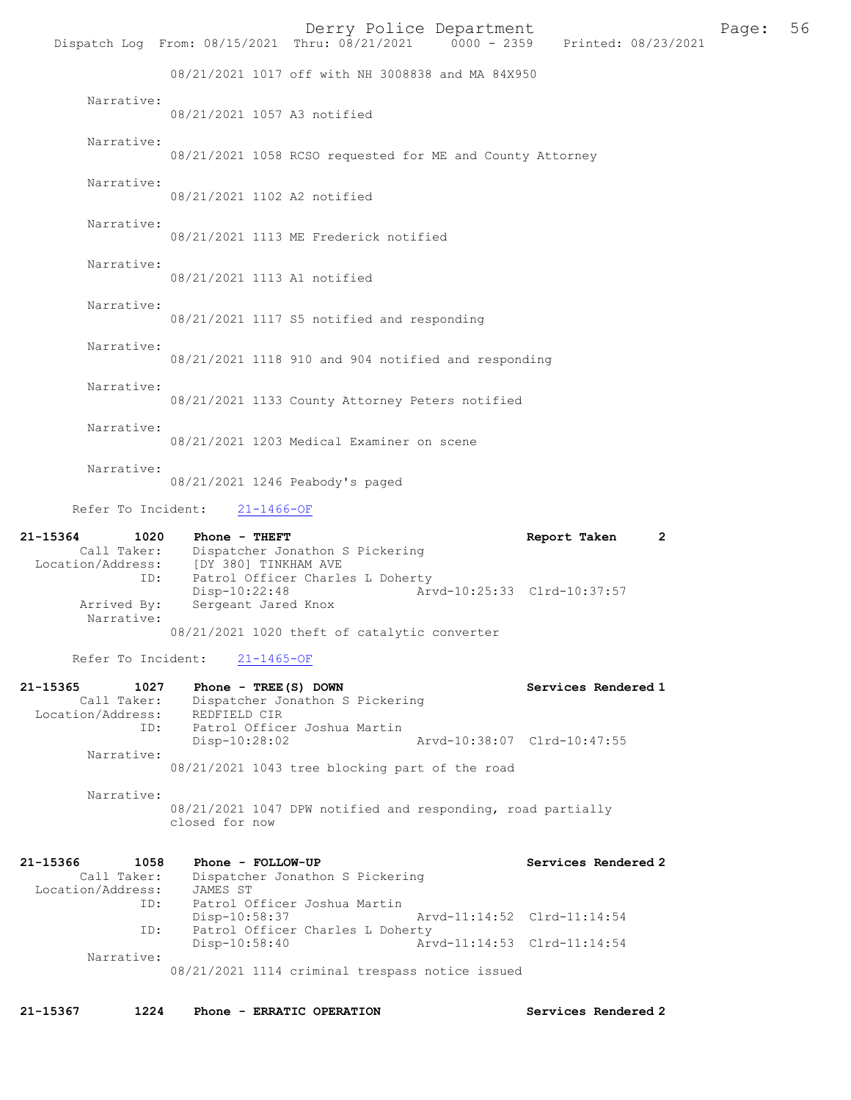|                                                                                  |                                      |                                                                     | Derry Police Department     | Dispatch Log From: 08/15/2021 Thru: 08/21/2021 0000 - 2359 Printed: 08/23/2021 | Ε |
|----------------------------------------------------------------------------------|--------------------------------------|---------------------------------------------------------------------|-----------------------------|--------------------------------------------------------------------------------|---|
|                                                                                  |                                      |                                                                     |                             |                                                                                |   |
|                                                                                  |                                      | 08/21/2021 1017 off with NH 3008838 and MA 84X950                   |                             |                                                                                |   |
| Narrative:                                                                       | 08/21/2021 1057 A3 notified          |                                                                     |                             |                                                                                |   |
| Narrative:                                                                       |                                      | 08/21/2021 1058 RCSO requested for ME and County Attorney           |                             |                                                                                |   |
| Narrative:                                                                       | 08/21/2021 1102 A2 notified          |                                                                     |                             |                                                                                |   |
| Narrative:                                                                       |                                      | 08/21/2021 1113 ME Frederick notified                               |                             |                                                                                |   |
| Narrative:                                                                       | 08/21/2021 1113 A1 notified          |                                                                     |                             |                                                                                |   |
| Narrative:                                                                       |                                      | 08/21/2021 1117 S5 notified and responding                          |                             |                                                                                |   |
| Narrative:                                                                       |                                      | 08/21/2021 1118 910 and 904 notified and responding                 |                             |                                                                                |   |
| Narrative:                                                                       |                                      | 08/21/2021 1133 County Attorney Peters notified                     |                             |                                                                                |   |
| Narrative:                                                                       |                                      | 08/21/2021 1203 Medical Examiner on scene                           |                             |                                                                                |   |
| Narrative:                                                                       |                                      | 08/21/2021 1246 Peabody's paged                                     |                             |                                                                                |   |
| Refer To Incident:                                                               | $21 - 1466 - OF$                     |                                                                     |                             |                                                                                |   |
| 21-15364<br>1020<br>Call Taker:<br>Location/Address: [DY 380] TINKHAM AVE<br>ID: | Phone - THEFT                        | Dispatcher Jonathon S Pickering<br>Patrol Officer Charles L Doherty |                             | Report Taken                                                                   | 2 |
| Arrived By:<br>Narrative:                                                        | Disp-10:22:48<br>Sergeant Jared Knox |                                                                     | Arvd-10:25:33 Clrd-10:37:57 |                                                                                |   |
|                                                                                  |                                      | 08/21/2021 1020 theft of catalytic converter                        |                             |                                                                                |   |
| Refer To Incident:                                                               | $21 - 1465 - OF$                     |                                                                     |                             |                                                                                |   |
| 21-15365<br>1027<br>Call Taker:                                                  | Phone - $TREE(S)$ DOWN               | Dispatcher Jonathon S Pickering                                     |                             | Services Rendered 1                                                            |   |
| Location/Address:<br>ID:                                                         | REDFIELD CIR<br>Disp-10:28:02        | Patrol Officer Joshua Martin                                        | Arvd-10:38:07 Clrd-10:47:55 |                                                                                |   |
| Narrative:                                                                       |                                      | 08/21/2021 1043 tree blocking part of the road                      |                             |                                                                                |   |
| Narrative:                                                                       | closed for now                       | 08/21/2021 1047 DPW notified and responding, road partially         |                             |                                                                                |   |
| 21-15366<br>1058                                                                 | Phone - FOLLOW-UP                    |                                                                     |                             | Services Rendered 2                                                            |   |
| Call Taker:<br>Location/Address:                                                 | JAMES ST                             | Dispatcher Jonathon S Pickering                                     |                             |                                                                                |   |
| ID:                                                                              | Disp-10:58:37                        | Patrol Officer Joshua Martin                                        | Arvd-11:14:52 Clrd-11:14:54 |                                                                                |   |

 ID: Patrol Officer Charles L Doherty Disp-10:58:40 Arvd-11:14:53 Clrd-11:14:54 Narrative:

08/21/2021 1114 criminal trespass notice issued

21-15367 1224 Phone - ERRATIC OPERATION Services Rendered 2

Page: 56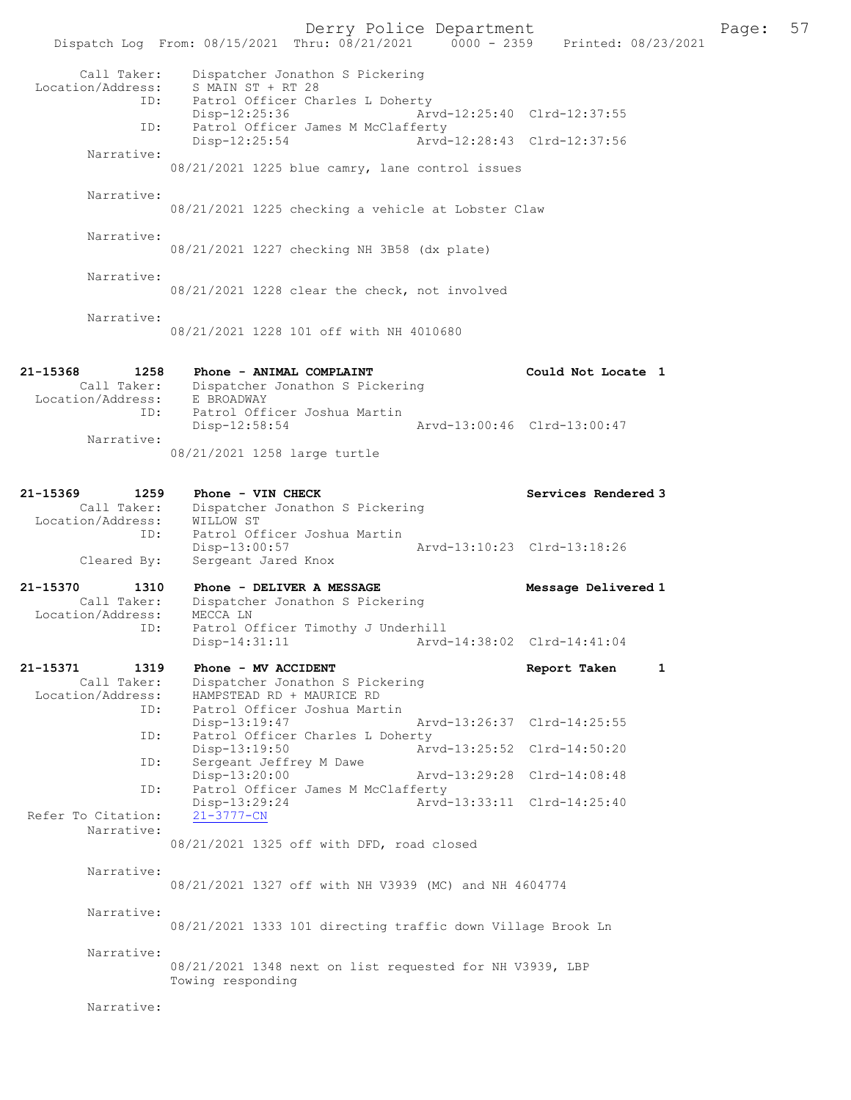Derry Police Department Fage: 57 Dispatch Log From: 08/15/2021 Thru: 08/21/2021 0000 - 2359 Printed: 08/23/2021 Call Taker: Dispatcher Jonathon S Pickering Location/Address: S MAIN ST + RT 28 ID: Patrol Officer Charles L Doherty Disp-12:25:36 Arvd-12:25:40 Clrd-12:37:55 ID: Patrol Officer James M McClafferty<br>Disp-12:25:54 Arvd- Disp-12:25:54 Arvd-12:28:43 Clrd-12:37:56 Narrative: 08/21/2021 1225 blue camry, lane control issues Narrative: 08/21/2021 1225 checking a vehicle at Lobster Claw Narrative: 08/21/2021 1227 checking NH 3B58 (dx plate) Narrative: 08/21/2021 1228 clear the check, not involved Narrative: 08/21/2021 1228 101 off with NH 4010680 21-15368 1258 Phone - ANIMAL COMPLAINT Could Not Locate 1 Call Taker: Dispatcher Jonathon S Pickering Location/Address: E BROADWAY ID: Patrol Officer Joshua Martin Disp-12:58:54 Arvd-13:00:46 Clrd-13:00:47 Narrative: 08/21/2021 1258 large turtle 21-15369 1259 Phone - VIN CHECK Services Rendered 3 Call Taker: Dispatcher Jonathon S Pickering Location/Address: WILLOW ST ID: Patrol Officer Joshua Martin Disp-13:00:57 Arvd-13:10:23 Clrd-13:18:26 Cleared By: Sergeant Jared Knox 21-15370 1310 Phone - DELIVER A MESSAGE Nessage Delivered 1 Call Taker: Dispatcher Jonathon S Pickering Location/Address: MECCA LN ID: Patrol Officer Timothy J Underhill Disp-14:31:11 Arvd-14:38:02 Clrd-14:41:04 21-15371 1319 Phone - MV ACCIDENT Report Taken 1 Call Taker: Dispatcher Jonathon S Pickering Location/Address: HAMPSTEAD RD + MAURICE RD ID: Patrol Officer Joshua Martin Disp-13:19:47 Arvd-13:26:37 Clrd-14:25:55 ID: Patrol Officer Charles L Doherty Disp-13:19:50 Arvd-13:25:52 Clrd-14:50:20 ID: Sergeant Jeffrey M Dawe<br>Disp-13:20:00 Disp-13:20:00 Arvd-13:29:28 Clrd-14:08:48 ID: Patrol Officer James M McClafferty<br>Disp-13:29:24 Arvd-Disp-13:29:24 Arvd-13:33:11 Clrd-14:25:40<br>21-3777-CN Refer To Citation: Narrative: 08/21/2021 1325 off with DFD, road closed Narrative: 08/21/2021 1327 off with NH V3939 (MC) and NH 4604774 Narrative: 08/21/2021 1333 101 directing traffic down Village Brook Ln Narrative: 08/21/2021 1348 next on list requested for NH V3939, LBP Towing responding Narrative: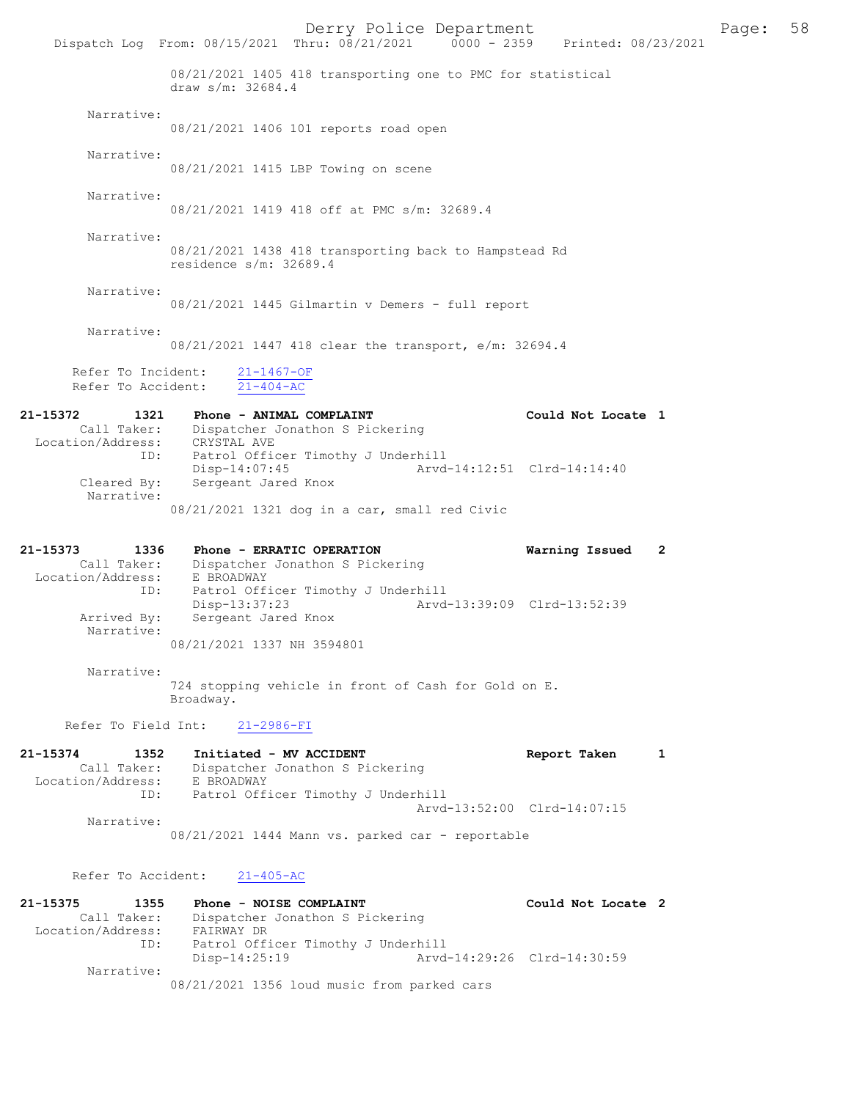Derry Police Department Fage: 58 Dispatch Log From: 08/15/2021 Thru: 08/21/2021 0000 - 2359 Printed: 08/23/2021 08/21/2021 1405 418 transporting one to PMC for statistical draw s/m: 32684.4 Narrative: 08/21/2021 1406 101 reports road open Narrative: 08/21/2021 1415 LBP Towing on scene Narrative: 08/21/2021 1419 418 off at PMC s/m: 32689.4 Narrative: 08/21/2021 1438 418 transporting back to Hampstead Rd residence s/m: 32689.4 Narrative: 08/21/2021 1445 Gilmartin v Demers - full report Narrative: 08/21/2021 1447 418 clear the transport, e/m: 32694.4 Refer To Incident:  $\frac{21-1467-OF}{21-404-AC}$ Refer To Accident: 21-15372 1321 Phone - ANIMAL COMPLAINT Could Not Locate 1 Call Taker: Dispatcher Jonathon S Pickering Location/Address: CRYSTAL AVE ID: Patrol Officer Timothy J Underhill Disp-14:07:45 Arvd-14:12:51 Clrd-14:14:40 Disp-14:07:45<br>Cleared By: Sergeant Jared Knox<br>Cleared By: Sergeant Jared Knox Narrative: 08/21/2021 1321 dog in a car, small red Civic 21-15373 1336 Phone - ERRATIC OPERATION Warning Issued 2 Call Taker: Dispatcher Jonathon S Pickering Location/Address: E BROADWAY ID: Patrol Officer Timothy J Underhill Disp-13:37:23 Arvd-13:39:09 Clrd-13:52:39<br>Arrived By: Sergeant Jared Knox Sergeant Jared Knox Narrative: 08/21/2021 1337 NH 3594801 Narrative: 724 stopping vehicle in front of Cash for Gold on E. Broadway. Refer To Field Int: 21-2986-FI 21-15374 1352 Initiated - MV ACCIDENT 1 Report Taken 1 Call Taker: Dispatcher Jonathon S Pickering Location/Address: E BROADWAY ID: Patrol Officer Timothy J Underhill Arvd-13:52:00 Clrd-14:07:15 Narrative: 08/21/2021 1444 Mann vs. parked car - reportable Refer To Accident: 21-405-AC 21-15375 1355 Phone - NOISE COMPLAINT Could Not Locate 2 Call Taker: Dispatcher Jonathon S Pickering Location/Address: FAIRWAY DR ID: Patrol Officer Timothy J Underhill Disp-14:25:19 Arvd-14:29:26 Clrd-14:30:59 Narrative: 08/21/2021 1356 loud music from parked cars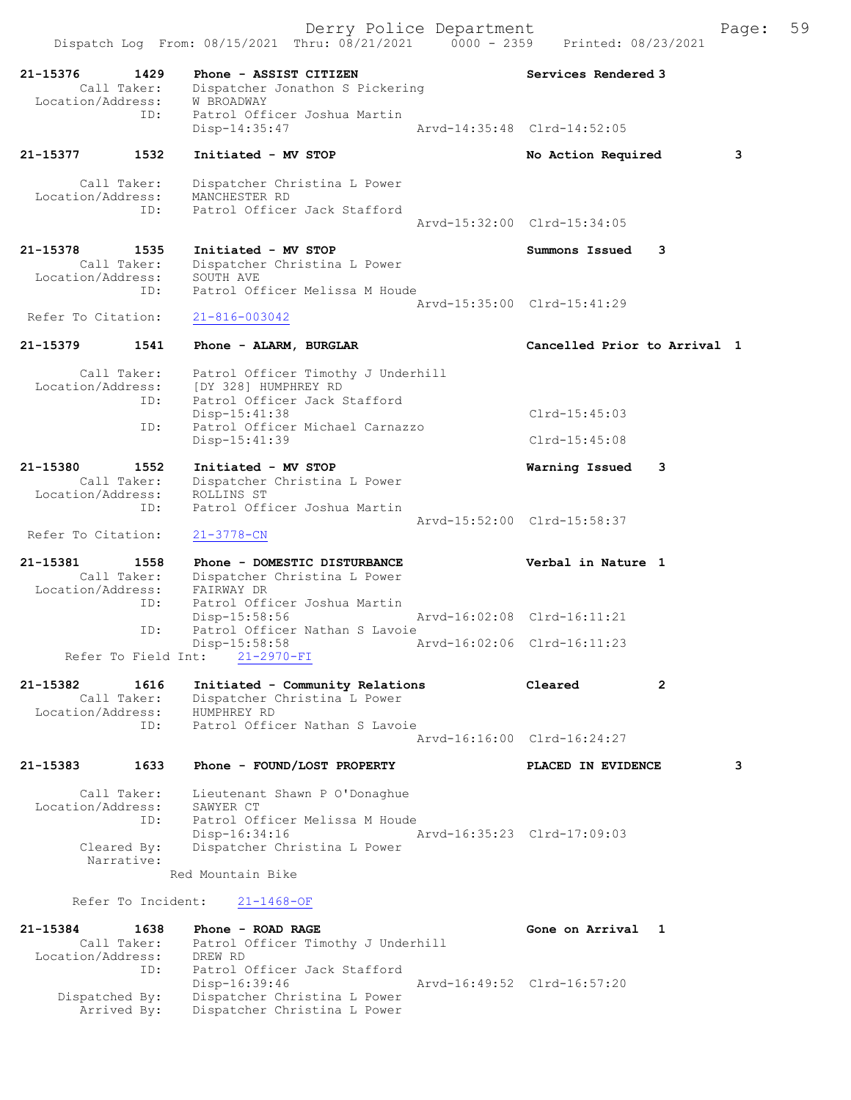Dispatch Log From: 08/15/2021 Thru: 08/21/2021 0000 - 2359 Printed: 08/23/2021 21-15376 1429 Phone - ASSIST CITIZEN Services Rendered 3 Call Taker: Dispatcher Jonathon S Pickering -15376<br>Call Taker: Dispatcuer<br>Location/Address: W BROADWAY ID: Patrol Officer Joshua Martin<br>Disp-14:35:47 Disp-14:35:47 Arvd-14:35:48 Clrd-14:52:05 21-15377 1532 Initiated - MV STOP 1537 No Action Required 3 Call Taker: Dispatcher Christina L Power Location/Address: MANCHESTER RD ID: Patrol Officer Jack Stafford Arvd-15:32:00 Clrd-15:34:05 21-15378 1535 Initiated - MV STOP Summons Issued 3 Dispatcher Christina L Power<br>SOUTH AVE Call Taker:<br>Location/Address: ID: Patrol Officer Melissa M Houde Arvd-15:35:00 Clrd-15:41:29 Refer To Citation: 21-816-003042 21-15379 1541 Phone - ALARM, BURGLAR Cancelled Prior to Arrival 1 Call Taker: Patrol Officer Timothy J Underhill Location/Address: [DY 328] HUMPHREY RD ID: Patrol Officer Jack Stafford Disp-15:41:38 Clrd-15:45:03<br>ID: Patrol Officer Michael Carnazzo Patrol Officer Michael Carnazzo Disp-15:41:39 Clrd-15:45:08 21-15380 1552 Initiated - MV STOP Warning Issued 3 Call Taker: Dispatcher Christina L Power Location/Address: ROLLINS ST ID: Patrol Officer Joshua Martin Arvd-15:52:00 Clrd-15:58:37 Refer To Citation: 21-3778-CN 21-15381 1558 Phone - DOMESTIC DISTURBANCE Verbal in Nature 1 Call Taker: Dispatcher Christina L Power Location/Address: FAIRWAY DR ID: Patrol Officer Joshua Martin Disp-15:58:56 Arvd-16:02:08 Clrd-16:11:21 ID: Patrol Officer Nathan S Lavoie Disp-15:58:58 <br>nt: 21-2970-FI <br>Arvd-16:02:06 Clrd-16:11:23 Refer To Field Int: 21-15382 1616 Initiated - Community Relations Cleared 2 Call Taker: Dispatcher Christina L Power Location/Address: HUMPHREY RD ID: Patrol Officer Nathan S Lavoie Arvd-16:16:00 Clrd-16:24:27 21-15383 1633 Phone - FOUND/LOST PROPERTY PLACED IN EVIDENCE 3 Call Taker: Lieutenant Shawn P O'Donaghue<br>ion/Address: SAWYER CT Location/Address: ID: Patrol Officer Melissa M Houde<br>Disp-16:34:16 Disp-16:34:16 Arvd-16:35:23 Clrd-17:09:03<br>Cleared By: Dispatcher Christina L Power Dispatcher Christina L Power Narrative: Red Mountain Bike Refer To Incident: 21-1468-OF 21-15384 1638 Phone - ROAD RAGE Gone on Arrival 1 Call Taker: Patrol Officer Timothy J Underhill Location/Address: DREW RD ID: Patrol Officer Jack Stafford Disp-16:39:46 Arvd-16:49:52 Clrd-16:57:20 Dispatched By: Dispatcher Christina L Power Arrived By: Dispatcher Christina L Power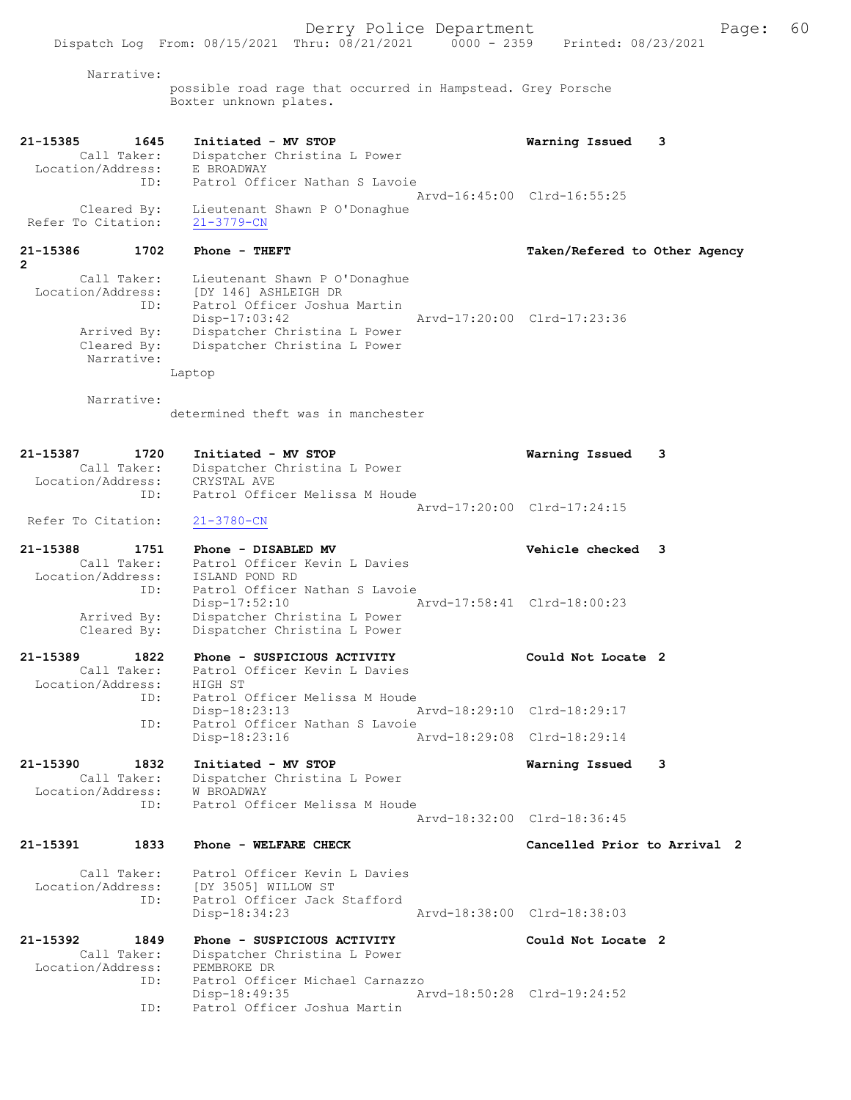Narrative: possible road rage that occurred in Hampstead. Grey Porsche Boxter unknown plates. 21-15385 1645 Initiated - MV STOP Warning Issued 3 Call Taker: Dispatcher Christina L Power Location/Address: E BROADWAY ID: Patrol Officer Nathan S Lavoie Arvd-16:45:00 Clrd-16:55:25 Cleared By: Lieutenant Shawn P O'Donaghue Refer To Citation: 21-3779-CN 21-15386 1702 Phone - THEFT Taken/Refered to Other Agency  $\mathbf{c}$  Call Taker: Lieutenant Shawn P O'Donaghue Location/Address: [DY 146] ASHLEIGH DR ID: Patrol Officer Joshua Martin Disp-17:03:42 Arvd-17:20:00 Clrd-17:23:36 Arrived By: Dispatcher Christina L Power Cleared By: Dispatcher Christina L Power Narrative: Laptop Narrative: determined theft was in manchester 21-15387 1720 Initiated - MV STOP Warning Issued 3 Call Taker: Dispatcher Christina L Power Location/Address: CRYSTAL AVE ID: Patrol Officer Melissa M Houde Arvd-17:20:00 Clrd-17:24:15 Refer To Citation: 21-3780-CN 21-15388 1751 Phone - DISABLED MV Vehicle checked 3 Call Taker: Patrol Officer Kevin L Davies Location/Address: ISLAND POND RD ID: Patrol Officer Nathan S Lavoie<br>Disp-17:52:10 A Disp-17:52:10 Arvd-17:58:41 Clrd-18:00:23 Arrived By: Dispatcher Christina L Power Cleared By: Dispatcher Christina L Power 21-15389 1822 Phone - SUSPICIOUS ACTIVITY Could Not Locate 2 Call Taker: Patrol Officer Kevin L Davies Location/Address: HIGH ST<br>ID: Patrol ( Patrol Officer Melissa M Houde Disp-18:23:13 Arvd-18:29:10 Clrd-18:29:17 ID: Patrol Officer Nathan S Lavoie<br>Disp-18:23:16 Am Disp-18:23:16 Arvd-18:29:08 Clrd-18:29:14 21-15390 1832 Initiated - MV STOP Warning Issued 3 Call Taker: Dispatcher Christina L Power Location/Address: W BROADWAY ID: Patrol Officer Melissa M Houde Arvd-18:32:00 Clrd-18:36:45 21-15391 1833 Phone - WELFARE CHECK Cancelled Prior to Arrival 2 Call Taker: Patrol Officer Kevin L Davies<br>Location/Address: [DY 3505] WILLOW ST ess: [DY 3505] WILLOW ST<br>ID: Patrol Officer Jack Patrol Officer Jack Stafford Disp-18:34:23 Arvd-18:38:00 Clrd-18:38:03 21-15392 1849 Phone - SUSPICIOUS ACTIVITY Could Not Locate 2 Call Taker: Dispatcher Christina L Power Location/Address: PEMBROKE DR ID: Patrol Officer Michael Carnazzo Disp-18:49:35 Arvd-18:50:28 Clrd-19:24:52 Patrol Officer Joshua Martin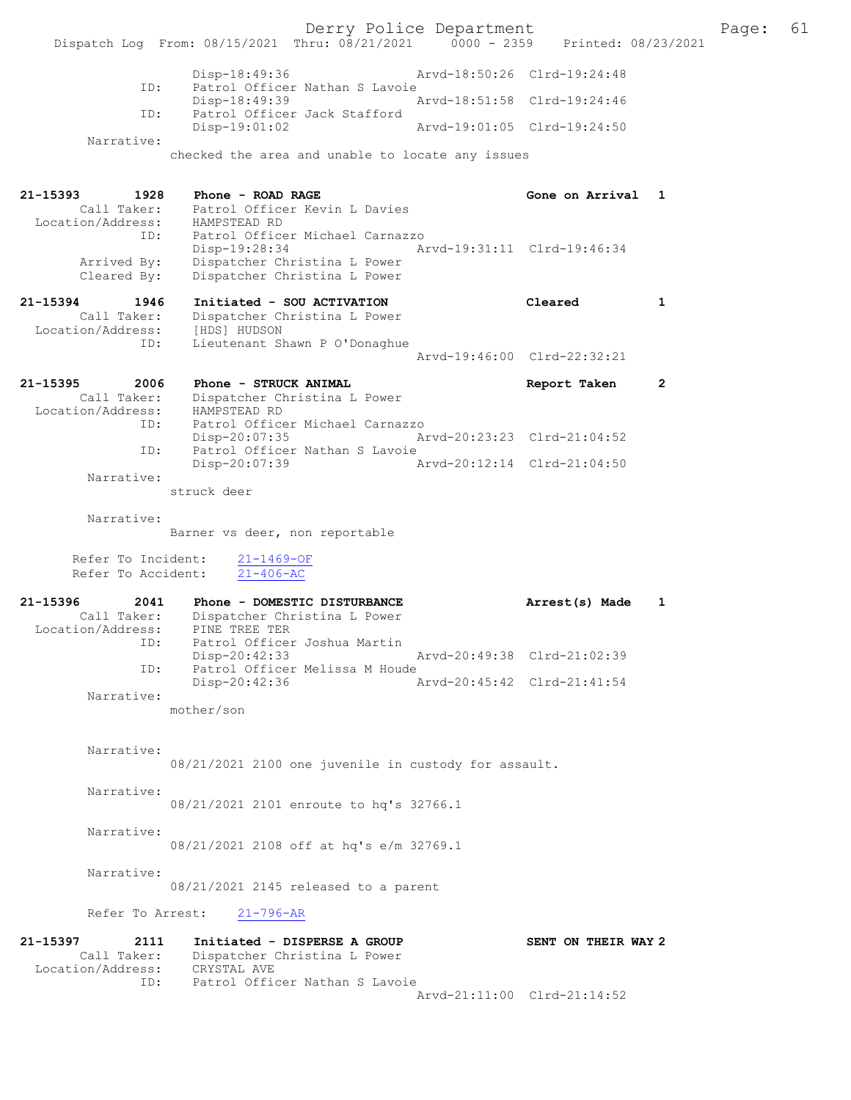Derry Police Department Page: 61 Dispatch Log From: 08/15/2021 Thru: 08/21/2021 0000 - 2359 Disp-18:49:36 Arvd-18:50:26 Clrd-19:24:48 ID: Patrol Officer Nathan S Lavoie<br>Disp-18:49:39 1 Disp-18:49:39 <br>Th: Patrol Officer Jack Stafford<br>Th: Patrol Officer Jack Stafford Patrol Officer Jack Stafford<br>Disp-19:01:02 Disp-19:01:02 Arvd-19:01:05 Clrd-19:24:50 Narrative: checked the area and unable to locate any issues 21-15393 1928 Phone - ROAD RAGE Gone on Arrival 1 Call Taker: Patrol Officer Kevin L Davies Location/Address: HAMPSTEAD RD ID: Patrol Officer Michael Carnazzo Disp-19:28:34 Arvd-19:31:11 Clrd-19:46:34 Arrived By: Dispatcher Christina L Power Cleared By: Dispatcher Christina L Power 21-15394 1946 Initiated - SOU ACTIVATION Cleared 1 Call Taker: Dispatcher Christina L Power Location/Address: [HDS] HUDSON ID: Lieutenant Shawn P O'Donaghue Arvd-19:46:00 Clrd-22:32:21 21-15395 2006 Phone - STRUCK ANIMAL 21-15395 Report Taken 2 Call Taker: Dispatcher Christina L Power Location/Address: HAMPSTEAD RD ID: Patrol Officer Michael Carnazzo Disp-20:07:35 Arvd-20:23:23 Clrd-21:04:52 ID: Patrol Officer Nathan S Lavoie<br>Disp-20:07:39 A Disp-20:07:39 Arvd-20:12:14 Clrd-21:04:50 Narrative: struck deer Narrative: Barner vs deer, non reportable Refer To Incident:  $\frac{21-1469-OF}{21-406-AC}$ Refer To Accident: 21-15396 2041 Phone - DOMESTIC DISTURBANCE Arrest(s) Made 1 Call Taker: Dispatcher Christina L Power Location/Address: PINE TREE TER TD: Patrol Officer Joshua Martin<br>Disp-20:42:33 Disp-20:42:33 Arvd-20:49:38 Clrd-21:02:39 ID: Patrol Officer Melissa M Houde<br>Disp-20:42:36 Disp-20:42:36 Arvd-20:45:42 Clrd-21:41:54 Narrative: mother/son Narrative: 08/21/2021 2100 one juvenile in custody for assault. Narrative: 08/21/2021 2101 enroute to hq's 32766.1 Narrative: 08/21/2021 2108 off at hq's e/m 32769.1 Narrative: 08/21/2021 2145 released to a parent Refer To Arrest: 21-796-AR 21-15397 2111 Initiated - DISPERSE A GROUP SENT ON THEIR WAY 2 Call Taker: Dispatcher Christina L Power Location/Address: CRYSTAL AVE ID: Patrol Officer Nathan S Lavoie

Arvd-21:11:00 Clrd-21:14:52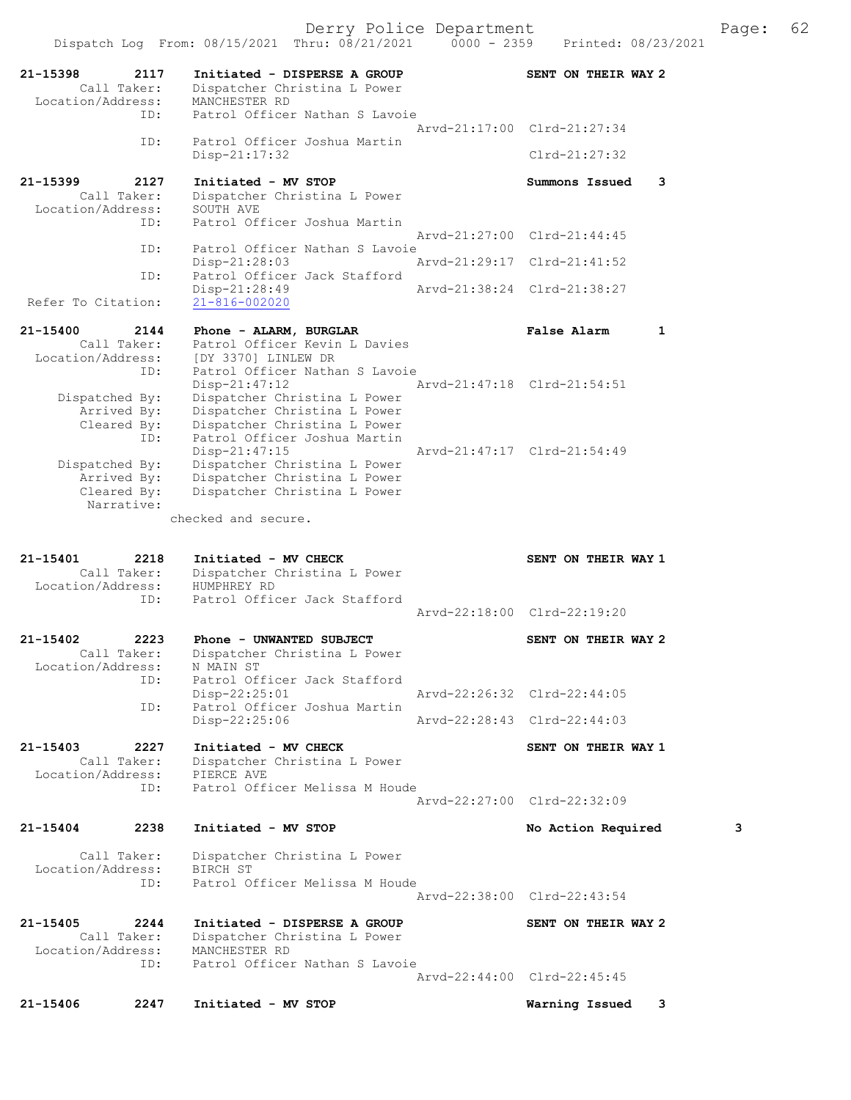|                    |                     | Dispatch Log From: 08/15/2021 Thru: 08/21/2021               | Printed: 08/23/2021         |              |
|--------------------|---------------------|--------------------------------------------------------------|-----------------------------|--------------|
| 21-15398           | 2117<br>Call Taker: | Initiated - DISPERSE A GROUP<br>Dispatcher Christina L Power | SENT ON THEIR WAY 2         |              |
| Location/Address:  | ID:                 | MANCHESTER RD<br>Patrol Officer Nathan S Lavoie              |                             |              |
|                    | ID:                 | Patrol Officer Joshua Martin                                 | Arvd-21:17:00 Clrd-21:27:34 |              |
|                    |                     | $Disp-21:17:32$                                              | $Clrd-21:27:32$             |              |
| 21-15399           | 2127                | Initiated - MV STOP                                          | Summons Issued              | 3            |
| Location/Address:  | Call Taker:         | Dispatcher Christina L Power<br>SOUTH AVE                    |                             |              |
|                    | ID:                 | Patrol Officer Joshua Martin                                 |                             |              |
|                    | ID:                 | Patrol Officer Nathan S Lavoie                               | Arvd-21:27:00 Clrd-21:44:45 |              |
|                    |                     | Disp-21:28:03                                                | Arvd-21:29:17 Clrd-21:41:52 |              |
|                    | ID:                 | Patrol Officer Jack Stafford<br>$Disp-21:28:49$              | Arvd-21:38:24 Clrd-21:38:27 |              |
| Refer To Citation: |                     | $21 - 816 - 002020$                                          |                             |              |
| 21-15400           | 2144                | Phone - ALARM, BURGLAR                                       | False Alarm                 | $\mathbf{1}$ |
| Location/Address:  | Call Taker:         | Patrol Officer Kevin L Davies<br>[DY 3370] LINLEW DR         |                             |              |
|                    | ID:                 | Patrol Officer Nathan S Lavoie                               |                             |              |
| Dispatched By:     |                     | $Disp-21:47:12$<br>Dispatcher Christina L Power              | Arvd-21:47:18 Clrd-21:54:51 |              |
|                    | Arrived By:         | Dispatcher Christina L Power                                 |                             |              |
|                    | Cleared By:<br>ID:  | Dispatcher Christina L Power<br>Patrol Officer Joshua Martin |                             |              |
|                    |                     | $Disp-21:47:15$                                              | Arvd-21:47:17 Clrd-21:54:49 |              |
| Dispatched By:     | Arrived By:         | Dispatcher Christina L Power<br>Dispatcher Christina L Power |                             |              |
|                    | Cleared By:         | Dispatcher Christina L Power                                 |                             |              |
|                    | Narrative:          | checked and secure.                                          |                             |              |
|                    |                     |                                                              |                             |              |
|                    |                     |                                                              |                             |              |
| 21-15401           | 2218                | Initiated - MV CHECK                                         | SENT ON THEIR WAY 1         |              |
|                    | Call Taker:         | Dispatcher Christina L Power                                 |                             |              |
| Location/Address:  | ID:                 | HUMPHREY RD<br>Patrol Officer Jack Stafford                  |                             |              |
|                    |                     |                                                              | Arvd-22:18:00 Clrd-22:19:20 |              |
| 21-15402           | 2223                | Phone - UNWANTED SUBJECT                                     | SENT ON THEIR WAY 2         |              |
| Location/Address:  | Call Taker:         | Dispatcher Christina L Power<br>N MAIN ST                    |                             |              |
|                    | ID:                 | Patrol Officer Jack Stafford                                 |                             |              |
|                    | ID:                 | Disp-22:25:01<br>Patrol Officer Joshua Martin                | Arvd-22:26:32 Clrd-22:44:05 |              |
|                    |                     | $Disp-22:25:06$                                              | Arvd-22:28:43 Clrd-22:44:03 |              |
| 21-15403           | 2227                | Initiated - MV CHECK                                         | SENT ON THEIR WAY 1         |              |
| Location/Address:  | Call Taker:         | Dispatcher Christina L Power<br>PIERCE AVE                   |                             |              |
|                    | ID:                 | Patrol Officer Melissa M Houde                               |                             |              |
|                    |                     |                                                              | Arvd-22:27:00 Clrd-22:32:09 |              |
| 21-15404           | 2238                | Initiated - MV STOP                                          | No Action Required          | 3            |
| Location/Address:  | Call Taker:         | Dispatcher Christina L Power<br>BIRCH ST                     |                             |              |
|                    | ID:                 | Patrol Officer Melissa M Houde                               |                             |              |
|                    |                     |                                                              | Arvd-22:38:00 Clrd-22:43:54 |              |
| 21-15405           | 2244                | Initiated - DISPERSE A GROUP                                 | SENT ON THEIR WAY 2         |              |
| Location/Address:  | Call Taker:         | Dispatcher Christina L Power<br>MANCHESTER RD                |                             |              |
|                    | ID:                 | Patrol Officer Nathan S Lavoie                               | Arvd-22:44:00 Clrd-22:45:45 |              |
| 21-15406           | 2247                | Initiated - MV STOP                                          | Warning Issued              | 3            |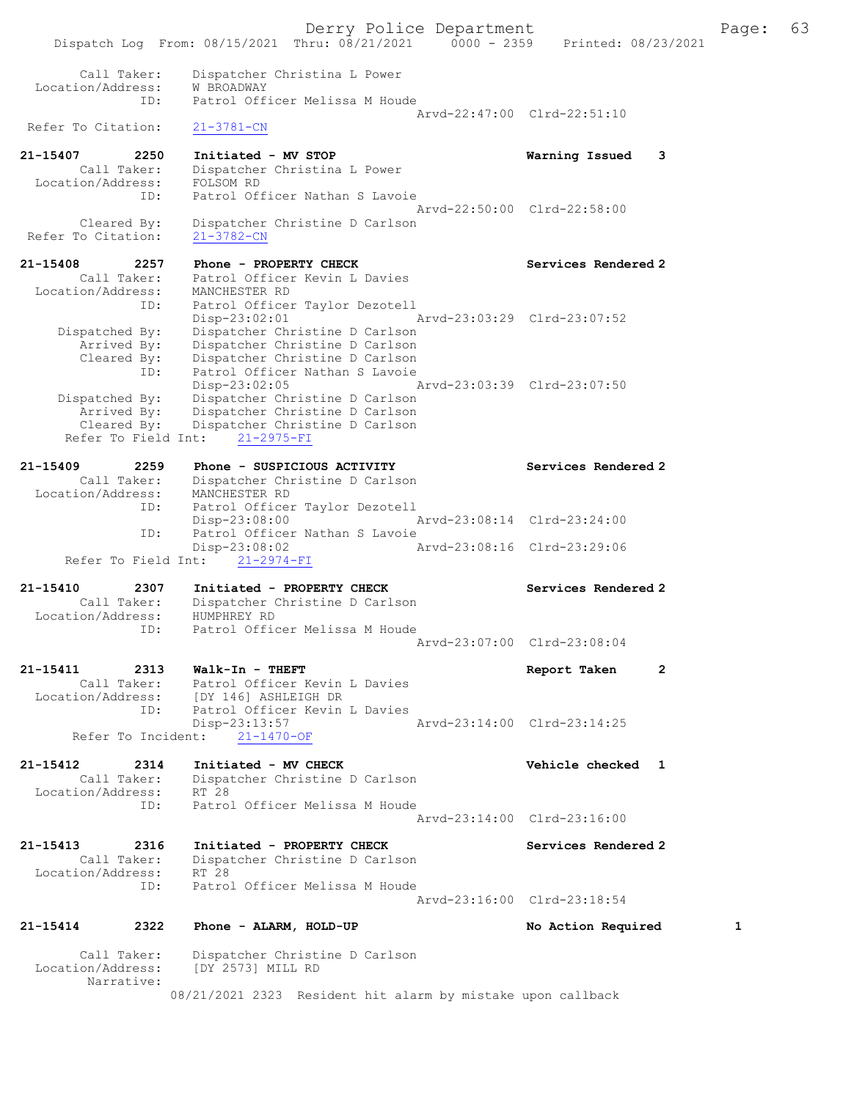Derry Police Department Fage: 63 Dispatch Log From: 08/15/2021 Thru: 08/21/2021 0000 - 2359 Printed: 08/23/2021 Call Taker: Dispatcher Christina L Power Location/Address: W BROADWAY ID: Patrol Officer Melissa M Houde Arvd-22:47:00 Clrd-22:51:10 Refer To Citation: 21-3781-CN 21-15407 2250 Initiated - MV STOP Warning Issued 3 Call Taker: Dispatcher Christina L Power Location/Address: FOLSOM RD ID: Patrol Officer Nathan S Lavoie Arvd-22:50:00 Clrd-22:58:00 Cleared By: Dispatcher Christine D Carlson Refer To Citation: 21-3782-CN 21-15408 2257 Phone - PROPERTY CHECK Services Rendered 2 Call Taker: Patrol Officer Kevin L Davies Location/Address: MANCHESTER RD ID: Patrol Officer Taylor Dezotell Disp-23:02:01 Arvd-23:03:29 Clrd-23:07:52 Dispatched By: Dispatcher Christine D Carlson Arrived By: Dispatcher Christine D Carlson Cleared By: Dispatcher Christine D Carlson ID: Patrol Officer Nathan S Lavoie Disp-23:02:05 Arvd-23:03:39 Clrd-23:07:50 Dispatched By: Dispatcher Christine D Carlson Arrived By: Dispatcher Christine D Carlson Cleared By: Dispatcher Christine D Carlson Refer To Field Int: 21-2975-FI 21-15409 2259 Phone - SUSPICIOUS ACTIVITY Services Rendered 2 Call Taker: Dispatcher Christine D Carlson Location/Address: MANCHESTER RD ID: Patrol Officer Taylor Dezotell Disp-23:08:00 Arvd-23:08:14 Clrd-23:24:00 ID: Patrol Officer Nathan S Lavoie Disp-23:08:02 Arvd-23:08:16 Clrd-23:29:06 Refer To Field Int: 21-2974-FI 21-15410 2307 Initiated - PROPERTY CHECK Services Rendered 2 Call Taker: Dispatcher Christine D Carlson Location/Address: HUMPHREY RD ID: Patrol Officer Melissa M Houde Arvd-23:07:00 Clrd-23:08:04 21-15411 2313 Walk-In - THEFT Report Taken 2 Call Taker: Patrol Officer Kevin L Davies Location/Address: [DY 146] ASHLEIGH DR ID: Patrol Officer Kevin L Davies Disp-23:13:57 Arvd-23:14:00 Clrd-23:14:25 Refer To Incident: 21-1470-OF 21-15412 2314 Initiated - MV CHECK 21 Vehicle checked 1 Call Taker: Dispatcher Christine D Carlson Location/Address: RT 28 ID: Patrol Officer Melissa M Houde Arvd-23:14:00 Clrd-23:16:00 21-15413 2316 Initiated - PROPERTY CHECK Services Rendered 2 Call Taker: Dispatcher Christine D Carlson Location/Address: RT 28 ID: Patrol Officer Melissa M Houde Arvd-23:16:00 Clrd-23:18:54 21-15414 2322 Phone - ALARM, HOLD-UP No Action Required 1 Call Taker: Dispatcher Christine D Carlson Location/Address: [DY 2573] MILL RD Narrative:

08/21/2021 2323 Resident hit alarm by mistake upon callback